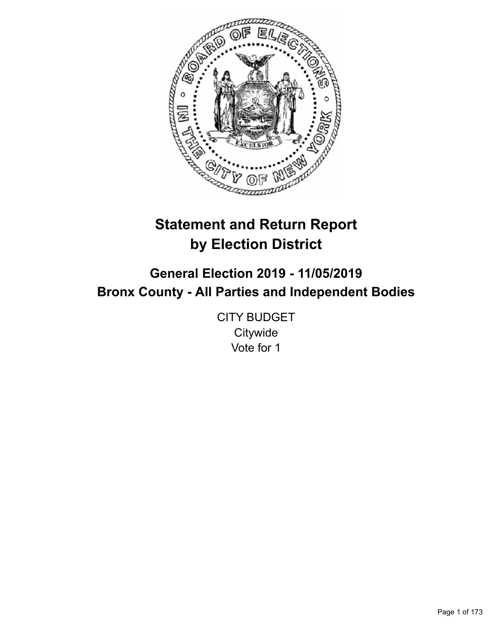

# **Statement and Return Report by Election District**

# **General Election 2019 - 11/05/2019 Bronx County - All Parties and Independent Bodies**

CITY BUDGET **Citywide** Vote for 1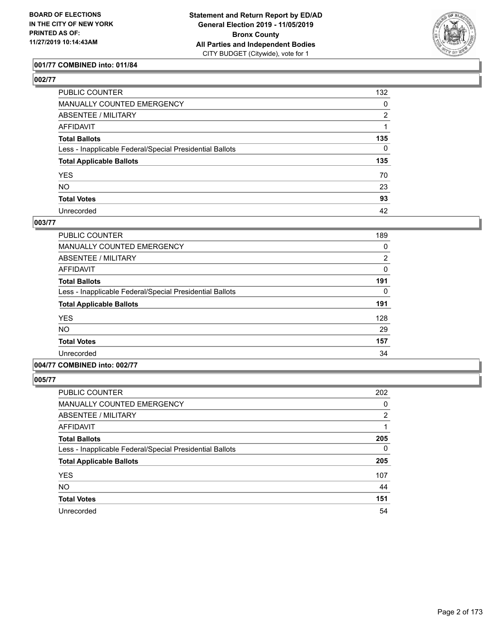

# **001/77 COMBINED into: 011/84**

| ۰,<br>۰. |
|----------|
|----------|

| PUBLIC COUNTER                                           | 132      |
|----------------------------------------------------------|----------|
| MANUALLY COUNTED EMERGENCY                               | 0        |
| ABSENTEE / MILITARY                                      | 2        |
| AFFIDAVIT                                                |          |
| Total Ballots                                            | 135      |
| Less - Inapplicable Federal/Special Presidential Ballots | $\Omega$ |
| <b>Total Applicable Ballots</b>                          | 135      |
| YES                                                      | 70       |
| NO.                                                      | 23       |
| <b>Total Votes</b>                                       | 93       |
| Unrecorded                                               | 42       |

## **003/77**

| <b>PUBLIC COUNTER</b>                                    | 189            |
|----------------------------------------------------------|----------------|
| <b>MANUALLY COUNTED EMERGENCY</b>                        | 0              |
| ABSENTEE / MILITARY                                      | $\overline{2}$ |
| <b>AFFIDAVIT</b>                                         | $\Omega$       |
| <b>Total Ballots</b>                                     | 191            |
| Less - Inapplicable Federal/Special Presidential Ballots | 0              |
| <b>Total Applicable Ballots</b>                          | 191            |
| <b>YES</b>                                               | 128            |
| <b>NO</b>                                                | 29             |
| <b>Total Votes</b>                                       | 157            |
| Unrecorded                                               | 34             |
|                                                          |                |

# **004/77 COMBINED into: 002/77**

| PUBLIC COUNTER                                           | 202            |
|----------------------------------------------------------|----------------|
| <b>MANUALLY COUNTED EMERGENCY</b>                        | 0              |
| ABSENTEE / MILITARY                                      | $\overline{2}$ |
| <b>AFFIDAVIT</b>                                         | 1              |
| <b>Total Ballots</b>                                     | 205            |
| Less - Inapplicable Federal/Special Presidential Ballots | 0              |
| <b>Total Applicable Ballots</b>                          | 205            |
| <b>YES</b>                                               | 107            |
| <b>NO</b>                                                | 44             |
| <b>Total Votes</b>                                       | 151            |
| Unrecorded                                               | 54             |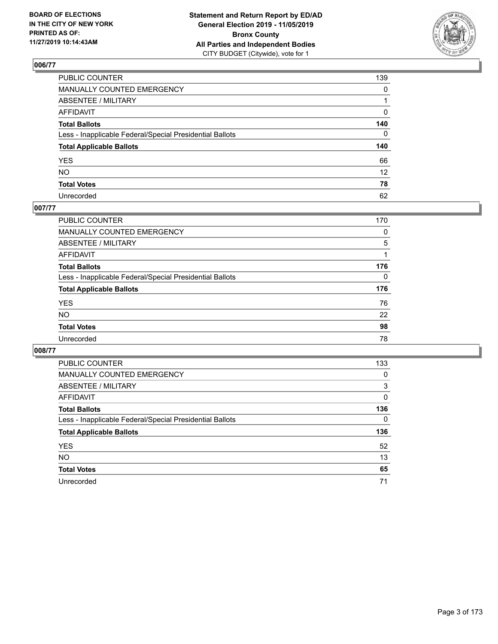

| PUBLIC COUNTER                                           | 139             |
|----------------------------------------------------------|-----------------|
| MANUALLY COUNTED EMERGENCY                               | $\mathbf{0}$    |
| ABSENTEE / MILITARY                                      |                 |
| AFFIDAVIT                                                | 0               |
| Total Ballots                                            | 140             |
| Less - Inapplicable Federal/Special Presidential Ballots | 0               |
| <b>Total Applicable Ballots</b>                          | 140             |
| YES                                                      | 66              |
| NO.                                                      | 12 <sup>2</sup> |
| <b>Total Votes</b>                                       | 78              |
| Unrecorded                                               | 62              |

# **007/77**

| <b>PUBLIC COUNTER</b>                                    | 170      |
|----------------------------------------------------------|----------|
| <b>MANUALLY COUNTED EMERGENCY</b>                        | 0        |
| ABSENTEE / MILITARY                                      | 5        |
| AFFIDAVIT                                                |          |
| <b>Total Ballots</b>                                     | 176      |
| Less - Inapplicable Federal/Special Presidential Ballots | $\Omega$ |
| <b>Total Applicable Ballots</b>                          | 176      |
| <b>YES</b>                                               | 76       |
| <b>NO</b>                                                | 22       |
| <b>Total Votes</b>                                       | 98       |
| Unrecorded                                               | 78       |

| 133      |
|----------|
| 0        |
| 3        |
| $\Omega$ |
| 136      |
| $\Omega$ |
| 136      |
| 52       |
| 13       |
| 65       |
| 71       |
|          |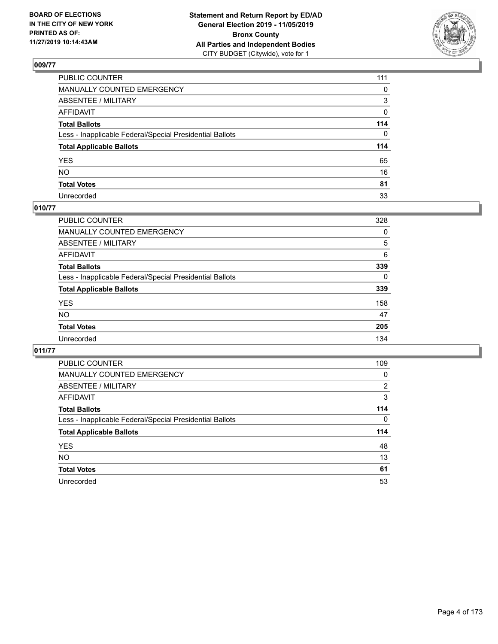

| PUBLIC COUNTER                                           | 111 |
|----------------------------------------------------------|-----|
| MANUALLY COUNTED EMERGENCY                               | 0   |
| ABSENTEE / MILITARY                                      | 3   |
| AFFIDAVIT                                                | 0   |
| Total Ballots                                            | 114 |
| Less - Inapplicable Federal/Special Presidential Ballots | 0   |
| <b>Total Applicable Ballots</b>                          | 114 |
| YES                                                      | 65  |
| NO.                                                      | 16  |
| <b>Total Votes</b>                                       | 81  |
| Unrecorded                                               | 33  |

# **010/77**

| PUBLIC COUNTER                                           | 328      |
|----------------------------------------------------------|----------|
| MANUALLY COUNTED EMERGENCY                               | 0        |
| ABSENTEE / MILITARY                                      | 5        |
| AFFIDAVIT                                                | 6        |
| <b>Total Ballots</b>                                     | 339      |
| Less - Inapplicable Federal/Special Presidential Ballots | $\Omega$ |
| <b>Total Applicable Ballots</b>                          | 339      |
| <b>YES</b>                                               | 158      |
| <b>NO</b>                                                | 47       |
| <b>Total Votes</b>                                       | 205      |
| Unrecorded                                               | 134      |

| PUBLIC COUNTER                                           | 109            |
|----------------------------------------------------------|----------------|
| <b>MANUALLY COUNTED EMERGENCY</b>                        | 0              |
| ABSENTEE / MILITARY                                      | $\overline{2}$ |
| <b>AFFIDAVIT</b>                                         | 3              |
| <b>Total Ballots</b>                                     | 114            |
| Less - Inapplicable Federal/Special Presidential Ballots | $\Omega$       |
| <b>Total Applicable Ballots</b>                          | 114            |
| <b>YES</b>                                               | 48             |
| <b>NO</b>                                                | 13             |
| <b>Total Votes</b>                                       | 61             |
|                                                          |                |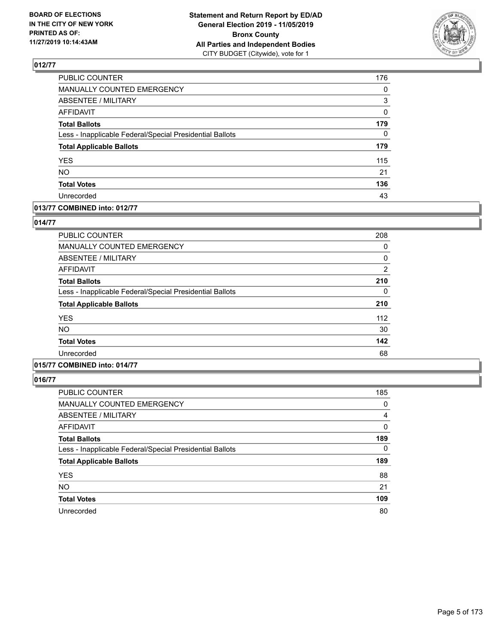

| PUBLIC COUNTER                                           | 176      |
|----------------------------------------------------------|----------|
| MANUALLY COUNTED EMERGENCY                               | 0        |
| ABSENTEE / MILITARY                                      | 3        |
| <b>AFFIDAVIT</b>                                         | 0        |
| <b>Total Ballots</b>                                     | 179      |
| Less - Inapplicable Federal/Special Presidential Ballots | $\Omega$ |
| <b>Total Applicable Ballots</b>                          | 179      |
| <b>YES</b>                                               | 115      |
| NO.                                                      | 21       |
| <b>Total Votes</b>                                       | 136      |
| Unrecorded                                               | 43       |

#### **013/77 COMBINED into: 012/77**

#### **014/77**

| PUBLIC COUNTER                                           | 208 |
|----------------------------------------------------------|-----|
| <b>MANUALLY COUNTED EMERGENCY</b>                        | 0   |
| ABSENTEE / MILITARY                                      | 0   |
| <b>AFFIDAVIT</b>                                         | 2   |
| <b>Total Ballots</b>                                     | 210 |
| Less - Inapplicable Federal/Special Presidential Ballots | 0   |
| <b>Total Applicable Ballots</b>                          | 210 |
| <b>YES</b>                                               | 112 |
| NO.                                                      | 30  |
| <b>Total Votes</b>                                       | 142 |
| Unrecorded                                               | 68  |

# **015/77 COMBINED into: 014/77**

| PUBLIC COUNTER                                           | 185      |
|----------------------------------------------------------|----------|
| MANUALLY COUNTED EMERGENCY                               | 0        |
| ABSENTEE / MILITARY                                      | 4        |
| AFFIDAVIT                                                | $\Omega$ |
| <b>Total Ballots</b>                                     | 189      |
| Less - Inapplicable Federal/Special Presidential Ballots | $\Omega$ |
| <b>Total Applicable Ballots</b>                          | 189      |
| <b>YES</b>                                               | 88       |
| <b>NO</b>                                                | 21       |
| <b>Total Votes</b>                                       | 109      |
| Unrecorded                                               | 80       |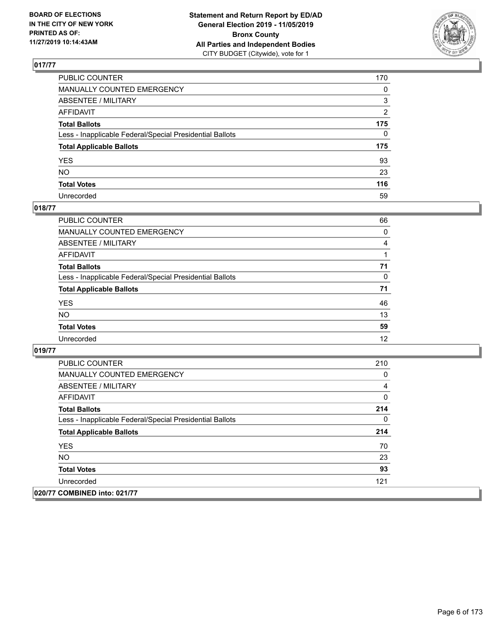

| PUBLIC COUNTER                                           | 170 |
|----------------------------------------------------------|-----|
| MANUALLY COUNTED EMERGENCY                               | 0   |
| ABSENTEE / MILITARY                                      | 3   |
| AFFIDAVIT                                                | 2   |
| Total Ballots                                            | 175 |
| Less - Inapplicable Federal/Special Presidential Ballots | 0   |
| <b>Total Applicable Ballots</b>                          | 175 |
| YES                                                      | 93  |
| NO.                                                      | 23  |
| <b>Total Votes</b>                                       | 116 |
| Unrecorded                                               | 59  |

## **018/77**

| <b>PUBLIC COUNTER</b>                                    | 66       |
|----------------------------------------------------------|----------|
| <b>MANUALLY COUNTED EMERGENCY</b>                        | 0        |
| ABSENTEE / MILITARY                                      | 4        |
| AFFIDAVIT                                                |          |
| <b>Total Ballots</b>                                     | 71       |
| Less - Inapplicable Federal/Special Presidential Ballots | $\Omega$ |
| <b>Total Applicable Ballots</b>                          | 71       |
| <b>YES</b>                                               | 46       |
| <b>NO</b>                                                | 13       |
| <b>Total Votes</b>                                       | 59       |
| Unrecorded                                               | 12       |

| <b>PUBLIC COUNTER</b>                                    | 210 |
|----------------------------------------------------------|-----|
| <b>MANUALLY COUNTED EMERGENCY</b>                        | 0   |
| ABSENTEE / MILITARY                                      | 4   |
| AFFIDAVIT                                                | 0   |
| <b>Total Ballots</b>                                     | 214 |
| Less - Inapplicable Federal/Special Presidential Ballots | 0   |
| <b>Total Applicable Ballots</b>                          | 214 |
| <b>YES</b>                                               | 70  |
| <b>NO</b>                                                | 23  |
| <b>Total Votes</b>                                       | 93  |
| Unrecorded                                               | 121 |
| 020/77 COMBINED into: 021/77                             |     |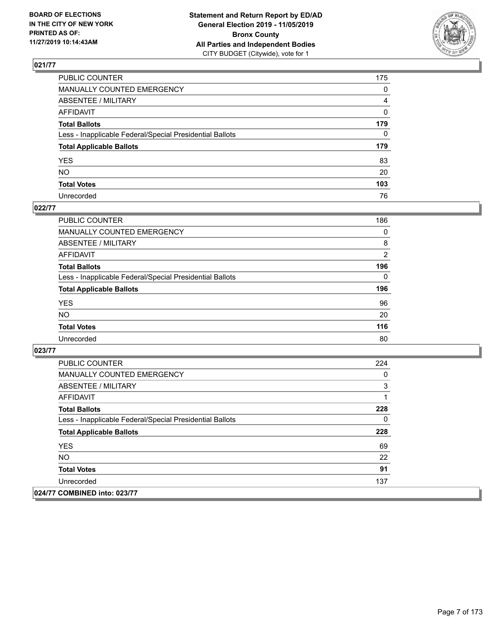

| PUBLIC COUNTER                                           | 175            |
|----------------------------------------------------------|----------------|
| MANUALLY COUNTED EMERGENCY                               | $\mathbf{0}$   |
| ABSENTEE / MILITARY                                      | $\overline{4}$ |
| AFFIDAVIT                                                | $\mathbf 0$    |
| Total Ballots                                            | 179            |
| Less - Inapplicable Federal/Special Presidential Ballots | $\Omega$       |
| <b>Total Applicable Ballots</b>                          | 179            |
| YES                                                      | 83             |
| NO.                                                      | 20             |
| <b>Total Votes</b>                                       | 103            |
| Unrecorded                                               | 76             |

## **022/77**

| <b>PUBLIC COUNTER</b>                                    | 186            |
|----------------------------------------------------------|----------------|
| <b>MANUALLY COUNTED EMERGENCY</b>                        | $\Omega$       |
| ABSENTEE / MILITARY                                      | 8              |
| AFFIDAVIT                                                | $\overline{2}$ |
| <b>Total Ballots</b>                                     | 196            |
| Less - Inapplicable Federal/Special Presidential Ballots | $\Omega$       |
| <b>Total Applicable Ballots</b>                          | 196            |
| <b>YES</b>                                               | 96             |
| <b>NO</b>                                                | 20             |
| <b>Total Votes</b>                                       | 116            |
| Unrecorded                                               | 80             |

| <b>PUBLIC COUNTER</b>                                    | 224 |
|----------------------------------------------------------|-----|
| <b>MANUALLY COUNTED EMERGENCY</b>                        | 0   |
| ABSENTEE / MILITARY                                      | 3   |
| AFFIDAVIT                                                |     |
| <b>Total Ballots</b>                                     | 228 |
| Less - Inapplicable Federal/Special Presidential Ballots | 0   |
| <b>Total Applicable Ballots</b>                          | 228 |
| <b>YES</b>                                               | 69  |
| NO.                                                      | 22  |
| <b>Total Votes</b>                                       | 91  |
| Unrecorded                                               | 137 |
| 024/77 COMBINED into: 023/77                             |     |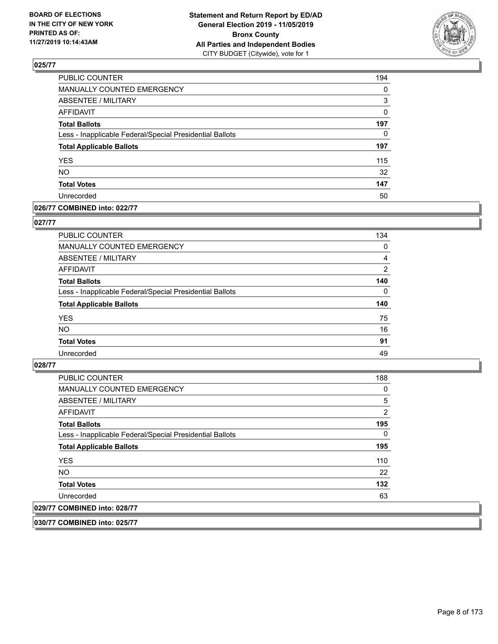

| PUBLIC COUNTER                                           | 194      |
|----------------------------------------------------------|----------|
| MANUALLY COUNTED EMERGENCY                               | 0        |
| <b>ABSENTEE / MILITARY</b>                               | 3        |
| <b>AFFIDAVIT</b>                                         | 0        |
| <b>Total Ballots</b>                                     | 197      |
| Less - Inapplicable Federal/Special Presidential Ballots | $\Omega$ |
| <b>Total Applicable Ballots</b>                          | 197      |
| <b>YES</b>                                               | 115      |
| <b>NO</b>                                                | 32       |
| <b>Total Votes</b>                                       | 147      |
| Unrecorded                                               | 50       |

#### **026/77 COMBINED into: 022/77**

#### **027/77**

| <b>PUBLIC COUNTER</b>                                    | 134            |
|----------------------------------------------------------|----------------|
| MANUALLY COUNTED EMERGENCY                               | 0              |
| ABSENTEE / MILITARY                                      | 4              |
| AFFIDAVIT                                                | $\overline{2}$ |
| <b>Total Ballots</b>                                     | 140            |
| Less - Inapplicable Federal/Special Presidential Ballots | $\Omega$       |
| <b>Total Applicable Ballots</b>                          | 140            |
| <b>YES</b>                                               | 75             |
| <b>NO</b>                                                | 16             |
| <b>Total Votes</b>                                       | 91             |
| Unrecorded                                               | 49             |

#### **028/77**

| <b>PUBLIC COUNTER</b>                                    | 188      |
|----------------------------------------------------------|----------|
| <b>MANUALLY COUNTED EMERGENCY</b>                        | 0        |
| ABSENTEE / MILITARY                                      | 5        |
| AFFIDAVIT                                                | 2        |
| <b>Total Ballots</b>                                     | 195      |
| Less - Inapplicable Federal/Special Presidential Ballots | $\Omega$ |
| <b>Total Applicable Ballots</b>                          | 195      |
| <b>YES</b>                                               | 110      |
| NO.                                                      | 22       |
| <b>Total Votes</b>                                       | 132      |
| Unrecorded                                               | 63       |
| 029/77 COMBINED into: 028/77                             |          |

**030/77 COMBINED into: 025/77**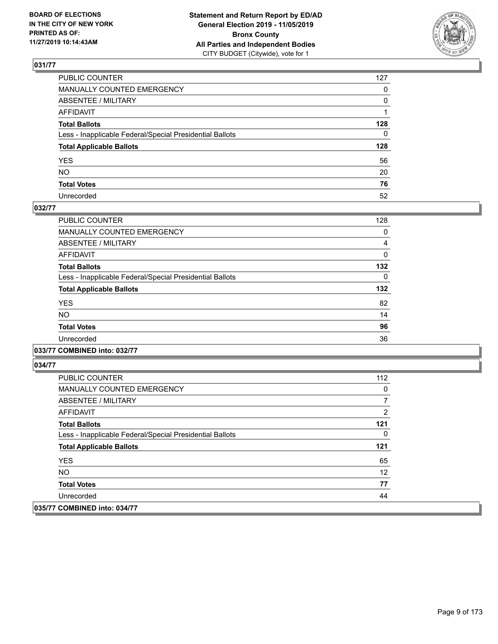

| PUBLIC COUNTER                                           | 127 |
|----------------------------------------------------------|-----|
| MANUALLY COUNTED EMERGENCY                               | 0   |
| ABSENTEE / MILITARY                                      | 0   |
| AFFIDAVIT                                                |     |
| Total Ballots                                            | 128 |
| Less - Inapplicable Federal/Special Presidential Ballots | 0   |
| <b>Total Applicable Ballots</b>                          | 128 |
| YES                                                      | 56  |
| NO.                                                      | 20  |
| <b>Total Votes</b>                                       | 76  |
| Unrecorded                                               | 52  |

## **032/77**

| <b>PUBLIC COUNTER</b>                                    | 128      |
|----------------------------------------------------------|----------|
| <b>MANUALLY COUNTED EMERGENCY</b>                        | 0        |
| ABSENTEE / MILITARY                                      | 4        |
| AFFIDAVIT                                                | 0        |
| <b>Total Ballots</b>                                     | 132      |
| Less - Inapplicable Federal/Special Presidential Ballots | $\Omega$ |
| <b>Total Applicable Ballots</b>                          | 132      |
| <b>YES</b>                                               | 82       |
| <b>NO</b>                                                | 14       |
| <b>Total Votes</b>                                       | 96       |
| Unrecorded                                               | 36       |
|                                                          |          |

**033/77 COMBINED into: 032/77**

| <b>PUBLIC COUNTER</b>                                    | 112 |
|----------------------------------------------------------|-----|
| <b>MANUALLY COUNTED EMERGENCY</b>                        | 0   |
| ABSENTEE / MILITARY                                      | 7   |
| AFFIDAVIT                                                | 2   |
| <b>Total Ballots</b>                                     | 121 |
| Less - Inapplicable Federal/Special Presidential Ballots | 0   |
| <b>Total Applicable Ballots</b>                          | 121 |
| <b>YES</b>                                               | 65  |
| NO.                                                      | 12  |
| <b>Total Votes</b>                                       | 77  |
| Unrecorded                                               | 44  |
| 035/77 COMBINED into: 034/77                             |     |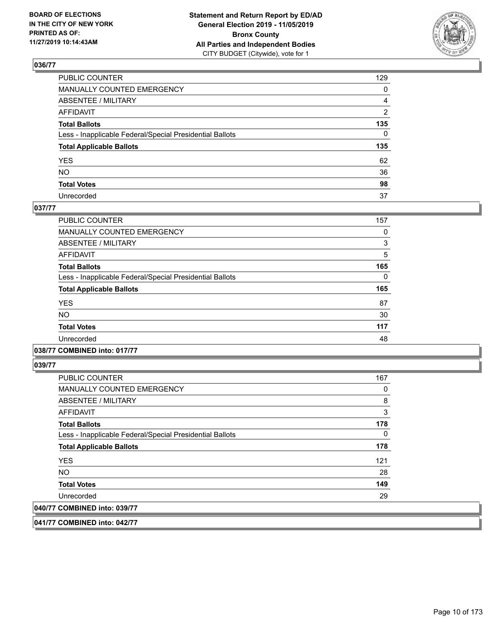

| PUBLIC COUNTER                                           | 129            |
|----------------------------------------------------------|----------------|
| MANUALLY COUNTED EMERGENCY                               | $\mathbf{0}$   |
| ABSENTEE / MILITARY                                      | 4              |
| AFFIDAVIT                                                | $\overline{2}$ |
| Total Ballots                                            | 135            |
| Less - Inapplicable Federal/Special Presidential Ballots | $\Omega$       |
| <b>Total Applicable Ballots</b>                          | 135            |
| YES                                                      | 62             |
| NO.                                                      | 36             |
| <b>Total Votes</b>                                       | 98             |
| Unrecorded                                               | 37             |

#### **037/77**

| <b>PUBLIC COUNTER</b>                                    | 157 |
|----------------------------------------------------------|-----|
| <b>MANUALLY COUNTED EMERGENCY</b>                        | 0   |
| ABSENTEE / MILITARY                                      | 3   |
| <b>AFFIDAVIT</b>                                         | 5   |
| <b>Total Ballots</b>                                     | 165 |
| Less - Inapplicable Federal/Special Presidential Ballots | 0   |
| <b>Total Applicable Ballots</b>                          | 165 |
| <b>YES</b>                                               | 87  |
| NO.                                                      | 30  |
| <b>Total Votes</b>                                       | 117 |
| Unrecorded                                               | 48  |
|                                                          |     |

**038/77 COMBINED into: 017/77**

**039/77** 

| <b>PUBLIC COUNTER</b>                                    | 167 |
|----------------------------------------------------------|-----|
| MANUALLY COUNTED EMERGENCY                               | 0   |
| ABSENTEE / MILITARY                                      | 8   |
| AFFIDAVIT                                                | 3   |
| <b>Total Ballots</b>                                     | 178 |
| Less - Inapplicable Federal/Special Presidential Ballots | 0   |
| <b>Total Applicable Ballots</b>                          | 178 |
| <b>YES</b>                                               | 121 |
| <b>NO</b>                                                | 28  |
| <b>Total Votes</b>                                       | 149 |
| Unrecorded                                               | 29  |
| 040/77 COMBINED into: 039/77                             |     |

**041/77 COMBINED into: 042/77**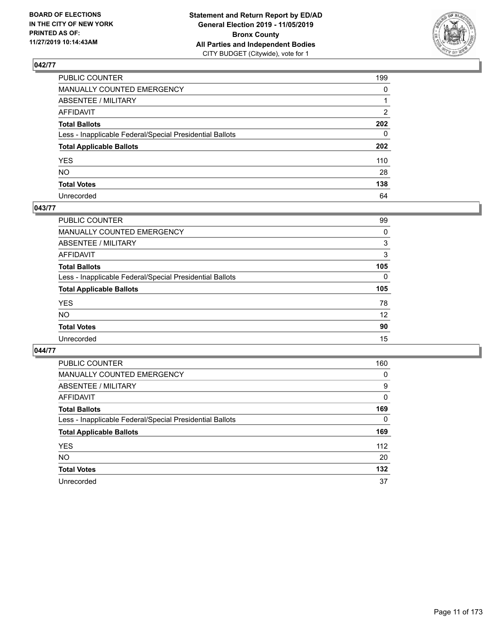

| PUBLIC COUNTER                                           | 199          |
|----------------------------------------------------------|--------------|
| MANUALLY COUNTED EMERGENCY                               | $\mathbf{0}$ |
| ABSENTEE / MILITARY                                      |              |
| AFFIDAVIT                                                | 2            |
| Total Ballots                                            | 202          |
| Less - Inapplicable Federal/Special Presidential Ballots | 0            |
| <b>Total Applicable Ballots</b>                          | 202          |
| YES                                                      | 110          |
| NΟ                                                       | 28           |
| <b>Total Votes</b>                                       | 138          |
| Unrecorded                                               | 64           |

#### **043/77**

| 99       |
|----------|
|          |
| 0        |
| 3        |
| 3        |
| 105      |
| $\Omega$ |
| 105      |
| 78       |
| 12       |
| 90       |
| 15       |
|          |

| PUBLIC COUNTER                                           | 160 |
|----------------------------------------------------------|-----|
| MANUALLY COUNTED EMERGENCY                               | 0   |
| ABSENTEE / MILITARY                                      | 9   |
| <b>AFFIDAVIT</b>                                         | 0   |
| <b>Total Ballots</b>                                     | 169 |
| Less - Inapplicable Federal/Special Presidential Ballots | 0   |
| <b>Total Applicable Ballots</b>                          | 169 |
| <b>YES</b>                                               | 112 |
| <b>NO</b>                                                | 20  |
| <b>Total Votes</b>                                       | 132 |
| Unrecorded                                               | 37  |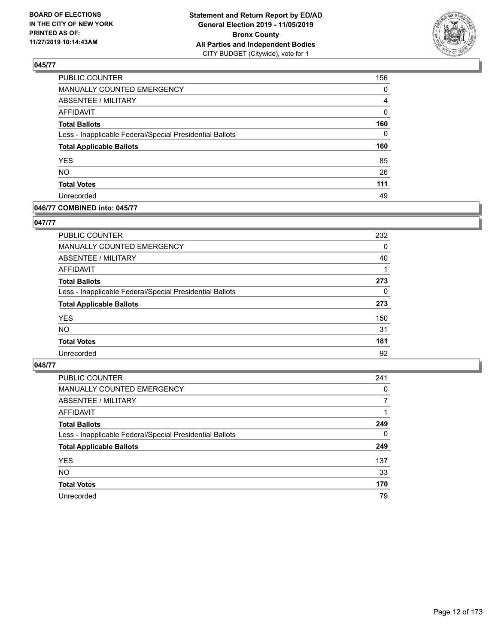

| PUBLIC COUNTER                                           | 156      |
|----------------------------------------------------------|----------|
| MANUALLY COUNTED EMERGENCY                               | 0        |
| <b>ABSENTEE / MILITARY</b>                               | 4        |
| <b>AFFIDAVIT</b>                                         | 0        |
| <b>Total Ballots</b>                                     | 160      |
| Less - Inapplicable Federal/Special Presidential Ballots | $\Omega$ |
| <b>Total Applicable Ballots</b>                          | 160      |
| <b>YES</b>                                               | 85       |
| <b>NO</b>                                                | 26       |
| <b>Total Votes</b>                                       | 111      |
| Unrecorded                                               | 49       |

## **046/77 COMBINED into: 045/77**

#### **047/77**

| PUBLIC COUNTER                                           | 232      |
|----------------------------------------------------------|----------|
| MANUALLY COUNTED EMERGENCY                               | 0        |
| <b>ABSENTEE / MILITARY</b>                               | 40       |
| AFFIDAVIT                                                |          |
| <b>Total Ballots</b>                                     | 273      |
| Less - Inapplicable Federal/Special Presidential Ballots | $\Omega$ |
| <b>Total Applicable Ballots</b>                          | 273      |
| <b>YES</b>                                               | 150      |
| <b>NO</b>                                                | 31       |
| <b>Total Votes</b>                                       | 181      |
| Unrecorded                                               | 92       |

| <b>PUBLIC COUNTER</b>                                    | 241      |
|----------------------------------------------------------|----------|
| <b>MANUALLY COUNTED EMERGENCY</b>                        | 0        |
| ABSENTEE / MILITARY                                      | 7        |
| AFFIDAVIT                                                |          |
| <b>Total Ballots</b>                                     | 249      |
| Less - Inapplicable Federal/Special Presidential Ballots | $\Omega$ |
| <b>Total Applicable Ballots</b>                          | 249      |
| <b>YES</b>                                               | 137      |
| <b>NO</b>                                                | 33       |
| <b>Total Votes</b>                                       | 170      |
| Unrecorded                                               | 79       |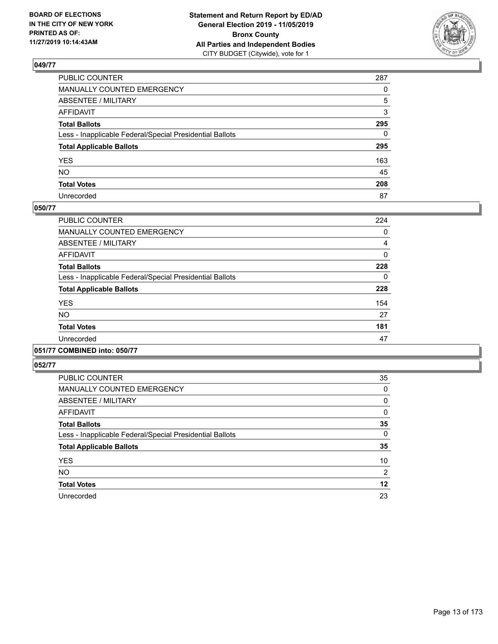

| PUBLIC COUNTER                                           | 287          |
|----------------------------------------------------------|--------------|
| MANUALLY COUNTED EMERGENCY                               | $\Omega$     |
| ABSENTEE / MILITARY                                      | 5            |
| AFFIDAVIT                                                | 3            |
| Total Ballots                                            | 295          |
| Less - Inapplicable Federal/Special Presidential Ballots | $\mathbf{0}$ |
| <b>Total Applicable Ballots</b>                          | 295          |
| YES                                                      | 163          |
| NO.                                                      | 45           |
| <b>Total Votes</b>                                       | 208          |
| Unrecorded                                               | 87           |

#### **050/77**

| <b>PUBLIC COUNTER</b>                                    | 224 |
|----------------------------------------------------------|-----|
| <b>MANUALLY COUNTED EMERGENCY</b>                        | 0   |
| ABSENTEE / MILITARY                                      | 4   |
| <b>AFFIDAVIT</b>                                         | 0   |
| <b>Total Ballots</b>                                     | 228 |
| Less - Inapplicable Federal/Special Presidential Ballots | 0   |
| <b>Total Applicable Ballots</b>                          | 228 |
| <b>YES</b>                                               | 154 |
| <b>NO</b>                                                | 27  |
| <b>Total Votes</b>                                       | 181 |
| Unrecorded                                               | 47  |
|                                                          |     |

## **051/77 COMBINED into: 050/77**

| <b>PUBLIC COUNTER</b>                                    | 35             |
|----------------------------------------------------------|----------------|
| <b>MANUALLY COUNTED EMERGENCY</b>                        | 0              |
| <b>ABSENTEE / MILITARY</b>                               | 0              |
| <b>AFFIDAVIT</b>                                         | 0              |
| <b>Total Ballots</b>                                     | 35             |
| Less - Inapplicable Federal/Special Presidential Ballots | 0              |
| <b>Total Applicable Ballots</b>                          | 35             |
| <b>YES</b>                                               | 10             |
| <b>NO</b>                                                | $\overline{2}$ |
| <b>Total Votes</b>                                       | 12             |
| Unrecorded                                               | 23             |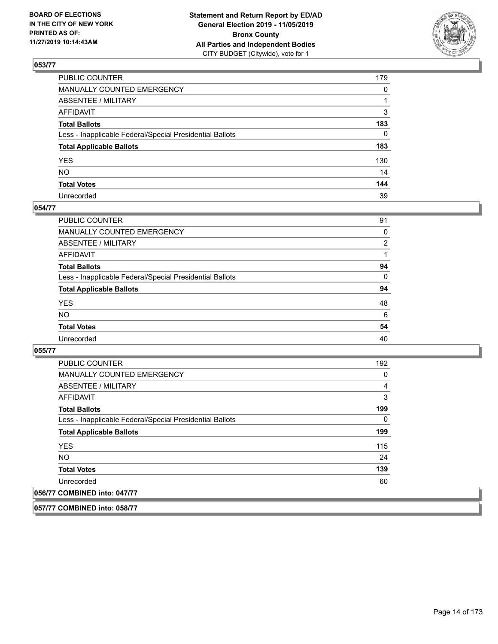

| PUBLIC COUNTER                                           | 179          |
|----------------------------------------------------------|--------------|
| MANUALLY COUNTED EMERGENCY                               | $\mathbf{0}$ |
| ABSENTEE / MILITARY                                      |              |
| AFFIDAVIT                                                | 3            |
| Total Ballots                                            | 183          |
| Less - Inapplicable Federal/Special Presidential Ballots | $\mathbf{0}$ |
| <b>Total Applicable Ballots</b>                          | 183          |
| YES                                                      | 130          |
| NO.                                                      | 14           |
| <b>Total Votes</b>                                       | 144          |
| Unrecorded                                               | 39           |

#### **054/77**

| <b>PUBLIC COUNTER</b>                                    | 91             |
|----------------------------------------------------------|----------------|
| MANUALLY COUNTED EMERGENCY                               | 0              |
| ABSENTEE / MILITARY                                      | $\overline{2}$ |
| AFFIDAVIT                                                |                |
| <b>Total Ballots</b>                                     | 94             |
| Less - Inapplicable Federal/Special Presidential Ballots | 0              |
| <b>Total Applicable Ballots</b>                          | 94             |
| <b>YES</b>                                               | 48             |
| <b>NO</b>                                                | 6              |
| <b>Total Votes</b>                                       | 54             |
| Unrecorded                                               | 40             |

**055/77** 

| <b>PUBLIC COUNTER</b>                                    | 192 |
|----------------------------------------------------------|-----|
| <b>MANUALLY COUNTED EMERGENCY</b>                        | 0   |
| ABSENTEE / MILITARY                                      | 4   |
| <b>AFFIDAVIT</b>                                         | 3   |
| <b>Total Ballots</b>                                     | 199 |
| Less - Inapplicable Federal/Special Presidential Ballots | 0   |
| <b>Total Applicable Ballots</b>                          | 199 |
| <b>YES</b>                                               | 115 |
| NO.                                                      | 24  |
| <b>Total Votes</b>                                       | 139 |
| Unrecorded                                               | 60  |
| 056/77 COMBINED into: 047/77                             |     |

**057/77 COMBINED into: 058/77**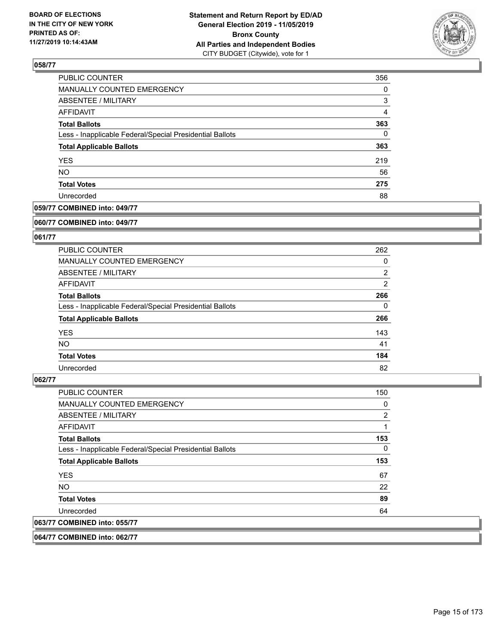

| PUBLIC COUNTER                                           | 356            |
|----------------------------------------------------------|----------------|
| MANUALLY COUNTED EMERGENCY                               | $\Omega$       |
| <b>ABSENTEE / MILITARY</b>                               | 3              |
| AFFIDAVIT                                                | $\overline{4}$ |
| <b>Total Ballots</b>                                     | 363            |
| Less - Inapplicable Federal/Special Presidential Ballots | 0              |
| <b>Total Applicable Ballots</b>                          | 363            |
| <b>YES</b>                                               | 219            |
| <b>NO</b>                                                | 56             |
| <b>Total Votes</b>                                       | 275            |
| Unrecorded                                               | 88             |

# **059/77 COMBINED into: 049/77**

#### **060/77 COMBINED into: 049/77**

# **061/77**

| <b>PUBLIC COUNTER</b>                                    | 262            |
|----------------------------------------------------------|----------------|
| <b>MANUALLY COUNTED EMERGENCY</b>                        | 0              |
| ABSENTEE / MILITARY                                      | $\overline{2}$ |
| AFFIDAVIT                                                | 2              |
| <b>Total Ballots</b>                                     | 266            |
| Less - Inapplicable Federal/Special Presidential Ballots | $\Omega$       |
| <b>Total Applicable Ballots</b>                          | 266            |
| <b>YES</b>                                               | 143            |
| NO.                                                      | 41             |
| <b>Total Votes</b>                                       | 184            |
| Unrecorded                                               | 82             |

#### **062/77**

| PUBLIC COUNTER                                           | 150            |
|----------------------------------------------------------|----------------|
| <b>MANUALLY COUNTED EMERGENCY</b>                        | 0              |
| ABSENTEE / MILITARY                                      | $\overline{2}$ |
| <b>AFFIDAVIT</b>                                         | 1              |
| <b>Total Ballots</b>                                     | 153            |
| Less - Inapplicable Federal/Special Presidential Ballots | 0              |
| <b>Total Applicable Ballots</b>                          | 153            |
| <b>YES</b>                                               | 67             |
| NO.                                                      | 22             |
| <b>Total Votes</b>                                       | 89             |
| Unrecorded                                               | 64             |
| 063/77 COMBINED into: 055/77                             |                |

**064/77 COMBINED into: 062/77**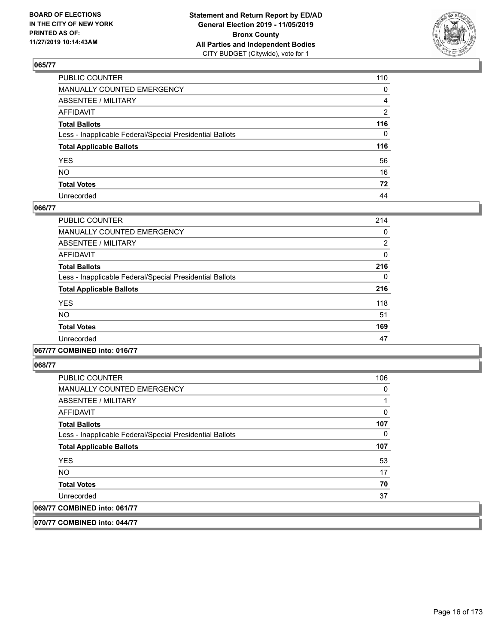

| PUBLIC COUNTER                                           | 110 |
|----------------------------------------------------------|-----|
| MANUALLY COUNTED EMERGENCY                               | 0   |
| ABSENTEE / MILITARY                                      | 4   |
| AFFIDAVIT                                                | 2   |
| Total Ballots                                            | 116 |
| Less - Inapplicable Federal/Special Presidential Ballots | 0   |
| <b>Total Applicable Ballots</b>                          | 116 |
| YES                                                      | 56  |
| NO.                                                      | 16  |
| <b>Total Votes</b>                                       | 72  |
| Unrecorded                                               | 44  |

#### **066/77**

| <b>PUBLIC COUNTER</b>                                    | 214            |
|----------------------------------------------------------|----------------|
| <b>MANUALLY COUNTED EMERGENCY</b>                        | 0              |
| ABSENTEE / MILITARY                                      | $\overline{2}$ |
| <b>AFFIDAVIT</b>                                         | 0              |
| <b>Total Ballots</b>                                     | 216            |
| Less - Inapplicable Federal/Special Presidential Ballots | 0              |
| <b>Total Applicable Ballots</b>                          | 216            |
| <b>YES</b>                                               | 118            |
| <b>NO</b>                                                | 51             |
| <b>Total Votes</b>                                       | 169            |
| Unrecorded                                               | 47             |

## **067/77 COMBINED into: 016/77**

**068/77** 

| <b>PUBLIC COUNTER</b>                                    | 106      |
|----------------------------------------------------------|----------|
| <b>MANUALLY COUNTED EMERGENCY</b>                        | 0        |
| ABSENTEE / MILITARY                                      |          |
| AFFIDAVIT                                                | $\Omega$ |
| <b>Total Ballots</b>                                     | 107      |
| Less - Inapplicable Federal/Special Presidential Ballots | $\Omega$ |
| <b>Total Applicable Ballots</b>                          | 107      |
| <b>YES</b>                                               | 53       |
| NO.                                                      | 17       |
| <b>Total Votes</b>                                       | 70       |
| Unrecorded                                               | 37       |
| 069/77 COMBINED into: 061/77                             |          |

**070/77 COMBINED into: 044/77**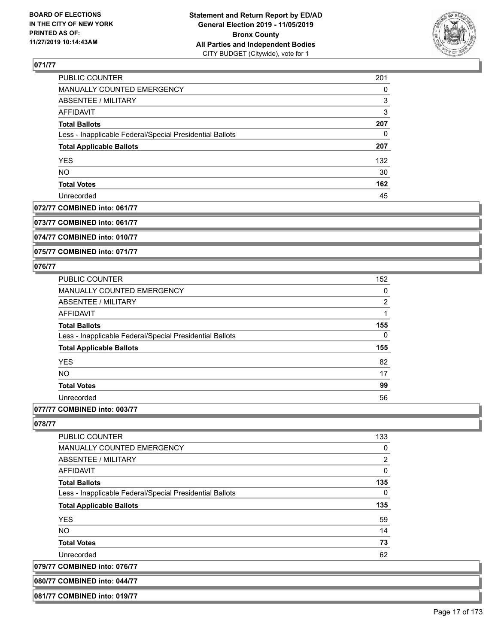

| PUBLIC COUNTER                                           | 201 |
|----------------------------------------------------------|-----|
| <b>MANUALLY COUNTED EMERGENCY</b>                        | 0   |
| ABSENTEE / MILITARY                                      | 3   |
| AFFIDAVIT                                                | 3   |
| <b>Total Ballots</b>                                     | 207 |
| Less - Inapplicable Federal/Special Presidential Ballots | 0   |
| <b>Total Applicable Ballots</b>                          | 207 |
| <b>YES</b>                                               | 132 |
| <b>NO</b>                                                | 30  |
| <b>Total Votes</b>                                       | 162 |
| Unrecorded                                               | 45  |

## **072/77 COMBINED into: 061/77**

**073/77 COMBINED into: 061/77**

**074/77 COMBINED into: 010/77**

**075/77 COMBINED into: 071/77**

# **076/77**

| <b>PUBLIC COUNTER</b>                                    | 152 |
|----------------------------------------------------------|-----|
| MANUALLY COUNTED EMERGENCY                               | 0   |
| ABSENTEE / MILITARY                                      | 2   |
| AFFIDAVIT                                                |     |
| <b>Total Ballots</b>                                     | 155 |
| Less - Inapplicable Federal/Special Presidential Ballots | 0   |
| <b>Total Applicable Ballots</b>                          | 155 |
| <b>YES</b>                                               | 82  |
| <b>NO</b>                                                | 17  |
| <b>Total Votes</b>                                       | 99  |
| Unrecorded                                               | 56  |
|                                                          |     |

# **077/77 COMBINED into: 003/77**

**080/77 COMBINED into: 044/77 081/77 COMBINED into: 019/77**

| <b>PUBLIC COUNTER</b>                                    | 133            |
|----------------------------------------------------------|----------------|
| <b>MANUALLY COUNTED EMERGENCY</b>                        | 0              |
| ABSENTEE / MILITARY                                      | $\overline{2}$ |
| <b>AFFIDAVIT</b>                                         | 0              |
| <b>Total Ballots</b>                                     | 135            |
| Less - Inapplicable Federal/Special Presidential Ballots | $\Omega$       |
| <b>Total Applicable Ballots</b>                          | 135            |
| <b>YES</b>                                               | 59             |
| NO.                                                      | 14             |
| <b>Total Votes</b>                                       | 73             |
| Unrecorded                                               | 62             |
| 079/77 COMBINED into: 076/77                             |                |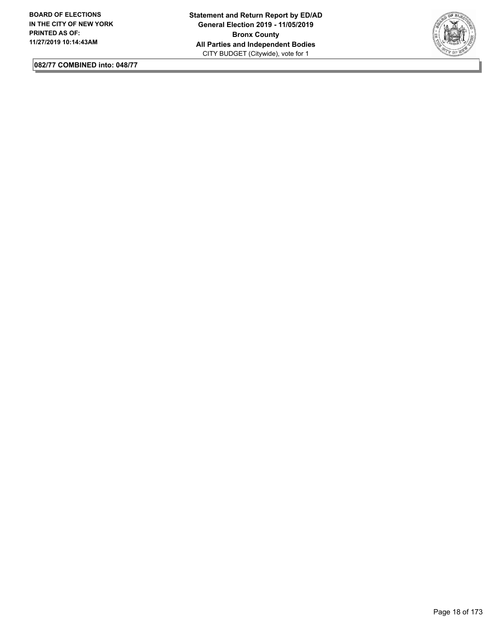

**082/77 COMBINED into: 048/77**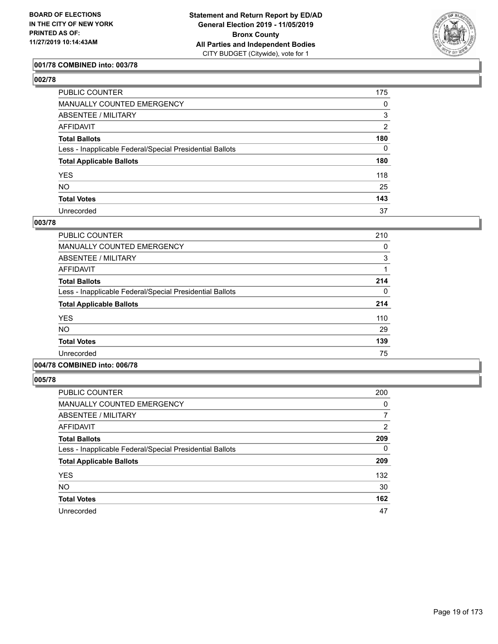

## **001/78 COMBINED into: 003/78**

| ۰,<br>۰.<br>۰, |  |
|----------------|--|
|----------------|--|

| PUBLIC COUNTER                                           | 175            |
|----------------------------------------------------------|----------------|
| MANUALLY COUNTED EMERGENCY                               | 0              |
| <b>ABSENTEE / MILITARY</b>                               | 3              |
| AFFIDAVIT                                                | $\overline{2}$ |
| Total Ballots                                            | 180            |
| Less - Inapplicable Federal/Special Presidential Ballots | 0              |
| <b>Total Applicable Ballots</b>                          | 180            |
| YES                                                      | 118            |
| NO.                                                      | 25             |
| <b>Total Votes</b>                                       | 143            |
| Unrecorded                                               | 37             |

#### **003/78**

| <b>PUBLIC COUNTER</b>                                    | 210 |
|----------------------------------------------------------|-----|
| <b>MANUALLY COUNTED EMERGENCY</b>                        | 0   |
| ABSENTEE / MILITARY                                      | 3   |
| <b>AFFIDAVIT</b>                                         |     |
| <b>Total Ballots</b>                                     | 214 |
| Less - Inapplicable Federal/Special Presidential Ballots | 0   |
| <b>Total Applicable Ballots</b>                          | 214 |
| <b>YES</b>                                               | 110 |
| NO.                                                      | 29  |
| <b>Total Votes</b>                                       | 139 |
| Unrecorded                                               | 75  |

# **004/78 COMBINED into: 006/78**

| <b>PUBLIC COUNTER</b>                                    | 200            |
|----------------------------------------------------------|----------------|
| <b>MANUALLY COUNTED EMERGENCY</b>                        | 0              |
| ABSENTEE / MILITARY                                      | 7              |
| AFFIDAVIT                                                | $\overline{2}$ |
| <b>Total Ballots</b>                                     | 209            |
| Less - Inapplicable Federal/Special Presidential Ballots | 0              |
| <b>Total Applicable Ballots</b>                          | 209            |
| <b>YES</b>                                               | 132            |
| <b>NO</b>                                                | 30             |
| <b>Total Votes</b>                                       | 162            |
| Unrecorded                                               | 47             |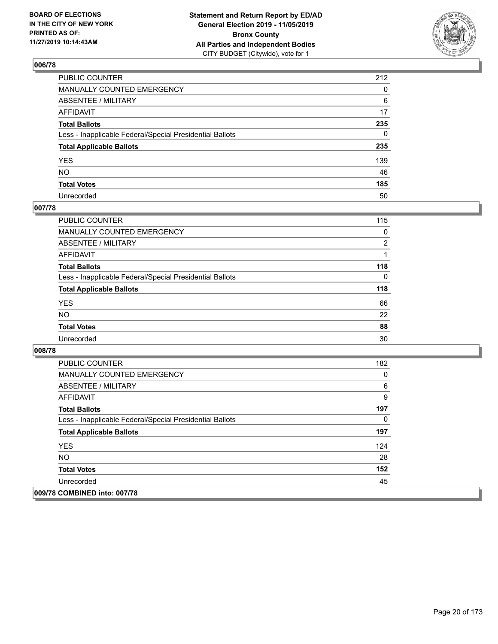

| PUBLIC COUNTER                                           | 212          |
|----------------------------------------------------------|--------------|
| MANUALLY COUNTED EMERGENCY                               | $\mathbf{0}$ |
| ABSENTEE / MILITARY                                      | 6            |
| AFFIDAVIT                                                | 17           |
| Total Ballots                                            | 235          |
| Less - Inapplicable Federal/Special Presidential Ballots | $\mathbf{0}$ |
| <b>Total Applicable Ballots</b>                          | 235          |
| YES                                                      | 139          |
| NO.                                                      | 46           |
| <b>Total Votes</b>                                       | 185          |
| Unrecorded                                               | 50           |

# **007/78**

| <b>PUBLIC COUNTER</b>                                    | 115      |
|----------------------------------------------------------|----------|
| MANUALLY COUNTED EMERGENCY                               | 0        |
| ABSENTEE / MILITARY                                      | 2        |
| AFFIDAVIT                                                |          |
| <b>Total Ballots</b>                                     | 118      |
| Less - Inapplicable Federal/Special Presidential Ballots | $\Omega$ |
| <b>Total Applicable Ballots</b>                          | 118      |
| <b>YES</b>                                               | 66       |
| <b>NO</b>                                                | 22       |
| <b>Total Votes</b>                                       | 88       |
| Unrecorded                                               | 30       |

| <b>PUBLIC COUNTER</b>                                    | 182 |
|----------------------------------------------------------|-----|
| <b>MANUALLY COUNTED EMERGENCY</b>                        | 0   |
| ABSENTEE / MILITARY                                      | 6   |
| AFFIDAVIT                                                | 9   |
| <b>Total Ballots</b>                                     | 197 |
| Less - Inapplicable Federal/Special Presidential Ballots | 0   |
| <b>Total Applicable Ballots</b>                          | 197 |
| <b>YES</b>                                               | 124 |
| <b>NO</b>                                                | 28  |
| <b>Total Votes</b>                                       | 152 |
| Unrecorded                                               | 45  |
| 009/78 COMBINED into: 007/78                             |     |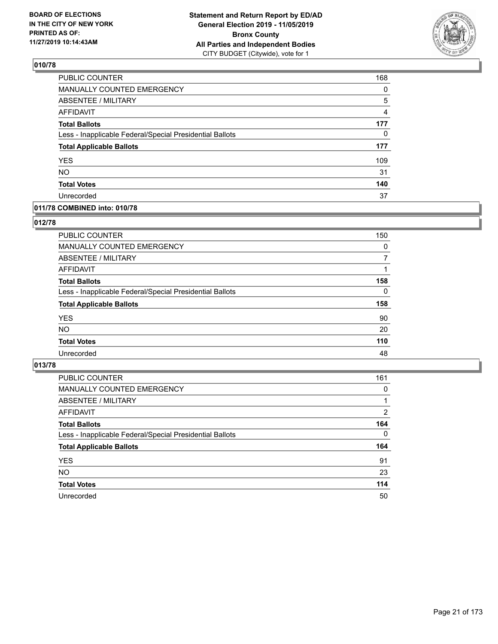

| PUBLIC COUNTER                                           | 168            |
|----------------------------------------------------------|----------------|
| <b>MANUALLY COUNTED EMERGENCY</b>                        | 0              |
| <b>ABSENTEE / MILITARY</b>                               | 5              |
| <b>AFFIDAVIT</b>                                         | $\overline{4}$ |
| <b>Total Ballots</b>                                     | 177            |
| Less - Inapplicable Federal/Special Presidential Ballots | 0              |
| <b>Total Applicable Ballots</b>                          | 177            |
| <b>YES</b>                                               | 109            |
| <b>NO</b>                                                | 31             |
| <b>Total Votes</b>                                       | 140            |
| Unrecorded                                               | 37             |

#### **011/78 COMBINED into: 010/78**

#### **012/78**

| MANUALLY COUNTED EMERGENCY<br>ABSENTEE / MILITARY<br>AFFIDAVIT<br><b>Total Ballots</b><br>Less - Inapplicable Federal/Special Presidential Ballots<br><b>Total Applicable Ballots</b><br><b>YES</b><br><b>NO</b><br><b>Total Votes</b> |                |          |
|----------------------------------------------------------------------------------------------------------------------------------------------------------------------------------------------------------------------------------------|----------------|----------|
|                                                                                                                                                                                                                                        | PUBLIC COUNTER | 150      |
|                                                                                                                                                                                                                                        |                | $\Omega$ |
|                                                                                                                                                                                                                                        |                | 7        |
|                                                                                                                                                                                                                                        |                |          |
|                                                                                                                                                                                                                                        |                | 158      |
|                                                                                                                                                                                                                                        |                | $\Omega$ |
|                                                                                                                                                                                                                                        |                | 158      |
|                                                                                                                                                                                                                                        |                | 90       |
|                                                                                                                                                                                                                                        |                | 20       |
|                                                                                                                                                                                                                                        |                | 110      |
|                                                                                                                                                                                                                                        | Unrecorded     | 48       |

| <b>PUBLIC COUNTER</b>                                    | 161      |
|----------------------------------------------------------|----------|
| MANUALLY COUNTED EMERGENCY                               | $\Omega$ |
| ABSENTEE / MILITARY                                      |          |
| AFFIDAVIT                                                | 2        |
| <b>Total Ballots</b>                                     | 164      |
| Less - Inapplicable Federal/Special Presidential Ballots | $\Omega$ |
| <b>Total Applicable Ballots</b>                          | 164      |
| <b>YES</b>                                               | 91       |
| <b>NO</b>                                                | 23       |
| <b>Total Votes</b>                                       | 114      |
| Unrecorded                                               | 50       |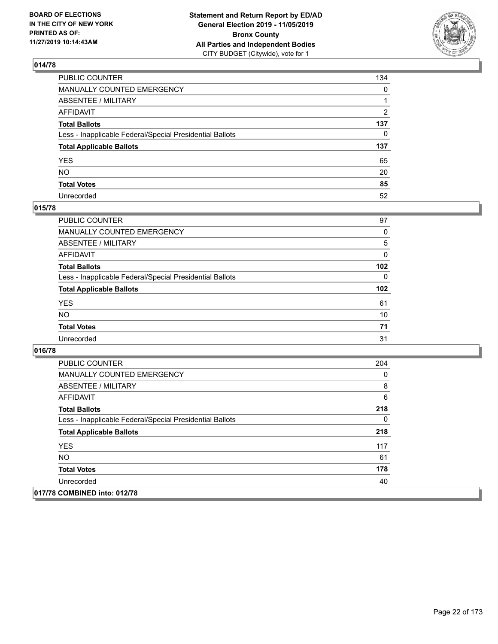

| PUBLIC COUNTER                                           | 134          |
|----------------------------------------------------------|--------------|
| MANUALLY COUNTED EMERGENCY                               | $\mathbf{0}$ |
| ABSENTEE / MILITARY                                      |              |
| AFFIDAVIT                                                | 2            |
| Total Ballots                                            | 137          |
| Less - Inapplicable Federal/Special Presidential Ballots | $\mathbf{0}$ |
| <b>Total Applicable Ballots</b>                          | 137          |
| YES                                                      | 65           |
| NO.                                                      | 20           |
| <b>Total Votes</b>                                       | 85           |
| Unrecorded                                               | 52           |

#### **015/78**

| <b>PUBLIC COUNTER</b>                                    | 97       |
|----------------------------------------------------------|----------|
| MANUALLY COUNTED EMERGENCY                               | 0        |
| ABSENTEE / MILITARY                                      | 5        |
| AFFIDAVIT                                                | $\Omega$ |
| <b>Total Ballots</b>                                     | 102      |
| Less - Inapplicable Federal/Special Presidential Ballots | $\Omega$ |
| <b>Total Applicable Ballots</b>                          | 102      |
| <b>YES</b>                                               | 61       |
| <b>NO</b>                                                | 10       |
| <b>Total Votes</b>                                       | 71       |
| Unrecorded                                               | 31       |

| <b>PUBLIC COUNTER</b>                                    | 204 |
|----------------------------------------------------------|-----|
| <b>MANUALLY COUNTED EMERGENCY</b>                        | 0   |
| ABSENTEE / MILITARY                                      | 8   |
| AFFIDAVIT                                                | 6   |
| <b>Total Ballots</b>                                     | 218 |
| Less - Inapplicable Federal/Special Presidential Ballots | 0   |
| <b>Total Applicable Ballots</b>                          | 218 |
| <b>YES</b>                                               | 117 |
| <b>NO</b>                                                | 61  |
| <b>Total Votes</b>                                       | 178 |
| Unrecorded                                               | 40  |
| 017/78 COMBINED into: 012/78                             |     |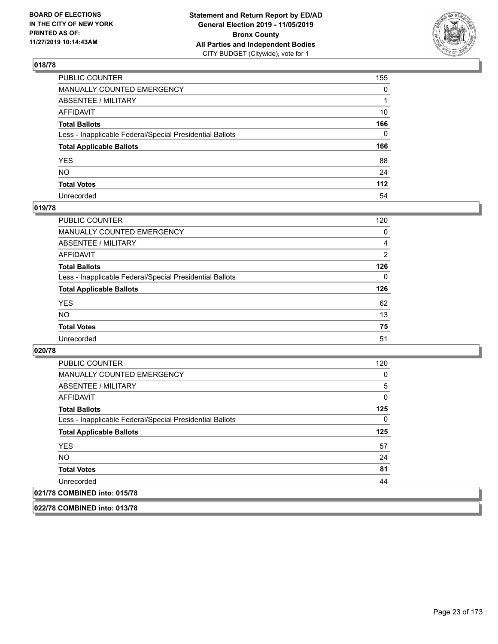

| PUBLIC COUNTER                                           | 155          |
|----------------------------------------------------------|--------------|
| MANUALLY COUNTED EMERGENCY                               | 0            |
| ABSENTEE / MILITARY                                      |              |
| AFFIDAVIT                                                | 10           |
| Total Ballots                                            | 166          |
| Less - Inapplicable Federal/Special Presidential Ballots | $\mathbf{0}$ |
| <b>Total Applicable Ballots</b>                          | 166          |
| YES                                                      | 88           |
| NO.                                                      | 24           |
| <b>Total Votes</b>                                       | 112          |
| Unrecorded                                               | 54           |

#### **019/78**

| <b>PUBLIC COUNTER</b>                                    | 120      |
|----------------------------------------------------------|----------|
| MANUALLY COUNTED EMERGENCY                               | 0        |
| ABSENTEE / MILITARY                                      | 4        |
| AFFIDAVIT                                                | 2        |
| <b>Total Ballots</b>                                     | 126      |
| Less - Inapplicable Federal/Special Presidential Ballots | $\Omega$ |
| <b>Total Applicable Ballots</b>                          | 126      |
| <b>YES</b>                                               | 62       |
| <b>NO</b>                                                | 13       |
| <b>Total Votes</b>                                       | 75       |
| Unrecorded                                               | 51       |

#### **020/78**

| <b>PUBLIC COUNTER</b>                                    | 120 |
|----------------------------------------------------------|-----|
| <b>MANUALLY COUNTED EMERGENCY</b>                        | 0   |
| ABSENTEE / MILITARY                                      | 5   |
| AFFIDAVIT                                                | 0   |
| <b>Total Ballots</b>                                     | 125 |
| Less - Inapplicable Federal/Special Presidential Ballots | 0   |
|                                                          |     |
| <b>Total Applicable Ballots</b>                          | 125 |
| <b>YES</b>                                               | 57  |
| NO.                                                      | 24  |
| <b>Total Votes</b>                                       | 81  |
| Unrecorded                                               | 44  |

**022/78 COMBINED into: 013/78**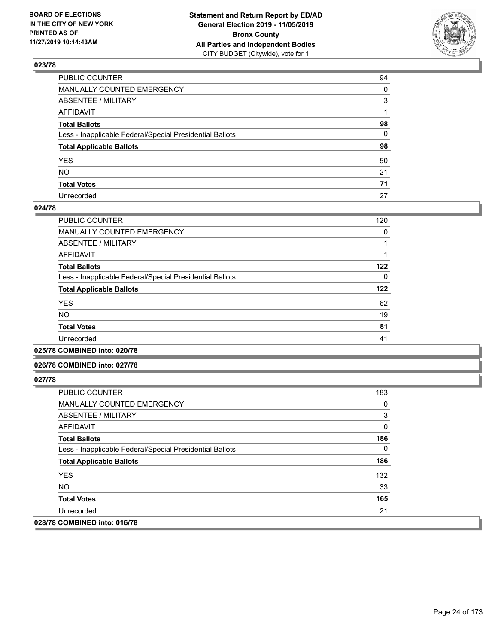

| PUBLIC COUNTER                                           | 94 |
|----------------------------------------------------------|----|
| MANUALLY COUNTED EMERGENCY                               | 0  |
| ABSENTEE / MILITARY                                      | 3  |
| AFFIDAVIT                                                |    |
| Total Ballots                                            | 98 |
| Less - Inapplicable Federal/Special Presidential Ballots | 0  |
| <b>Total Applicable Ballots</b>                          | 98 |
| YES                                                      | 50 |
| NO.                                                      | 21 |
| <b>Total Votes</b>                                       | 71 |
| Unrecorded                                               | 27 |

#### **024/78**

| <b>PUBLIC COUNTER</b>                                    | 120 |
|----------------------------------------------------------|-----|
| <b>MANUALLY COUNTED EMERGENCY</b>                        | 0   |
| ABSENTEE / MILITARY                                      |     |
| AFFIDAVIT                                                |     |
| <b>Total Ballots</b>                                     | 122 |
| Less - Inapplicable Federal/Special Presidential Ballots | 0   |
| <b>Total Applicable Ballots</b>                          | 122 |
| <b>YES</b>                                               | 62  |
| <b>NO</b>                                                | 19  |
| <b>Total Votes</b>                                       | 81  |
| Unrecorded                                               | 41  |
|                                                          |     |

**025/78 COMBINED into: 020/78**

#### **026/78 COMBINED into: 027/78**

| <b>PUBLIC COUNTER</b>                                    | 183 |
|----------------------------------------------------------|-----|
| <b>MANUALLY COUNTED EMERGENCY</b>                        | 0   |
| ABSENTEE / MILITARY                                      | 3   |
| AFFIDAVIT                                                | 0   |
| <b>Total Ballots</b>                                     | 186 |
| Less - Inapplicable Federal/Special Presidential Ballots | 0   |
| <b>Total Applicable Ballots</b>                          | 186 |
| <b>YES</b>                                               | 132 |
| NO.                                                      | 33  |
| <b>Total Votes</b>                                       | 165 |
| Unrecorded                                               | 21  |
| 028/78 COMBINED into: 016/78                             |     |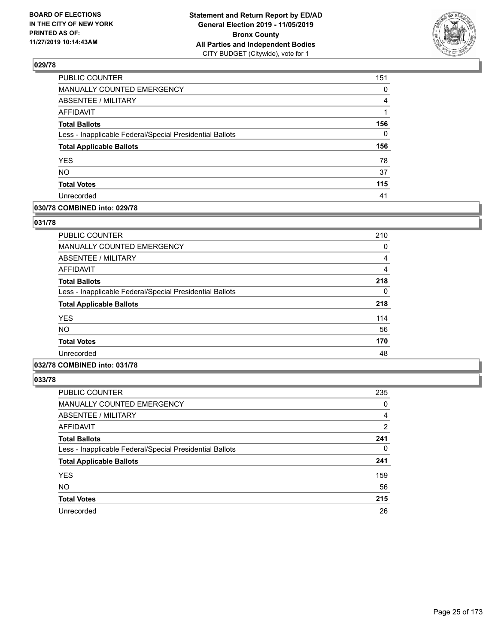

| PUBLIC COUNTER                                           | 151 |
|----------------------------------------------------------|-----|
| <b>MANUALLY COUNTED EMERGENCY</b>                        | 0   |
| ABSENTEE / MILITARY                                      | 4   |
| <b>AFFIDAVIT</b>                                         |     |
| <b>Total Ballots</b>                                     | 156 |
| Less - Inapplicable Federal/Special Presidential Ballots | 0   |
| <b>Total Applicable Ballots</b>                          | 156 |
| <b>YES</b>                                               | 78  |
| <b>NO</b>                                                | 37  |
| <b>Total Votes</b>                                       | 115 |
| Unrecorded                                               | 41  |

#### **030/78 COMBINED into: 029/78**

#### **031/78**

| 210 |
|-----|
| 0   |
| 4   |
| 4   |
| 218 |
| 0   |
| 218 |
| 114 |
| 56  |
| 170 |
| 48  |
|     |

# **032/78 COMBINED into: 031/78**

| <b>PUBLIC COUNTER</b>                                    | 235            |
|----------------------------------------------------------|----------------|
| <b>MANUALLY COUNTED EMERGENCY</b>                        | 0              |
| ABSENTEE / MILITARY                                      | $\overline{4}$ |
| AFFIDAVIT                                                | 2              |
| <b>Total Ballots</b>                                     | 241            |
| Less - Inapplicable Federal/Special Presidential Ballots | $\Omega$       |
| <b>Total Applicable Ballots</b>                          | 241            |
| <b>YES</b>                                               | 159            |
| <b>NO</b>                                                | 56             |
| <b>Total Votes</b>                                       | 215            |
| Unrecorded                                               | 26             |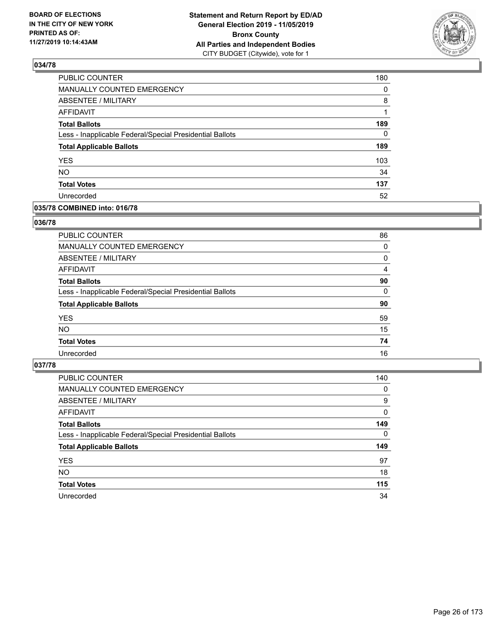

| PUBLIC COUNTER                                           | 180      |
|----------------------------------------------------------|----------|
| MANUALLY COUNTED EMERGENCY                               | $\Omega$ |
| <b>ABSENTEE / MILITARY</b>                               | 8        |
| <b>AFFIDAVIT</b>                                         |          |
| <b>Total Ballots</b>                                     | 189      |
| Less - Inapplicable Federal/Special Presidential Ballots | $\Omega$ |
| <b>Total Applicable Ballots</b>                          | 189      |
| <b>YES</b>                                               | 103      |
| <b>NO</b>                                                | 34       |
| <b>Total Votes</b>                                       | 137      |
| Unrecorded                                               | 52       |

## **035/78 COMBINED into: 016/78**

#### **036/78**

| PUBLIC COUNTER                                           | 86       |
|----------------------------------------------------------|----------|
| <b>MANUALLY COUNTED EMERGENCY</b>                        | 0        |
| ABSENTEE / MILITARY                                      | 0        |
| AFFIDAVIT                                                | 4        |
| <b>Total Ballots</b>                                     | 90       |
| Less - Inapplicable Federal/Special Presidential Ballots | $\Omega$ |
| <b>Total Applicable Ballots</b>                          | 90       |
| <b>YES</b>                                               | 59       |
| <b>NO</b>                                                | 15       |
| <b>Total Votes</b>                                       | 74       |
| Unrecorded                                               | 16       |
|                                                          |          |

| <b>PUBLIC COUNTER</b>                                    | 140      |
|----------------------------------------------------------|----------|
| <b>MANUALLY COUNTED EMERGENCY</b>                        | 0        |
| ABSENTEE / MILITARY                                      | 9        |
| AFFIDAVIT                                                | $\Omega$ |
| <b>Total Ballots</b>                                     | 149      |
| Less - Inapplicable Federal/Special Presidential Ballots | $\Omega$ |
| <b>Total Applicable Ballots</b>                          | 149      |
| <b>YES</b>                                               | 97       |
| <b>NO</b>                                                | 18       |
| <b>Total Votes</b>                                       | 115      |
| Unrecorded                                               | 34       |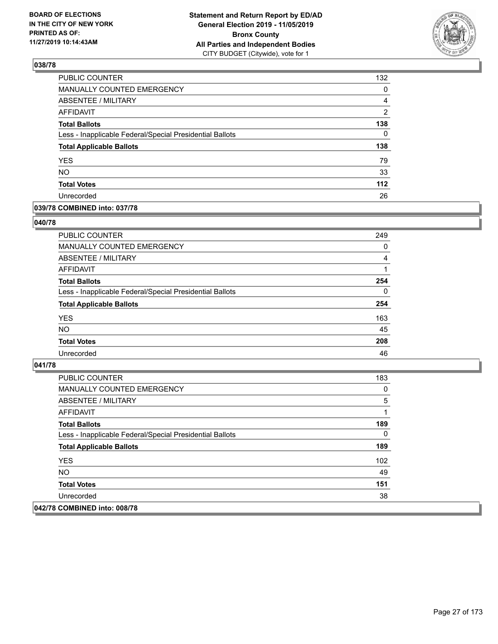

| PUBLIC COUNTER                                           | 132           |
|----------------------------------------------------------|---------------|
| <b>MANUALLY COUNTED EMERGENCY</b>                        | $\Omega$      |
| <b>ABSENTEE / MILITARY</b>                               | 4             |
| <b>AFFIDAVIT</b>                                         | $\mathcal{P}$ |
| <b>Total Ballots</b>                                     | 138           |
| Less - Inapplicable Federal/Special Presidential Ballots | $\Omega$      |
| <b>Total Applicable Ballots</b>                          | 138           |
| <b>YES</b>                                               | 79            |
| <b>NO</b>                                                | 33            |
| <b>Total Votes</b>                                       | $112$         |
| Unrecorded                                               | 26            |

## **039/78 COMBINED into: 037/78**

#### **040/78**

| PUBLIC COUNTER                                           | 249      |
|----------------------------------------------------------|----------|
| MANUALLY COUNTED EMERGENCY                               | 0        |
| ABSENTEE / MILITARY                                      | 4        |
| AFFIDAVIT                                                |          |
| <b>Total Ballots</b>                                     | 254      |
| Less - Inapplicable Federal/Special Presidential Ballots | $\Omega$ |
| <b>Total Applicable Ballots</b>                          | 254      |
| <b>YES</b>                                               | 163      |
| <b>NO</b>                                                | 45       |
| <b>Total Votes</b>                                       | 208      |
| Unrecorded                                               | 46       |
|                                                          |          |

| PUBLIC COUNTER                                           | 183 |
|----------------------------------------------------------|-----|
| <b>MANUALLY COUNTED EMERGENCY</b>                        | 0   |
| ABSENTEE / MILITARY                                      | 5   |
| AFFIDAVIT                                                |     |
| <b>Total Ballots</b>                                     | 189 |
| Less - Inapplicable Federal/Special Presidential Ballots | 0   |
| <b>Total Applicable Ballots</b>                          | 189 |
| <b>YES</b>                                               | 102 |
| NO.                                                      | 49  |
| <b>Total Votes</b>                                       | 151 |
| Unrecorded                                               | 38  |
| 042/78 COMBINED into: 008/78                             |     |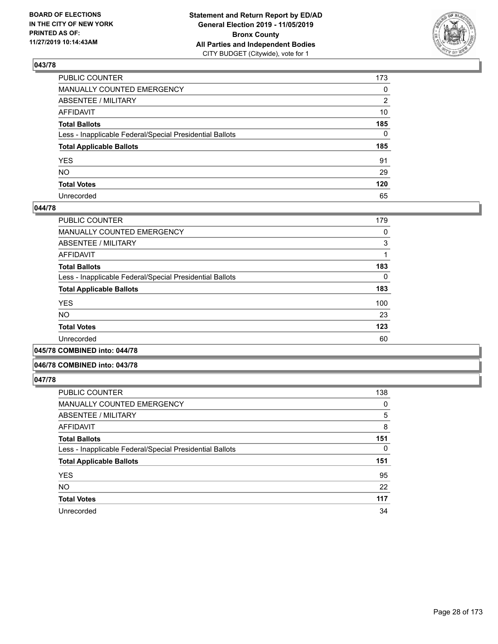

| PUBLIC COUNTER                                           | 173          |
|----------------------------------------------------------|--------------|
| MANUALLY COUNTED EMERGENCY                               | $\mathbf{0}$ |
| ABSENTEE / MILITARY                                      | 2            |
| AFFIDAVIT                                                | 10           |
| Total Ballots                                            | 185          |
| Less - Inapplicable Federal/Special Presidential Ballots | $\Omega$     |
| <b>Total Applicable Ballots</b>                          | 185          |
| YES                                                      | 91           |
| NO.                                                      | 29           |
| <b>Total Votes</b>                                       | 120          |
| Unrecorded                                               | 65           |

#### **044/78**

| <b>PUBLIC COUNTER</b>                                    | 179 |
|----------------------------------------------------------|-----|
| MANUALLY COUNTED EMERGENCY                               | 0   |
| ABSENTEE / MILITARY                                      | 3   |
| AFFIDAVIT                                                |     |
| <b>Total Ballots</b>                                     | 183 |
| Less - Inapplicable Federal/Special Presidential Ballots | 0   |
| <b>Total Applicable Ballots</b>                          | 183 |
| <b>YES</b>                                               | 100 |
| <b>NO</b>                                                | 23  |
| <b>Total Votes</b>                                       | 123 |
| Unrecorded                                               | 60  |
|                                                          |     |

**045/78 COMBINED into: 044/78**

#### **046/78 COMBINED into: 043/78**

| <b>PUBLIC COUNTER</b>                                    | 138      |
|----------------------------------------------------------|----------|
| <b>MANUALLY COUNTED EMERGENCY</b>                        | 0        |
| ABSENTEE / MILITARY                                      | 5        |
| <b>AFFIDAVIT</b>                                         | 8        |
| <b>Total Ballots</b>                                     | 151      |
| Less - Inapplicable Federal/Special Presidential Ballots | $\Omega$ |
| <b>Total Applicable Ballots</b>                          | 151      |
| <b>YES</b>                                               | 95       |
| <b>NO</b>                                                | 22       |
| <b>Total Votes</b>                                       | 117      |
| Unrecorded                                               | 34       |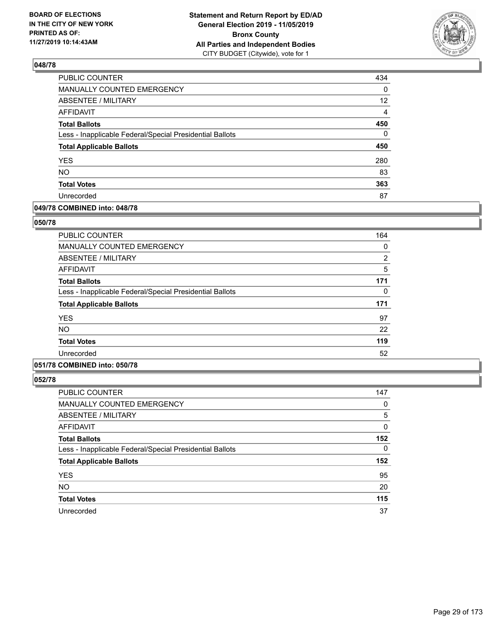

| PUBLIC COUNTER                                           | 434             |
|----------------------------------------------------------|-----------------|
| MANUALLY COUNTED EMERGENCY                               | 0               |
| <b>ABSENTEE / MILITARY</b>                               | 12 <sup>2</sup> |
| <b>AFFIDAVIT</b>                                         | $\overline{4}$  |
| <b>Total Ballots</b>                                     | 450             |
| Less - Inapplicable Federal/Special Presidential Ballots | $\mathbf{0}$    |
| <b>Total Applicable Ballots</b>                          | 450             |
| <b>YES</b>                                               | 280             |
| <b>NO</b>                                                | 83              |
| <b>Total Votes</b>                                       | 363             |
| Unrecorded                                               | 87              |

## **049/78 COMBINED into: 048/78**

#### **050/78**

| <b>PUBLIC COUNTER</b>                                    | 164            |
|----------------------------------------------------------|----------------|
| MANUALLY COUNTED EMERGENCY                               | 0              |
| ABSENTEE / MILITARY                                      | $\overline{2}$ |
| AFFIDAVIT                                                | 5              |
| <b>Total Ballots</b>                                     | 171            |
| Less - Inapplicable Federal/Special Presidential Ballots | 0              |
| <b>Total Applicable Ballots</b>                          | 171            |
| <b>YES</b>                                               | 97             |
| <b>NO</b>                                                | 22             |
| <b>Total Votes</b>                                       | 119            |
| Unrecorded                                               | 52             |
|                                                          |                |

# **051/78 COMBINED into: 050/78**

| PUBLIC COUNTER                                           | 147      |
|----------------------------------------------------------|----------|
| <b>MANUALLY COUNTED EMERGENCY</b>                        | 0        |
| <b>ABSENTEE / MILITARY</b>                               | 5        |
| <b>AFFIDAVIT</b>                                         | 0        |
| <b>Total Ballots</b>                                     | 152      |
| Less - Inapplicable Federal/Special Presidential Ballots | $\Omega$ |
| <b>Total Applicable Ballots</b>                          | 152      |
| <b>YES</b>                                               | 95       |
| <b>NO</b>                                                | 20       |
| <b>Total Votes</b>                                       | 115      |
| Unrecorded                                               | 37       |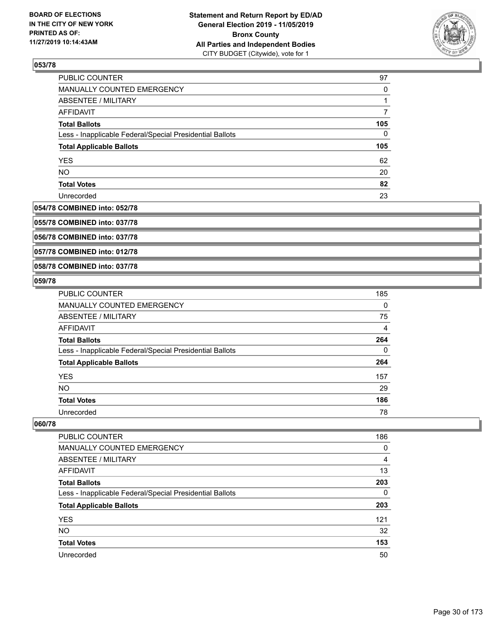

| PUBLIC COUNTER                                           | 97       |
|----------------------------------------------------------|----------|
| MANUALLY COUNTED EMERGENCY                               | $\Omega$ |
| ABSENTEE / MILITARY                                      |          |
| AFFIDAVIT                                                |          |
| <b>Total Ballots</b>                                     | 105      |
| Less - Inapplicable Federal/Special Presidential Ballots | 0        |
| <b>Total Applicable Ballots</b>                          | 105      |
| <b>YES</b>                                               | 62       |
| <b>NO</b>                                                | 20       |
| <b>Total Votes</b>                                       | 82       |
| Unrecorded                                               | 23       |

# **054/78 COMBINED into: 052/78**

**055/78 COMBINED into: 037/78**

**056/78 COMBINED into: 037/78**

**057/78 COMBINED into: 012/78**

#### **058/78 COMBINED into: 037/78**

#### **059/78**

| PUBLIC COUNTER                                           | 185      |
|----------------------------------------------------------|----------|
| <b>MANUALLY COUNTED EMERGENCY</b>                        | $\Omega$ |
| ABSENTEE / MILITARY                                      | 75       |
| <b>AFFIDAVIT</b>                                         | 4        |
| <b>Total Ballots</b>                                     | 264      |
| Less - Inapplicable Federal/Special Presidential Ballots | $\Omega$ |
| <b>Total Applicable Ballots</b>                          | 264      |
| <b>YES</b>                                               | 157      |
| <b>NO</b>                                                | 29       |
| <b>Total Votes</b>                                       | 186      |
| Unrecorded                                               | 78       |

| <b>PUBLIC COUNTER</b>                                    | 186 |
|----------------------------------------------------------|-----|
| <b>MANUALLY COUNTED EMERGENCY</b>                        | 0   |
| ABSENTEE / MILITARY                                      | 4   |
| AFFIDAVIT                                                | 13  |
| <b>Total Ballots</b>                                     | 203 |
| Less - Inapplicable Federal/Special Presidential Ballots | 0   |
| <b>Total Applicable Ballots</b>                          | 203 |
| <b>YES</b>                                               | 121 |
| <b>NO</b>                                                | 32  |
| <b>Total Votes</b>                                       | 153 |
| Unrecorded                                               | 50  |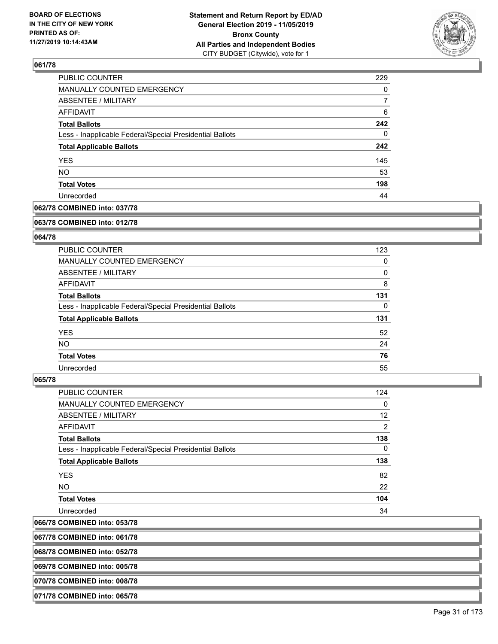

| PUBLIC COUNTER                                           | 229 |
|----------------------------------------------------------|-----|
| MANUALLY COUNTED EMERGENCY                               | 0   |
| <b>ABSENTEE / MILITARY</b>                               | 7   |
| AFFIDAVIT                                                | 6   |
| <b>Total Ballots</b>                                     | 242 |
| Less - Inapplicable Federal/Special Presidential Ballots | 0   |
| <b>Total Applicable Ballots</b>                          | 242 |
| <b>YES</b>                                               | 145 |
| <b>NO</b>                                                | 53  |
| <b>Total Votes</b>                                       | 198 |
| Unrecorded                                               | 44  |

# **062/78 COMBINED into: 037/78**

#### **063/78 COMBINED into: 012/78**

# **064/78**

| <b>PUBLIC COUNTER</b>                                    | 123      |
|----------------------------------------------------------|----------|
| <b>MANUALLY COUNTED EMERGENCY</b>                        | 0        |
| ABSENTEE / MILITARY                                      | $\Omega$ |
| <b>AFFIDAVIT</b>                                         | 8        |
| <b>Total Ballots</b>                                     | 131      |
| Less - Inapplicable Federal/Special Presidential Ballots | $\Omega$ |
|                                                          |          |
| <b>Total Applicable Ballots</b>                          | 131      |
| <b>YES</b>                                               | 52       |
| NO.                                                      | 24       |
| <b>Total Votes</b>                                       | 76       |

#### **065/78**

| <b>PUBLIC COUNTER</b>                                    | 124            |
|----------------------------------------------------------|----------------|
| MANUALLY COUNTED EMERGENCY                               | 0              |
| ABSENTEE / MILITARY                                      | 12             |
| AFFIDAVIT                                                | $\overline{2}$ |
| <b>Total Ballots</b>                                     | 138            |
| Less - Inapplicable Federal/Special Presidential Ballots | 0              |
| <b>Total Applicable Ballots</b>                          | 138            |
| <b>YES</b>                                               | 82             |
| NO.                                                      | 22             |
| <b>Total Votes</b>                                       | 104            |
| Unrecorded                                               | 34             |
|                                                          |                |

# **066/78 COMBINED into: 053/78**

**067/78 COMBINED into: 061/78**

**068/78 COMBINED into: 052/78**

**069/78 COMBINED into: 005/78**

**070/78 COMBINED into: 008/78**

**071/78 COMBINED into: 065/78**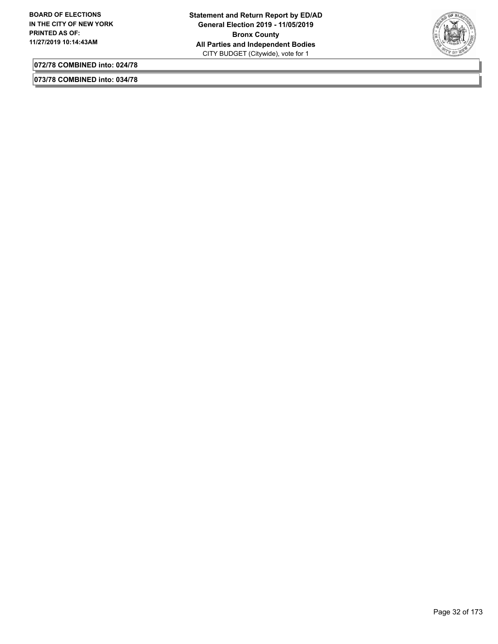

**073/78 COMBINED into: 034/78**

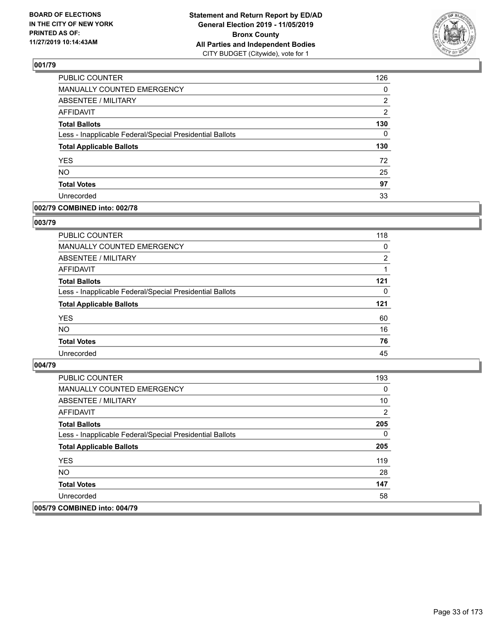

| PUBLIC COUNTER                                           | 126            |
|----------------------------------------------------------|----------------|
| MANUALLY COUNTED EMERGENCY                               | 0              |
| <b>ABSENTEE / MILITARY</b>                               | 2              |
| <b>AFFIDAVIT</b>                                         | $\overline{2}$ |
| <b>Total Ballots</b>                                     | 130            |
| Less - Inapplicable Federal/Special Presidential Ballots | 0              |
| <b>Total Applicable Ballots</b>                          | 130            |
| <b>YES</b>                                               | 72             |
| <b>NO</b>                                                | 25             |
| <b>Total Votes</b>                                       | 97             |
| Unrecorded                                               | 33             |

#### **002/79 COMBINED into: 002/78**

#### **003/79**

| <b>PUBLIC COUNTER</b>                                    | 118      |
|----------------------------------------------------------|----------|
| MANUALLY COUNTED EMERGENCY                               | 0        |
| ABSENTEE / MILITARY                                      | 2        |
| AFFIDAVIT                                                |          |
| <b>Total Ballots</b>                                     | 121      |
| Less - Inapplicable Federal/Special Presidential Ballots | $\Omega$ |
| <b>Total Applicable Ballots</b>                          | 121      |
| <b>YES</b>                                               | 60       |
| <b>NO</b>                                                | 16       |
| <b>Total Votes</b>                                       | 76       |
| Unrecorded                                               | 45       |

| <b>PUBLIC COUNTER</b>                                    | 193 |
|----------------------------------------------------------|-----|
| <b>MANUALLY COUNTED EMERGENCY</b>                        | 0   |
| ABSENTEE / MILITARY                                      | 10  |
| AFFIDAVIT                                                | 2   |
| <b>Total Ballots</b>                                     | 205 |
| Less - Inapplicable Federal/Special Presidential Ballots | 0   |
| <b>Total Applicable Ballots</b>                          | 205 |
| <b>YES</b>                                               | 119 |
| NO.                                                      | 28  |
| <b>Total Votes</b>                                       | 147 |
| Unrecorded                                               | 58  |
| 005/79 COMBINED into: 004/79                             |     |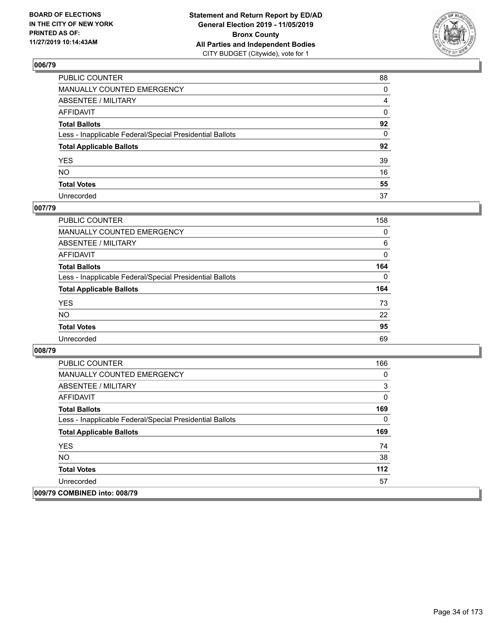

| PUBLIC COUNTER                                           | 88 |
|----------------------------------------------------------|----|
| MANUALLY COUNTED EMERGENCY                               | 0  |
| ABSENTEE / MILITARY                                      | 4  |
| AFFIDAVIT                                                | 0  |
| Total Ballots                                            | 92 |
| Less - Inapplicable Federal/Special Presidential Ballots | 0  |
| <b>Total Applicable Ballots</b>                          | 92 |
| YES                                                      | 39 |
| NO.                                                      | 16 |
| <b>Total Votes</b>                                       | 55 |
| Unrecorded                                               | 37 |

# **007/79**

| <b>PUBLIC COUNTER</b>                                    | 158      |
|----------------------------------------------------------|----------|
| MANUALLY COUNTED EMERGENCY                               | 0        |
| ABSENTEE / MILITARY                                      | 6        |
| AFFIDAVIT                                                | $\Omega$ |
| <b>Total Ballots</b>                                     | 164      |
| Less - Inapplicable Federal/Special Presidential Ballots | $\Omega$ |
| <b>Total Applicable Ballots</b>                          | 164      |
| <b>YES</b>                                               | 73       |
| <b>NO</b>                                                | 22       |
| <b>Total Votes</b>                                       | 95       |
| Unrecorded                                               | 69       |

| <b>PUBLIC COUNTER</b>                                    | 166 |
|----------------------------------------------------------|-----|
| <b>MANUALLY COUNTED EMERGENCY</b>                        | 0   |
| ABSENTEE / MILITARY                                      | 3   |
| AFFIDAVIT                                                | 0   |
| <b>Total Ballots</b>                                     | 169 |
| Less - Inapplicable Federal/Special Presidential Ballots | 0   |
| <b>Total Applicable Ballots</b>                          | 169 |
| <b>YES</b>                                               | 74  |
| <b>NO</b>                                                | 38  |
| <b>Total Votes</b>                                       | 112 |
| Unrecorded                                               | 57  |
| 009/79 COMBINED into: 008/79                             |     |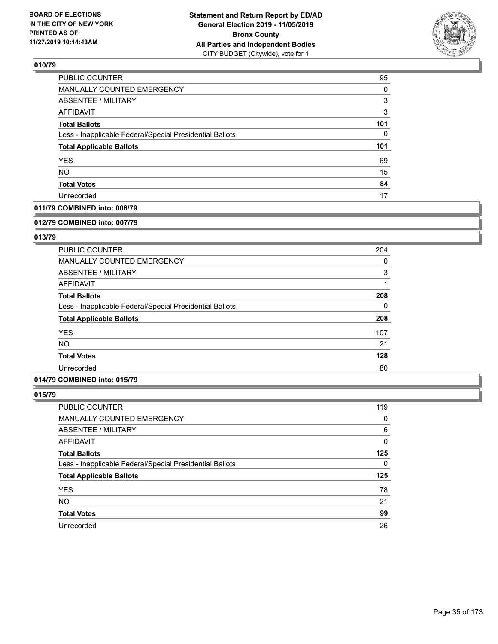

| PUBLIC COUNTER                                           | 95  |
|----------------------------------------------------------|-----|
| MANUALLY COUNTED EMERGENCY                               | 0   |
| <b>ABSENTEE / MILITARY</b>                               | 3   |
| <b>AFFIDAVIT</b>                                         | 3   |
| <b>Total Ballots</b>                                     | 101 |
| Less - Inapplicable Federal/Special Presidential Ballots | 0   |
| <b>Total Applicable Ballots</b>                          | 101 |
| <b>YES</b>                                               | 69  |
| <b>NO</b>                                                | 15  |
| <b>Total Votes</b>                                       | 84  |
| Unrecorded                                               | 17  |

## **011/79 COMBINED into: 006/79**

#### **012/79 COMBINED into: 007/79**

# **013/79**

| <b>PUBLIC COUNTER</b>                                    | 204      |
|----------------------------------------------------------|----------|
| <b>MANUALLY COUNTED EMERGENCY</b>                        | 0        |
| ABSENTEE / MILITARY                                      | 3        |
| AFFIDAVIT                                                |          |
| <b>Total Ballots</b>                                     | 208      |
| Less - Inapplicable Federal/Special Presidential Ballots | $\Omega$ |
| <b>Total Applicable Ballots</b>                          | 208      |
| <b>YES</b>                                               | 107      |
| <b>NO</b>                                                | 21       |
| <b>Total Votes</b>                                       | 128      |
| Unrecorded                                               | 80       |

# **014/79 COMBINED into: 015/79**

| PUBLIC COUNTER                                           | 119 |
|----------------------------------------------------------|-----|
| MANUALLY COUNTED EMERGENCY                               | 0   |
| ABSENTEE / MILITARY                                      | 6   |
| AFFIDAVIT                                                | 0   |
| <b>Total Ballots</b>                                     | 125 |
| Less - Inapplicable Federal/Special Presidential Ballots | 0   |
| <b>Total Applicable Ballots</b>                          | 125 |
| <b>YES</b>                                               | 78  |
| <b>NO</b>                                                | 21  |
| <b>Total Votes</b>                                       | 99  |
| Unrecorded                                               | 26  |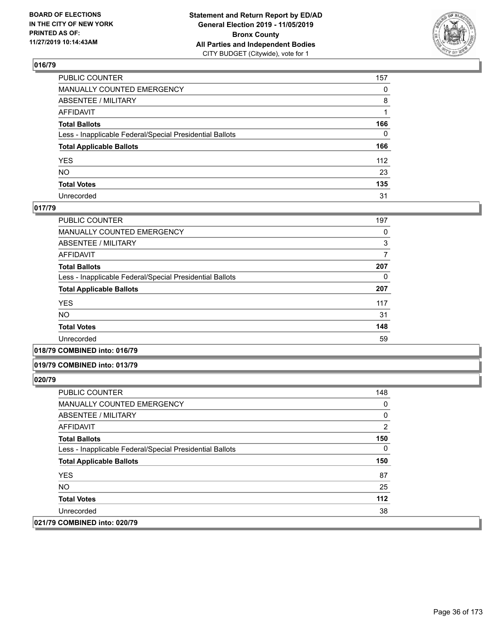

| PUBLIC COUNTER                                           | 157          |
|----------------------------------------------------------|--------------|
| MANUALLY COUNTED EMERGENCY                               | $\mathbf{0}$ |
| ABSENTEE / MILITARY                                      | 8            |
| AFFIDAVIT                                                |              |
| Total Ballots                                            | 166          |
| Less - Inapplicable Federal/Special Presidential Ballots | $\Omega$     |
| <b>Total Applicable Ballots</b>                          | 166          |
| YES                                                      | 112          |
| NΟ                                                       | 23           |
| <b>Total Votes</b>                                       | 135          |
| Unrecorded                                               | 31           |

#### **017/79**

| <b>PUBLIC COUNTER</b>                                    | 197 |
|----------------------------------------------------------|-----|
| MANUALLY COUNTED EMERGENCY                               | 0   |
| ABSENTEE / MILITARY                                      | 3   |
| AFFIDAVIT                                                | 7   |
| <b>Total Ballots</b>                                     | 207 |
| Less - Inapplicable Federal/Special Presidential Ballots | 0   |
| <b>Total Applicable Ballots</b>                          | 207 |
| <b>YES</b>                                               | 117 |
| NO.                                                      | 31  |
| <b>Total Votes</b>                                       | 148 |
| Unrecorded                                               | 59  |

**018/79 COMBINED into: 016/79**

#### **019/79 COMBINED into: 013/79**

| PUBLIC COUNTER                                           | 148 |
|----------------------------------------------------------|-----|
| <b>MANUALLY COUNTED EMERGENCY</b>                        | 0   |
| ABSENTEE / MILITARY                                      | 0   |
| AFFIDAVIT                                                | 2   |
| <b>Total Ballots</b>                                     | 150 |
| Less - Inapplicable Federal/Special Presidential Ballots | 0   |
| <b>Total Applicable Ballots</b>                          | 150 |
| <b>YES</b>                                               | 87  |
| NO.                                                      | 25  |
| <b>Total Votes</b>                                       | 112 |
| Unrecorded                                               | 38  |
| 021/79 COMBINED into: 020/79                             |     |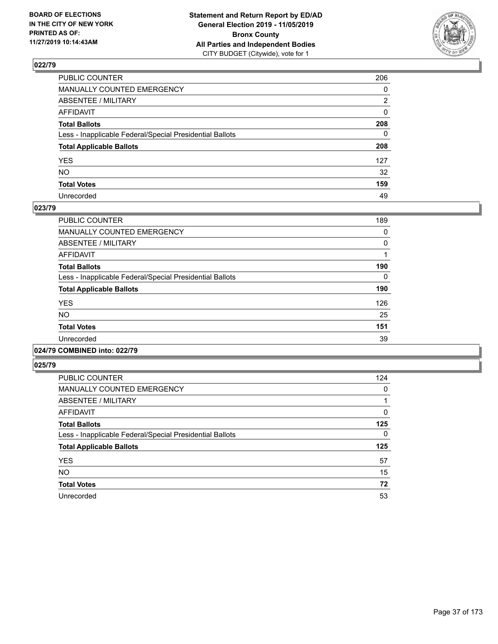

| PUBLIC COUNTER                                           | 206          |
|----------------------------------------------------------|--------------|
| MANUALLY COUNTED EMERGENCY                               | $\mathbf{0}$ |
| ABSENTEE / MILITARY                                      | 2            |
| AFFIDAVIT                                                | $\mathbf{0}$ |
| Total Ballots                                            | 208          |
| Less - Inapplicable Federal/Special Presidential Ballots | $\mathbf{0}$ |
| <b>Total Applicable Ballots</b>                          | 208          |
| YES                                                      | 127          |
| NO.                                                      | 32           |
| <b>Total Votes</b>                                       | 159          |
| Unrecorded                                               | 49           |

### **023/79**

| <b>PUBLIC COUNTER</b>                                    | 189      |
|----------------------------------------------------------|----------|
| <b>MANUALLY COUNTED EMERGENCY</b>                        | 0        |
| ABSENTEE / MILITARY                                      | $\Omega$ |
| <b>AFFIDAVIT</b>                                         |          |
| <b>Total Ballots</b>                                     | 190      |
| Less - Inapplicable Federal/Special Presidential Ballots | $\Omega$ |
| <b>Total Applicable Ballots</b>                          | 190      |
| <b>YES</b>                                               | 126      |
| <b>NO</b>                                                | 25       |
| <b>Total Votes</b>                                       | 151      |
| Unrecorded                                               | 39       |
|                                                          |          |

# **024/79 COMBINED into: 022/79**

| <b>PUBLIC COUNTER</b>                                    | 124 |
|----------------------------------------------------------|-----|
| <b>MANUALLY COUNTED EMERGENCY</b>                        | 0   |
| ABSENTEE / MILITARY                                      |     |
| <b>AFFIDAVIT</b>                                         | 0   |
| <b>Total Ballots</b>                                     | 125 |
| Less - Inapplicable Federal/Special Presidential Ballots | 0   |
| <b>Total Applicable Ballots</b>                          | 125 |
| <b>YES</b>                                               | 57  |
| <b>NO</b>                                                | 15  |
| <b>Total Votes</b>                                       | 72  |
| Unrecorded                                               | 53  |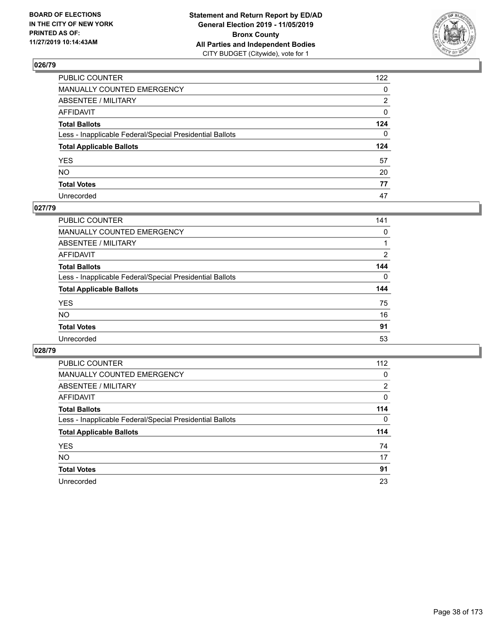

| PUBLIC COUNTER                                           | 122          |
|----------------------------------------------------------|--------------|
| MANUALLY COUNTED EMERGENCY                               | $\mathbf{0}$ |
| ABSENTEE / MILITARY                                      | 2            |
| AFFIDAVIT                                                | 0            |
| Total Ballots                                            | 124          |
| Less - Inapplicable Federal/Special Presidential Ballots | $\Omega$     |
| <b>Total Applicable Ballots</b>                          | 124          |
| YES                                                      | 57           |
| NO.                                                      | 20           |
| <b>Total Votes</b>                                       | 77           |
| Unrecorded                                               | 47           |

### **027/79**

| <b>PUBLIC COUNTER</b>                                    | 141      |
|----------------------------------------------------------|----------|
| <b>MANUALLY COUNTED EMERGENCY</b>                        | 0        |
| ABSENTEE / MILITARY                                      |          |
| AFFIDAVIT                                                | 2        |
| <b>Total Ballots</b>                                     | 144      |
| Less - Inapplicable Federal/Special Presidential Ballots | $\Omega$ |
| <b>Total Applicable Ballots</b>                          | 144      |
| <b>YES</b>                                               | 75       |
| <b>NO</b>                                                | 16       |
| <b>Total Votes</b>                                       | 91       |
| Unrecorded                                               | 53       |

| <b>PUBLIC COUNTER</b>                                    | 112          |
|----------------------------------------------------------|--------------|
| <b>MANUALLY COUNTED EMERGENCY</b>                        | 0            |
| ABSENTEE / MILITARY                                      | 2            |
| AFFIDAVIT                                                | 0            |
| <b>Total Ballots</b>                                     | 114          |
| Less - Inapplicable Federal/Special Presidential Ballots | $\mathbf{0}$ |
| <b>Total Applicable Ballots</b>                          | 114          |
| <b>YES</b>                                               | 74           |
| NO.                                                      | 17           |
| <b>Total Votes</b>                                       | 91           |
| Unrecorded                                               | 23           |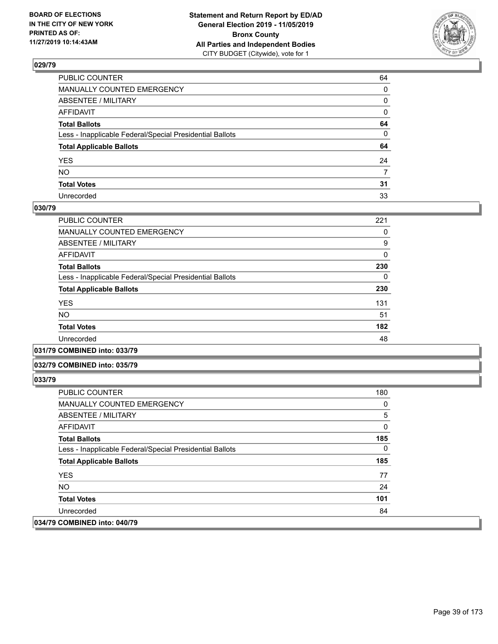

| PUBLIC COUNTER                                           | 64 |
|----------------------------------------------------------|----|
| MANUALLY COUNTED EMERGENCY                               | 0  |
| ABSENTEE / MILITARY                                      | 0  |
| AFFIDAVIT                                                | 0  |
| Total Ballots                                            | 64 |
| Less - Inapplicable Federal/Special Presidential Ballots | 0  |
| <b>Total Applicable Ballots</b>                          | 64 |
| YES                                                      | 24 |
| NO.                                                      | 7  |
| <b>Total Votes</b>                                       | 31 |
| Unrecorded                                               | 33 |

### **030/79**

| <b>PUBLIC COUNTER</b>                                    | 221      |
|----------------------------------------------------------|----------|
| <b>MANUALLY COUNTED EMERGENCY</b>                        | 0        |
| ABSENTEE / MILITARY                                      | 9        |
| AFFIDAVIT                                                | $\Omega$ |
| <b>Total Ballots</b>                                     | 230      |
| Less - Inapplicable Federal/Special Presidential Ballots | 0        |
| <b>Total Applicable Ballots</b>                          | 230      |
| <b>YES</b>                                               | 131      |
| <b>NO</b>                                                | 51       |
| <b>Total Votes</b>                                       | 182      |
| Unrecorded                                               | 48       |
|                                                          |          |

### **031/79 COMBINED into: 033/79**

### **032/79 COMBINED into: 035/79**

| <b>PUBLIC COUNTER</b>                                    | 180 |
|----------------------------------------------------------|-----|
| <b>MANUALLY COUNTED EMERGENCY</b>                        | 0   |
| ABSENTEE / MILITARY                                      | 5   |
| AFFIDAVIT                                                | 0   |
| <b>Total Ballots</b>                                     | 185 |
| Less - Inapplicable Federal/Special Presidential Ballots | 0   |
| <b>Total Applicable Ballots</b>                          | 185 |
| <b>YES</b>                                               | 77  |
| NO.                                                      | 24  |
| <b>Total Votes</b>                                       | 101 |
| Unrecorded                                               | 84  |
| 034/79 COMBINED into: 040/79                             |     |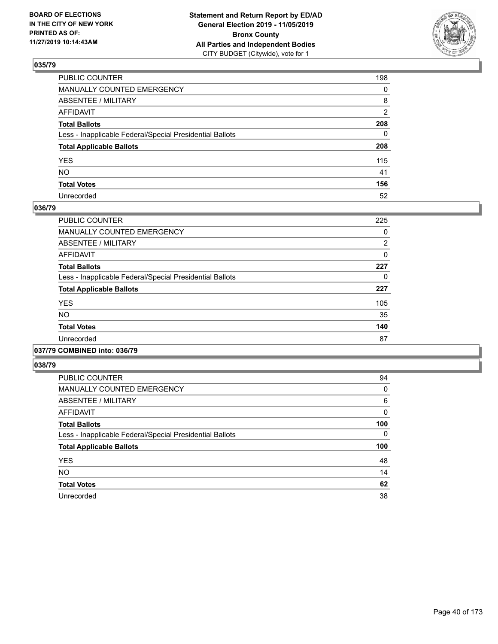

| PUBLIC COUNTER                                           | 198          |
|----------------------------------------------------------|--------------|
| MANUALLY COUNTED EMERGENCY                               | $\mathbf{0}$ |
| ABSENTEE / MILITARY                                      | 8            |
| AFFIDAVIT                                                | 2            |
| Total Ballots                                            | 208          |
| Less - Inapplicable Federal/Special Presidential Ballots | 0            |
| <b>Total Applicable Ballots</b>                          | 208          |
| YES                                                      | 115          |
| NΟ                                                       | 41           |
| <b>Total Votes</b>                                       | 156          |
| Unrecorded                                               | 52           |

### **036/79**

| PUBLIC COUNTER                                           | 225            |
|----------------------------------------------------------|----------------|
| <b>MANUALLY COUNTED EMERGENCY</b>                        | 0              |
| ABSENTEE / MILITARY                                      | $\overline{2}$ |
| <b>AFFIDAVIT</b>                                         | 0              |
| <b>Total Ballots</b>                                     | 227            |
| Less - Inapplicable Federal/Special Presidential Ballots | 0              |
| <b>Total Applicable Ballots</b>                          | 227            |
| <b>YES</b>                                               | 105            |
| <b>NO</b>                                                | 35             |
| <b>Total Votes</b>                                       | 140            |
| Unrecorded                                               | 87             |
|                                                          |                |

### **037/79 COMBINED into: 036/79**

| <b>PUBLIC COUNTER</b>                                    | 94  |
|----------------------------------------------------------|-----|
| MANUALLY COUNTED EMERGENCY                               | 0   |
| ABSENTEE / MILITARY                                      | 6   |
| AFFIDAVIT                                                | 0   |
| <b>Total Ballots</b>                                     | 100 |
| Less - Inapplicable Federal/Special Presidential Ballots | 0   |
| <b>Total Applicable Ballots</b>                          | 100 |
| <b>YES</b>                                               | 48  |
| <b>NO</b>                                                | 14  |
| <b>Total Votes</b>                                       | 62  |
| Unrecorded                                               | 38  |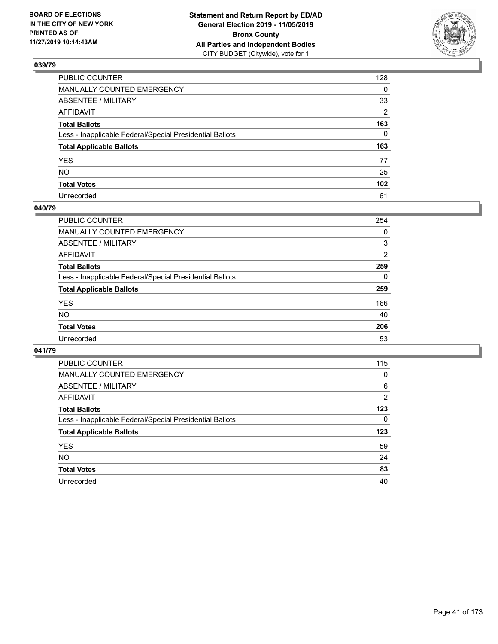

| PUBLIC COUNTER                                           | 128              |
|----------------------------------------------------------|------------------|
| MANUALLY COUNTED EMERGENCY                               | $\mathbf{0}$     |
| ABSENTEE / MILITARY                                      | 33               |
| AFFIDAVIT                                                | 2                |
| Total Ballots                                            | 163              |
| Less - Inapplicable Federal/Special Presidential Ballots | $\mathbf{0}$     |
| <b>Total Applicable Ballots</b>                          | 163              |
| YES                                                      | 77               |
| NO.                                                      | 25               |
| <b>Total Votes</b>                                       | 102 <sub>2</sub> |
| Unrecorded                                               | 61               |

## **040/79**

| <b>PUBLIC COUNTER</b>                                    | 254      |
|----------------------------------------------------------|----------|
| MANUALLY COUNTED EMERGENCY                               | 0        |
| ABSENTEE / MILITARY                                      | 3        |
| AFFIDAVIT                                                | 2        |
| <b>Total Ballots</b>                                     | 259      |
| Less - Inapplicable Federal/Special Presidential Ballots | $\Omega$ |
| <b>Total Applicable Ballots</b>                          | 259      |
| <b>YES</b>                                               | 166      |
| <b>NO</b>                                                | 40       |
| <b>Total Votes</b>                                       | 206      |
| Unrecorded                                               | 53       |

| <b>PUBLIC COUNTER</b>                                    | 115            |
|----------------------------------------------------------|----------------|
| <b>MANUALLY COUNTED EMERGENCY</b>                        | 0              |
| ABSENTEE / MILITARY                                      | 6              |
| AFFIDAVIT                                                | $\overline{2}$ |
| <b>Total Ballots</b>                                     | 123            |
| Less - Inapplicable Federal/Special Presidential Ballots | 0              |
| <b>Total Applicable Ballots</b>                          | 123            |
| <b>YES</b>                                               | 59             |
| NO.                                                      | 24             |
|                                                          |                |
| <b>Total Votes</b>                                       | 83             |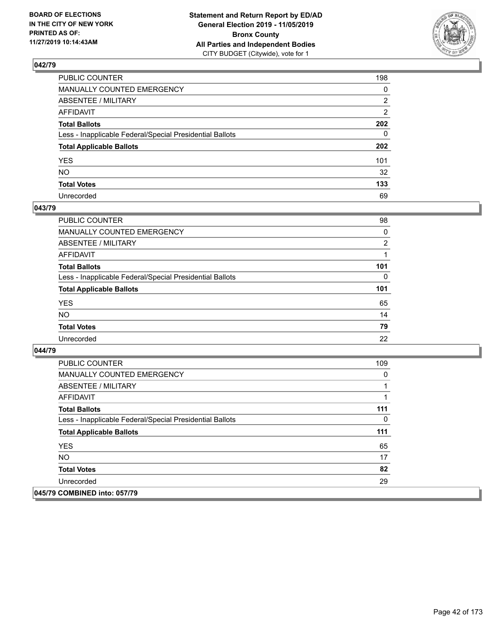

| PUBLIC COUNTER                                           | 198            |
|----------------------------------------------------------|----------------|
| MANUALLY COUNTED EMERGENCY                               | $\mathbf{0}$   |
| ABSENTEE / MILITARY                                      | 2              |
| AFFIDAVIT                                                | $\overline{2}$ |
| Total Ballots                                            | 202            |
| Less - Inapplicable Federal/Special Presidential Ballots | $\mathbf{0}$   |
| <b>Total Applicable Ballots</b>                          | 202            |
| YES                                                      | 101            |
| NO.                                                      | 32             |
| <b>Total Votes</b>                                       | 133            |
| Unrecorded                                               | 69             |

### **043/79**

| <b>PUBLIC COUNTER</b>                                    | 98             |
|----------------------------------------------------------|----------------|
| MANUALLY COUNTED EMERGENCY                               | 0              |
| ABSENTEE / MILITARY                                      | $\overline{2}$ |
| AFFIDAVIT                                                |                |
| <b>Total Ballots</b>                                     | 101            |
| Less - Inapplicable Federal/Special Presidential Ballots | 0              |
| <b>Total Applicable Ballots</b>                          | 101            |
| <b>YES</b>                                               | 65             |
| <b>NO</b>                                                | 14             |
| <b>Total Votes</b>                                       | 79             |
| Unrecorded                                               | 22             |

| <b>PUBLIC COUNTER</b>                                    | 109 |
|----------------------------------------------------------|-----|
| <b>MANUALLY COUNTED EMERGENCY</b>                        | 0   |
| ABSENTEE / MILITARY                                      |     |
| AFFIDAVIT                                                |     |
| <b>Total Ballots</b>                                     | 111 |
| Less - Inapplicable Federal/Special Presidential Ballots | 0   |
| <b>Total Applicable Ballots</b>                          | 111 |
| <b>YES</b>                                               | 65  |
| NO.                                                      | 17  |
| <b>Total Votes</b>                                       | 82  |
| Unrecorded                                               | 29  |
| 045/79 COMBINED into: 057/79                             |     |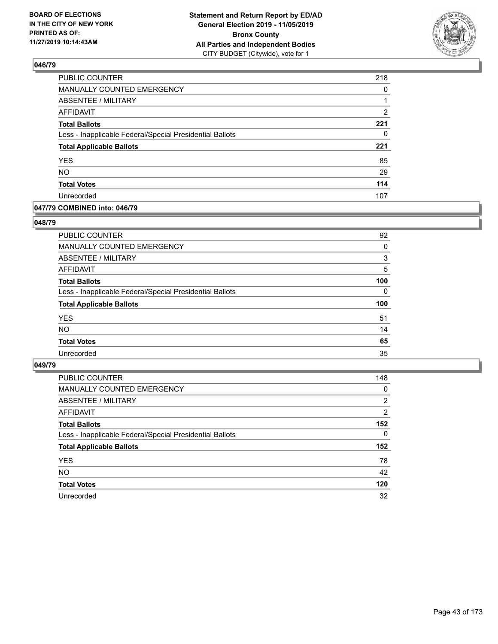

| PUBLIC COUNTER                                           | 218 |
|----------------------------------------------------------|-----|
| MANUALLY COUNTED EMERGENCY                               | 0   |
| ABSENTEE / MILITARY                                      |     |
| <b>AFFIDAVIT</b>                                         | 2   |
| <b>Total Ballots</b>                                     | 221 |
| Less - Inapplicable Federal/Special Presidential Ballots | 0   |
| <b>Total Applicable Ballots</b>                          | 221 |
| <b>YES</b>                                               | 85  |
| <b>NO</b>                                                | 29  |
| <b>Total Votes</b>                                       | 114 |
| Unrecorded                                               | 107 |

### **047/79 COMBINED into: 046/79**

### **048/79**

| <b>PUBLIC COUNTER</b>                                    | 92       |
|----------------------------------------------------------|----------|
| MANUALLY COUNTED EMERGENCY                               | $\Omega$ |
| ABSENTEE / MILITARY                                      | 3        |
| AFFIDAVIT                                                | 5        |
| <b>Total Ballots</b>                                     | 100      |
| Less - Inapplicable Federal/Special Presidential Ballots | $\Omega$ |
| <b>Total Applicable Ballots</b>                          | 100      |
| <b>YES</b>                                               | 51       |
| <b>NO</b>                                                | 14       |
| <b>Total Votes</b>                                       | 65       |
| Unrecorded                                               | 35       |
|                                                          |          |

| <b>PUBLIC COUNTER</b>                                    | 148            |
|----------------------------------------------------------|----------------|
| <b>MANUALLY COUNTED EMERGENCY</b>                        | 0              |
| ABSENTEE / MILITARY                                      | $\overline{2}$ |
| AFFIDAVIT                                                | 2              |
| <b>Total Ballots</b>                                     | 152            |
| Less - Inapplicable Federal/Special Presidential Ballots | $\Omega$       |
| <b>Total Applicable Ballots</b>                          | 152            |
| <b>YES</b>                                               | 78             |
| <b>NO</b>                                                | 42             |
| <b>Total Votes</b>                                       | 120            |
| Unrecorded                                               | 32             |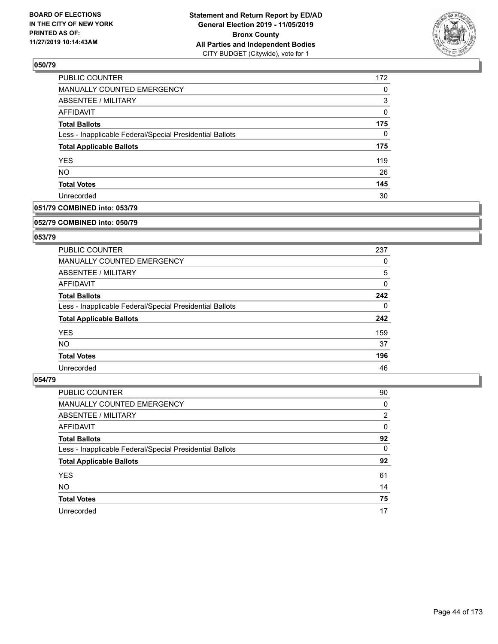

| 172 |
|-----|
| 0   |
| 3   |
| 0   |
| 175 |
| 0   |
| 175 |
| 119 |
| 26  |
| 145 |
| 30  |
|     |

## **051/79 COMBINED into: 053/79**

#### **052/79 COMBINED into: 050/79**

## **053/79**

| <b>PUBLIC COUNTER</b>                                    | 237 |
|----------------------------------------------------------|-----|
| <b>MANUALLY COUNTED EMERGENCY</b>                        | 0   |
| ABSENTEE / MILITARY                                      | 5   |
| AFFIDAVIT                                                | 0   |
| <b>Total Ballots</b>                                     | 242 |
| Less - Inapplicable Federal/Special Presidential Ballots | 0   |
| <b>Total Applicable Ballots</b>                          | 242 |
| <b>YES</b>                                               | 159 |
| NO.                                                      | 37  |
| <b>Total Votes</b>                                       | 196 |
| Unrecorded                                               | 46  |

| <b>PUBLIC COUNTER</b>                                    | 90             |
|----------------------------------------------------------|----------------|
| MANUALLY COUNTED EMERGENCY                               | 0              |
| ABSENTEE / MILITARY                                      | $\overline{2}$ |
| AFFIDAVIT                                                | 0              |
| <b>Total Ballots</b>                                     | 92             |
| Less - Inapplicable Federal/Special Presidential Ballots | $\Omega$       |
| <b>Total Applicable Ballots</b>                          | 92             |
| <b>YES</b>                                               | 61             |
| <b>NO</b>                                                | 14             |
| <b>Total Votes</b>                                       | 75             |
| Unrecorded                                               | 17             |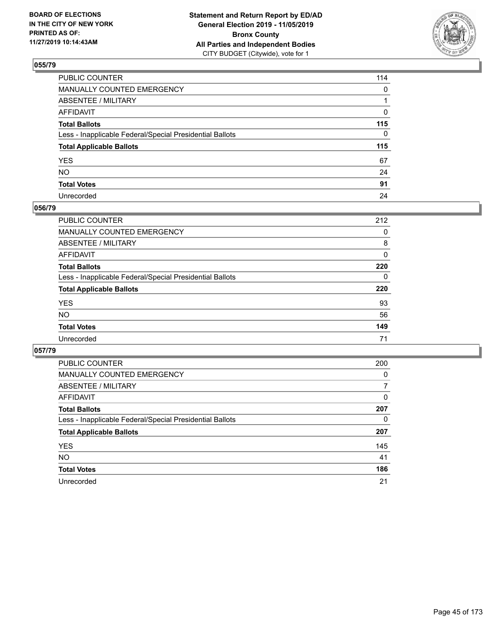

| PUBLIC COUNTER                                           | 114          |
|----------------------------------------------------------|--------------|
| MANUALLY COUNTED EMERGENCY                               | $\mathbf{0}$ |
| ABSENTEE / MILITARY                                      |              |
| AFFIDAVIT                                                | 0            |
| Total Ballots                                            | 115          |
| Less - Inapplicable Federal/Special Presidential Ballots | 0            |
| <b>Total Applicable Ballots</b>                          | 115          |
| YES                                                      | 67           |
| NO.                                                      | 24           |
| <b>Total Votes</b>                                       | 91           |
| Unrecorded                                               | 24           |

### **056/79**

| <b>PUBLIC COUNTER</b>                                    | 212      |
|----------------------------------------------------------|----------|
| MANUALLY COUNTED EMERGENCY                               | 0        |
| ABSENTEE / MILITARY                                      | 8        |
| AFFIDAVIT                                                | 0        |
| <b>Total Ballots</b>                                     | 220      |
| Less - Inapplicable Federal/Special Presidential Ballots | $\Omega$ |
| <b>Total Applicable Ballots</b>                          | 220      |
| <b>YES</b>                                               | 93       |
| <b>NO</b>                                                | 56       |
| <b>Total Votes</b>                                       | 149      |
| Unrecorded                                               | 71       |

| <b>PUBLIC COUNTER</b>                                    | 200      |
|----------------------------------------------------------|----------|
| MANUALLY COUNTED EMERGENCY                               | $\Omega$ |
| ABSENTEE / MILITARY                                      | 7        |
| AFFIDAVIT                                                | 0        |
| <b>Total Ballots</b>                                     | 207      |
| Less - Inapplicable Federal/Special Presidential Ballots | 0        |
| <b>Total Applicable Ballots</b>                          | 207      |
| <b>YES</b>                                               | 145      |
| NO.                                                      | 41       |
| <b>Total Votes</b>                                       | 186      |
| Unrecorded                                               | 21       |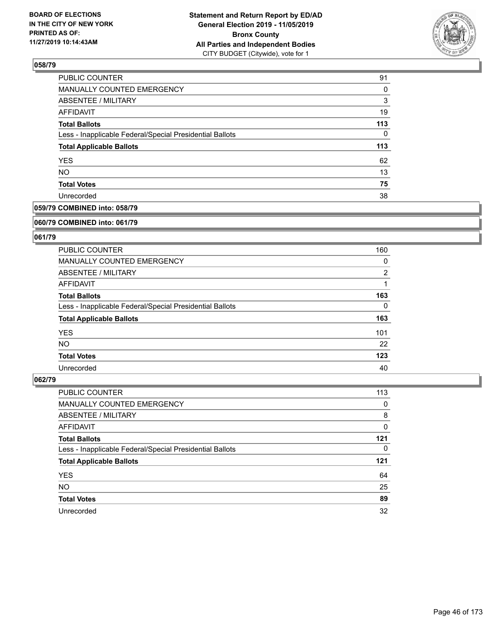

| 91  |
|-----|
| 0   |
| 3   |
| 19  |
| 113 |
| 0   |
| 113 |
| 62  |
| 13  |
| 75  |
| 38  |
|     |

## **059/79 COMBINED into: 058/79**

#### **060/79 COMBINED into: 061/79**

## **061/79**

| <b>PUBLIC COUNTER</b>                                    | 160            |
|----------------------------------------------------------|----------------|
| <b>MANUALLY COUNTED EMERGENCY</b>                        | 0              |
| ABSENTEE / MILITARY                                      | $\overline{2}$ |
| AFFIDAVIT                                                |                |
| <b>Total Ballots</b>                                     | 163            |
| Less - Inapplicable Federal/Special Presidential Ballots | 0              |
| <b>Total Applicable Ballots</b>                          | 163            |
| <b>YES</b>                                               | 101            |
| NO.                                                      | 22             |
| <b>Total Votes</b>                                       | 123            |
| Unrecorded                                               | 40             |

| <b>PUBLIC COUNTER</b>                                    | 113 |
|----------------------------------------------------------|-----|
| MANUALLY COUNTED EMERGENCY                               | 0   |
| ABSENTEE / MILITARY                                      | 8   |
| AFFIDAVIT                                                | 0   |
| <b>Total Ballots</b>                                     | 121 |
| Less - Inapplicable Federal/Special Presidential Ballots | 0   |
|                                                          | 121 |
| <b>Total Applicable Ballots</b>                          |     |
| <b>YES</b>                                               | 64  |
| <b>NO</b>                                                | 25  |
| <b>Total Votes</b>                                       | 89  |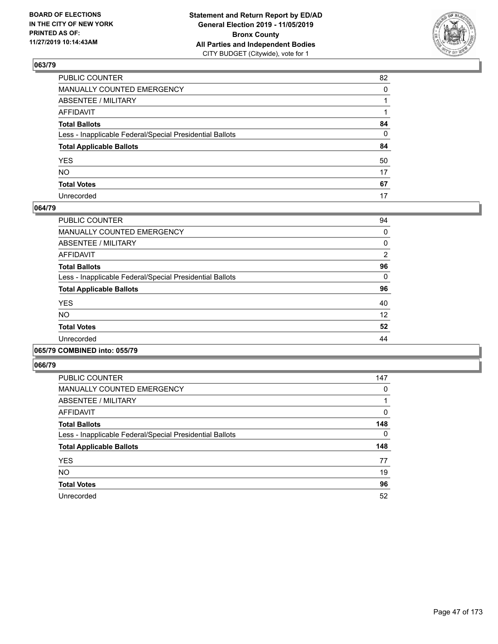

| PUBLIC COUNTER                                           | 82       |
|----------------------------------------------------------|----------|
| MANUALLY COUNTED EMERGENCY                               | $\Omega$ |
| ABSENTEE / MILITARY                                      |          |
| AFFIDAVIT                                                |          |
| Total Ballots                                            | 84       |
| Less - Inapplicable Federal/Special Presidential Ballots | 0        |
| <b>Total Applicable Ballots</b>                          | 84       |
| YES                                                      | 50       |
| NO.                                                      | 17       |
| <b>Total Votes</b>                                       | 67       |
| Unrecorded                                               | 17       |

### **064/79**

| <b>PUBLIC COUNTER</b>                                    | 94       |
|----------------------------------------------------------|----------|
| <b>MANUALLY COUNTED EMERGENCY</b>                        | 0        |
| ABSENTEE / MILITARY                                      | $\Omega$ |
| AFFIDAVIT                                                | 2        |
| <b>Total Ballots</b>                                     | 96       |
| Less - Inapplicable Federal/Special Presidential Ballots | $\Omega$ |
| <b>Total Applicable Ballots</b>                          | 96       |
| <b>YES</b>                                               | 40       |
| <b>NO</b>                                                | 12       |
| <b>Total Votes</b>                                       | 52       |
| Unrecorded                                               | 44       |
|                                                          |          |

### **065/79 COMBINED into: 055/79**

| <b>PUBLIC COUNTER</b>                                    | 147 |
|----------------------------------------------------------|-----|
| <b>MANUALLY COUNTED EMERGENCY</b>                        | 0   |
| ABSENTEE / MILITARY                                      |     |
| <b>AFFIDAVIT</b>                                         | 0   |
| <b>Total Ballots</b>                                     | 148 |
| Less - Inapplicable Federal/Special Presidential Ballots | 0   |
| <b>Total Applicable Ballots</b>                          | 148 |
| <b>YES</b>                                               | 77  |
| <b>NO</b>                                                | 19  |
| <b>Total Votes</b>                                       | 96  |
| Unrecorded                                               | 52  |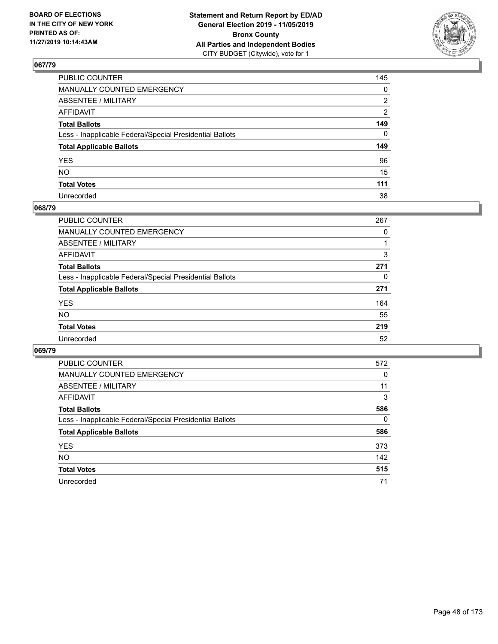

| PUBLIC COUNTER                                           | 145            |
|----------------------------------------------------------|----------------|
| MANUALLY COUNTED EMERGENCY                               | $\mathbf{0}$   |
| ABSENTEE / MILITARY                                      | 2              |
| AFFIDAVIT                                                | $\overline{2}$ |
| Total Ballots                                            | 149            |
| Less - Inapplicable Federal/Special Presidential Ballots | $\Omega$       |
| <b>Total Applicable Ballots</b>                          | 149            |
| YES                                                      | 96             |
| NO.                                                      | 15             |
| <b>Total Votes</b>                                       | 111            |
| Unrecorded                                               | 38             |

### **068/79**

| <b>PUBLIC COUNTER</b>                                    | 267 |
|----------------------------------------------------------|-----|
| <b>MANUALLY COUNTED EMERGENCY</b>                        | 0   |
| ABSENTEE / MILITARY                                      |     |
| AFFIDAVIT                                                | 3   |
| <b>Total Ballots</b>                                     | 271 |
| Less - Inapplicable Federal/Special Presidential Ballots | 0   |
| <b>Total Applicable Ballots</b>                          | 271 |
| <b>YES</b>                                               | 164 |
| <b>NO</b>                                                | 55  |
| <b>Total Votes</b>                                       | 219 |
| Unrecorded                                               | 52  |

| <b>PUBLIC COUNTER</b>                                    | 572 |
|----------------------------------------------------------|-----|
| <b>MANUALLY COUNTED EMERGENCY</b>                        | 0   |
| ABSENTEE / MILITARY                                      | 11  |
| AFFIDAVIT                                                | 3   |
| <b>Total Ballots</b>                                     | 586 |
| Less - Inapplicable Federal/Special Presidential Ballots | 0   |
| <b>Total Applicable Ballots</b>                          | 586 |
| <b>YES</b>                                               | 373 |
| <b>NO</b>                                                | 142 |
| <b>Total Votes</b>                                       | 515 |
| Unrecorded                                               | 71  |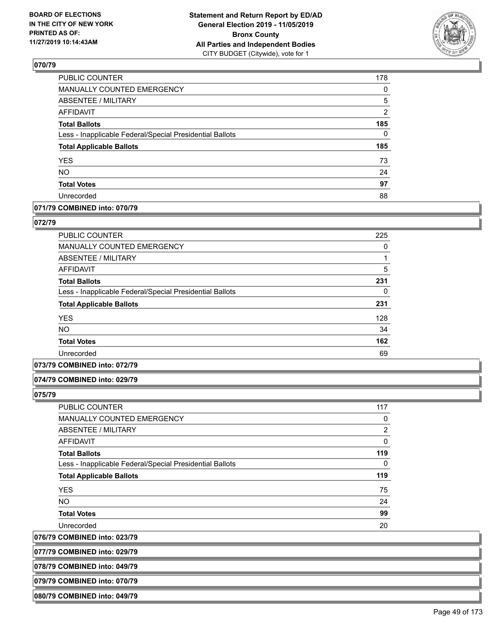

| PUBLIC COUNTER                                           | 178            |
|----------------------------------------------------------|----------------|
| <b>MANUALLY COUNTED EMERGENCY</b>                        | $\Omega$       |
| <b>ABSENTEE / MILITARY</b>                               | 5              |
| <b>AFFIDAVIT</b>                                         | $\overline{2}$ |
| <b>Total Ballots</b>                                     | 185            |
| Less - Inapplicable Federal/Special Presidential Ballots | $\mathbf{0}$   |
| <b>Total Applicable Ballots</b>                          | 185            |
| <b>YES</b>                                               | 73             |
| <b>NO</b>                                                | 24             |
| <b>Total Votes</b>                                       | 97             |
| Unrecorded                                               | 88             |

## **071/79 COMBINED into: 070/79**

#### **072/79**

| PUBLIC COUNTER                                           | 225 |
|----------------------------------------------------------|-----|
| <b>MANUALLY COUNTED EMERGENCY</b>                        | 0   |
| ABSENTEE / MILITARY                                      |     |
| <b>AFFIDAVIT</b>                                         | 5   |
| <b>Total Ballots</b>                                     | 231 |
| Less - Inapplicable Federal/Special Presidential Ballots | 0   |
| <b>Total Applicable Ballots</b>                          | 231 |
| <b>YES</b>                                               | 128 |
| NO.                                                      | 34  |
| <b>Total Votes</b>                                       | 162 |
| Unrecorded                                               | 69  |

### **073/79 COMBINED into: 072/79**

### **074/79 COMBINED into: 029/79**

**075/79** 

| PUBLIC COUNTER                                           | 117            |
|----------------------------------------------------------|----------------|
| <b>MANUALLY COUNTED EMERGENCY</b>                        | 0              |
| ABSENTEE / MILITARY                                      | $\overline{2}$ |
| <b>AFFIDAVIT</b>                                         | $\Omega$       |
| <b>Total Ballots</b>                                     | 119            |
| Less - Inapplicable Federal/Special Presidential Ballots | 0              |
| <b>Total Applicable Ballots</b>                          | 119            |
| <b>YES</b>                                               | 75             |
| <b>NO</b>                                                | 24             |
| <b>Total Votes</b>                                       | 99             |
| Unrecorded                                               | 20             |
|                                                          |                |

**076/79 COMBINED into: 023/79**

**077/79 COMBINED into: 029/79**

**078/79 COMBINED into: 049/79**

**079/79 COMBINED into: 070/79**

**080/79 COMBINED into: 049/79**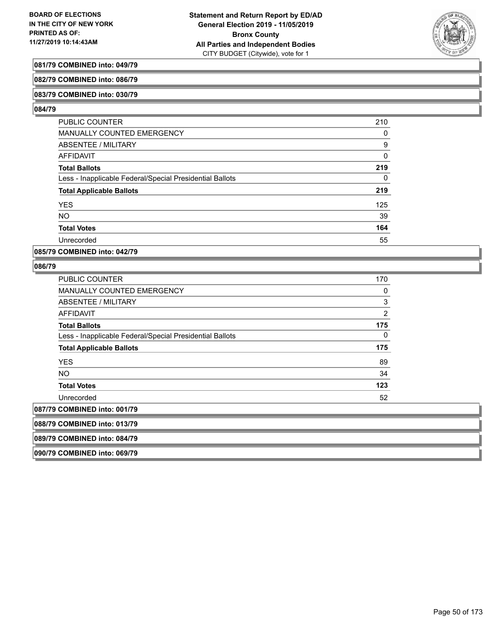

## **081/79 COMBINED into: 049/79**

#### **082/79 COMBINED into: 086/79**

#### **083/79 COMBINED into: 030/79**

#### **084/79**

| <b>PUBLIC COUNTER</b>                                    | 210 |
|----------------------------------------------------------|-----|
| MANUALLY COUNTED EMERGENCY                               | 0   |
| ABSENTEE / MILITARY                                      | 9   |
| AFFIDAVIT                                                | 0   |
| <b>Total Ballots</b>                                     | 219 |
| Less - Inapplicable Federal/Special Presidential Ballots | 0   |
| <b>Total Applicable Ballots</b>                          | 219 |
| <b>YES</b>                                               | 125 |
| <b>NO</b>                                                | 39  |
| <b>Total Votes</b>                                       | 164 |
| Unrecorded                                               | 55  |

### **085/79 COMBINED into: 042/79**

### **086/79**

| PUBLIC COUNTER                                           | 170 |
|----------------------------------------------------------|-----|
| MANUALLY COUNTED EMERGENCY                               | 0   |
| ABSENTEE / MILITARY                                      | 3   |
| AFFIDAVIT                                                | 2   |
| Total Ballots                                            | 175 |
| Less - Inapplicable Federal/Special Presidential Ballots | 0   |
| <b>Total Applicable Ballots</b>                          | 175 |
| <b>YES</b>                                               | 89  |
| NO.                                                      | 34  |
| <b>Total Votes</b>                                       | 123 |
| Unrecorded                                               | 52  |
| 087/79 COMBINED into: 001/79                             |     |
| 088/79 COMBINED into: 013/79                             |     |
| 089/79 COMBINED into: 084/79                             |     |
|                                                          |     |

**090/79 COMBINED into: 069/79**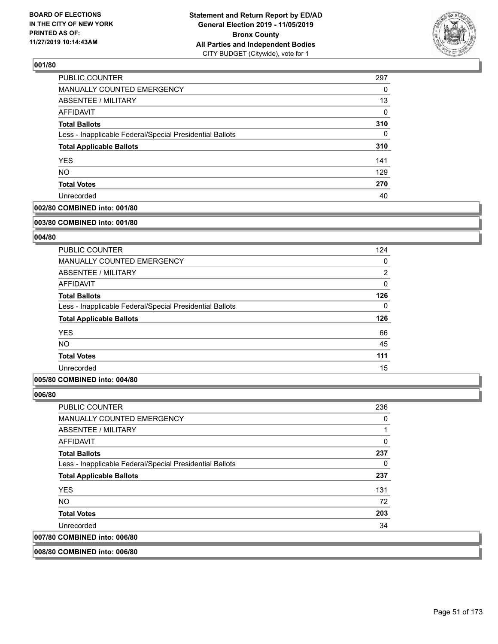

| <b>PUBLIC COUNTER</b>                                    | 297 |
|----------------------------------------------------------|-----|
| MANUALLY COUNTED EMERGENCY                               | 0   |
| <b>ABSENTEE / MILITARY</b>                               | 13  |
| AFFIDAVIT                                                | 0   |
| <b>Total Ballots</b>                                     | 310 |
| Less - Inapplicable Federal/Special Presidential Ballots | 0   |
| <b>Total Applicable Ballots</b>                          | 310 |
| <b>YES</b>                                               | 141 |
| <b>NO</b>                                                | 129 |
| <b>Total Votes</b>                                       | 270 |
| Unrecorded                                               | 40  |

## **002/80 COMBINED into: 001/80**

#### **003/80 COMBINED into: 001/80**

## **004/80**

| <b>PUBLIC COUNTER</b>                                    | 124            |
|----------------------------------------------------------|----------------|
| MANUALLY COUNTED EMERGENCY                               | 0              |
| ABSENTEE / MILITARY                                      | $\overline{2}$ |
| AFFIDAVIT                                                | 0              |
| <b>Total Ballots</b>                                     | 126            |
| Less - Inapplicable Federal/Special Presidential Ballots | $\Omega$       |
| <b>Total Applicable Ballots</b>                          | 126            |
| <b>YES</b>                                               | 66             |
| <b>NO</b>                                                | 45             |
| <b>Total Votes</b>                                       | 111            |
| Unrecorded                                               | 15             |

## **005/80 COMBINED into: 004/80**

## **006/80**

| <b>PUBLIC COUNTER</b>                                    | 236 |
|----------------------------------------------------------|-----|
| MANUALLY COUNTED EMERGENCY                               | 0   |
| ABSENTEE / MILITARY                                      |     |
| AFFIDAVIT                                                | 0   |
| <b>Total Ballots</b>                                     | 237 |
| Less - Inapplicable Federal/Special Presidential Ballots | 0   |
| <b>Total Applicable Ballots</b>                          | 237 |
| <b>YES</b>                                               | 131 |
| NO.                                                      | 72  |
| <b>Total Votes</b>                                       | 203 |
| Unrecorded                                               | 34  |
| 007/80 COMBINED into: 006/80                             |     |
|                                                          |     |

## **008/80 COMBINED into: 006/80**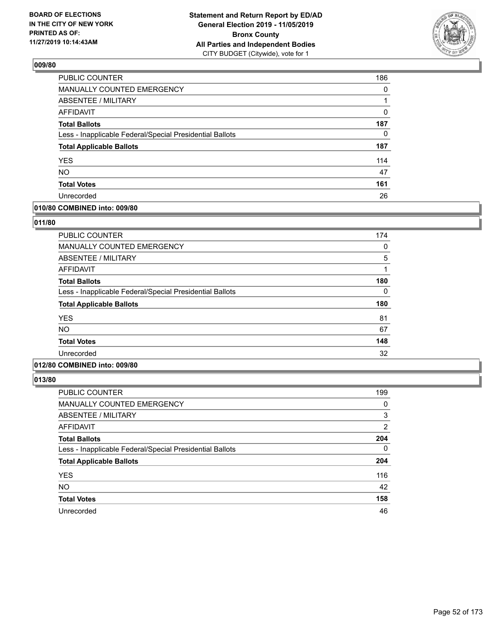

| PUBLIC COUNTER                                           | 186 |
|----------------------------------------------------------|-----|
| MANUALLY COUNTED EMERGENCY                               | 0   |
| ABSENTEE / MILITARY                                      | 1   |
| AFFIDAVIT                                                | 0   |
| <b>Total Ballots</b>                                     | 187 |
| Less - Inapplicable Federal/Special Presidential Ballots | 0   |
| <b>Total Applicable Ballots</b>                          | 187 |
| <b>YES</b>                                               | 114 |
| <b>NO</b>                                                | 47  |
| <b>Total Votes</b>                                       | 161 |
| Unrecorded                                               | 26  |

### **010/80 COMBINED into: 009/80**

### **011/80**

| <b>PUBLIC COUNTER</b>                                    | 174 |
|----------------------------------------------------------|-----|
| <b>MANUALLY COUNTED EMERGENCY</b>                        | 0   |
| <b>ABSENTEE / MILITARY</b>                               | 5   |
| <b>AFFIDAVIT</b>                                         | 1   |
| <b>Total Ballots</b>                                     | 180 |
| Less - Inapplicable Federal/Special Presidential Ballots | 0   |
| <b>Total Applicable Ballots</b>                          | 180 |
| <b>YES</b>                                               | 81  |
| <b>NO</b>                                                | 67  |
| <b>Total Votes</b>                                       | 148 |
| Unrecorded                                               | 32  |
|                                                          |     |

# **012/80 COMBINED into: 009/80**

| <b>PUBLIC COUNTER</b>                                    | 199      |
|----------------------------------------------------------|----------|
| <b>MANUALLY COUNTED EMERGENCY</b>                        | 0        |
| ABSENTEE / MILITARY                                      | 3        |
| AFFIDAVIT                                                | 2        |
| <b>Total Ballots</b>                                     | 204      |
| Less - Inapplicable Federal/Special Presidential Ballots | $\Omega$ |
| <b>Total Applicable Ballots</b>                          | 204      |
| <b>YES</b>                                               | 116      |
| <b>NO</b>                                                | 42       |
| <b>Total Votes</b>                                       | 158      |
| Unrecorded                                               | 46       |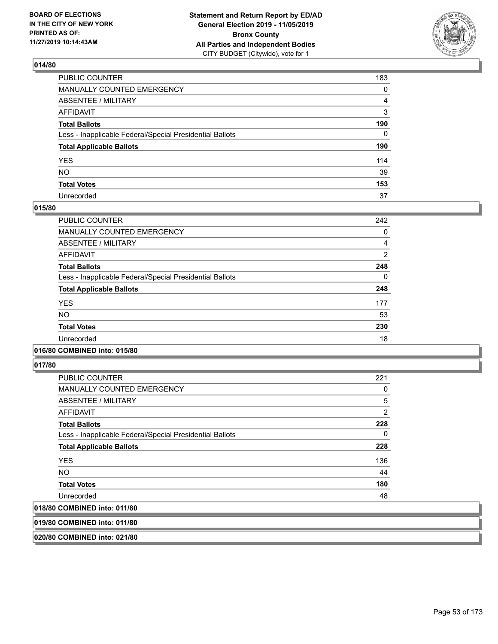

| PUBLIC COUNTER                                           | 183 |
|----------------------------------------------------------|-----|
| MANUALLY COUNTED EMERGENCY                               | 0   |
| ABSENTEE / MILITARY                                      | 4   |
| AFFIDAVIT                                                | 3   |
| Total Ballots                                            | 190 |
| Less - Inapplicable Federal/Special Presidential Ballots | 0   |
| <b>Total Applicable Ballots</b>                          | 190 |
| YES                                                      | 114 |
| NΟ                                                       | 39  |
| <b>Total Votes</b>                                       | 153 |
| Unrecorded                                               | 37  |

### **015/80**

| PUBLIC COUNTER                                           | 242            |
|----------------------------------------------------------|----------------|
| <b>MANUALLY COUNTED EMERGENCY</b>                        | 0              |
| ABSENTEE / MILITARY                                      | 4              |
| <b>AFFIDAVIT</b>                                         | $\overline{2}$ |
| <b>Total Ballots</b>                                     | 248            |
| Less - Inapplicable Federal/Special Presidential Ballots | $\Omega$       |
| <b>Total Applicable Ballots</b>                          | 248            |
| <b>YES</b>                                               | 177            |
| <b>NO</b>                                                | 53             |
| <b>Total Votes</b>                                       | 230            |
| Unrecorded                                               | 18             |
|                                                          |                |

### **016/80 COMBINED into: 015/80**

**017/80** 

| <b>PUBLIC COUNTER</b>                                    | 221 |
|----------------------------------------------------------|-----|
| <b>MANUALLY COUNTED EMERGENCY</b>                        | 0   |
| ABSENTEE / MILITARY                                      | 5   |
| AFFIDAVIT                                                | 2   |
| <b>Total Ballots</b>                                     | 228 |
| Less - Inapplicable Federal/Special Presidential Ballots | 0   |
| <b>Total Applicable Ballots</b>                          | 228 |
| <b>YES</b>                                               | 136 |
| NO.                                                      | 44  |
| <b>Total Votes</b>                                       | 180 |
| Unrecorded                                               | 48  |
| 018/80 COMBINED into: 011/80                             |     |

**019/80 COMBINED into: 011/80**

**020/80 COMBINED into: 021/80**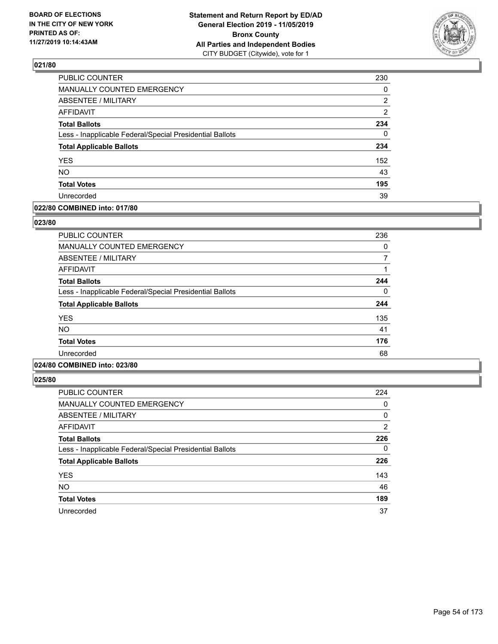

| PUBLIC COUNTER                                           | 230            |
|----------------------------------------------------------|----------------|
| MANUALLY COUNTED EMERGENCY                               | 0              |
| ABSENTEE / MILITARY                                      | 2              |
| <b>AFFIDAVIT</b>                                         | $\overline{2}$ |
| <b>Total Ballots</b>                                     | 234            |
| Less - Inapplicable Federal/Special Presidential Ballots | $\Omega$       |
| <b>Total Applicable Ballots</b>                          | 234            |
| <b>YES</b>                                               | 152            |
| <b>NO</b>                                                | 43             |
| <b>Total Votes</b>                                       | 195            |
| Unrecorded                                               | 39             |

### **022/80 COMBINED into: 017/80**

### **023/80**

| PUBLIC COUNTER                                           | 236 |
|----------------------------------------------------------|-----|
| MANUALLY COUNTED EMERGENCY                               | 0   |
| ABSENTEE / MILITARY                                      |     |
| AFFIDAVIT                                                |     |
| <b>Total Ballots</b>                                     | 244 |
| Less - Inapplicable Federal/Special Presidential Ballots | 0   |
| <b>Total Applicable Ballots</b>                          | 244 |
| <b>YES</b>                                               | 135 |
| NO.                                                      | 41  |
| <b>Total Votes</b>                                       | 176 |
| Unrecorded                                               | 68  |

# **024/80 COMBINED into: 023/80**

| <b>PUBLIC COUNTER</b>                                    | 224      |
|----------------------------------------------------------|----------|
| <b>MANUALLY COUNTED EMERGENCY</b>                        | 0        |
| <b>ABSENTEE / MILITARY</b>                               | 0        |
| AFFIDAVIT                                                | 2        |
| <b>Total Ballots</b>                                     | 226      |
| Less - Inapplicable Federal/Special Presidential Ballots | $\Omega$ |
| <b>Total Applicable Ballots</b>                          | 226      |
| <b>YES</b>                                               | 143      |
| <b>NO</b>                                                | 46       |
| <b>Total Votes</b>                                       | 189      |
| Unrecorded                                               | 37       |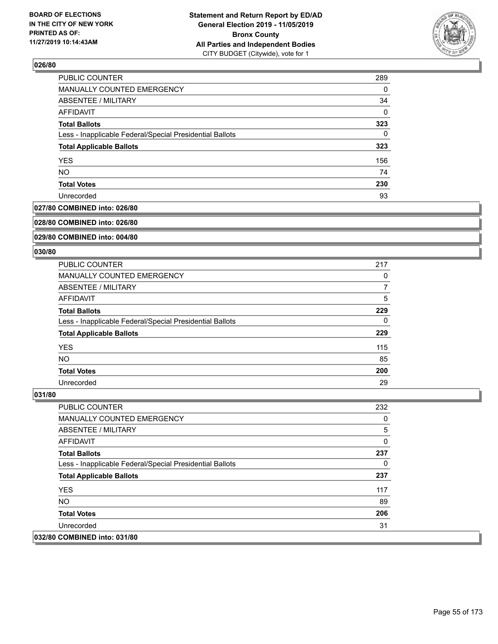

| PUBLIC COUNTER                                           | 289 |
|----------------------------------------------------------|-----|
| MANUALLY COUNTED EMERGENCY                               | 0   |
| ABSENTEE / MILITARY                                      | 34  |
| <b>AFFIDAVIT</b>                                         | 0   |
| <b>Total Ballots</b>                                     | 323 |
| Less - Inapplicable Federal/Special Presidential Ballots | 0   |
| <b>Total Applicable Ballots</b>                          | 323 |
| <b>YES</b>                                               | 156 |
| <b>NO</b>                                                | 74  |
| <b>Total Votes</b>                                       | 230 |
| Unrecorded                                               | 93  |

## **027/80 COMBINED into: 026/80**

#### **028/80 COMBINED into: 026/80**

## **029/80 COMBINED into: 004/80**

#### **030/80**

| <b>PUBLIC COUNTER</b>                                    | 217 |
|----------------------------------------------------------|-----|
| MANUALLY COUNTED EMERGENCY                               | 0   |
| ABSENTEE / MILITARY                                      | 7   |
| AFFIDAVIT                                                | 5   |
| <b>Total Ballots</b>                                     | 229 |
| Less - Inapplicable Federal/Special Presidential Ballots | 0   |
| <b>Total Applicable Ballots</b>                          | 229 |
| <b>YES</b>                                               | 115 |
| <b>NO</b>                                                | 85  |
| <b>Total Votes</b>                                       | 200 |
| Unrecorded                                               | 29  |

| <b>PUBLIC COUNTER</b>                                    | 232 |
|----------------------------------------------------------|-----|
| <b>MANUALLY COUNTED EMERGENCY</b>                        | 0   |
| ABSENTEE / MILITARY                                      | 5   |
| AFFIDAVIT                                                | 0   |
| <b>Total Ballots</b>                                     | 237 |
| Less - Inapplicable Federal/Special Presidential Ballots | 0   |
| <b>Total Applicable Ballots</b>                          | 237 |
| <b>YES</b>                                               | 117 |
| NO.                                                      | 89  |
| <b>Total Votes</b>                                       | 206 |
| Unrecorded                                               | 31  |
| 032/80 COMBINED into: 031/80                             |     |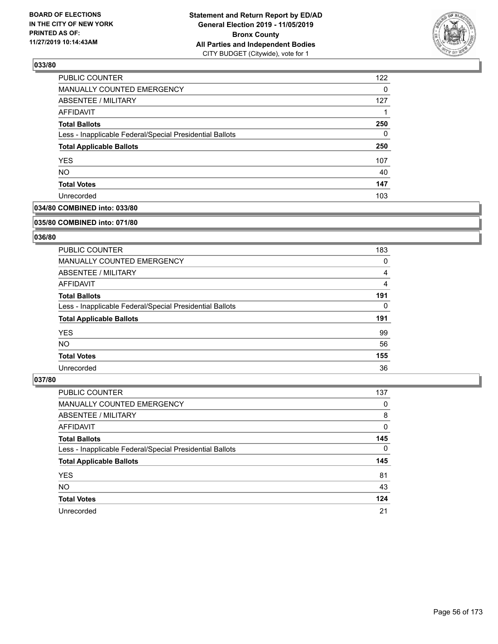

| PUBLIC COUNTER                                           | 122 |
|----------------------------------------------------------|-----|
| MANUALLY COUNTED EMERGENCY                               | 0   |
| ABSENTEE / MILITARY                                      | 127 |
| AFFIDAVIT                                                |     |
| <b>Total Ballots</b>                                     | 250 |
| Less - Inapplicable Federal/Special Presidential Ballots | 0   |
| <b>Total Applicable Ballots</b>                          | 250 |
| <b>YES</b>                                               | 107 |
| <b>NO</b>                                                | 40  |
| <b>Total Votes</b>                                       | 147 |
| Unrecorded                                               | 103 |

## **034/80 COMBINED into: 033/80**

#### **035/80 COMBINED into: 071/80**

## **036/80**

| <b>PUBLIC COUNTER</b>                                    | 183 |
|----------------------------------------------------------|-----|
| <b>MANUALLY COUNTED EMERGENCY</b>                        | 0   |
| ABSENTEE / MILITARY                                      | 4   |
| AFFIDAVIT                                                | 4   |
| <b>Total Ballots</b>                                     | 191 |
| Less - Inapplicable Federal/Special Presidential Ballots | 0   |
| <b>Total Applicable Ballots</b>                          | 191 |
| <b>YES</b>                                               | 99  |
| NO.                                                      | 56  |
| <b>Total Votes</b>                                       | 155 |
| Unrecorded                                               | 36  |

| PUBLIC COUNTER                                           | 137      |
|----------------------------------------------------------|----------|
| MANUALLY COUNTED EMERGENCY                               | 0        |
| ABSENTEE / MILITARY                                      | 8        |
| AFFIDAVIT                                                | 0        |
| <b>Total Ballots</b>                                     | 145      |
| Less - Inapplicable Federal/Special Presidential Ballots | $\Omega$ |
| <b>Total Applicable Ballots</b>                          | 145      |
| <b>YES</b>                                               | 81       |
| <b>NO</b>                                                | 43       |
| <b>Total Votes</b>                                       | 124      |
| Unrecorded                                               | 21       |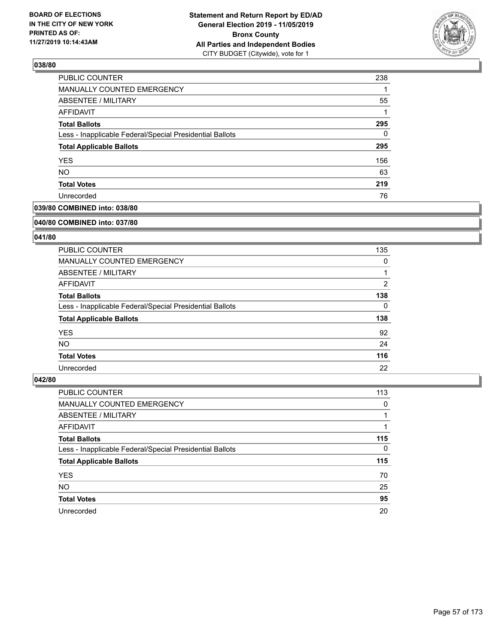

| PUBLIC COUNTER                                           | 238 |
|----------------------------------------------------------|-----|
| MANUALLY COUNTED EMERGENCY                               |     |
| ABSENTEE / MILITARY                                      | 55  |
| <b>AFFIDAVIT</b>                                         |     |
| <b>Total Ballots</b>                                     | 295 |
| Less - Inapplicable Federal/Special Presidential Ballots | 0   |
| <b>Total Applicable Ballots</b>                          | 295 |
| <b>YES</b>                                               | 156 |
| <b>NO</b>                                                | 63  |
| <b>Total Votes</b>                                       | 219 |
| Unrecorded                                               | 76  |

## **039/80 COMBINED into: 038/80**

#### **040/80 COMBINED into: 037/80**

## **041/80**

| <b>PUBLIC COUNTER</b>                                    | 135            |
|----------------------------------------------------------|----------------|
| <b>MANUALLY COUNTED EMERGENCY</b>                        | 0              |
| ABSENTEE / MILITARY                                      |                |
| AFFIDAVIT                                                | $\overline{2}$ |
| <b>Total Ballots</b>                                     | 138            |
| Less - Inapplicable Federal/Special Presidential Ballots | 0              |
| <b>Total Applicable Ballots</b>                          | 138            |
| <b>YES</b>                                               | 92             |
| NO.                                                      | 24             |
| <b>Total Votes</b>                                       | 116            |
| Unrecorded                                               | 22             |

| <b>PUBLIC COUNTER</b>                                    | 113      |
|----------------------------------------------------------|----------|
| MANUALLY COUNTED EMERGENCY                               | 0        |
| ABSENTEE / MILITARY                                      |          |
| AFFIDAVIT                                                |          |
| <b>Total Ballots</b>                                     | 115      |
| Less - Inapplicable Federal/Special Presidential Ballots | $\Omega$ |
| <b>Total Applicable Ballots</b>                          | 115      |
| <b>YES</b>                                               | 70       |
| <b>NO</b>                                                | 25       |
| <b>Total Votes</b>                                       | 95       |
| Unrecorded                                               | 20       |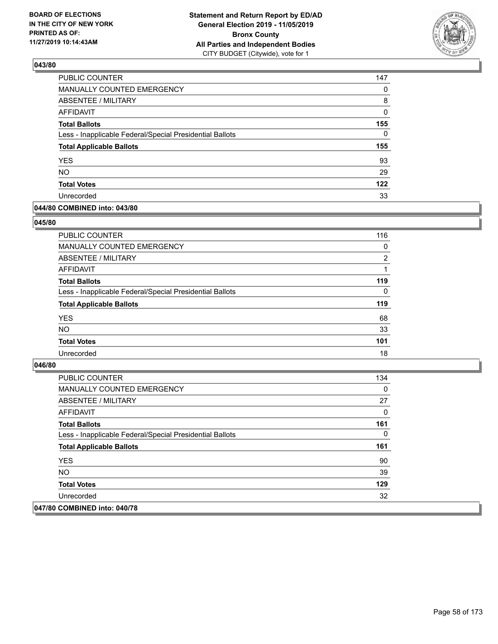

| PUBLIC COUNTER                                           | 147 |
|----------------------------------------------------------|-----|
| MANUALLY COUNTED EMERGENCY                               | 0   |
| ABSENTEE / MILITARY                                      | 8   |
| AFFIDAVIT                                                | 0   |
| <b>Total Ballots</b>                                     | 155 |
| Less - Inapplicable Federal/Special Presidential Ballots | 0   |
| <b>Total Applicable Ballots</b>                          | 155 |
| <b>YES</b>                                               | 93  |
| <b>NO</b>                                                | 29  |
| <b>Total Votes</b>                                       | 122 |
| Unrecorded                                               | 33  |

### **044/80 COMBINED into: 043/80**

### **045/80**

| <b>PUBLIC COUNTER</b>                                    | 116            |
|----------------------------------------------------------|----------------|
| MANUALLY COUNTED EMERGENCY                               | 0              |
| <b>ABSENTEE / MILITARY</b>                               | $\overline{2}$ |
| AFFIDAVIT                                                |                |
| <b>Total Ballots</b>                                     | 119            |
| Less - Inapplicable Federal/Special Presidential Ballots | $\Omega$       |
| <b>Total Applicable Ballots</b>                          | 119            |
| <b>YES</b>                                               | 68             |
| <b>NO</b>                                                | 33             |
| <b>Total Votes</b>                                       | 101            |
| Unrecorded                                               | 18             |
|                                                          |                |

| <b>PUBLIC COUNTER</b>                                    | 134 |
|----------------------------------------------------------|-----|
| <b>MANUALLY COUNTED EMERGENCY</b>                        | 0   |
| ABSENTEE / MILITARY                                      | 27  |
| AFFIDAVIT                                                | 0   |
| <b>Total Ballots</b>                                     | 161 |
| Less - Inapplicable Federal/Special Presidential Ballots | 0   |
| <b>Total Applicable Ballots</b>                          | 161 |
| <b>YES</b>                                               | 90  |
| NO.                                                      | 39  |
| <b>Total Votes</b>                                       | 129 |
| Unrecorded                                               | 32  |
| 047/80 COMBINED into: 040/78                             |     |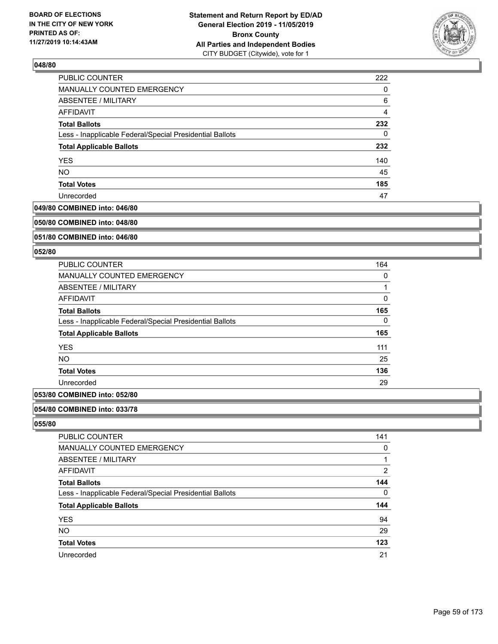

| PUBLIC COUNTER                                           | 222            |
|----------------------------------------------------------|----------------|
| MANUALLY COUNTED EMERGENCY                               | 0              |
| ABSENTEE / MILITARY                                      | 6              |
| AFFIDAVIT                                                | $\overline{4}$ |
| <b>Total Ballots</b>                                     | 232            |
| Less - Inapplicable Federal/Special Presidential Ballots | 0              |
| <b>Total Applicable Ballots</b>                          | 232            |
| <b>YES</b>                                               | 140            |
| <b>NO</b>                                                | 45             |
| <b>Total Votes</b>                                       | 185            |
| Unrecorded                                               | 47             |

### **049/80 COMBINED into: 046/80**

#### **050/80 COMBINED into: 048/80**

### **051/80 COMBINED into: 046/80**

#### **052/80**

| <b>PUBLIC COUNTER</b>                                    | 164 |
|----------------------------------------------------------|-----|
| <b>MANUALLY COUNTED EMERGENCY</b>                        | 0   |
| ABSENTEE / MILITARY                                      |     |
| <b>AFFIDAVIT</b>                                         | 0   |
| <b>Total Ballots</b>                                     | 165 |
| Less - Inapplicable Federal/Special Presidential Ballots | 0   |
| <b>Total Applicable Ballots</b>                          | 165 |
| <b>YES</b>                                               | 111 |
| NO.                                                      | 25  |
| <b>Total Votes</b>                                       | 136 |
| Unrecorded                                               | 29  |

# **053/80 COMBINED into: 052/80**

#### **054/80 COMBINED into: 033/78**

| PUBLIC COUNTER                                           | 141            |
|----------------------------------------------------------|----------------|
| MANUALLY COUNTED EMERGENCY                               | 0              |
| ABSENTEE / MILITARY                                      | 1              |
| AFFIDAVIT                                                | $\overline{2}$ |
| <b>Total Ballots</b>                                     | 144            |
| Less - Inapplicable Federal/Special Presidential Ballots | 0              |
| <b>Total Applicable Ballots</b>                          | 144            |
| <b>YES</b>                                               | 94             |
| <b>NO</b>                                                | 29             |
| <b>Total Votes</b>                                       | 123            |
| Unrecorded                                               | 21             |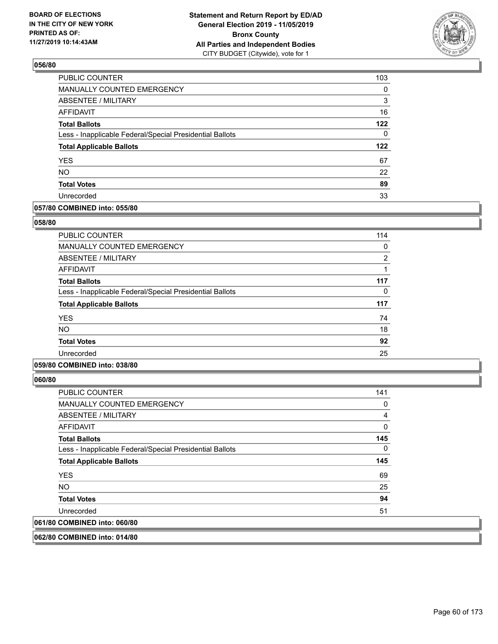

| PUBLIC COUNTER                                           | 103 |
|----------------------------------------------------------|-----|
| MANUALLY COUNTED EMERGENCY                               | 0   |
| ABSENTEE / MILITARY                                      | 3   |
| AFFIDAVIT                                                | 16  |
| <b>Total Ballots</b>                                     | 122 |
| Less - Inapplicable Federal/Special Presidential Ballots | 0   |
| <b>Total Applicable Ballots</b>                          | 122 |
| <b>YES</b>                                               | 67  |
| <b>NO</b>                                                | 22  |
| <b>Total Votes</b>                                       | 89  |
| Unrecorded                                               | 33  |

### **057/80 COMBINED into: 055/80**

### **058/80**

| <b>PUBLIC COUNTER</b>                                    | 114            |
|----------------------------------------------------------|----------------|
| <b>MANUALLY COUNTED EMERGENCY</b>                        | 0              |
| <b>ABSENTEE / MILITARY</b>                               | $\overline{2}$ |
| <b>AFFIDAVIT</b>                                         |                |
| <b>Total Ballots</b>                                     | 117            |
| Less - Inapplicable Federal/Special Presidential Ballots | 0              |
| <b>Total Applicable Ballots</b>                          | 117            |
| <b>YES</b>                                               | 74             |
| <b>NO</b>                                                | 18             |
| <b>Total Votes</b>                                       | 92             |
| Unrecorded                                               | 25             |
|                                                          |                |

## **059/80 COMBINED into: 038/80**

**060/80** 

| <b>PUBLIC COUNTER</b>                                    | 141 |
|----------------------------------------------------------|-----|
| <b>MANUALLY COUNTED EMERGENCY</b>                        | 0   |
| ABSENTEE / MILITARY                                      | 4   |
| AFFIDAVIT                                                | 0   |
| <b>Total Ballots</b>                                     | 145 |
| Less - Inapplicable Federal/Special Presidential Ballots | 0   |
| <b>Total Applicable Ballots</b>                          | 145 |
| <b>YES</b>                                               | 69  |
| NO.                                                      | 25  |
| <b>Total Votes</b>                                       | 94  |
| Unrecorded                                               | 51  |
| 061/80 COMBINED into: 060/80                             |     |
|                                                          |     |

**062/80 COMBINED into: 014/80**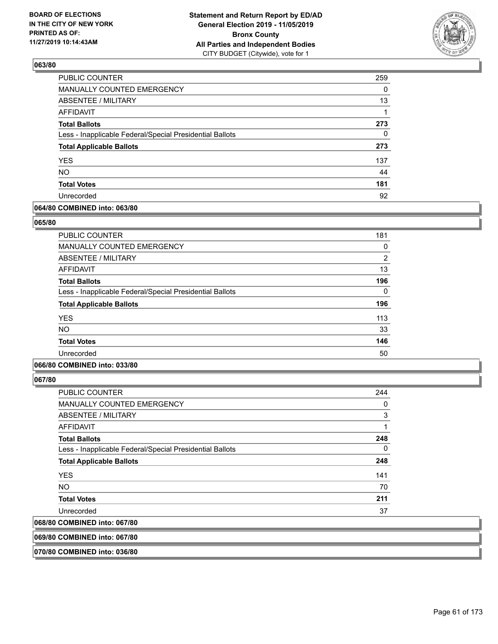

| <b>PUBLIC COUNTER</b>                                    | 259      |
|----------------------------------------------------------|----------|
| MANUALLY COUNTED EMERGENCY                               | $\Omega$ |
| ABSENTEE / MILITARY                                      | 13       |
| AFFIDAVIT                                                |          |
| <b>Total Ballots</b>                                     | 273      |
| Less - Inapplicable Federal/Special Presidential Ballots | 0        |
| <b>Total Applicable Ballots</b>                          | 273      |
| <b>YES</b>                                               | 137      |
| <b>NO</b>                                                | 44       |
| <b>Total Votes</b>                                       | 181      |
| Unrecorded                                               | 92       |

### **064/80 COMBINED into: 063/80**

### **065/80**

| <b>PUBLIC COUNTER</b>                                    | 181            |
|----------------------------------------------------------|----------------|
| MANUALLY COUNTED EMERGENCY                               | 0              |
| ABSENTEE / MILITARY                                      | $\overline{2}$ |
| AFFIDAVIT                                                | 13             |
| <b>Total Ballots</b>                                     | 196            |
| Less - Inapplicable Federal/Special Presidential Ballots | 0              |
| <b>Total Applicable Ballots</b>                          | 196            |
| <b>YES</b>                                               | 113            |
| <b>NO</b>                                                | 33             |
| <b>Total Votes</b>                                       | 146            |
| Unrecorded                                               | 50             |

## **066/80 COMBINED into: 033/80**

**067/80** 

| $\ldots$                                                 |     |
|----------------------------------------------------------|-----|
| 068/80 COMBINED into: 067/80                             |     |
| Unrecorded                                               | 37  |
| <b>Total Votes</b>                                       | 211 |
| <b>NO</b>                                                | 70  |
| <b>YES</b>                                               | 141 |
| <b>Total Applicable Ballots</b>                          | 248 |
| Less - Inapplicable Federal/Special Presidential Ballots | 0   |
| <b>Total Ballots</b>                                     | 248 |
| AFFIDAVIT                                                | 1   |
| ABSENTEE / MILITARY                                      | 3   |
| MANUALLY COUNTED EMERGENCY                               | 0   |
| <b>PUBLIC COUNTER</b>                                    | 244 |

**069/80 COMBINED into: 067/80**

**070/80 COMBINED into: 036/80**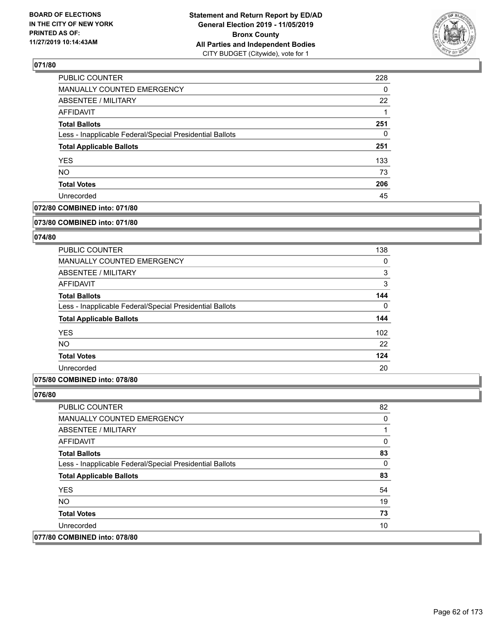

| PUBLIC COUNTER                                           | 228 |
|----------------------------------------------------------|-----|
| <b>MANUALLY COUNTED EMERGENCY</b>                        | 0   |
| <b>ABSENTEE / MILITARY</b>                               | 22  |
| <b>AFFIDAVIT</b>                                         |     |
| <b>Total Ballots</b>                                     | 251 |
| Less - Inapplicable Federal/Special Presidential Ballots | 0   |
| <b>Total Applicable Ballots</b>                          | 251 |
| <b>YES</b>                                               | 133 |
| <b>NO</b>                                                | 73  |
| <b>Total Votes</b>                                       | 206 |
| Unrecorded                                               | 45  |

## **072/80 COMBINED into: 071/80**

#### **073/80 COMBINED into: 071/80**

## **074/80**

| <b>PUBLIC COUNTER</b>                                    | 138      |
|----------------------------------------------------------|----------|
| MANUALLY COUNTED EMERGENCY                               | 0        |
| ABSENTEE / MILITARY                                      | 3        |
| AFFIDAVIT                                                | 3        |
| <b>Total Ballots</b>                                     | 144      |
| Less - Inapplicable Federal/Special Presidential Ballots | $\Omega$ |
| <b>Total Applicable Ballots</b>                          | 144      |
| <b>YES</b>                                               | 102      |
| <b>NO</b>                                                | 22       |
| <b>Total Votes</b>                                       | 124      |
| Unrecorded                                               | 20       |

## **075/80 COMBINED into: 078/80**

| PUBLIC COUNTER                                           | 82 |
|----------------------------------------------------------|----|
| MANUALLY COUNTED EMERGENCY                               | 0  |
| ABSENTEE / MILITARY                                      |    |
| AFFIDAVIT                                                | 0  |
| <b>Total Ballots</b>                                     | 83 |
| Less - Inapplicable Federal/Special Presidential Ballots | 0  |
| <b>Total Applicable Ballots</b>                          | 83 |
| <b>YES</b>                                               | 54 |
| NO.                                                      | 19 |
| <b>Total Votes</b>                                       | 73 |
| Unrecorded                                               | 10 |
| 077/80 COMBINED into: 078/80                             |    |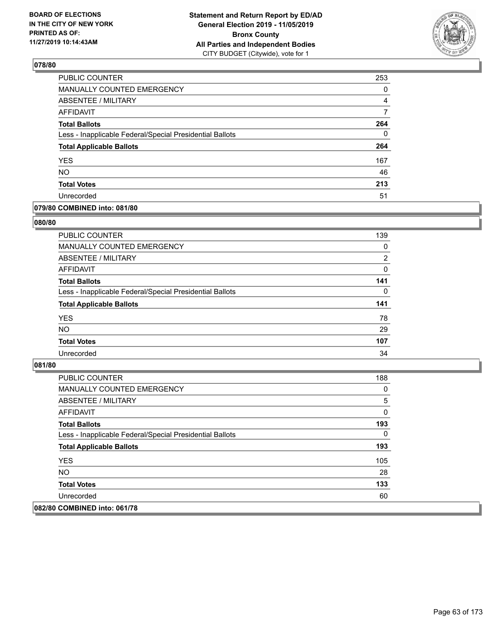

| PUBLIC COUNTER                                           | 253 |
|----------------------------------------------------------|-----|
| MANUALLY COUNTED EMERGENCY                               | 0   |
| ABSENTEE / MILITARY                                      | 4   |
| AFFIDAVIT                                                | 7   |
| <b>Total Ballots</b>                                     | 264 |
| Less - Inapplicable Federal/Special Presidential Ballots | 0   |
| <b>Total Applicable Ballots</b>                          | 264 |
| <b>YES</b>                                               | 167 |
| <b>NO</b>                                                | 46  |
| <b>Total Votes</b>                                       | 213 |
| Unrecorded                                               | 51  |

## **079/80 COMBINED into: 081/80**

### **080/80**

| <b>PUBLIC COUNTER</b>                                    | 139            |
|----------------------------------------------------------|----------------|
| <b>MANUALLY COUNTED EMERGENCY</b>                        | $\Omega$       |
| ABSENTEE / MILITARY                                      | $\overline{2}$ |
| AFFIDAVIT                                                | $\Omega$       |
| <b>Total Ballots</b>                                     | 141            |
| Less - Inapplicable Federal/Special Presidential Ballots | 0              |
| <b>Total Applicable Ballots</b>                          | 141            |
| <b>YES</b>                                               | 78             |
| <b>NO</b>                                                | 29             |
| <b>Total Votes</b>                                       | 107            |
| Unrecorded                                               | 34             |
|                                                          |                |

| PUBLIC COUNTER                                           | 188 |
|----------------------------------------------------------|-----|
| MANUALLY COUNTED EMERGENCY                               | 0   |
| ABSENTEE / MILITARY                                      | 5   |
| AFFIDAVIT                                                | 0   |
| <b>Total Ballots</b>                                     | 193 |
| Less - Inapplicable Federal/Special Presidential Ballots | 0   |
| <b>Total Applicable Ballots</b>                          | 193 |
| <b>YES</b>                                               | 105 |
| NO.                                                      | 28  |
| <b>Total Votes</b>                                       | 133 |
| Unrecorded                                               | 60  |
| 082/80 COMBINED into: 061/78                             |     |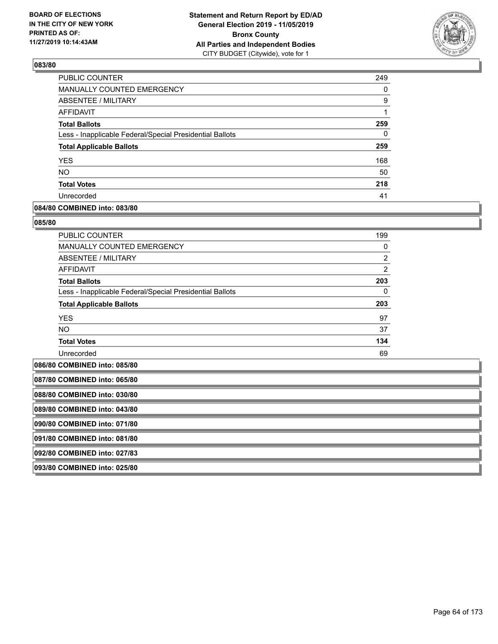

| <b>PUBLIC COUNTER</b>                                    | 249 |
|----------------------------------------------------------|-----|
| <b>MANUALLY COUNTED EMERGENCY</b>                        | 0   |
| <b>ABSENTEE / MILITARY</b>                               | 9   |
| AFFIDAVIT                                                |     |
| <b>Total Ballots</b>                                     | 259 |
| Less - Inapplicable Federal/Special Presidential Ballots | 0   |
| <b>Total Applicable Ballots</b>                          | 259 |
| <b>YES</b>                                               | 168 |
| <b>NO</b>                                                | 50  |
| <b>Total Votes</b>                                       | 218 |
| Unrecorded                                               | 41  |

### **084/80 COMBINED into: 083/80**

#### **085/80**

| <b>PUBLIC COUNTER</b>                                    | 199            |
|----------------------------------------------------------|----------------|
| <b>MANUALLY COUNTED EMERGENCY</b>                        | $\Omega$       |
| ABSENTEE / MILITARY                                      | $\overline{2}$ |
| <b>AFFIDAVIT</b>                                         | $\overline{2}$ |
| <b>Total Ballots</b>                                     | 203            |
| Less - Inapplicable Federal/Special Presidential Ballots | 0              |
| <b>Total Applicable Ballots</b>                          | 203            |
| <b>YES</b>                                               | 97             |
| <b>NO</b>                                                | 37             |
| <b>Total Votes</b>                                       | 134            |
| Unrecorded                                               | 69             |

**086/80 COMBINED into: 085/80**

| 087/80 COMBINED into: 065/80 |
|------------------------------|
| 088/80 COMBINED into: 030/80 |
| 089/80 COMBINED into: 043/80 |
| 090/80 COMBINED into: 071/80 |
| 091/80 COMBINED into: 081/80 |
| 092/80 COMBINED into: 027/83 |
| 093/80 COMBINED into: 025/80 |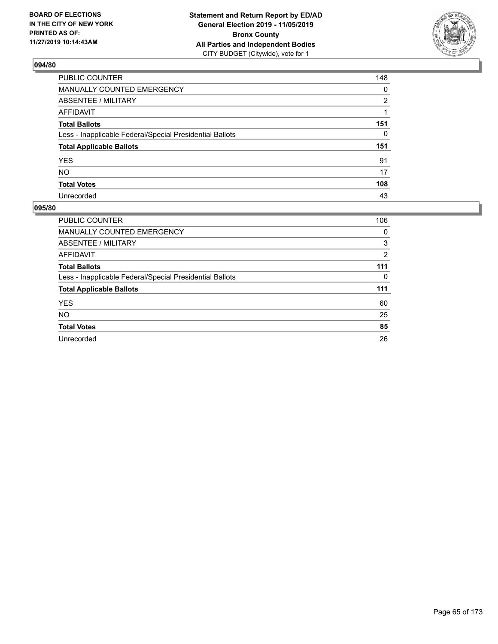

| PUBLIC COUNTER                                           | 148 |
|----------------------------------------------------------|-----|
| MANUALLY COUNTED EMERGENCY                               | 0   |
| <b>ABSENTEE / MILITARY</b>                               | 2   |
| AFFIDAVIT                                                |     |
| <b>Total Ballots</b>                                     | 151 |
| Less - Inapplicable Federal/Special Presidential Ballots | 0   |
| <b>Total Applicable Ballots</b>                          | 151 |
| <b>YES</b>                                               | 91  |
| NO.                                                      | 17  |
| <b>Total Votes</b>                                       | 108 |
| Unrecorded                                               | 43  |

| PUBLIC COUNTER                                           | 106 |
|----------------------------------------------------------|-----|
| <b>MANUALLY COUNTED EMERGENCY</b>                        | 0   |
| ABSENTEE / MILITARY                                      | 3   |
| <b>AFFIDAVIT</b>                                         | 2   |
| <b>Total Ballots</b>                                     | 111 |
| Less - Inapplicable Federal/Special Presidential Ballots | 0   |
| <b>Total Applicable Ballots</b>                          | 111 |
| <b>YES</b>                                               | 60  |
| <b>NO</b>                                                | 25  |
| <b>Total Votes</b>                                       | 85  |
| Unrecorded                                               | 26  |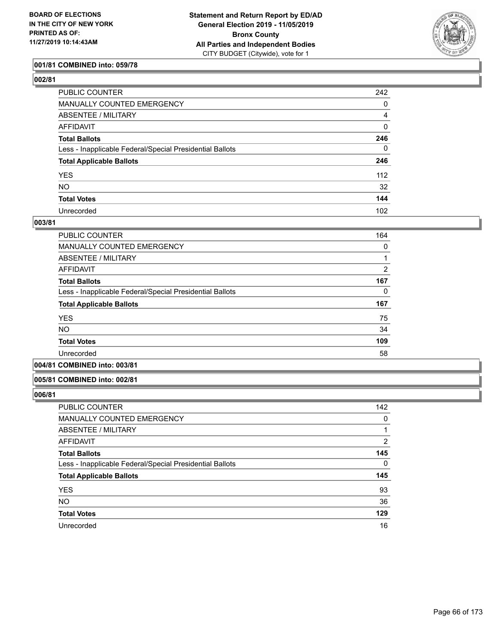

## **001/81 COMBINED into: 059/78**

| PUBLIC COUNTER                                           | 242              |
|----------------------------------------------------------|------------------|
| MANUALLY COUNTED EMERGENCY                               | 0                |
| ABSENTEE / MILITARY                                      | 4                |
| AFFIDAVIT                                                | $\mathbf 0$      |
| Total Ballots                                            | 246              |
| Less - Inapplicable Federal/Special Presidential Ballots | $\Omega$         |
| <b>Total Applicable Ballots</b>                          | 246              |
| YES                                                      | 112              |
| NO.                                                      | 32               |
| <b>Total Votes</b>                                       | 144              |
| Unrecorded                                               | 102 <sub>2</sub> |

#### **003/81**

| PUBLIC COUNTER                                           | 164            |
|----------------------------------------------------------|----------------|
| <b>MANUALLY COUNTED EMERGENCY</b>                        | 0              |
| ABSENTEE / MILITARY                                      |                |
| AFFIDAVIT                                                | $\overline{2}$ |
| <b>Total Ballots</b>                                     | 167            |
| Less - Inapplicable Federal/Special Presidential Ballots | 0              |
| <b>Total Applicable Ballots</b>                          | 167            |
| <b>YES</b>                                               | 75             |
| <b>NO</b>                                                | 34             |
| <b>Total Votes</b>                                       | 109            |
| Unrecorded                                               | 58             |
|                                                          |                |

# **004/81 COMBINED into: 003/81**

#### **005/81 COMBINED into: 002/81**

| PUBLIC COUNTER                                           | 142 |
|----------------------------------------------------------|-----|
| <b>MANUALLY COUNTED EMERGENCY</b>                        | 0   |
| ABSENTEE / MILITARY                                      |     |
| AFFIDAVIT                                                | 2   |
| <b>Total Ballots</b>                                     | 145 |
| Less - Inapplicable Federal/Special Presidential Ballots | 0   |
| <b>Total Applicable Ballots</b>                          | 145 |
| <b>YES</b>                                               | 93  |
| <b>NO</b>                                                | 36  |
| <b>Total Votes</b>                                       | 129 |
| Unrecorded                                               | 16  |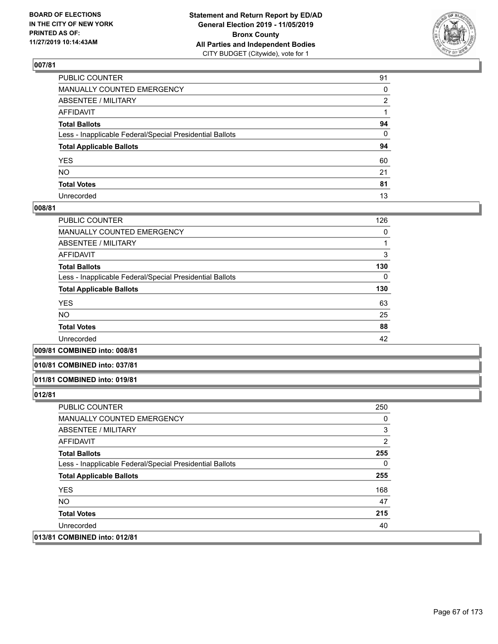

| PUBLIC COUNTER                                           | 91 |
|----------------------------------------------------------|----|
| MANUALLY COUNTED EMERGENCY                               | 0  |
| ABSENTEE / MILITARY                                      | 2  |
| AFFIDAVIT                                                |    |
| Total Ballots                                            | 94 |
| Less - Inapplicable Federal/Special Presidential Ballots | 0  |
| <b>Total Applicable Ballots</b>                          | 94 |
| YES                                                      | 60 |
| NO.                                                      | 21 |
| <b>Total Votes</b>                                       | 81 |
| Unrecorded                                               | 13 |

### **008/81**

| PUBLIC COUNTER                                           | 126 |
|----------------------------------------------------------|-----|
| <b>MANUALLY COUNTED EMERGENCY</b>                        | 0   |
| ABSENTEE / MILITARY                                      |     |
| <b>AFFIDAVIT</b>                                         | 3   |
| <b>Total Ballots</b>                                     | 130 |
| Less - Inapplicable Federal/Special Presidential Ballots | 0   |
| <b>Total Applicable Ballots</b>                          | 130 |
| <b>YES</b>                                               | 63  |
| <b>NO</b>                                                | 25  |
| <b>Total Votes</b>                                       | 88  |
| Unrecorded                                               | 42  |
|                                                          |     |

### **009/81 COMBINED into: 008/81**

#### **010/81 COMBINED into: 037/81**

#### **011/81 COMBINED into: 019/81**

| <b>PUBLIC COUNTER</b>                                    | 250 |
|----------------------------------------------------------|-----|
| MANUALLY COUNTED EMERGENCY                               | 0   |
| ABSENTEE / MILITARY                                      | 3   |
| AFFIDAVIT                                                | 2   |
| <b>Total Ballots</b>                                     | 255 |
| Less - Inapplicable Federal/Special Presidential Ballots | 0   |
| <b>Total Applicable Ballots</b>                          | 255 |
| <b>YES</b>                                               | 168 |
| NO.                                                      | 47  |
| <b>Total Votes</b>                                       | 215 |
| Unrecorded                                               | 40  |
| 013/81 COMBINED into: 012/81                             |     |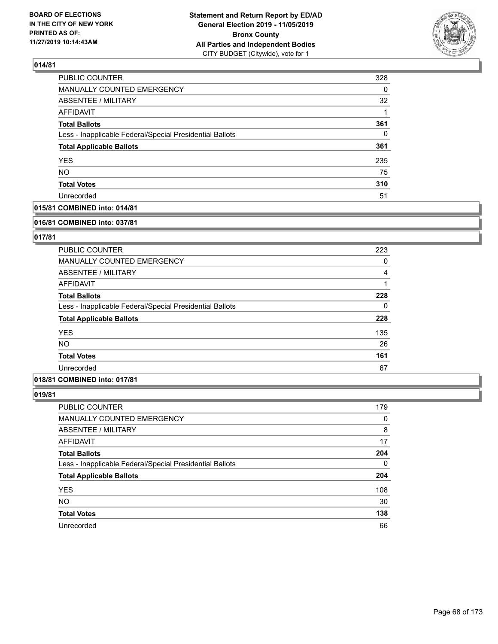

| PUBLIC COUNTER                                           | 328 |
|----------------------------------------------------------|-----|
| <b>MANUALLY COUNTED EMERGENCY</b>                        | 0   |
| ABSENTEE / MILITARY                                      | 32  |
| <b>AFFIDAVIT</b>                                         |     |
| <b>Total Ballots</b>                                     | 361 |
| Less - Inapplicable Federal/Special Presidential Ballots | 0   |
| <b>Total Applicable Ballots</b>                          | 361 |
| <b>YES</b>                                               | 235 |
| <b>NO</b>                                                | 75  |
| <b>Total Votes</b>                                       | 310 |
| Unrecorded                                               | 51  |

## **015/81 COMBINED into: 014/81**

#### **016/81 COMBINED into: 037/81**

## **017/81**

| <b>PUBLIC COUNTER</b>                                    | 223 |
|----------------------------------------------------------|-----|
| <b>MANUALLY COUNTED EMERGENCY</b>                        | 0   |
| ABSENTEE / MILITARY                                      | 4   |
| AFFIDAVIT                                                |     |
| <b>Total Ballots</b>                                     | 228 |
| Less - Inapplicable Federal/Special Presidential Ballots | 0   |
| <b>Total Applicable Ballots</b>                          | 228 |
| <b>YES</b>                                               | 135 |
| NO.                                                      | 26  |
| <b>Total Votes</b>                                       | 161 |
| Unrecorded                                               | 67  |

# **018/81 COMBINED into: 017/81**

| PUBLIC COUNTER                                           | 179      |
|----------------------------------------------------------|----------|
| MANUALLY COUNTED EMERGENCY                               | 0        |
| ABSENTEE / MILITARY                                      | 8        |
| AFFIDAVIT                                                | 17       |
| <b>Total Ballots</b>                                     | 204      |
| Less - Inapplicable Federal/Special Presidential Ballots | $\Omega$ |
| <b>Total Applicable Ballots</b>                          | 204      |
| <b>YES</b>                                               | 108      |
| <b>NO</b>                                                | 30       |
| <b>Total Votes</b>                                       | 138      |
| Unrecorded                                               | 66       |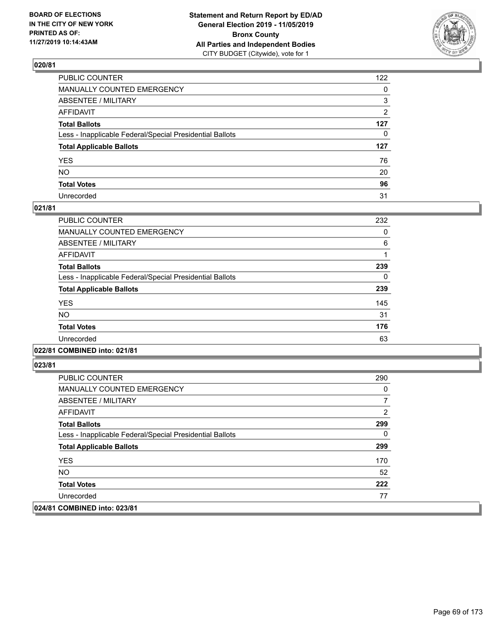

| PUBLIC COUNTER                                           | 122            |
|----------------------------------------------------------|----------------|
| MANUALLY COUNTED EMERGENCY                               | $\mathbf{0}$   |
| ABSENTEE / MILITARY                                      | 3              |
| AFFIDAVIT                                                | $\overline{2}$ |
| Total Ballots                                            | 127            |
| Less - Inapplicable Federal/Special Presidential Ballots | $\mathbf{0}$   |
| <b>Total Applicable Ballots</b>                          | 127            |
| YES                                                      | 76             |
| NO.                                                      | 20             |
| <b>Total Votes</b>                                       | 96             |
| Unrecorded                                               | 31             |

### **021/81**

| PUBLIC COUNTER                                           | 232 |
|----------------------------------------------------------|-----|
| <b>MANUALLY COUNTED EMERGENCY</b>                        | 0   |
| ABSENTEE / MILITARY                                      | 6   |
| <b>AFFIDAVIT</b>                                         |     |
| <b>Total Ballots</b>                                     | 239 |
| Less - Inapplicable Federal/Special Presidential Ballots | 0   |
| <b>Total Applicable Ballots</b>                          | 239 |
| <b>YES</b>                                               | 145 |
| <b>NO</b>                                                | 31  |
| <b>Total Votes</b>                                       | 176 |
| Unrecorded                                               | 63  |
|                                                          |     |

## **022/81 COMBINED into: 021/81**

| <b>PUBLIC COUNTER</b>                                    | 290 |
|----------------------------------------------------------|-----|
| <b>MANUALLY COUNTED EMERGENCY</b>                        | 0   |
| ABSENTEE / MILITARY                                      |     |
| AFFIDAVIT                                                | 2   |
| <b>Total Ballots</b>                                     | 299 |
| Less - Inapplicable Federal/Special Presidential Ballots | 0   |
| <b>Total Applicable Ballots</b>                          | 299 |
| <b>YES</b>                                               | 170 |
| NO.                                                      | 52  |
| <b>Total Votes</b>                                       | 222 |
| Unrecorded                                               | 77  |
| 024/81 COMBINED into: 023/81                             |     |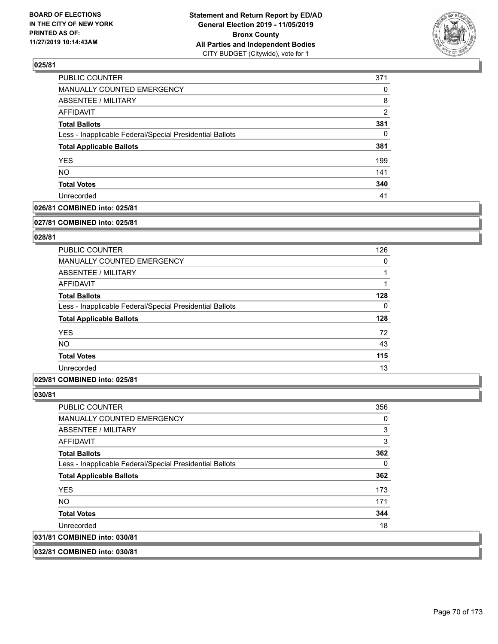

| PUBLIC COUNTER                                           | 371            |
|----------------------------------------------------------|----------------|
| <b>MANUALLY COUNTED EMERGENCY</b>                        | $\Omega$       |
| ABSENTEE / MILITARY                                      | 8              |
| AFFIDAVIT                                                | $\overline{2}$ |
| <b>Total Ballots</b>                                     | 381            |
| Less - Inapplicable Federal/Special Presidential Ballots | $\Omega$       |
| <b>Total Applicable Ballots</b>                          | 381            |
| <b>YES</b>                                               | 199            |
| <b>NO</b>                                                | 141            |
| <b>Total Votes</b>                                       | 340            |
| Unrecorded                                               | 41             |

## **026/81 COMBINED into: 025/81**

#### **027/81 COMBINED into: 025/81**

## **028/81**

| <b>PUBLIC COUNTER</b>                                    | 126      |
|----------------------------------------------------------|----------|
| <b>MANUALLY COUNTED EMERGENCY</b>                        | 0        |
| ABSENTEE / MILITARY                                      |          |
| AFFIDAVIT                                                |          |
| <b>Total Ballots</b>                                     | 128      |
| Less - Inapplicable Federal/Special Presidential Ballots | $\Omega$ |
| <b>Total Applicable Ballots</b>                          | 128      |
| <b>YES</b>                                               | 72       |
| <b>NO</b>                                                | 43       |
| <b>Total Votes</b>                                       | 115      |
| Unrecorded                                               | 13       |

### **029/81 COMBINED into: 025/81**

## **030/81**

| 031/81 COMBINED into: 030/81                             |     |
|----------------------------------------------------------|-----|
| Unrecorded                                               | 18  |
| <b>Total Votes</b>                                       | 344 |
| NO.                                                      | 171 |
| <b>YES</b>                                               | 173 |
| <b>Total Applicable Ballots</b>                          | 362 |
| Less - Inapplicable Federal/Special Presidential Ballots | 0   |
| <b>Total Ballots</b>                                     | 362 |
| AFFIDAVIT                                                | 3   |
| ABSENTEE / MILITARY                                      | 3   |
| <b>MANUALLY COUNTED EMERGENCY</b>                        | 0   |
| <b>PUBLIC COUNTER</b>                                    | 356 |

## **032/81 COMBINED into: 030/81**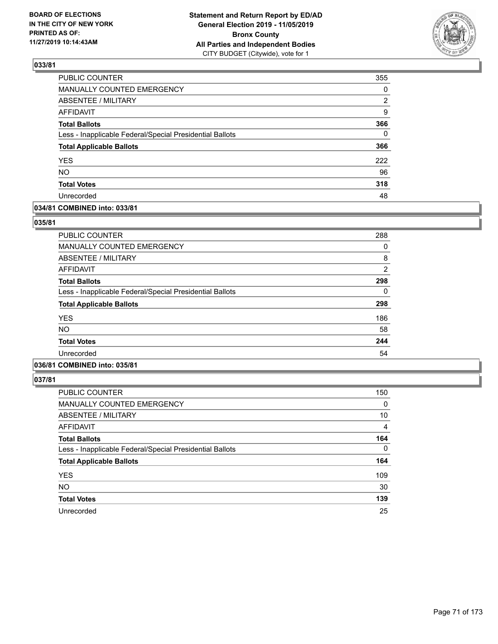

| PUBLIC COUNTER                                           | 355      |
|----------------------------------------------------------|----------|
| <b>MANUALLY COUNTED EMERGENCY</b>                        | 0        |
| <b>ABSENTEE / MILITARY</b>                               | 2        |
| <b>AFFIDAVIT</b>                                         | 9        |
| <b>Total Ballots</b>                                     | 366      |
| Less - Inapplicable Federal/Special Presidential Ballots | $\Omega$ |
| <b>Total Applicable Ballots</b>                          | 366      |
| <b>YES</b>                                               | 222      |
| <b>NO</b>                                                | 96       |
| <b>Total Votes</b>                                       | 318      |
| Unrecorded                                               | 48       |

### **034/81 COMBINED into: 033/81**

### **035/81**

| <b>PUBLIC COUNTER</b>                                    | 288            |
|----------------------------------------------------------|----------------|
| <b>MANUALLY COUNTED EMERGENCY</b>                        | 0              |
| ABSENTEE / MILITARY                                      | 8              |
| <b>AFFIDAVIT</b>                                         | $\overline{2}$ |
| <b>Total Ballots</b>                                     | 298            |
| Less - Inapplicable Federal/Special Presidential Ballots | 0              |
| <b>Total Applicable Ballots</b>                          | 298            |
| <b>YES</b>                                               | 186            |
| <b>NO</b>                                                | 58             |
| <b>Total Votes</b>                                       | 244            |
| Unrecorded                                               | 54             |
|                                                          |                |

# **036/81 COMBINED into: 035/81**

| PUBLIC COUNTER                                           | 150      |
|----------------------------------------------------------|----------|
| MANUALLY COUNTED EMERGENCY                               | 0        |
| ABSENTEE / MILITARY                                      | 10       |
| AFFIDAVIT                                                | 4        |
| <b>Total Ballots</b>                                     | 164      |
| Less - Inapplicable Federal/Special Presidential Ballots | $\Omega$ |
| <b>Total Applicable Ballots</b>                          | 164      |
| <b>YES</b>                                               | 109      |
| <b>NO</b>                                                | 30       |
| <b>Total Votes</b>                                       | 139      |
| Unrecorded                                               | 25       |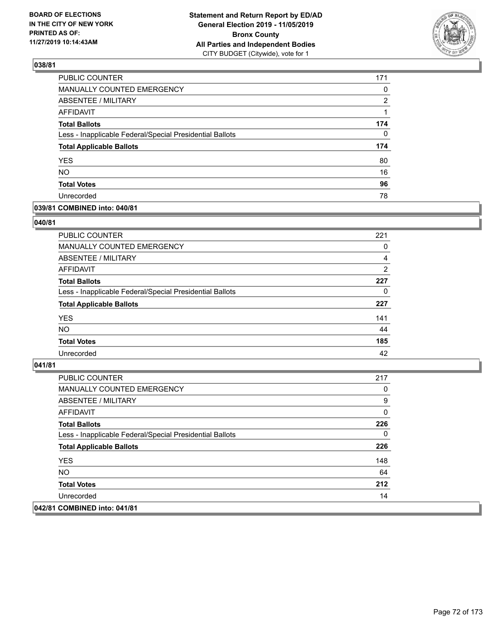

| <b>PUBLIC COUNTER</b>                                    | 171 |
|----------------------------------------------------------|-----|
| MANUALLY COUNTED EMERGENCY                               | 0   |
| <b>ABSENTEE / MILITARY</b>                               | 2   |
| <b>AFFIDAVIT</b>                                         |     |
| <b>Total Ballots</b>                                     | 174 |
| Less - Inapplicable Federal/Special Presidential Ballots | 0   |
| <b>Total Applicable Ballots</b>                          | 174 |
| <b>YES</b>                                               | 80  |
| <b>NO</b>                                                | 16  |
| <b>Total Votes</b>                                       | 96  |
| Unrecorded                                               | 78  |

### **039/81 COMBINED into: 040/81**

### **040/81**

| PUBLIC COUNTER                                           | 221            |
|----------------------------------------------------------|----------------|
| <b>MANUALLY COUNTED EMERGENCY</b>                        | $\Omega$       |
| ABSENTEE / MILITARY                                      | 4              |
| AFFIDAVIT                                                | $\overline{2}$ |
| <b>Total Ballots</b>                                     | 227            |
| Less - Inapplicable Federal/Special Presidential Ballots | $\Omega$       |
| <b>Total Applicable Ballots</b>                          | 227            |
| <b>YES</b>                                               | 141            |
| <b>NO</b>                                                | 44             |
| <b>Total Votes</b>                                       | 185            |
| Unrecorded                                               | 42             |

| PUBLIC COUNTER                                           | 217 |
|----------------------------------------------------------|-----|
| <b>MANUALLY COUNTED EMERGENCY</b>                        | 0   |
| <b>ABSENTEE / MILITARY</b>                               | 9   |
| AFFIDAVIT                                                | 0   |
| <b>Total Ballots</b>                                     | 226 |
| Less - Inapplicable Federal/Special Presidential Ballots | 0   |
| <b>Total Applicable Ballots</b>                          | 226 |
| <b>YES</b>                                               | 148 |
| NO.                                                      | 64  |
| <b>Total Votes</b>                                       | 212 |
| Unrecorded                                               | 14  |
| 042/81 COMBINED into: 041/81                             |     |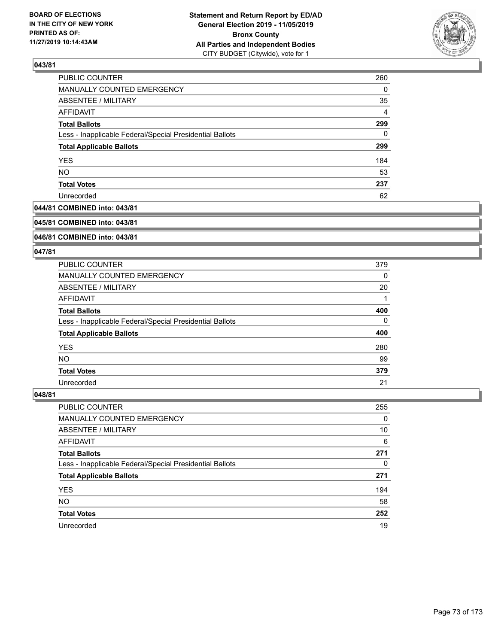

| PUBLIC COUNTER                                           | 260      |
|----------------------------------------------------------|----------|
| <b>MANUALLY COUNTED EMERGENCY</b>                        | $\Omega$ |
| ABSENTEE / MILITARY                                      | 35       |
| AFFIDAVIT                                                | 4        |
| <b>Total Ballots</b>                                     | 299      |
| Less - Inapplicable Federal/Special Presidential Ballots | $\Omega$ |
| <b>Total Applicable Ballots</b>                          | 299      |
| <b>YES</b>                                               | 184      |
| <b>NO</b>                                                | 53       |
| <b>Total Votes</b>                                       | 237      |
| Unrecorded                                               | 62       |

### **044/81 COMBINED into: 043/81**

#### **045/81 COMBINED into: 043/81**

## **046/81 COMBINED into: 043/81**

### **047/81**

| <b>PUBLIC COUNTER</b>                                    | 379 |
|----------------------------------------------------------|-----|
| <b>MANUALLY COUNTED EMERGENCY</b>                        | 0   |
| ABSENTEE / MILITARY                                      | 20  |
| AFFIDAVIT                                                |     |
| <b>Total Ballots</b>                                     | 400 |
| Less - Inapplicable Federal/Special Presidential Ballots | 0   |
| <b>Total Applicable Ballots</b>                          | 400 |
| <b>YES</b>                                               | 280 |
| NO.                                                      | 99  |
| <b>Total Votes</b>                                       | 379 |
| Unrecorded                                               | 21  |

| <b>PUBLIC COUNTER</b>                                    | 255      |
|----------------------------------------------------------|----------|
| MANUALLY COUNTED EMERGENCY                               | $\Omega$ |
| ABSENTEE / MILITARY                                      | 10       |
| AFFIDAVIT                                                | 6        |
| <b>Total Ballots</b>                                     | 271      |
| Less - Inapplicable Federal/Special Presidential Ballots | 0        |
| <b>Total Applicable Ballots</b>                          | 271      |
| <b>YES</b>                                               | 194      |
| <b>NO</b>                                                | 58       |
| <b>Total Votes</b>                                       | 252      |
| Unrecorded                                               | 19       |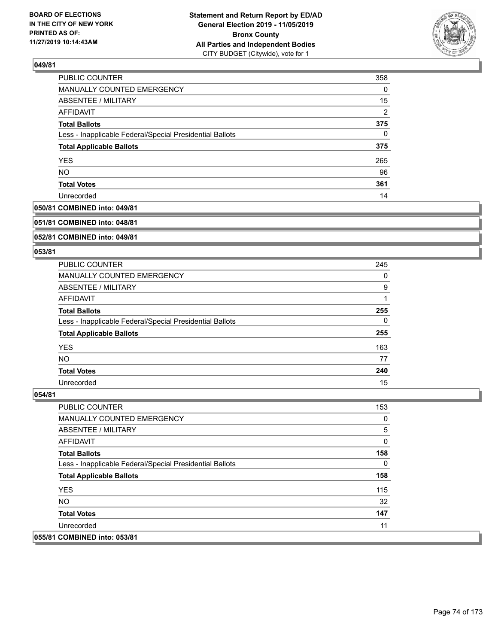

| PUBLIC COUNTER                                           | 358            |
|----------------------------------------------------------|----------------|
| MANUALLY COUNTED EMERGENCY                               | 0              |
| <b>ABSENTEE / MILITARY</b>                               | 15             |
| AFFIDAVIT                                                | $\overline{2}$ |
| <b>Total Ballots</b>                                     | 375            |
| Less - Inapplicable Federal/Special Presidential Ballots | $\Omega$       |
| <b>Total Applicable Ballots</b>                          | 375            |
| <b>YES</b>                                               | 265            |
| <b>NO</b>                                                | 96             |
| <b>Total Votes</b>                                       | 361            |
| Unrecorded                                               | 14             |

## **050/81 COMBINED into: 049/81**

#### **051/81 COMBINED into: 048/81**

## **052/81 COMBINED into: 049/81**

### **053/81**

| <b>PUBLIC COUNTER</b>                                    | 245 |
|----------------------------------------------------------|-----|
| MANUALLY COUNTED EMERGENCY                               | 0   |
| ABSENTEE / MILITARY                                      | 9   |
| AFFIDAVIT                                                |     |
| <b>Total Ballots</b>                                     | 255 |
| Less - Inapplicable Federal/Special Presidential Ballots | 0   |
| <b>Total Applicable Ballots</b>                          | 255 |
| <b>YES</b>                                               | 163 |
| NO.                                                      | 77  |
| <b>Total Votes</b>                                       | 240 |
| Unrecorded                                               | 15  |

| <b>PUBLIC COUNTER</b>                                    | 153 |
|----------------------------------------------------------|-----|
| MANUALLY COUNTED EMERGENCY                               | 0   |
| ABSENTEE / MILITARY                                      | 5   |
| AFFIDAVIT                                                | 0   |
| <b>Total Ballots</b>                                     | 158 |
| Less - Inapplicable Federal/Special Presidential Ballots | 0   |
| <b>Total Applicable Ballots</b>                          | 158 |
| <b>YES</b>                                               | 115 |
| NO.                                                      | 32  |
| <b>Total Votes</b>                                       | 147 |
| Unrecorded                                               | 11  |
| 055/81 COMBINED into: 053/81                             |     |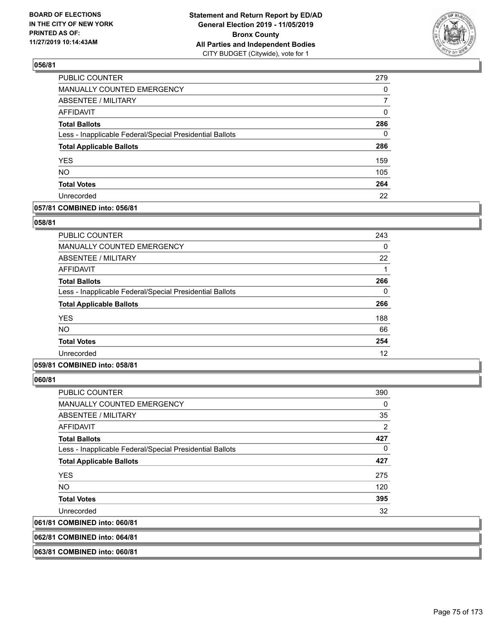

| PUBLIC COUNTER                                           | 279      |
|----------------------------------------------------------|----------|
| MANUALLY COUNTED EMERGENCY                               | 0        |
| ABSENTEE / MILITARY                                      | 7        |
| <b>AFFIDAVIT</b>                                         | 0        |
| <b>Total Ballots</b>                                     | 286      |
| Less - Inapplicable Federal/Special Presidential Ballots | $\Omega$ |
| <b>Total Applicable Ballots</b>                          | 286      |
| <b>YES</b>                                               | 159      |
| <b>NO</b>                                                | 105      |
| <b>Total Votes</b>                                       | 264      |
| Unrecorded                                               | 22       |

### **057/81 COMBINED into: 056/81**

### **058/81**

| PUBLIC COUNTER                                           | 243 |
|----------------------------------------------------------|-----|
| <b>MANUALLY COUNTED EMERGENCY</b>                        | 0   |
| ABSENTEE / MILITARY                                      | 22  |
| AFFIDAVIT                                                |     |
| <b>Total Ballots</b>                                     | 266 |
| Less - Inapplicable Federal/Special Presidential Ballots | 0   |
| <b>Total Applicable Ballots</b>                          | 266 |
| <b>YES</b>                                               | 188 |
| <b>NO</b>                                                | 66  |
| <b>Total Votes</b>                                       | 254 |
| Unrecorded                                               | 12  |

## **059/81 COMBINED into: 058/81**

**060/81** 

| PUBLIC COUNTER                                           | 390            |
|----------------------------------------------------------|----------------|
| <b>MANUALLY COUNTED EMERGENCY</b>                        | 0              |
| ABSENTEE / MILITARY                                      | 35             |
| AFFIDAVIT                                                | $\overline{2}$ |
| <b>Total Ballots</b>                                     | 427            |
| Less - Inapplicable Federal/Special Presidential Ballots | 0              |
| <b>Total Applicable Ballots</b>                          | 427            |
| <b>YES</b>                                               | 275            |
| NO.                                                      | 120            |
| <b>Total Votes</b>                                       | 395            |
| Unrecorded                                               | 32             |
| 061/81 COMBINED into: 060/81                             |                |
|                                                          |                |

**062/81 COMBINED into: 064/81**

**063/81 COMBINED into: 060/81**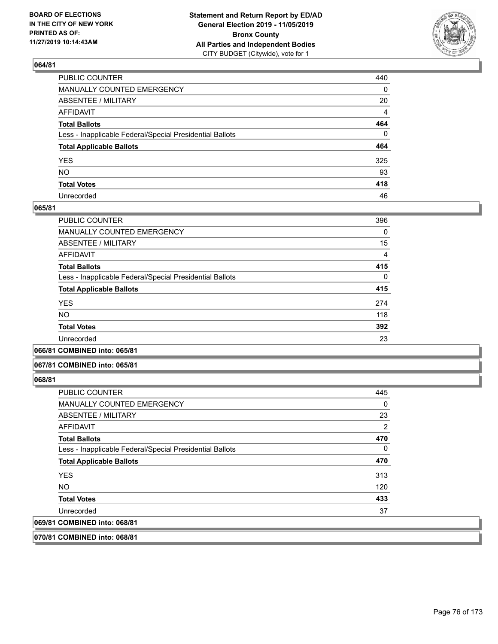

| PUBLIC COUNTER                                           | 440         |
|----------------------------------------------------------|-------------|
| MANUALLY COUNTED EMERGENCY                               | 0           |
| ABSENTEE / MILITARY                                      | 20          |
| AFFIDAVIT                                                | 4           |
| Total Ballots                                            | 464         |
| Less - Inapplicable Federal/Special Presidential Ballots | $\mathbf 0$ |
| <b>Total Applicable Ballots</b>                          | 464         |
| YES                                                      | 325         |
| NO.                                                      | 93          |
| <b>Total Votes</b>                                       | 418         |
| Unrecorded                                               | 46          |

### **065/81**

| <b>PUBLIC COUNTER</b>                                    | 396      |
|----------------------------------------------------------|----------|
| <b>MANUALLY COUNTED EMERGENCY</b>                        | 0        |
| ABSENTEE / MILITARY                                      | 15       |
| <b>AFFIDAVIT</b>                                         | 4        |
| <b>Total Ballots</b>                                     | 415      |
| Less - Inapplicable Federal/Special Presidential Ballots | $\Omega$ |
| <b>Total Applicable Ballots</b>                          | 415      |
| <b>YES</b>                                               | 274      |
| <b>NO</b>                                                | 118      |
| <b>Total Votes</b>                                       | 392      |
| Unrecorded                                               | 23       |
|                                                          |          |

**066/81 COMBINED into: 065/81**

### **067/81 COMBINED into: 065/81**

**068/81** 

| <b>PUBLIC COUNTER</b>                                    | 445 |
|----------------------------------------------------------|-----|
| <b>MANUALLY COUNTED EMERGENCY</b>                        | 0   |
| ABSENTEE / MILITARY                                      | 23  |
| AFFIDAVIT                                                | 2   |
| <b>Total Ballots</b>                                     | 470 |
| Less - Inapplicable Federal/Special Presidential Ballots | 0   |
| <b>Total Applicable Ballots</b>                          | 470 |
| <b>YES</b>                                               | 313 |
| NO.                                                      | 120 |
| <b>Total Votes</b>                                       | 433 |
| Unrecorded                                               | 37  |
| 069/81 COMBINED into: 068/81                             |     |
|                                                          |     |

**070/81 COMBINED into: 068/81**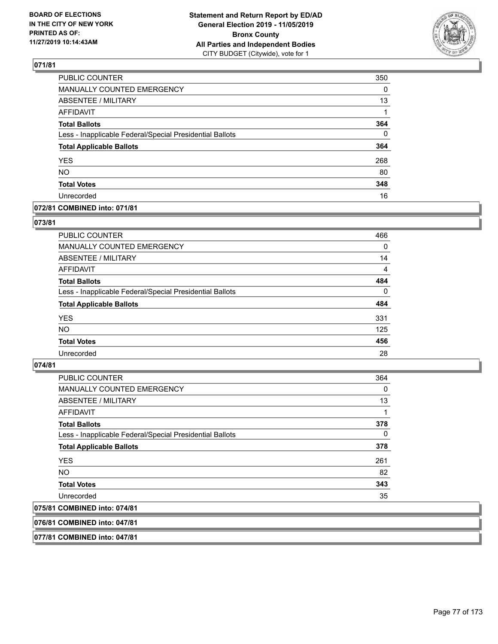

| PUBLIC COUNTER                                           | 350      |
|----------------------------------------------------------|----------|
| MANUALLY COUNTED EMERGENCY                               | 0        |
| <b>ABSENTEE / MILITARY</b>                               | 13       |
| <b>AFFIDAVIT</b>                                         | 1        |
| <b>Total Ballots</b>                                     | 364      |
| Less - Inapplicable Federal/Special Presidential Ballots | $\Omega$ |
| <b>Total Applicable Ballots</b>                          | 364      |
| <b>YES</b>                                               | 268      |
| <b>NO</b>                                                | 80       |
| <b>Total Votes</b>                                       | 348      |
| Unrecorded                                               | 16       |

### **072/81 COMBINED into: 071/81**

## **073/81**

| PUBLIC COUNTER                                           | 466            |
|----------------------------------------------------------|----------------|
| <b>MANUALLY COUNTED EMERGENCY</b>                        | $\Omega$       |
| ABSENTEE / MILITARY                                      | 14             |
| AFFIDAVIT                                                | $\overline{4}$ |
| <b>Total Ballots</b>                                     | 484            |
| Less - Inapplicable Federal/Special Presidential Ballots | $\Omega$       |
| <b>Total Applicable Ballots</b>                          | 484            |
| <b>YES</b>                                               | 331            |
| <b>NO</b>                                                | 125            |
| <b>Total Votes</b>                                       | 456            |
| Unrecorded                                               | 28             |

### **074/81**

| PUBLIC COUNTER                                           | 364      |
|----------------------------------------------------------|----------|
| MANUALLY COUNTED EMERGENCY                               | 0        |
| ABSENTEE / MILITARY                                      | 13       |
| AFFIDAVIT                                                | 1        |
| <b>Total Ballots</b>                                     | 378      |
| Less - Inapplicable Federal/Special Presidential Ballots | $\Omega$ |
| <b>Total Applicable Ballots</b>                          | 378      |
| <b>YES</b>                                               | 261      |
| <b>NO</b>                                                | 82       |
| <b>Total Votes</b>                                       | 343      |
| Unrecorded                                               | 35       |
| 075/81 COMBINED into: 074/81                             |          |

**076/81 COMBINED into: 047/81**

**077/81 COMBINED into: 047/81**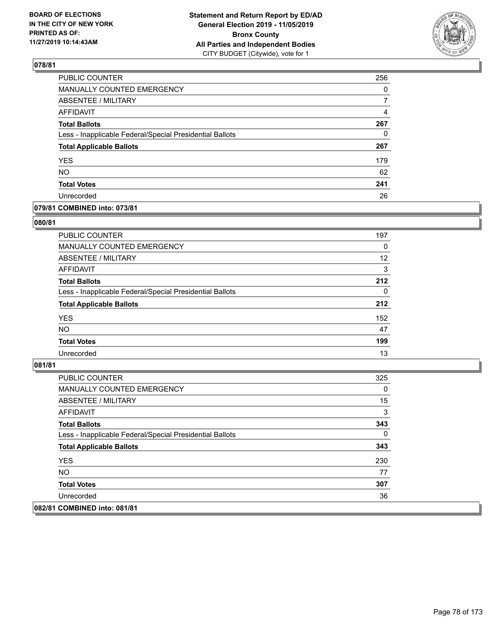

| <b>PUBLIC COUNTER</b>                                    | 256 |
|----------------------------------------------------------|-----|
| MANUALLY COUNTED EMERGENCY                               | 0   |
| ABSENTEE / MILITARY                                      | 7   |
| <b>AFFIDAVIT</b>                                         | 4   |
| <b>Total Ballots</b>                                     | 267 |
| Less - Inapplicable Federal/Special Presidential Ballots | 0   |
| <b>Total Applicable Ballots</b>                          | 267 |
| <b>YES</b>                                               | 179 |
| <b>NO</b>                                                | 62  |
| <b>Total Votes</b>                                       | 241 |
| Unrecorded                                               | 26  |

### **079/81 COMBINED into: 073/81**

### **080/81**

| <b>PUBLIC COUNTER</b>                                    | 197      |
|----------------------------------------------------------|----------|
| <b>MANUALLY COUNTED EMERGENCY</b>                        | $\Omega$ |
| ABSENTEE / MILITARY                                      | 12       |
| AFFIDAVIT                                                | 3        |
| <b>Total Ballots</b>                                     | 212      |
| Less - Inapplicable Federal/Special Presidential Ballots | 0        |
| <b>Total Applicable Ballots</b>                          | 212      |
| <b>YES</b>                                               | 152      |
| <b>NO</b>                                                | 47       |
| <b>Total Votes</b>                                       | 199      |
| Unrecorded                                               | 13       |
|                                                          |          |

| PUBLIC COUNTER                                           | 325 |
|----------------------------------------------------------|-----|
| MANUALLY COUNTED EMERGENCY                               | 0   |
| ABSENTEE / MILITARY                                      | 15  |
| AFFIDAVIT                                                | 3   |
| <b>Total Ballots</b>                                     | 343 |
| Less - Inapplicable Federal/Special Presidential Ballots | 0   |
| <b>Total Applicable Ballots</b>                          | 343 |
| <b>YES</b>                                               | 230 |
| NO.                                                      | 77  |
| <b>Total Votes</b>                                       | 307 |
| Unrecorded                                               | 36  |
| 082/81 COMBINED into: 081/81                             |     |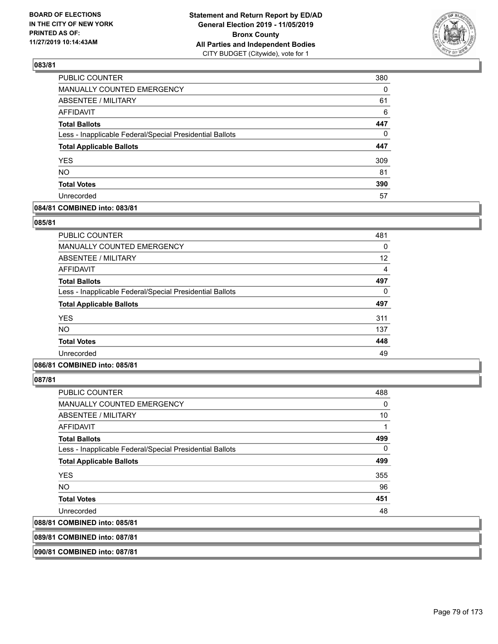

| <b>PUBLIC COUNTER</b>                                    | 380      |
|----------------------------------------------------------|----------|
| MANUALLY COUNTED EMERGENCY                               | 0        |
| ABSENTEE / MILITARY                                      | 61       |
| <b>AFFIDAVIT</b>                                         | 6        |
| <b>Total Ballots</b>                                     | 447      |
| Less - Inapplicable Federal/Special Presidential Ballots | $\Omega$ |
| <b>Total Applicable Ballots</b>                          | 447      |
| <b>YES</b>                                               | 309      |
| <b>NO</b>                                                | 81       |
| <b>Total Votes</b>                                       | 390      |
| Unrecorded                                               | 57       |

### **084/81 COMBINED into: 083/81**

### **085/81**

| <b>PUBLIC COUNTER</b>                                    | 481 |
|----------------------------------------------------------|-----|
| <b>MANUALLY COUNTED EMERGENCY</b>                        | 0   |
| ABSENTEE / MILITARY                                      | 12  |
| AFFIDAVIT                                                | 4   |
| <b>Total Ballots</b>                                     | 497 |
| Less - Inapplicable Federal/Special Presidential Ballots | 0   |
| <b>Total Applicable Ballots</b>                          | 497 |
| <b>YES</b>                                               | 311 |
| <b>NO</b>                                                | 137 |
| <b>Total Votes</b>                                       | 448 |
| Unrecorded                                               | 49  |

## **086/81 COMBINED into: 085/81**

**087/81** 

| PUBLIC COUNTER                                           | 488 |
|----------------------------------------------------------|-----|
| <b>MANUALLY COUNTED EMERGENCY</b>                        | 0   |
| ABSENTEE / MILITARY                                      | 10  |
| AFFIDAVIT                                                | 1   |
| <b>Total Ballots</b>                                     | 499 |
| Less - Inapplicable Federal/Special Presidential Ballots | 0   |
| <b>Total Applicable Ballots</b>                          | 499 |
| <b>YES</b>                                               | 355 |
| NO                                                       | 96  |
| <b>Total Votes</b>                                       | 451 |
| Unrecorded                                               | 48  |
| 088/81 COMBINED into: 085/81                             |     |
|                                                          |     |

**089/81 COMBINED into: 087/81**

**090/81 COMBINED into: 087/81**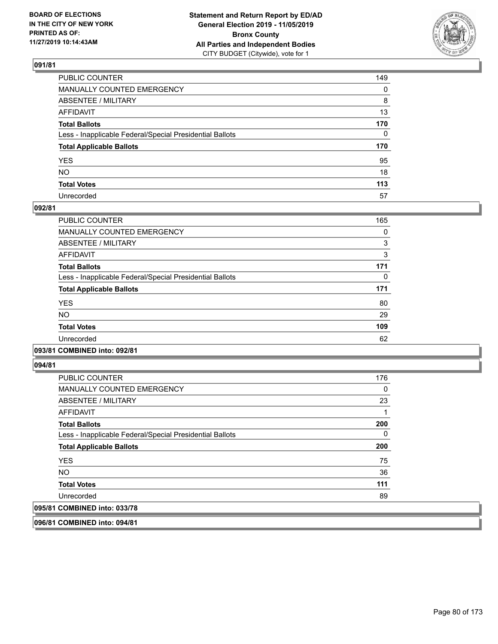

| PUBLIC COUNTER                                           | 149 |
|----------------------------------------------------------|-----|
| MANUALLY COUNTED EMERGENCY                               | 0   |
| ABSENTEE / MILITARY                                      | 8   |
| AFFIDAVIT                                                | 13  |
| Total Ballots                                            | 170 |
| Less - Inapplicable Federal/Special Presidential Ballots | 0   |
| <b>Total Applicable Ballots</b>                          | 170 |
| YES                                                      | 95  |
| NO.                                                      | 18  |
| <b>Total Votes</b>                                       | 113 |
| Unrecorded                                               | 57  |

### **092/81**

| PUBLIC COUNTER                                           | 165 |
|----------------------------------------------------------|-----|
| <b>MANUALLY COUNTED EMERGENCY</b>                        | 0   |
| <b>ABSENTEE / MILITARY</b>                               | 3   |
| <b>AFFIDAVIT</b>                                         | 3   |
| <b>Total Ballots</b>                                     | 171 |
| Less - Inapplicable Federal/Special Presidential Ballots | 0   |
| <b>Total Applicable Ballots</b>                          | 171 |
| <b>YES</b>                                               | 80  |
| NO.                                                      | 29  |
| <b>Total Votes</b>                                       | 109 |
| Unrecorded                                               | 62  |
|                                                          |     |

### **093/81 COMBINED into: 092/81**

**094/81** 

| <b>PUBLIC COUNTER</b>                                    | 176 |
|----------------------------------------------------------|-----|
| <b>MANUALLY COUNTED EMERGENCY</b>                        | 0   |
| ABSENTEE / MILITARY                                      | 23  |
| AFFIDAVIT                                                |     |
| <b>Total Ballots</b>                                     | 200 |
| Less - Inapplicable Federal/Special Presidential Ballots | 0   |
| <b>Total Applicable Ballots</b>                          | 200 |
| <b>YES</b>                                               | 75  |
| NO.                                                      | 36  |
| <b>Total Votes</b>                                       | 111 |
| Unrecorded                                               | 89  |
| 095/81 COMBINED into: 033/78                             |     |

**096/81 COMBINED into: 094/81**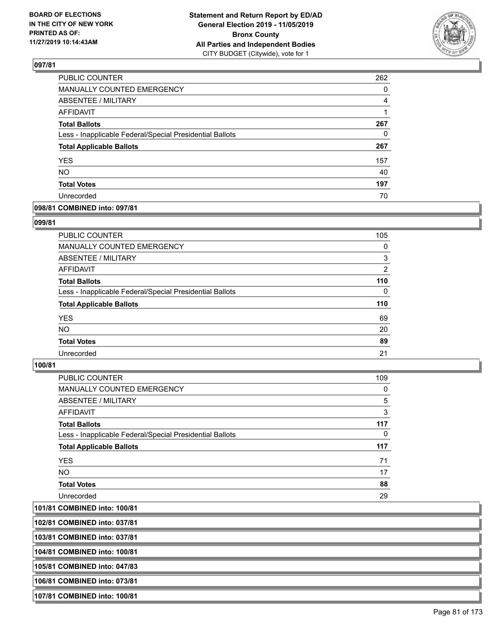

| <b>PUBLIC COUNTER</b>                                    | 262 |
|----------------------------------------------------------|-----|
| MANUALLY COUNTED EMERGENCY                               | 0   |
| ABSENTEE / MILITARY                                      | 4   |
| <b>AFFIDAVIT</b>                                         |     |
| <b>Total Ballots</b>                                     | 267 |
| Less - Inapplicable Federal/Special Presidential Ballots | 0   |
| <b>Total Applicable Ballots</b>                          | 267 |
| <b>YES</b>                                               | 157 |
| <b>NO</b>                                                | 40  |
| <b>Total Votes</b>                                       | 197 |
| Unrecorded                                               | 70  |

### **098/81 COMBINED into: 097/81**

#### **099/81**

| PUBLIC COUNTER                                           | 105      |
|----------------------------------------------------------|----------|
| MANUALLY COUNTED EMERGENCY                               | $\Omega$ |
| ABSENTEE / MILITARY                                      | 3        |
| AFFIDAVIT                                                | 2        |
| <b>Total Ballots</b>                                     | 110      |
| Less - Inapplicable Federal/Special Presidential Ballots | $\Omega$ |
| <b>Total Applicable Ballots</b>                          | 110      |
| <b>YES</b>                                               | 69       |
| <b>NO</b>                                                | 20       |
| <b>Total Votes</b>                                       | 89       |
| Unrecorded                                               | 21       |
|                                                          |          |

### **100/81**

| PUBLIC COUNTER                                           | 109      |
|----------------------------------------------------------|----------|
| <b>MANUALLY COUNTED EMERGENCY</b>                        | 0        |
| ABSENTEE / MILITARY                                      | 5        |
| AFFIDAVIT                                                | 3        |
| <b>Total Ballots</b>                                     | 117      |
| Less - Inapplicable Federal/Special Presidential Ballots | $\Omega$ |
| <b>Total Applicable Ballots</b>                          | 117      |
| <b>YES</b>                                               | 71       |
| NO.                                                      | 17       |
| <b>Total Votes</b>                                       | 88       |
| Unrecorded                                               | 29       |

**101/81 COMBINED into: 100/81**

**102/81 COMBINED into: 037/81**

**103/81 COMBINED into: 037/81**

**104/81 COMBINED into: 100/81**

**105/81 COMBINED into: 047/83**

**106/81 COMBINED into: 073/81**

**107/81 COMBINED into: 100/81**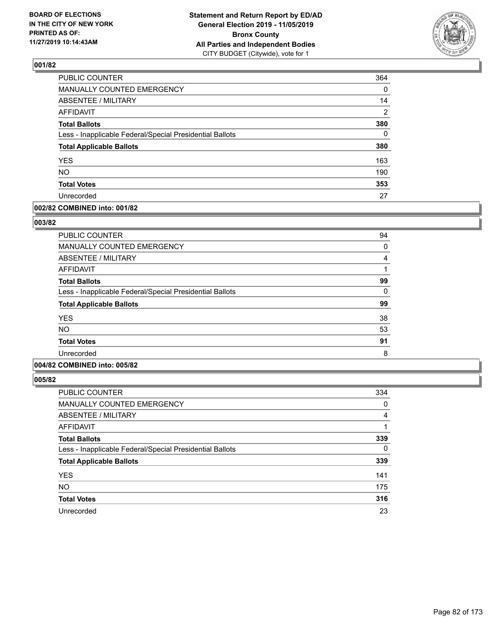

| PUBLIC COUNTER                                           | 364            |
|----------------------------------------------------------|----------------|
| MANUALLY COUNTED EMERGENCY                               | 0              |
| <b>ABSENTEE / MILITARY</b>                               | 14             |
| <b>AFFIDAVIT</b>                                         | $\overline{2}$ |
| <b>Total Ballots</b>                                     | 380            |
| Less - Inapplicable Federal/Special Presidential Ballots | $\mathbf{0}$   |
| <b>Total Applicable Ballots</b>                          | 380            |
| <b>YES</b>                                               | 163            |
| <b>NO</b>                                                | 190            |
| <b>Total Votes</b>                                       | 353            |
| Unrecorded                                               | 27             |

### **002/82 COMBINED into: 001/82**

### **003/82**

| <b>PUBLIC COUNTER</b>                                    | 94 |
|----------------------------------------------------------|----|
| MANUALLY COUNTED EMERGENCY                               | 0  |
| ABSENTEE / MILITARY                                      | 4  |
| AFFIDAVIT                                                |    |
| <b>Total Ballots</b>                                     | 99 |
| Less - Inapplicable Federal/Special Presidential Ballots | 0  |
| <b>Total Applicable Ballots</b>                          | 99 |
| <b>YES</b>                                               | 38 |
| <b>NO</b>                                                | 53 |
| <b>Total Votes</b>                                       | 91 |
| Unrecorded                                               | 8  |
|                                                          |    |

## **004/82 COMBINED into: 005/82**

| <b>PUBLIC COUNTER</b>                                    | 334      |
|----------------------------------------------------------|----------|
| <b>MANUALLY COUNTED EMERGENCY</b>                        | 0        |
| ABSENTEE / MILITARY                                      | 4        |
| AFFIDAVIT                                                |          |
| <b>Total Ballots</b>                                     | 339      |
| Less - Inapplicable Federal/Special Presidential Ballots | $\Omega$ |
| <b>Total Applicable Ballots</b>                          | 339      |
| <b>YES</b>                                               | 141      |
| <b>NO</b>                                                | 175      |
| <b>Total Votes</b>                                       | 316      |
| Unrecorded                                               | 23       |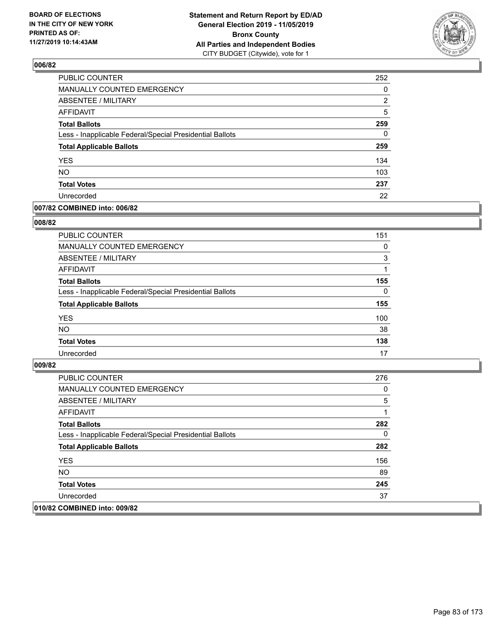

| PUBLIC COUNTER                                           | 252      |
|----------------------------------------------------------|----------|
| MANUALLY COUNTED EMERGENCY                               | 0        |
| ABSENTEE / MILITARY                                      | 2        |
| <b>AFFIDAVIT</b>                                         | 5        |
| <b>Total Ballots</b>                                     | 259      |
| Less - Inapplicable Federal/Special Presidential Ballots | $\Omega$ |
| <b>Total Applicable Ballots</b>                          | 259      |
| <b>YES</b>                                               | 134      |
| <b>NO</b>                                                | 103      |
| <b>Total Votes</b>                                       | 237      |
| Unrecorded                                               | 22       |

### **007/82 COMBINED into: 006/82**

### **008/82**

| <b>PUBLIC COUNTER</b>                                    | 151      |
|----------------------------------------------------------|----------|
| <b>MANUALLY COUNTED EMERGENCY</b>                        | $\Omega$ |
| ABSENTEE / MILITARY                                      | 3        |
| AFFIDAVIT                                                |          |
| <b>Total Ballots</b>                                     | 155      |
| Less - Inapplicable Federal/Special Presidential Ballots | $\Omega$ |
| <b>Total Applicable Ballots</b>                          | 155      |
| <b>YES</b>                                               | 100      |
| <b>NO</b>                                                | 38       |
| <b>Total Votes</b>                                       | 138      |
| Unrecorded                                               | 17       |
|                                                          |          |

| <b>PUBLIC COUNTER</b>                                    | 276 |
|----------------------------------------------------------|-----|
| MANUALLY COUNTED EMERGENCY                               | 0   |
| ABSENTEE / MILITARY                                      | 5   |
| AFFIDAVIT                                                |     |
| <b>Total Ballots</b>                                     | 282 |
| Less - Inapplicable Federal/Special Presidential Ballots | 0   |
| <b>Total Applicable Ballots</b>                          | 282 |
| <b>YES</b>                                               | 156 |
| NO.                                                      | 89  |
| <b>Total Votes</b>                                       | 245 |
| Unrecorded                                               | 37  |
| 010/82 COMBINED into: 009/82                             |     |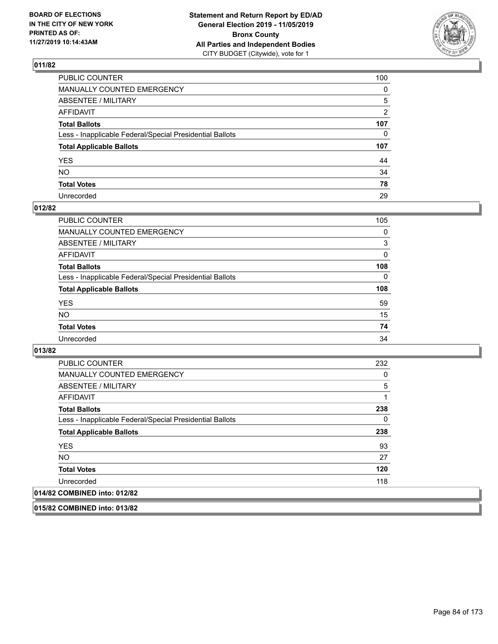

| PUBLIC COUNTER                                           | 100          |
|----------------------------------------------------------|--------------|
| MANUALLY COUNTED EMERGENCY                               | $\mathbf{0}$ |
| ABSENTEE / MILITARY                                      | 5            |
| AFFIDAVIT                                                | 2            |
| Total Ballots                                            | 107          |
| Less - Inapplicable Federal/Special Presidential Ballots | 0            |
| <b>Total Applicable Ballots</b>                          | 107          |
| YES                                                      | 44           |
| NO.                                                      | 34           |
| <b>Total Votes</b>                                       | 78           |
| Unrecorded                                               | 29           |

## **012/82**

| <b>PUBLIC COUNTER</b>                                    | 105      |
|----------------------------------------------------------|----------|
| <b>MANUALLY COUNTED EMERGENCY</b>                        | $\Omega$ |
| ABSENTEE / MILITARY                                      | 3        |
| AFFIDAVIT                                                | 0        |
| <b>Total Ballots</b>                                     | 108      |
| Less - Inapplicable Federal/Special Presidential Ballots | $\Omega$ |
| <b>Total Applicable Ballots</b>                          | 108      |
| <b>YES</b>                                               | 59       |
| <b>NO</b>                                                | 15       |
| <b>Total Votes</b>                                       | 74       |
| Unrecorded                                               | 34       |

### **013/82**

| <b>PUBLIC COUNTER</b>                                    | 232      |
|----------------------------------------------------------|----------|
| <b>MANUALLY COUNTED EMERGENCY</b>                        | 0        |
| ABSENTEE / MILITARY                                      | 5        |
| AFFIDAVIT                                                | 1        |
| <b>Total Ballots</b>                                     | 238      |
| Less - Inapplicable Federal/Special Presidential Ballots | $\Omega$ |
| <b>Total Applicable Ballots</b>                          | 238      |
| <b>YES</b>                                               | 93       |
| NO.                                                      | 27       |
| <b>Total Votes</b>                                       | 120      |
| Unrecorded                                               | 118      |
| 014/82 COMBINED into: 012/82                             |          |

**015/82 COMBINED into: 013/82**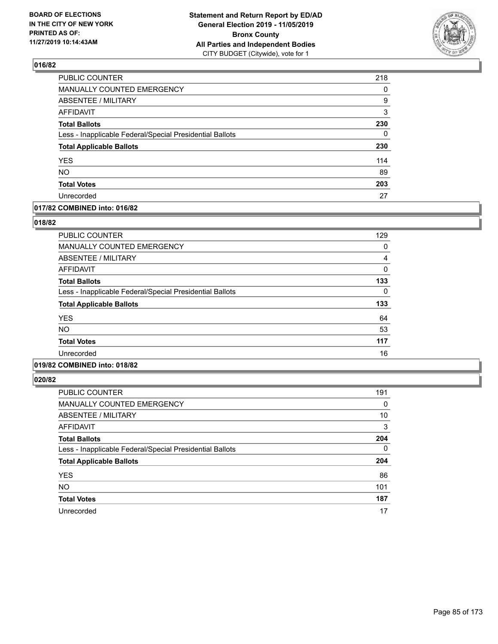

| PUBLIC COUNTER                                           | 218 |
|----------------------------------------------------------|-----|
| <b>MANUALLY COUNTED EMERGENCY</b>                        | 0   |
| <b>ABSENTEE / MILITARY</b>                               | 9   |
| <b>AFFIDAVIT</b>                                         | 3   |
| <b>Total Ballots</b>                                     | 230 |
| Less - Inapplicable Federal/Special Presidential Ballots | 0   |
| <b>Total Applicable Ballots</b>                          | 230 |
| <b>YES</b>                                               | 114 |
| NO.                                                      | 89  |
| <b>Total Votes</b>                                       | 203 |
| Unrecorded                                               | 27  |

### **017/82 COMBINED into: 016/82**

### **018/82**

| <b>PUBLIC COUNTER</b>                                    | 129 |
|----------------------------------------------------------|-----|
| <b>MANUALLY COUNTED EMERGENCY</b>                        | 0   |
| <b>ABSENTEE / MILITARY</b>                               | 4   |
| <b>AFFIDAVIT</b>                                         | 0   |
| <b>Total Ballots</b>                                     | 133 |
| Less - Inapplicable Federal/Special Presidential Ballots | 0   |
| <b>Total Applicable Ballots</b>                          | 133 |
| <b>YES</b>                                               | 64  |
| <b>NO</b>                                                | 53  |
| <b>Total Votes</b>                                       | 117 |
| Unrecorded                                               | 16  |
|                                                          |     |

## **019/82 COMBINED into: 018/82**

| <b>PUBLIC COUNTER</b>                                    | 191      |
|----------------------------------------------------------|----------|
| <b>MANUALLY COUNTED EMERGENCY</b>                        | 0        |
| ABSENTEE / MILITARY                                      | 10       |
| AFFIDAVIT                                                | 3        |
| <b>Total Ballots</b>                                     | 204      |
| Less - Inapplicable Federal/Special Presidential Ballots | $\Omega$ |
| <b>Total Applicable Ballots</b>                          | 204      |
| <b>YES</b>                                               | 86       |
| <b>NO</b>                                                | 101      |
| <b>Total Votes</b>                                       | 187      |
| Unrecorded                                               | 17       |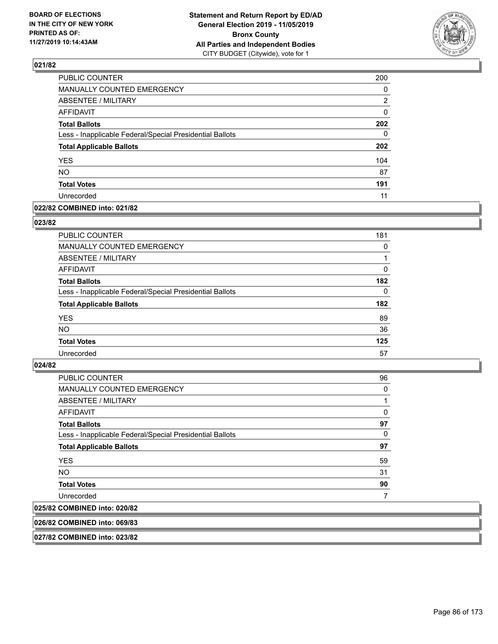

| PUBLIC COUNTER                                           | 200 |
|----------------------------------------------------------|-----|
| MANUALLY COUNTED EMERGENCY                               | 0   |
| ABSENTEE / MILITARY                                      | 2   |
| <b>AFFIDAVIT</b>                                         | 0   |
| <b>Total Ballots</b>                                     | 202 |
| Less - Inapplicable Federal/Special Presidential Ballots | 0   |
| <b>Total Applicable Ballots</b>                          | 202 |
| <b>YES</b>                                               | 104 |
| <b>NO</b>                                                | 87  |
| <b>Total Votes</b>                                       | 191 |
| Unrecorded                                               | 11  |

### **022/82 COMBINED into: 021/82**

### **023/82**

| <b>PUBLIC COUNTER</b>                                    | 181      |
|----------------------------------------------------------|----------|
| MANUALLY COUNTED EMERGENCY                               | 0        |
| <b>ABSENTEE / MILITARY</b>                               |          |
| AFFIDAVIT                                                | 0        |
| <b>Total Ballots</b>                                     | 182      |
| Less - Inapplicable Federal/Special Presidential Ballots | $\Omega$ |
| <b>Total Applicable Ballots</b>                          | 182      |
| <b>YES</b>                                               | 89       |
| <b>NO</b>                                                | 36       |
| <b>Total Votes</b>                                       | 125      |
| Unrecorded                                               | 57       |
|                                                          |          |

#### **024/82**

| <b>PUBLIC COUNTER</b>                                    | 96 |
|----------------------------------------------------------|----|
| <b>MANUALLY COUNTED EMERGENCY</b>                        | 0  |
| ABSENTEE / MILITARY                                      | 1  |
| AFFIDAVIT                                                | 0  |
| <b>Total Ballots</b>                                     | 97 |
| Less - Inapplicable Federal/Special Presidential Ballots | 0  |
| <b>Total Applicable Ballots</b>                          | 97 |
| <b>YES</b>                                               | 59 |
| <b>NO</b>                                                | 31 |
| <b>Total Votes</b>                                       | 90 |
| Unrecorded                                               |    |
| 025/82 COMBINED into: 020/82                             |    |

### **026/82 COMBINED into: 069/83**

**027/82 COMBINED into: 023/82**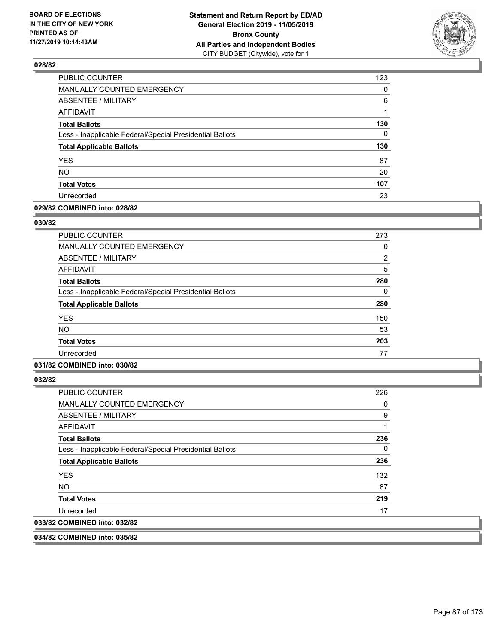

| PUBLIC COUNTER                                           | 123      |
|----------------------------------------------------------|----------|
| <b>MANUALLY COUNTED EMERGENCY</b>                        | $\Omega$ |
| <b>ABSENTEE / MILITARY</b>                               | 6        |
| <b>AFFIDAVIT</b>                                         | 1        |
| <b>Total Ballots</b>                                     | 130      |
| Less - Inapplicable Federal/Special Presidential Ballots | $\Omega$ |
| <b>Total Applicable Ballots</b>                          | 130      |
| <b>YES</b>                                               | 87       |
| <b>NO</b>                                                | 20       |
| <b>Total Votes</b>                                       | 107      |
| Unrecorded                                               | 23       |

### **029/82 COMBINED into: 028/82**

### **030/82**

| <b>PUBLIC COUNTER</b>                                    | 273            |
|----------------------------------------------------------|----------------|
| <b>MANUALLY COUNTED EMERGENCY</b>                        | 0              |
| ABSENTEE / MILITARY                                      | $\overline{2}$ |
| <b>AFFIDAVIT</b>                                         | 5              |
| <b>Total Ballots</b>                                     | 280            |
| Less - Inapplicable Federal/Special Presidential Ballots | 0              |
| <b>Total Applicable Ballots</b>                          | 280            |
| <b>YES</b>                                               | 150            |
| NO.                                                      | 53             |
| <b>Total Votes</b>                                       | 203            |
| Unrecorded                                               | 77             |

## **031/82 COMBINED into: 030/82**

**032/82** 

| <b>PUBLIC COUNTER</b>                                    | 226 |
|----------------------------------------------------------|-----|
| <b>MANUALLY COUNTED EMERGENCY</b>                        | 0   |
| ABSENTEE / MILITARY                                      | 9   |
| AFFIDAVIT                                                |     |
| <b>Total Ballots</b>                                     | 236 |
| Less - Inapplicable Federal/Special Presidential Ballots | 0   |
| <b>Total Applicable Ballots</b>                          | 236 |
| <b>YES</b>                                               | 132 |
| NO.                                                      | 87  |
| <b>Total Votes</b>                                       | 219 |
| Unrecorded                                               | 17  |
| 033/82 COMBINED into: 032/82                             |     |
|                                                          |     |

**034/82 COMBINED into: 035/82**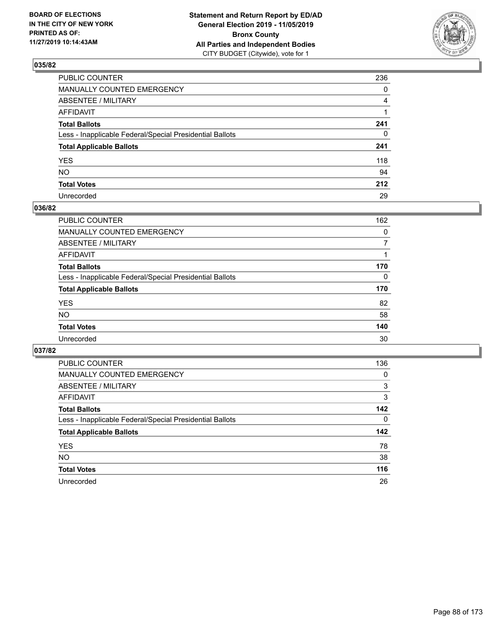

| PUBLIC COUNTER                                           | 236          |
|----------------------------------------------------------|--------------|
| MANUALLY COUNTED EMERGENCY                               | $\mathbf{0}$ |
| ABSENTEE / MILITARY                                      | 4            |
| AFFIDAVIT                                                |              |
| Total Ballots                                            | 241          |
| Less - Inapplicable Federal/Special Presidential Ballots | $\mathbf{0}$ |
| <b>Total Applicable Ballots</b>                          | 241          |
| YES                                                      | 118          |
| NΟ                                                       | 94           |
| <b>Total Votes</b>                                       | 212          |
| Unrecorded                                               | 29           |

## **036/82**

| PUBLIC COUNTER                                           | 162 |
|----------------------------------------------------------|-----|
| MANUALLY COUNTED EMERGENCY                               | 0   |
| ABSENTEE / MILITARY                                      |     |
| AFFIDAVIT                                                |     |
| <b>Total Ballots</b>                                     | 170 |
| Less - Inapplicable Federal/Special Presidential Ballots | 0   |
| <b>Total Applicable Ballots</b>                          | 170 |
| <b>YES</b>                                               | 82  |
| <b>NO</b>                                                | 58  |
| <b>Total Votes</b>                                       | 140 |
| Unrecorded                                               | 30  |

| PUBLIC COUNTER                                           | 136      |
|----------------------------------------------------------|----------|
| <b>MANUALLY COUNTED EMERGENCY</b>                        | $\Omega$ |
| ABSENTEE / MILITARY                                      | 3        |
| AFFIDAVIT                                                | 3        |
| <b>Total Ballots</b>                                     | 142      |
| Less - Inapplicable Federal/Special Presidential Ballots | $\Omega$ |
| <b>Total Applicable Ballots</b>                          | 142      |
| <b>YES</b>                                               | 78       |
| <b>NO</b>                                                | 38       |
| <b>Total Votes</b>                                       | 116      |
| Unrecorded                                               | 26       |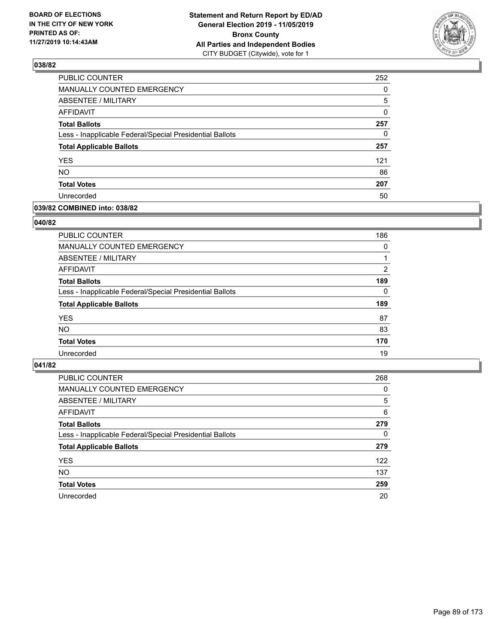

| PUBLIC COUNTER                                           | 252 |
|----------------------------------------------------------|-----|
| <b>MANUALLY COUNTED EMERGENCY</b>                        | 0   |
| <b>ABSENTEE / MILITARY</b>                               | 5   |
| <b>AFFIDAVIT</b>                                         | 0   |
| <b>Total Ballots</b>                                     | 257 |
| Less - Inapplicable Federal/Special Presidential Ballots | 0   |
| <b>Total Applicable Ballots</b>                          | 257 |
| <b>YES</b>                                               | 121 |
| <b>NO</b>                                                | 86  |
| <b>Total Votes</b>                                       | 207 |
| Unrecorded                                               | 50  |

### **039/82 COMBINED into: 038/82**

### **040/82**

| <b>PUBLIC COUNTER</b>                                    | 186      |
|----------------------------------------------------------|----------|
| <b>MANUALLY COUNTED EMERGENCY</b>                        | $\Omega$ |
| ABSENTEE / MILITARY                                      |          |
| AFFIDAVIT                                                | 2        |
| <b>Total Ballots</b>                                     | 189      |
| Less - Inapplicable Federal/Special Presidential Ballots | $\Omega$ |
| <b>Total Applicable Ballots</b>                          | 189      |
| <b>YES</b>                                               | 87       |
| <b>NO</b>                                                | 83       |
| <b>Total Votes</b>                                       | 170      |
| Unrecorded                                               | 19       |
|                                                          |          |

| <b>PUBLIC COUNTER</b>                                    | 268      |
|----------------------------------------------------------|----------|
| MANUALLY COUNTED EMERGENCY                               | 0        |
| ABSENTEE / MILITARY                                      | 5        |
| AFFIDAVIT                                                | 6        |
| <b>Total Ballots</b>                                     | 279      |
| Less - Inapplicable Federal/Special Presidential Ballots | $\Omega$ |
| <b>Total Applicable Ballots</b>                          | 279      |
| <b>YES</b>                                               | 122      |
| <b>NO</b>                                                | 137      |
| <b>Total Votes</b>                                       | 259      |
| Unrecorded                                               | 20       |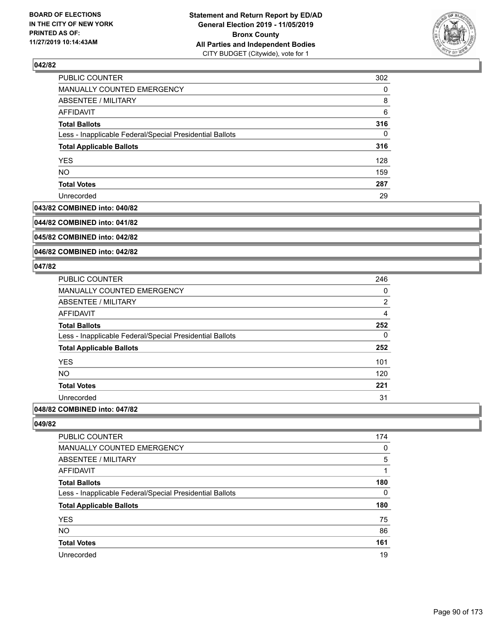

| PUBLIC COUNTER                                           | 302      |
|----------------------------------------------------------|----------|
| MANUALLY COUNTED EMERGENCY                               | $\Omega$ |
| ABSENTEE / MILITARY                                      | 8        |
| AFFIDAVIT                                                | 6        |
| <b>Total Ballots</b>                                     | 316      |
| Less - Inapplicable Federal/Special Presidential Ballots | $\Omega$ |
| <b>Total Applicable Ballots</b>                          | 316      |
| <b>YES</b>                                               | 128      |
| <b>NO</b>                                                | 159      |
| <b>Total Votes</b>                                       | 287      |
| Unrecorded                                               | 29       |

#### **043/82 COMBINED into: 040/82**

**044/82 COMBINED into: 041/82**

**045/82 COMBINED into: 042/82**

**046/82 COMBINED into: 042/82**

### **047/82**

| PUBLIC COUNTER                                           | 246            |
|----------------------------------------------------------|----------------|
| <b>MANUALLY COUNTED EMERGENCY</b>                        | 0              |
| ABSENTEE / MILITARY                                      | $\overline{2}$ |
| AFFIDAVIT                                                | 4              |
| <b>Total Ballots</b>                                     | 252            |
| Less - Inapplicable Federal/Special Presidential Ballots | 0              |
| <b>Total Applicable Ballots</b>                          | 252            |
| <b>YES</b>                                               | 101            |
| <b>NO</b>                                                | 120            |
| <b>Total Votes</b>                                       | 221            |
| Unrecorded                                               | 31             |
|                                                          |                |

## **048/82 COMBINED into: 047/82**

| PUBLIC COUNTER                                           | 174      |
|----------------------------------------------------------|----------|
| <b>MANUALLY COUNTED EMERGENCY</b>                        | $\Omega$ |
| <b>ABSENTEE / MILITARY</b>                               | 5        |
| AFFIDAVIT                                                |          |
| <b>Total Ballots</b>                                     | 180      |
| Less - Inapplicable Federal/Special Presidential Ballots | $\Omega$ |
| <b>Total Applicable Ballots</b>                          | 180      |
| <b>YES</b>                                               | 75       |
| <b>NO</b>                                                | 86       |
| <b>Total Votes</b>                                       | 161      |
| Unrecorded                                               | 19       |
|                                                          |          |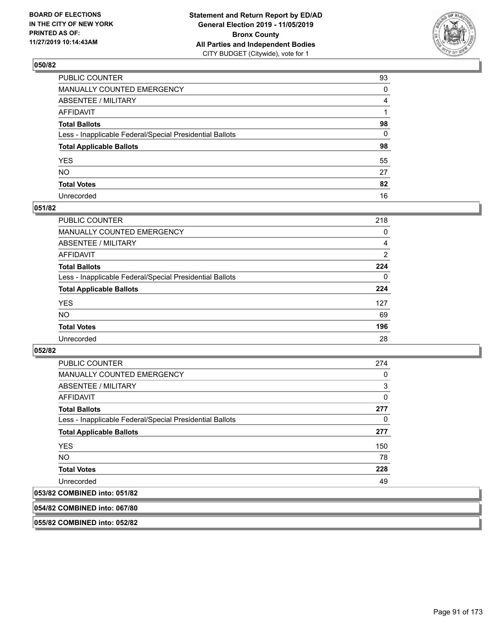

| PUBLIC COUNTER                                           | 93 |
|----------------------------------------------------------|----|
| MANUALLY COUNTED EMERGENCY                               | 0  |
| ABSENTEE / MILITARY                                      | 4  |
| AFFIDAVIT                                                |    |
| Total Ballots                                            | 98 |
| Less - Inapplicable Federal/Special Presidential Ballots | 0  |
| <b>Total Applicable Ballots</b>                          | 98 |
| YES                                                      | 55 |
| NO.                                                      | 27 |
| <b>Total Votes</b>                                       | 82 |
| Unrecorded                                               | 16 |

### **051/82**

| <b>PUBLIC COUNTER</b>                                    | 218      |
|----------------------------------------------------------|----------|
| MANUALLY COUNTED EMERGENCY                               | 0        |
| ABSENTEE / MILITARY                                      | 4        |
| AFFIDAVIT                                                | 2        |
| <b>Total Ballots</b>                                     | 224      |
| Less - Inapplicable Federal/Special Presidential Ballots | $\Omega$ |
| <b>Total Applicable Ballots</b>                          | 224      |
| <b>YES</b>                                               | 127      |
| <b>NO</b>                                                | 69       |
| <b>Total Votes</b>                                       | 196      |
| Unrecorded                                               | 28       |

### **052/82**

| <b>PUBLIC COUNTER</b>                                    | 274      |
|----------------------------------------------------------|----------|
| <b>MANUALLY COUNTED EMERGENCY</b>                        | 0        |
| ABSENTEE / MILITARY                                      | 3        |
| AFFIDAVIT                                                | $\Omega$ |
| <b>Total Ballots</b>                                     | 277      |
| Less - Inapplicable Federal/Special Presidential Ballots | 0        |
| <b>Total Applicable Ballots</b>                          | 277      |
| <b>YES</b>                                               | 150      |
| <b>NO</b>                                                | 78       |
| <b>Total Votes</b>                                       | 228      |
| Unrecorded                                               | 49       |
|                                                          |          |

# **053/82 COMBINED into: 051/82**

**054/82 COMBINED into: 067/80**

**055/82 COMBINED into: 052/82**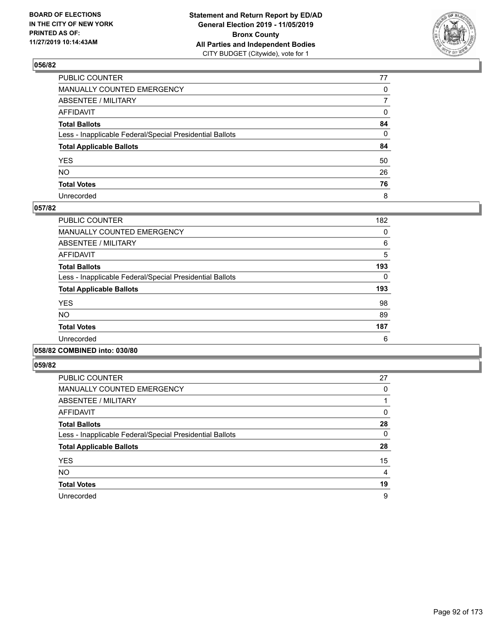

| PUBLIC COUNTER                                           | 77           |
|----------------------------------------------------------|--------------|
| MANUALLY COUNTED EMERGENCY                               | $\mathbf{0}$ |
| ABSENTEE / MILITARY                                      | 7            |
| AFFIDAVIT                                                | 0            |
| Total Ballots                                            | 84           |
| Less - Inapplicable Federal/Special Presidential Ballots | 0            |
| <b>Total Applicable Ballots</b>                          | 84           |
| YES                                                      | 50           |
| NO.                                                      | 26           |
| <b>Total Votes</b>                                       | 76           |
| Unrecorded                                               | 8            |

### **057/82**

| <b>PUBLIC COUNTER</b>                                    | 182 |
|----------------------------------------------------------|-----|
| <b>MANUALLY COUNTED EMERGENCY</b>                        | 0   |
| ABSENTEE / MILITARY                                      | 6   |
| <b>AFFIDAVIT</b>                                         | 5   |
| <b>Total Ballots</b>                                     | 193 |
| Less - Inapplicable Federal/Special Presidential Ballots | 0   |
| <b>Total Applicable Ballots</b>                          | 193 |
| <b>YES</b>                                               | 98  |
| NO.                                                      | 89  |
| <b>Total Votes</b>                                       | 187 |
| Unrecorded                                               | 6   |
|                                                          |     |

## **058/82 COMBINED into: 030/80**

| <b>PUBLIC COUNTER</b>                                    | 27 |
|----------------------------------------------------------|----|
| <b>MANUALLY COUNTED EMERGENCY</b>                        | 0  |
| ABSENTEE / MILITARY                                      |    |
| AFFIDAVIT                                                | 0  |
| <b>Total Ballots</b>                                     | 28 |
| Less - Inapplicable Federal/Special Presidential Ballots | 0  |
| <b>Total Applicable Ballots</b>                          | 28 |
| <b>YES</b>                                               | 15 |
| <b>NO</b>                                                | 4  |
| <b>Total Votes</b>                                       | 19 |
| Unrecorded                                               | 9  |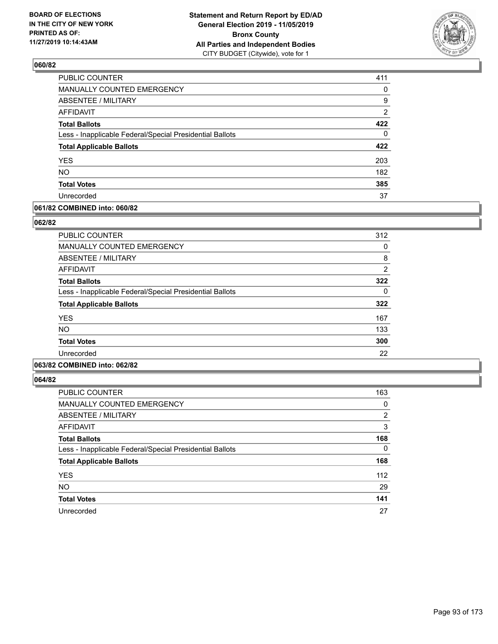

| PUBLIC COUNTER                                           | 411            |
|----------------------------------------------------------|----------------|
| MANUALLY COUNTED EMERGENCY                               | 0              |
| <b>ABSENTEE / MILITARY</b>                               | 9              |
| <b>AFFIDAVIT</b>                                         | $\overline{2}$ |
| <b>Total Ballots</b>                                     | 422            |
| Less - Inapplicable Federal/Special Presidential Ballots | $\Omega$       |
| <b>Total Applicable Ballots</b>                          | 422            |
| <b>YES</b>                                               | 203            |
| <b>NO</b>                                                | 182            |
| <b>Total Votes</b>                                       | 385            |
| Unrecorded                                               | 37             |

### **061/82 COMBINED into: 060/82**

### **062/82**

| <b>PUBLIC COUNTER</b>                                    | 312            |
|----------------------------------------------------------|----------------|
| <b>MANUALLY COUNTED EMERGENCY</b>                        | 0              |
| ABSENTEE / MILITARY                                      | 8              |
| AFFIDAVIT                                                | $\overline{2}$ |
| <b>Total Ballots</b>                                     | 322            |
| Less - Inapplicable Federal/Special Presidential Ballots | 0              |
| <b>Total Applicable Ballots</b>                          | 322            |
| <b>YES</b>                                               | 167            |
| <b>NO</b>                                                | 133            |
| <b>Total Votes</b>                                       | 300            |
| Unrecorded                                               | 22             |
|                                                          |                |

## **063/82 COMBINED into: 062/82**

| <b>PUBLIC COUNTER</b>                                    | 163      |
|----------------------------------------------------------|----------|
| <b>MANUALLY COUNTED EMERGENCY</b>                        | 0        |
| ABSENTEE / MILITARY                                      | 2        |
| AFFIDAVIT                                                | 3        |
| <b>Total Ballots</b>                                     | 168      |
| Less - Inapplicable Federal/Special Presidential Ballots | $\Omega$ |
| <b>Total Applicable Ballots</b>                          | 168      |
| <b>YES</b>                                               | 112      |
| <b>NO</b>                                                | 29       |
| <b>Total Votes</b>                                       | 141      |
| Unrecorded                                               | 27       |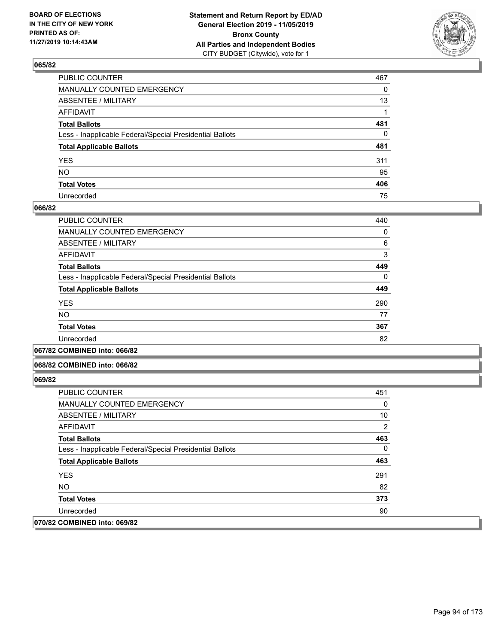

| PUBLIC COUNTER                                           | 467 |
|----------------------------------------------------------|-----|
| MANUALLY COUNTED EMERGENCY                               | 0   |
| ABSENTEE / MILITARY                                      | 13  |
| AFFIDAVIT                                                |     |
| Total Ballots                                            | 481 |
| Less - Inapplicable Federal/Special Presidential Ballots | 0   |
| <b>Total Applicable Ballots</b>                          | 481 |
| YES                                                      | 311 |
| NΟ                                                       | 95  |
| <b>Total Votes</b>                                       | 406 |
| Unrecorded                                               | 75  |

### **066/82**

| PUBLIC COUNTER                                           | 440      |
|----------------------------------------------------------|----------|
| <b>MANUALLY COUNTED EMERGENCY</b>                        | 0        |
| ABSENTEE / MILITARY                                      | 6        |
| <b>AFFIDAVIT</b>                                         | 3        |
| <b>Total Ballots</b>                                     | 449      |
| Less - Inapplicable Federal/Special Presidential Ballots | $\Omega$ |
| <b>Total Applicable Ballots</b>                          | 449      |
| <b>YES</b>                                               | 290      |
| <b>NO</b>                                                | 77       |
| <b>Total Votes</b>                                       | 367      |
| Unrecorded                                               | 82       |
|                                                          |          |

**067/82 COMBINED into: 066/82**

### **068/82 COMBINED into: 066/82**

| <b>PUBLIC COUNTER</b>                                    | 451 |
|----------------------------------------------------------|-----|
| MANUALLY COUNTED EMERGENCY                               | 0   |
| ABSENTEE / MILITARY                                      | 10  |
| AFFIDAVIT                                                | 2   |
| <b>Total Ballots</b>                                     | 463 |
| Less - Inapplicable Federal/Special Presidential Ballots | 0   |
| <b>Total Applicable Ballots</b>                          | 463 |
| <b>YES</b>                                               | 291 |
| NO.                                                      | 82  |
| <b>Total Votes</b>                                       | 373 |
| Unrecorded                                               | 90  |
| 070/82 COMBINED into: 069/82                             |     |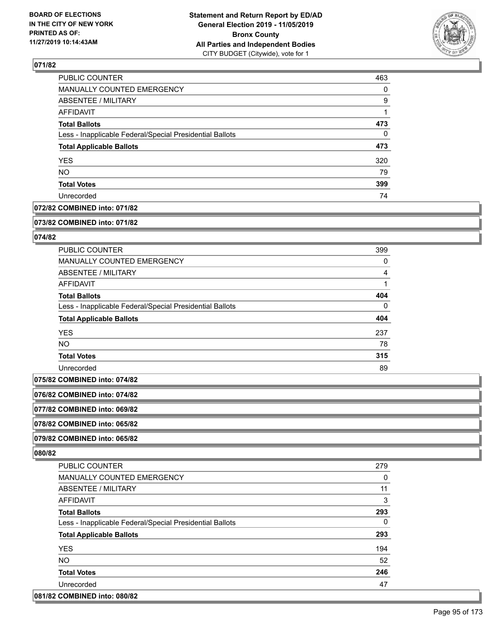

| <b>PUBLIC COUNTER</b>                                    | 463      |
|----------------------------------------------------------|----------|
| <b>MANUALLY COUNTED EMERGENCY</b>                        | $\Omega$ |
| <b>ABSENTEE / MILITARY</b>                               | 9        |
| AFFIDAVIT                                                |          |
| <b>Total Ballots</b>                                     | 473      |
| Less - Inapplicable Federal/Special Presidential Ballots | $\Omega$ |
| <b>Total Applicable Ballots</b>                          | 473      |
| <b>YES</b>                                               | 320      |
| <b>NO</b>                                                | 79       |
| <b>Total Votes</b>                                       | 399      |
| Unrecorded                                               | 74       |

## **072/82 COMBINED into: 071/82**

#### **073/82 COMBINED into: 071/82**

### **074/82**

| <b>PUBLIC COUNTER</b>                                    | 399      |
|----------------------------------------------------------|----------|
| <b>MANUALLY COUNTED EMERGENCY</b>                        | 0        |
| ABSENTEE / MILITARY                                      | 4        |
| AFFIDAVIT                                                |          |
| <b>Total Ballots</b>                                     | 404      |
| Less - Inapplicable Federal/Special Presidential Ballots | $\Omega$ |
| <b>Total Applicable Ballots</b>                          | 404      |
| <b>YES</b>                                               | 237      |
| NO.                                                      | 78       |
| <b>Total Votes</b>                                       | 315      |
| Unrecorded                                               | 89       |

**075/82 COMBINED into: 074/82**

**076/82 COMBINED into: 074/82**

**077/82 COMBINED into: 069/82**

**078/82 COMBINED into: 065/82**

**079/82 COMBINED into: 065/82**

| <b>PUBLIC COUNTER</b>                                    | 279 |
|----------------------------------------------------------|-----|
| <b>MANUALLY COUNTED EMERGENCY</b>                        | 0   |
| ABSENTEE / MILITARY                                      | 11  |
| AFFIDAVIT                                                | 3   |
| <b>Total Ballots</b>                                     | 293 |
| Less - Inapplicable Federal/Special Presidential Ballots | 0   |
| <b>Total Applicable Ballots</b>                          | 293 |
| <b>YES</b>                                               | 194 |
| NO.                                                      | 52  |
| <b>Total Votes</b>                                       | 246 |
| Unrecorded                                               | 47  |
| 081/82 COMBINED into: 080/82                             |     |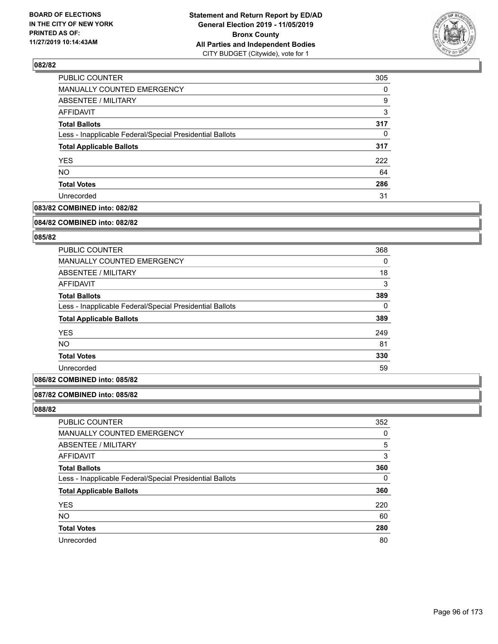

| <b>PUBLIC COUNTER</b>                                    | 305      |
|----------------------------------------------------------|----------|
| MANUALLY COUNTED EMERGENCY                               | $\Omega$ |
| ABSENTEE / MILITARY                                      | 9        |
| AFFIDAVIT                                                | 3        |
| <b>Total Ballots</b>                                     | 317      |
| Less - Inapplicable Federal/Special Presidential Ballots | $\Omega$ |
| <b>Total Applicable Ballots</b>                          | 317      |
| <b>YES</b>                                               | 222      |
| <b>NO</b>                                                | 64       |
| <b>Total Votes</b>                                       | 286      |
| Unrecorded                                               | 31       |

## **083/82 COMBINED into: 082/82**

#### **084/82 COMBINED into: 082/82**

## **085/82**

| <b>PUBLIC COUNTER</b>                                    | 368      |
|----------------------------------------------------------|----------|
| <b>MANUALLY COUNTED EMERGENCY</b>                        | $\Omega$ |
| ABSENTEE / MILITARY                                      | 18       |
| AFFIDAVIT                                                | 3        |
| <b>Total Ballots</b>                                     | 389      |
| Less - Inapplicable Federal/Special Presidential Ballots | 0        |
| <b>Total Applicable Ballots</b>                          | 389      |
| <b>YES</b>                                               | 249      |
| <b>NO</b>                                                | 81       |
| <b>Total Votes</b>                                       | 330      |
| Unrecorded                                               | 59       |
|                                                          |          |

### **086/82 COMBINED into: 085/82**

### **087/82 COMBINED into: 085/82**

| PUBLIC COUNTER                                           | 352      |
|----------------------------------------------------------|----------|
| MANUALLY COUNTED EMERGENCY                               | 0        |
| <b>ABSENTEE / MILITARY</b>                               | 5        |
| AFFIDAVIT                                                | 3        |
| <b>Total Ballots</b>                                     | 360      |
| Less - Inapplicable Federal/Special Presidential Ballots | $\Omega$ |
| <b>Total Applicable Ballots</b>                          | 360      |
| <b>YES</b>                                               | 220      |
| <b>NO</b>                                                | 60       |
| <b>Total Votes</b>                                       | 280      |
| Unrecorded                                               | 80       |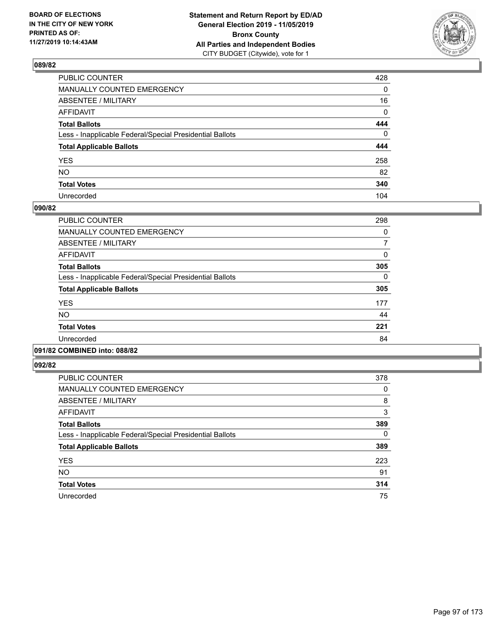

| PUBLIC COUNTER                                           | 428          |
|----------------------------------------------------------|--------------|
| MANUALLY COUNTED EMERGENCY                               | $\mathbf{0}$ |
| ABSENTEE / MILITARY                                      | 16           |
| AFFIDAVIT                                                | $\mathbf 0$  |
| Total Ballots                                            | 444          |
| Less - Inapplicable Federal/Special Presidential Ballots | $\mathbf 0$  |
| <b>Total Applicable Ballots</b>                          | 444          |
| YES                                                      | 258          |
| NO.                                                      | 82           |
| <b>Total Votes</b>                                       | 340          |
| Unrecorded                                               | 104          |

### **090/82**

| <b>PUBLIC COUNTER</b>                                    | 298      |
|----------------------------------------------------------|----------|
| <b>MANUALLY COUNTED EMERGENCY</b>                        | 0        |
| ABSENTEE / MILITARY                                      | 7        |
| <b>AFFIDAVIT</b>                                         | 0        |
| <b>Total Ballots</b>                                     | 305      |
| Less - Inapplicable Federal/Special Presidential Ballots | $\Omega$ |
| <b>Total Applicable Ballots</b>                          | 305      |
| <b>YES</b>                                               | 177      |
| <b>NO</b>                                                | 44       |
| <b>Total Votes</b>                                       | 221      |
| Unrecorded                                               | 84       |
|                                                          |          |

## **091/82 COMBINED into: 088/82**

| <b>PUBLIC COUNTER</b>                                    | 378 |
|----------------------------------------------------------|-----|
| <b>MANUALLY COUNTED EMERGENCY</b>                        | 0   |
| ABSENTEE / MILITARY                                      | 8   |
| <b>AFFIDAVIT</b>                                         | 3   |
| <b>Total Ballots</b>                                     | 389 |
| Less - Inapplicable Federal/Special Presidential Ballots | 0   |
| <b>Total Applicable Ballots</b>                          | 389 |
| <b>YES</b>                                               | 223 |
| <b>NO</b>                                                | 91  |
| <b>Total Votes</b>                                       | 314 |
| Unrecorded                                               | 75  |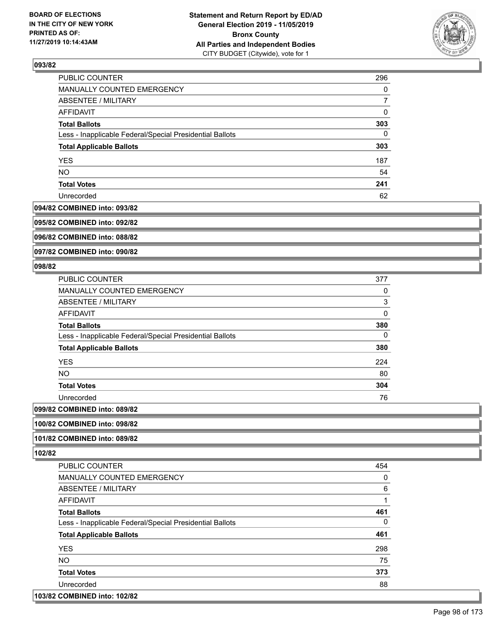

| PUBLIC COUNTER                                           | 296      |
|----------------------------------------------------------|----------|
| MANUALLY COUNTED EMERGENCY                               | $\Omega$ |
| ABSENTEE / MILITARY                                      |          |
| AFFIDAVIT                                                | 0        |
| <b>Total Ballots</b>                                     | 303      |
| Less - Inapplicable Federal/Special Presidential Ballots | $\Omega$ |
| <b>Total Applicable Ballots</b>                          | 303      |
| <b>YES</b>                                               | 187      |
| <b>NO</b>                                                | 54       |
| <b>Total Votes</b>                                       | 241      |
| Unrecorded                                               | 62       |

#### **094/82 COMBINED into: 093/82**

**095/82 COMBINED into: 092/82**

**096/82 COMBINED into: 088/82**

**097/82 COMBINED into: 090/82**

### **098/82**

| <b>PUBLIC COUNTER</b>                                    | 377      |
|----------------------------------------------------------|----------|
| <b>MANUALLY COUNTED EMERGENCY</b>                        | 0        |
| <b>ABSENTEE / MILITARY</b>                               | 3        |
| AFFIDAVIT                                                | $\Omega$ |
| <b>Total Ballots</b>                                     | 380      |
| Less - Inapplicable Federal/Special Presidential Ballots | 0        |
| <b>Total Applicable Ballots</b>                          | 380      |
| <b>YES</b>                                               | 224      |
| <b>NO</b>                                                | 80       |
| <b>Total Votes</b>                                       | 304      |
| Unrecorded                                               | 76       |
| COMPINIER : 000/00                                       |          |

## **099/82 COMBINED into: 089/82**

**100/82 COMBINED into: 098/82**

### **101/82 COMBINED into: 089/82**

**102/82** 

| <b>PUBLIC COUNTER</b>                                    | 454 |
|----------------------------------------------------------|-----|
| <b>MANUALLY COUNTED EMERGENCY</b>                        | 0   |
| ABSENTEE / MILITARY                                      | 6   |
| <b>AFFIDAVIT</b>                                         | 1   |
| <b>Total Ballots</b>                                     | 461 |
| Less - Inapplicable Federal/Special Presidential Ballots | 0   |
| <b>Total Applicable Ballots</b>                          | 461 |
| <b>YES</b>                                               | 298 |
| <b>NO</b>                                                | 75  |
| <b>Total Votes</b>                                       | 373 |
| Unrecorded                                               | 88  |
|                                                          |     |

### **103/82 COMBINED into: 102/82**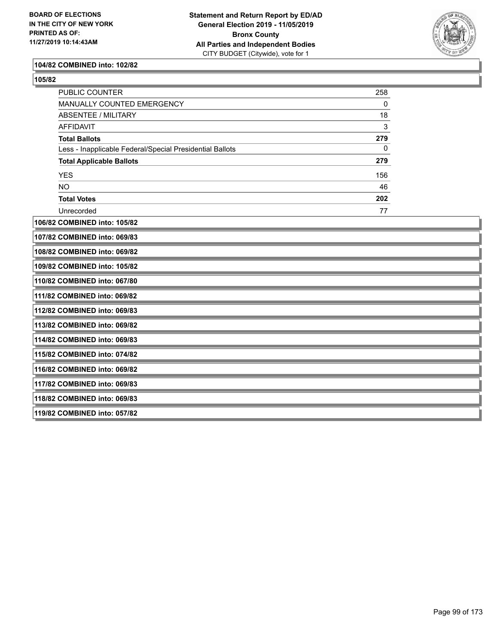

#### **104/82 COMBINED into: 102/82**

| ×<br>I<br>۰, |
|--------------|
|--------------|

| PUBLIC COUNTER                                           | 258 |  |
|----------------------------------------------------------|-----|--|
| MANUALLY COUNTED EMERGENCY                               | 0   |  |
| <b>ABSENTEE / MILITARY</b>                               | 18  |  |
| <b>AFFIDAVIT</b>                                         | 3   |  |
| <b>Total Ballots</b>                                     | 279 |  |
| Less - Inapplicable Federal/Special Presidential Ballots | 0   |  |
| <b>Total Applicable Ballots</b>                          | 279 |  |
| <b>YES</b>                                               | 156 |  |
| <b>NO</b>                                                | 46  |  |
| <b>Total Votes</b>                                       | 202 |  |
| Unrecorded                                               | 77  |  |
| 106/82 COMBINED into: 105/82                             |     |  |
| 107/82 COMBINED into: 069/83                             |     |  |
| 108/82 COMBINED into: 069/82                             |     |  |
| 109/82 COMBINED into: 105/82                             |     |  |
| 110/82 COMBINED into: 067/80                             |     |  |
| 111/82 COMBINED into: 069/82                             |     |  |
| 112/82 COMBINED into: 069/83                             |     |  |
| 113/82 COMBINED into: 069/82                             |     |  |
| 114/82 COMBINED into: 069/83                             |     |  |
| 115/82 COMBINED into: 074/82                             |     |  |
| 116/82 COMBINED into: 069/82                             |     |  |
| 117/82 COMBINED into: 069/83                             |     |  |
| 118/82 COMBINED into: 069/83                             |     |  |
| 119/82 COMBINED into: 057/82                             |     |  |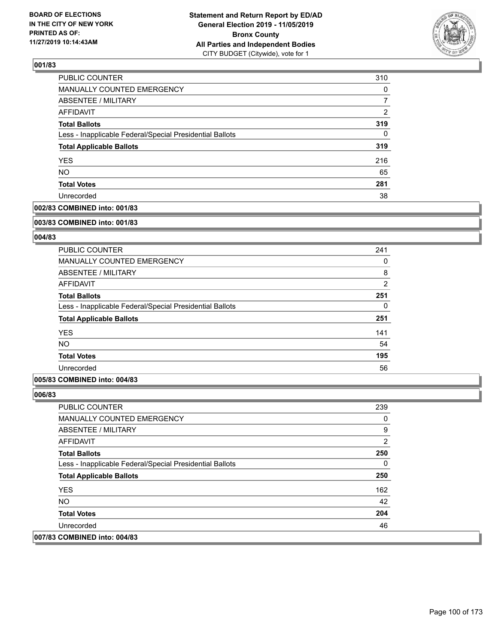

| <b>PUBLIC COUNTER</b>                                    | 310      |
|----------------------------------------------------------|----------|
| <b>MANUALLY COUNTED EMERGENCY</b>                        | $\Omega$ |
| ABSENTEE / MILITARY                                      | 7        |
| <b>AFFIDAVIT</b>                                         | 2        |
| <b>Total Ballots</b>                                     | 319      |
| Less - Inapplicable Federal/Special Presidential Ballots | $\Omega$ |
| <b>Total Applicable Ballots</b>                          | 319      |
| <b>YES</b>                                               | 216      |
| <b>NO</b>                                                | 65       |
| <b>Total Votes</b>                                       | 281      |
| Unrecorded                                               | 38       |

### **002/83 COMBINED into: 001/83**

#### **003/83 COMBINED into: 001/83**

## **004/83**

| PUBLIC COUNTER                                           | 241            |
|----------------------------------------------------------|----------------|
| <b>MANUALLY COUNTED EMERGENCY</b>                        | 0              |
| ABSENTEE / MILITARY                                      | 8              |
| AFFIDAVIT                                                | $\overline{2}$ |
| <b>Total Ballots</b>                                     | 251            |
| Less - Inapplicable Federal/Special Presidential Ballots | 0              |
| <b>Total Applicable Ballots</b>                          | 251            |
| <b>YES</b>                                               | 141            |
| <b>NO</b>                                                | 54             |
| <b>Total Votes</b>                                       | 195            |
| Unrecorded                                               | 56             |

### **005/83 COMBINED into: 004/83**

| <b>PUBLIC COUNTER</b>                                    | 239 |
|----------------------------------------------------------|-----|
| <b>MANUALLY COUNTED EMERGENCY</b>                        | 0   |
| ABSENTEE / MILITARY                                      | 9   |
| AFFIDAVIT                                                | 2   |
| <b>Total Ballots</b>                                     | 250 |
| Less - Inapplicable Federal/Special Presidential Ballots | 0   |
| <b>Total Applicable Ballots</b>                          | 250 |
| <b>YES</b>                                               | 162 |
| NO.                                                      | 42  |
| <b>Total Votes</b>                                       | 204 |
| Unrecorded                                               | 46  |
| 007/83 COMBINED into: 004/83                             |     |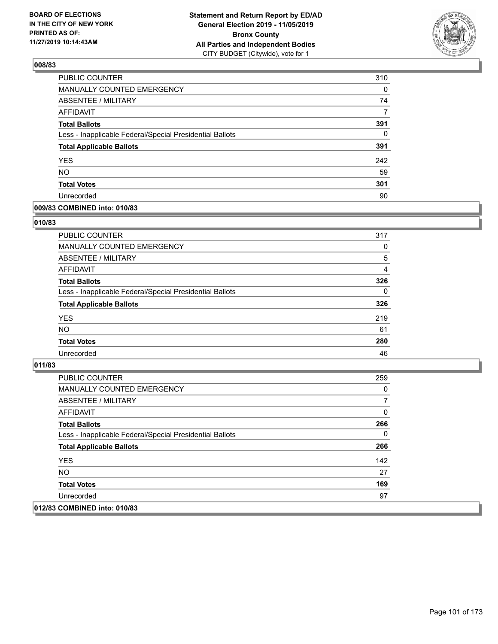

| PUBLIC COUNTER                                           | 310      |
|----------------------------------------------------------|----------|
| MANUALLY COUNTED EMERGENCY                               | 0        |
| ABSENTEE / MILITARY                                      | 74       |
| AFFIDAVIT                                                | 7        |
| <b>Total Ballots</b>                                     | 391      |
| Less - Inapplicable Federal/Special Presidential Ballots | $\Omega$ |
| <b>Total Applicable Ballots</b>                          | 391      |
| <b>YES</b>                                               | 242      |
| <b>NO</b>                                                | 59       |
| <b>Total Votes</b>                                       | 301      |
| Unrecorded                                               | 90       |

### **009/83 COMBINED into: 010/83**

### **010/83**

| <b>PUBLIC COUNTER</b>                                    | 317      |
|----------------------------------------------------------|----------|
| MANUALLY COUNTED EMERGENCY                               | 0        |
| <b>ABSENTEE / MILITARY</b>                               | 5        |
| AFFIDAVIT                                                | 4        |
| <b>Total Ballots</b>                                     | 326      |
| Less - Inapplicable Federal/Special Presidential Ballots | $\Omega$ |
| <b>Total Applicable Ballots</b>                          | 326      |
| <b>YES</b>                                               | 219      |
| <b>NO</b>                                                | 61       |
| <b>Total Votes</b>                                       | 280      |
| Unrecorded                                               | 46       |
|                                                          |          |

| PUBLIC COUNTER                                           | 259 |
|----------------------------------------------------------|-----|
| <b>MANUALLY COUNTED EMERGENCY</b>                        | 0   |
| ABSENTEE / MILITARY                                      | 7   |
| AFFIDAVIT                                                | 0   |
| <b>Total Ballots</b>                                     | 266 |
| Less - Inapplicable Federal/Special Presidential Ballots | 0   |
| <b>Total Applicable Ballots</b>                          | 266 |
| <b>YES</b>                                               | 142 |
| NO.                                                      | 27  |
| <b>Total Votes</b>                                       | 169 |
| Unrecorded                                               | 97  |
| 012/83 COMBINED into: 010/83                             |     |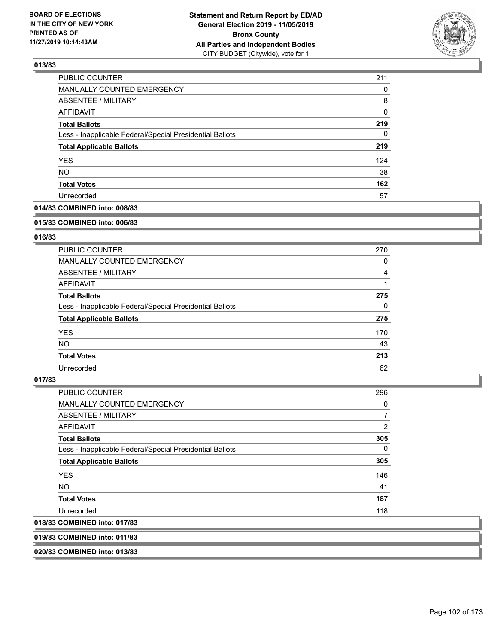

| <b>PUBLIC COUNTER</b>                                    | 211 |
|----------------------------------------------------------|-----|
| <b>MANUALLY COUNTED EMERGENCY</b>                        | 0   |
| <b>ABSENTEE / MILITARY</b>                               | 8   |
| <b>AFFIDAVIT</b>                                         | 0   |
| <b>Total Ballots</b>                                     | 219 |
| Less - Inapplicable Federal/Special Presidential Ballots | 0   |
| <b>Total Applicable Ballots</b>                          | 219 |
| <b>YES</b>                                               | 124 |
| <b>NO</b>                                                | 38  |
| <b>Total Votes</b>                                       | 162 |
| Unrecorded                                               | 57  |

## **014/83 COMBINED into: 008/83**

#### **015/83 COMBINED into: 006/83**

## **016/83**

| <b>PUBLIC COUNTER</b>                                    | 270      |
|----------------------------------------------------------|----------|
| <b>MANUALLY COUNTED EMERGENCY</b>                        | 0        |
| ABSENTEE / MILITARY                                      | 4        |
| AFFIDAVIT                                                |          |
| <b>Total Ballots</b>                                     | 275      |
| Less - Inapplicable Federal/Special Presidential Ballots | $\Omega$ |
| <b>Total Applicable Ballots</b>                          | 275      |
| <b>YES</b>                                               | 170      |
| NO.                                                      | 43       |
| <b>Total Votes</b>                                       | 213      |
| Unrecorded                                               | 62       |

#### **017/83**

| PUBLIC COUNTER                                           | 296            |
|----------------------------------------------------------|----------------|
| <b>MANUALLY COUNTED EMERGENCY</b>                        | 0              |
| ABSENTEE / MILITARY                                      | $\overline{7}$ |
| <b>AFFIDAVIT</b>                                         | $\overline{2}$ |
| <b>Total Ballots</b>                                     | 305            |
| Less - Inapplicable Federal/Special Presidential Ballots | $\Omega$       |
| <b>Total Applicable Ballots</b>                          | 305            |
| <b>YES</b>                                               | 146            |
| NO.                                                      | 41             |
| <b>Total Votes</b>                                       | 187            |
| Unrecorded                                               | 118            |
| 018/83 COMBINED into: 017/83                             |                |
|                                                          |                |

**019/83 COMBINED into: 011/83**

**020/83 COMBINED into: 013/83**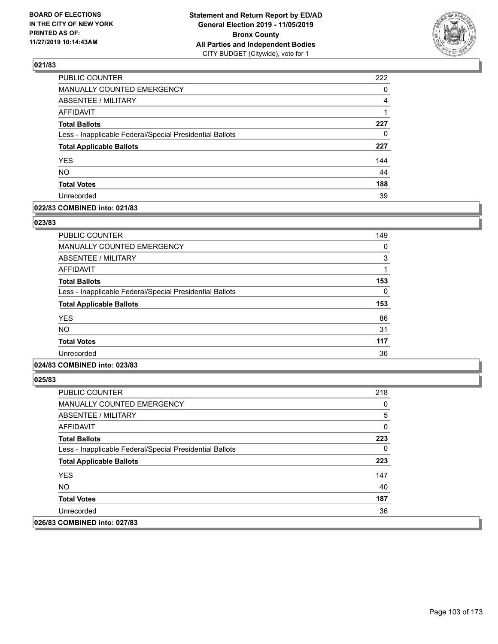

| PUBLIC COUNTER                                           | 222 |
|----------------------------------------------------------|-----|
| <b>MANUALLY COUNTED EMERGENCY</b>                        | 0   |
| <b>ABSENTEE / MILITARY</b>                               | 4   |
| <b>AFFIDAVIT</b>                                         | 1   |
| <b>Total Ballots</b>                                     | 227 |
| Less - Inapplicable Federal/Special Presidential Ballots | 0   |
| <b>Total Applicable Ballots</b>                          | 227 |
| <b>YES</b>                                               | 144 |
| <b>NO</b>                                                | 44  |
| <b>Total Votes</b>                                       | 188 |
| Unrecorded                                               | 39  |

### **022/83 COMBINED into: 021/83**

### **023/83**

| <b>PUBLIC COUNTER</b>                                    | 149 |
|----------------------------------------------------------|-----|
| <b>MANUALLY COUNTED EMERGENCY</b>                        | 0   |
| <b>ABSENTEE / MILITARY</b>                               | 3   |
| AFFIDAVIT                                                | 1   |
| <b>Total Ballots</b>                                     | 153 |
| Less - Inapplicable Federal/Special Presidential Ballots | 0   |
| <b>Total Applicable Ballots</b>                          | 153 |
| <b>YES</b>                                               | 86  |
| <b>NO</b>                                                | 31  |
| <b>Total Votes</b>                                       | 117 |
| Unrecorded                                               | 36  |
|                                                          |     |

## **024/83 COMBINED into: 023/83**

| <b>PUBLIC COUNTER</b>                                    | 218 |
|----------------------------------------------------------|-----|
| <b>MANUALLY COUNTED EMERGENCY</b>                        | 0   |
| ABSENTEE / MILITARY                                      | 5   |
| AFFIDAVIT                                                | 0   |
| <b>Total Ballots</b>                                     | 223 |
| Less - Inapplicable Federal/Special Presidential Ballots | 0   |
| <b>Total Applicable Ballots</b>                          | 223 |
| <b>YES</b>                                               | 147 |
| NO.                                                      | 40  |
| <b>Total Votes</b>                                       | 187 |
| Unrecorded                                               | 36  |
| 026/83 COMBINED into: 027/83                             |     |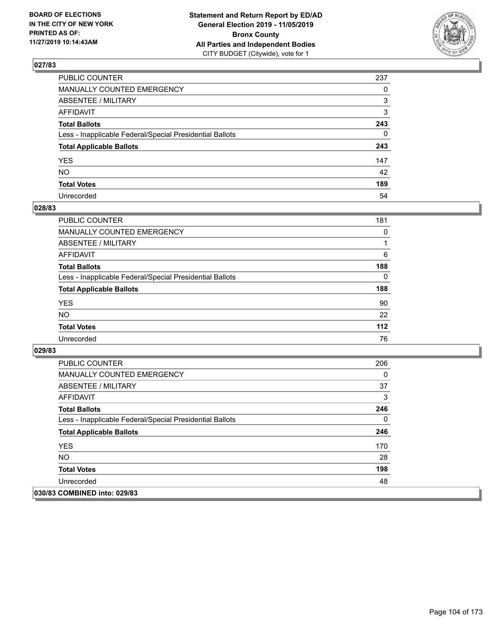

| PUBLIC COUNTER                                           | 237          |
|----------------------------------------------------------|--------------|
| MANUALLY COUNTED EMERGENCY                               | $\Omega$     |
| ABSENTEE / MILITARY                                      | 3            |
| AFFIDAVIT                                                | 3            |
| Total Ballots                                            | 243          |
| Less - Inapplicable Federal/Special Presidential Ballots | $\mathbf{0}$ |
| <b>Total Applicable Ballots</b>                          | 243          |
| YES                                                      | 147          |
| NO.                                                      | 42           |
| <b>Total Votes</b>                                       | 189          |
| Unrecorded                                               | 54           |

## **028/83**

| <b>PUBLIC COUNTER</b>                                    | 181      |
|----------------------------------------------------------|----------|
| <b>MANUALLY COUNTED EMERGENCY</b>                        | 0        |
| ABSENTEE / MILITARY                                      |          |
| AFFIDAVIT                                                | 6        |
| <b>Total Ballots</b>                                     | 188      |
| Less - Inapplicable Federal/Special Presidential Ballots | $\Omega$ |
| <b>Total Applicable Ballots</b>                          | 188      |
| <b>YES</b>                                               | 90       |
| <b>NO</b>                                                | 22       |
| <b>Total Votes</b>                                       | 112      |
| Unrecorded                                               | 76       |

| <b>PUBLIC COUNTER</b>                                    | 206 |
|----------------------------------------------------------|-----|
| <b>MANUALLY COUNTED EMERGENCY</b>                        | 0   |
| ABSENTEE / MILITARY                                      | 37  |
| AFFIDAVIT                                                | 3   |
| <b>Total Ballots</b>                                     | 246 |
| Less - Inapplicable Federal/Special Presidential Ballots | 0   |
| <b>Total Applicable Ballots</b>                          | 246 |
| <b>YES</b>                                               | 170 |
| NO.                                                      | 28  |
| <b>Total Votes</b>                                       | 198 |
| Unrecorded                                               | 48  |
| 030/83 COMBINED into: 029/83                             |     |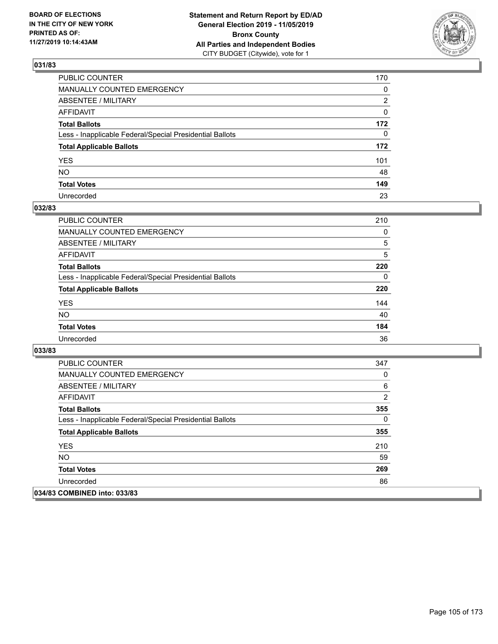

| PUBLIC COUNTER                                           | 170          |
|----------------------------------------------------------|--------------|
| MANUALLY COUNTED EMERGENCY                               | 0            |
| ABSENTEE / MILITARY                                      | 2            |
| AFFIDAVIT                                                | 0            |
| Total Ballots                                            | 172          |
| Less - Inapplicable Federal/Special Presidential Ballots | $\mathbf{0}$ |
| <b>Total Applicable Ballots</b>                          | 172          |
| YES                                                      | 101          |
| NO.                                                      | 48           |
| <b>Total Votes</b>                                       | 149          |
| Unrecorded                                               | 23           |

## **032/83**

| <b>PUBLIC COUNTER</b>                                    | 210      |
|----------------------------------------------------------|----------|
| MANUALLY COUNTED EMERGENCY                               | $\Omega$ |
| ABSENTEE / MILITARY                                      | 5        |
| AFFIDAVIT                                                | 5        |
| <b>Total Ballots</b>                                     | 220      |
| Less - Inapplicable Federal/Special Presidential Ballots | $\Omega$ |
| <b>Total Applicable Ballots</b>                          | 220      |
| <b>YES</b>                                               | 144      |
| <b>NO</b>                                                | 40       |
| <b>Total Votes</b>                                       | 184      |
| Unrecorded                                               | 36       |

| <b>PUBLIC COUNTER</b>                                    | 347      |
|----------------------------------------------------------|----------|
| <b>MANUALLY COUNTED EMERGENCY</b>                        | 0        |
| ABSENTEE / MILITARY                                      | 6        |
| AFFIDAVIT                                                | 2        |
| <b>Total Ballots</b>                                     | 355      |
| Less - Inapplicable Federal/Special Presidential Ballots | $\Omega$ |
| <b>Total Applicable Ballots</b>                          | 355      |
| <b>YES</b>                                               | 210      |
| NO.                                                      | 59       |
| <b>Total Votes</b>                                       | 269      |
| Unrecorded                                               | 86       |
| 034/83 COMBINED into: 033/83                             |          |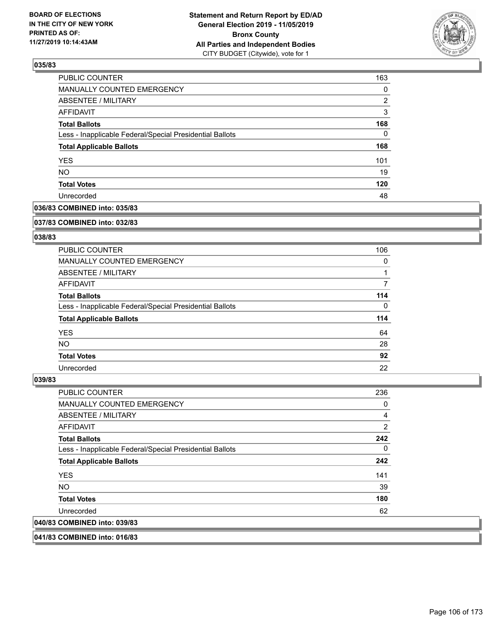

| PUBLIC COUNTER                                           | 163      |
|----------------------------------------------------------|----------|
| MANUALLY COUNTED EMERGENCY                               | $\Omega$ |
| <b>ABSENTEE / MILITARY</b>                               | 2        |
| AFFIDAVIT                                                | 3        |
| <b>Total Ballots</b>                                     | 168      |
| Less - Inapplicable Federal/Special Presidential Ballots | 0        |
| <b>Total Applicable Ballots</b>                          | 168      |
| <b>YES</b>                                               | 101      |
| <b>NO</b>                                                | 19       |
| <b>Total Votes</b>                                       | 120      |
| Unrecorded                                               | 48       |

### **036/83 COMBINED into: 035/83**

#### **037/83 COMBINED into: 032/83**

## **038/83**

| <b>PUBLIC COUNTER</b>                                    | 106      |
|----------------------------------------------------------|----------|
| <b>MANUALLY COUNTED EMERGENCY</b>                        | $\Omega$ |
| ABSENTEE / MILITARY                                      |          |
| AFFIDAVIT                                                |          |
| <b>Total Ballots</b>                                     | 114      |
| Less - Inapplicable Federal/Special Presidential Ballots | $\Omega$ |
| <b>Total Applicable Ballots</b>                          | 114      |
| <b>YES</b>                                               | 64       |
| NO.                                                      | 28       |
| <b>Total Votes</b>                                       | 92       |
| Unrecorded                                               | 22       |

#### **039/83**

| <b>PUBLIC COUNTER</b>                                    | 236            |
|----------------------------------------------------------|----------------|
| <b>MANUALLY COUNTED EMERGENCY</b>                        | 0              |
| ABSENTEE / MILITARY                                      | $\overline{4}$ |
| <b>AFFIDAVIT</b>                                         | 2              |
| <b>Total Ballots</b>                                     | 242            |
| Less - Inapplicable Federal/Special Presidential Ballots | 0              |
| <b>Total Applicable Ballots</b>                          | 242            |
| <b>YES</b>                                               | 141            |
| NO.                                                      | 39             |
| <b>Total Votes</b>                                       | 180            |
| Unrecorded                                               | 62             |
| 040/83 COMBINED into: 039/83                             |                |

**041/83 COMBINED into: 016/83**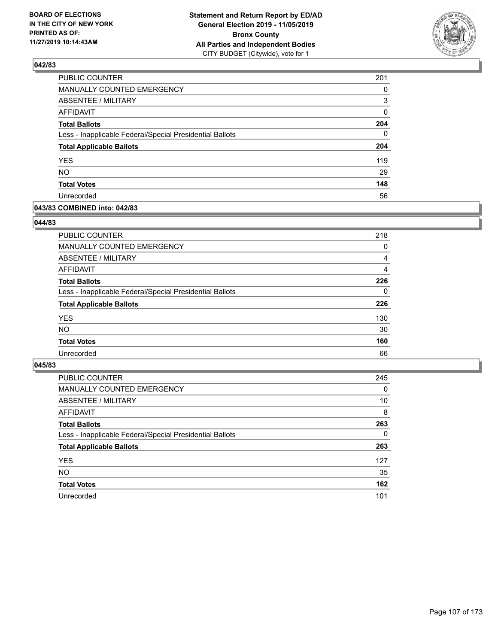

| PUBLIC COUNTER                                           | 201          |
|----------------------------------------------------------|--------------|
| MANUALLY COUNTED EMERGENCY                               | 0            |
| <b>ABSENTEE / MILITARY</b>                               | 3            |
| <b>AFFIDAVIT</b>                                         | 0            |
| <b>Total Ballots</b>                                     | 204          |
| Less - Inapplicable Federal/Special Presidential Ballots | $\mathbf{0}$ |
| <b>Total Applicable Ballots</b>                          | 204          |
| YES                                                      | 119          |
| NO.                                                      | 29           |
| <b>Total Votes</b>                                       | 148          |
| Unrecorded                                               | 56           |

### **043/83 COMBINED into: 042/83**

### **044/83**

| <b>PUBLIC COUNTER</b>                                    | 218      |
|----------------------------------------------------------|----------|
| <b>MANUALLY COUNTED EMERGENCY</b>                        | $\Omega$ |
| ABSENTEE / MILITARY                                      | 4        |
| AFFIDAVIT                                                | 4        |
| <b>Total Ballots</b>                                     | 226      |
| Less - Inapplicable Federal/Special Presidential Ballots | $\Omega$ |
| <b>Total Applicable Ballots</b>                          | 226      |
| <b>YES</b>                                               | 130      |
| <b>NO</b>                                                | 30       |
| <b>Total Votes</b>                                       | 160      |
| Unrecorded                                               | 66       |
|                                                          |          |

| <b>PUBLIC COUNTER</b>                                    | 245      |
|----------------------------------------------------------|----------|
| MANUALLY COUNTED EMERGENCY                               | $\Omega$ |
| ABSENTEE / MILITARY                                      | 10       |
| AFFIDAVIT                                                | 8        |
| <b>Total Ballots</b>                                     | 263      |
| Less - Inapplicable Federal/Special Presidential Ballots | $\Omega$ |
| <b>Total Applicable Ballots</b>                          | 263      |
| <b>YES</b>                                               | 127      |
| <b>NO</b>                                                | 35       |
| <b>Total Votes</b>                                       | 162      |
| Unrecorded                                               | 101      |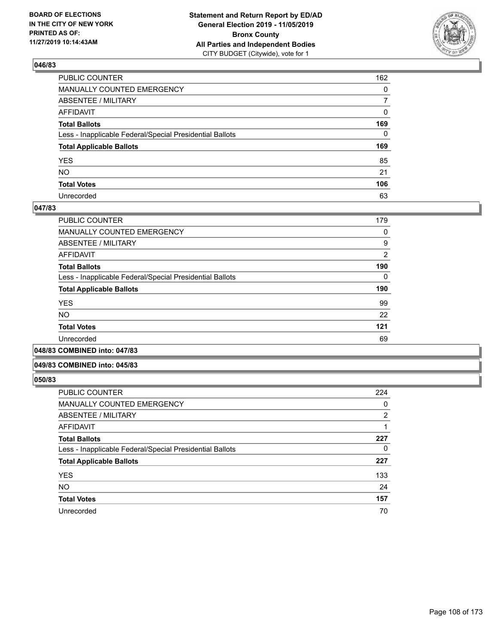

| PUBLIC COUNTER                                           | 162            |
|----------------------------------------------------------|----------------|
| MANUALLY COUNTED EMERGENCY                               | $\mathbf{0}$   |
| ABSENTEE / MILITARY                                      | $\overline{7}$ |
| AFFIDAVIT                                                | 0              |
| Total Ballots                                            | 169            |
| Less - Inapplicable Federal/Special Presidential Ballots | $\mathbf{0}$   |
| <b>Total Applicable Ballots</b>                          | 169            |
| YES                                                      | 85             |
| NO.                                                      | 21             |
| <b>Total Votes</b>                                       | 106            |
| Unrecorded                                               | 63             |

### **047/83**

| <b>PUBLIC COUNTER</b>                                    | 179            |
|----------------------------------------------------------|----------------|
| <b>MANUALLY COUNTED EMERGENCY</b>                        | 0              |
| ABSENTEE / MILITARY                                      | 9              |
| AFFIDAVIT                                                | $\overline{2}$ |
| <b>Total Ballots</b>                                     | 190            |
| Less - Inapplicable Federal/Special Presidential Ballots | 0              |
| <b>Total Applicable Ballots</b>                          | 190            |
| <b>YES</b>                                               | 99             |
| <b>NO</b>                                                | 22             |
| <b>Total Votes</b>                                       | 121            |
| Unrecorded                                               | 69             |
| .                                                        |                |

**048/83 COMBINED into: 047/83**

### **049/83 COMBINED into: 045/83**

| <b>PUBLIC COUNTER</b>                                    | 224            |
|----------------------------------------------------------|----------------|
| <b>MANUALLY COUNTED EMERGENCY</b>                        | 0              |
| <b>ABSENTEE / MILITARY</b>                               | $\overline{2}$ |
| <b>AFFIDAVIT</b>                                         |                |
| <b>Total Ballots</b>                                     | 227            |
| Less - Inapplicable Federal/Special Presidential Ballots | 0              |
| <b>Total Applicable Ballots</b>                          | 227            |
| <b>YES</b>                                               | 133            |
| <b>NO</b>                                                | 24             |
| <b>Total Votes</b>                                       | 157            |
| Unrecorded                                               | 70             |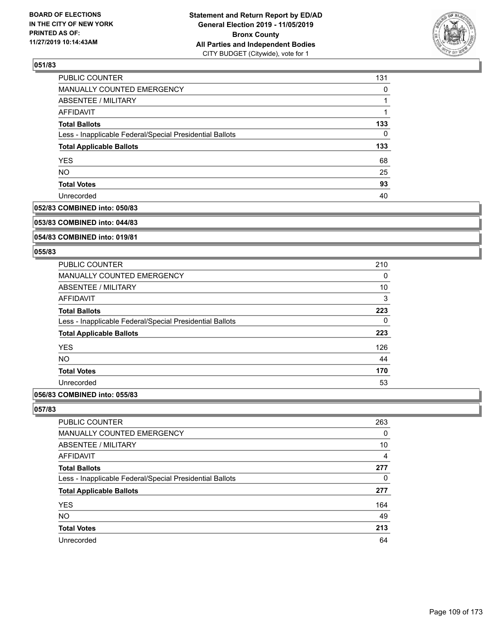

| PUBLIC COUNTER                                           | 131      |
|----------------------------------------------------------|----------|
| <b>MANUALLY COUNTED EMERGENCY</b>                        | $\Omega$ |
| ABSENTEE / MILITARY                                      |          |
| AFFIDAVIT                                                |          |
| <b>Total Ballots</b>                                     | 133      |
| Less - Inapplicable Federal/Special Presidential Ballots | $\Omega$ |
| <b>Total Applicable Ballots</b>                          | 133      |
| <b>YES</b>                                               | 68       |
| <b>NO</b>                                                | 25       |
| <b>Total Votes</b>                                       | 93       |
| Unrecorded                                               | 40       |

### **052/83 COMBINED into: 050/83**

#### **053/83 COMBINED into: 044/83**

## **054/83 COMBINED into: 019/81**

### **055/83**

| <b>PUBLIC COUNTER</b>                                    | 210 |
|----------------------------------------------------------|-----|
| <b>MANUALLY COUNTED EMERGENCY</b>                        | 0   |
| ABSENTEE / MILITARY                                      | 10  |
| AFFIDAVIT                                                | 3   |
| <b>Total Ballots</b>                                     | 223 |
| Less - Inapplicable Federal/Special Presidential Ballots | 0   |
| <b>Total Applicable Ballots</b>                          | 223 |
| <b>YES</b>                                               | 126 |
| <b>NO</b>                                                | 44  |
| <b>Total Votes</b>                                       | 170 |
| Unrecorded                                               | 53  |
|                                                          |     |

## **056/83 COMBINED into: 055/83**

| <b>PUBLIC COUNTER</b>                                    | 263            |
|----------------------------------------------------------|----------------|
| <b>MANUALLY COUNTED EMERGENCY</b>                        | 0              |
| ABSENTEE / MILITARY                                      | 10             |
| AFFIDAVIT                                                | $\overline{4}$ |
| <b>Total Ballots</b>                                     | 277            |
| Less - Inapplicable Federal/Special Presidential Ballots | $\Omega$       |
| <b>Total Applicable Ballots</b>                          | 277            |
| <b>YES</b>                                               | 164            |
| <b>NO</b>                                                | 49             |
| <b>Total Votes</b>                                       | 213            |
| Unrecorded                                               | 64             |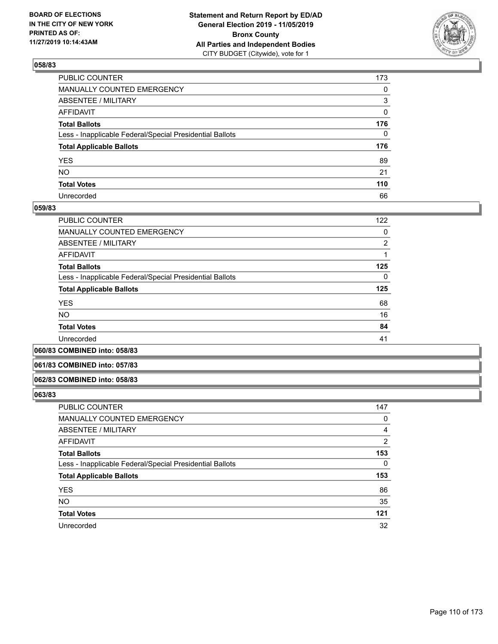

| PUBLIC COUNTER                                           | 173          |
|----------------------------------------------------------|--------------|
| MANUALLY COUNTED EMERGENCY                               | $\mathbf{0}$ |
| ABSENTEE / MILITARY                                      | 3            |
| AFFIDAVIT                                                | $\mathbf{0}$ |
| Total Ballots                                            | 176          |
| Less - Inapplicable Federal/Special Presidential Ballots | $\Omega$     |
| <b>Total Applicable Ballots</b>                          | 176          |
| YES                                                      | 89           |
| NO.                                                      | 21           |
| <b>Total Votes</b>                                       | 110          |
| Unrecorded                                               | 66           |

### **059/83**

| PUBLIC COUNTER                                           | 122 |
|----------------------------------------------------------|-----|
| <b>MANUALLY COUNTED EMERGENCY</b>                        | 0   |
| ABSENTEE / MILITARY                                      | 2   |
| <b>AFFIDAVIT</b>                                         |     |
| <b>Total Ballots</b>                                     | 125 |
| Less - Inapplicable Federal/Special Presidential Ballots | 0   |
| <b>Total Applicable Ballots</b>                          | 125 |
| <b>YES</b>                                               | 68  |
| <b>NO</b>                                                | 16  |
| <b>Total Votes</b>                                       | 84  |
| Unrecorded                                               | 41  |
|                                                          |     |

**060/83 COMBINED into: 058/83**

#### **061/83 COMBINED into: 057/83**

#### **062/83 COMBINED into: 058/83**

| <b>PUBLIC COUNTER</b>                                    | 147      |
|----------------------------------------------------------|----------|
| MANUALLY COUNTED EMERGENCY                               | 0        |
| <b>ABSENTEE / MILITARY</b>                               | 4        |
| AFFIDAVIT                                                | 2        |
| <b>Total Ballots</b>                                     | 153      |
| Less - Inapplicable Federal/Special Presidential Ballots | $\Omega$ |
| <b>Total Applicable Ballots</b>                          | 153      |
| <b>YES</b>                                               | 86       |
| <b>NO</b>                                                | 35       |
| <b>Total Votes</b>                                       | 121      |
| Unrecorded                                               | 32       |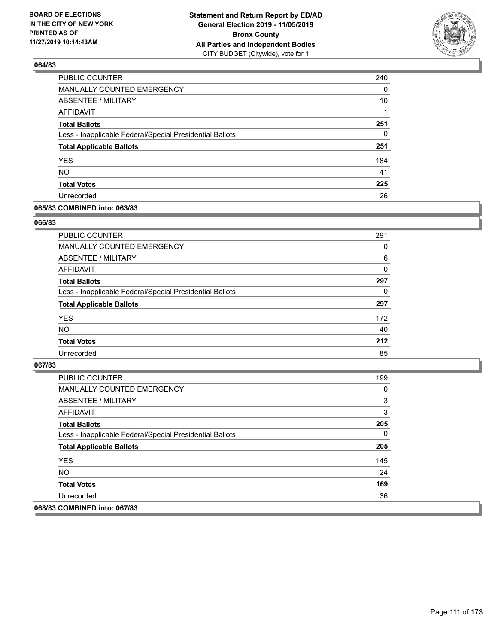

| PUBLIC COUNTER                                           | 240 |
|----------------------------------------------------------|-----|
| MANUALLY COUNTED EMERGENCY                               | 0   |
| ABSENTEE / MILITARY                                      | 10  |
| AFFIDAVIT                                                |     |
| <b>Total Ballots</b>                                     | 251 |
| Less - Inapplicable Federal/Special Presidential Ballots | 0   |
| <b>Total Applicable Ballots</b>                          | 251 |
| <b>YES</b>                                               | 184 |
| <b>NO</b>                                                | 41  |
| <b>Total Votes</b>                                       | 225 |
| Unrecorded                                               | 26  |

### **065/83 COMBINED into: 063/83**

### **066/83**

| PUBLIC COUNTER                                           | 291 |
|----------------------------------------------------------|-----|
| MANUALLY COUNTED EMERGENCY                               | 0   |
| <b>ABSENTEE / MILITARY</b>                               | 6   |
| AFFIDAVIT                                                | 0   |
| <b>Total Ballots</b>                                     | 297 |
| Less - Inapplicable Federal/Special Presidential Ballots | 0   |
| <b>Total Applicable Ballots</b>                          | 297 |
| <b>YES</b>                                               | 172 |
| <b>NO</b>                                                | 40  |
| <b>Total Votes</b>                                       | 212 |
| Unrecorded                                               | 85  |
|                                                          |     |

| PUBLIC COUNTER                                           | 199 |
|----------------------------------------------------------|-----|
| <b>MANUALLY COUNTED EMERGENCY</b>                        | 0   |
| ABSENTEE / MILITARY                                      | 3   |
| AFFIDAVIT                                                | 3   |
| <b>Total Ballots</b>                                     | 205 |
| Less - Inapplicable Federal/Special Presidential Ballots | 0   |
| <b>Total Applicable Ballots</b>                          | 205 |
| <b>YES</b>                                               | 145 |
| NO.                                                      | 24  |
| <b>Total Votes</b>                                       | 169 |
| Unrecorded                                               | 36  |
| 068/83 COMBINED into: 067/83                             |     |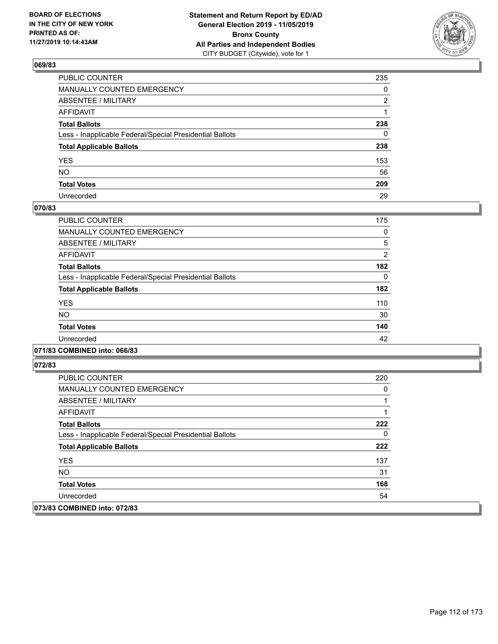

| PUBLIC COUNTER                                           | 235          |
|----------------------------------------------------------|--------------|
| MANUALLY COUNTED EMERGENCY                               | $\mathbf{0}$ |
| ABSENTEE / MILITARY                                      | 2            |
| AFFIDAVIT                                                |              |
| Total Ballots                                            | 238          |
| Less - Inapplicable Federal/Special Presidential Ballots | 0            |
| <b>Total Applicable Ballots</b>                          | 238          |
| YES                                                      | 153          |
| NO.                                                      | 56           |
| <b>Total Votes</b>                                       | 209          |
| Unrecorded                                               | 29           |

## **070/83**

| PUBLIC COUNTER                                           | 175            |
|----------------------------------------------------------|----------------|
| <b>MANUALLY COUNTED EMERGENCY</b>                        | 0              |
| <b>ABSENTEE / MILITARY</b>                               | 5              |
| <b>AFFIDAVIT</b>                                         | $\overline{2}$ |
| <b>Total Ballots</b>                                     | 182            |
| Less - Inapplicable Federal/Special Presidential Ballots | 0              |
| <b>Total Applicable Ballots</b>                          | 182            |
| <b>YES</b>                                               | 110            |
| <b>NO</b>                                                | 30             |
| <b>Total Votes</b>                                       | 140            |
| Unrecorded                                               | 42             |
|                                                          |                |

### **071/83 COMBINED into: 066/83**

| PUBLIC COUNTER                                           | 220 |
|----------------------------------------------------------|-----|
| <b>MANUALLY COUNTED EMERGENCY</b>                        | 0   |
| ABSENTEE / MILITARY                                      |     |
| AFFIDAVIT                                                |     |
| <b>Total Ballots</b>                                     | 222 |
| Less - Inapplicable Federal/Special Presidential Ballots | 0   |
| <b>Total Applicable Ballots</b>                          | 222 |
| <b>YES</b>                                               | 137 |
| NO.                                                      | 31  |
| <b>Total Votes</b>                                       | 168 |
| Unrecorded                                               | 54  |
| 073/83 COMBINED into: 072/83                             |     |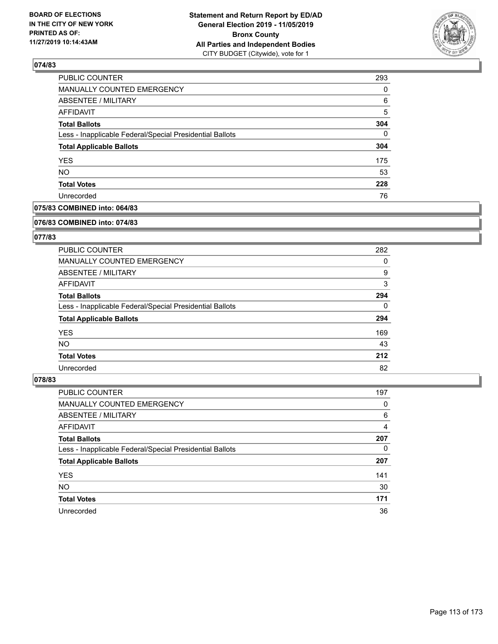

| 293 |
|-----|
| 0   |
| 6   |
| 5   |
| 304 |
| 0   |
| 304 |
| 175 |
| 53  |
| 228 |
| 76  |
|     |

## **075/83 COMBINED into: 064/83**

#### **076/83 COMBINED into: 074/83**

## **077/83**

| PUBLIC COUNTER                                           | 282      |
|----------------------------------------------------------|----------|
| <b>MANUALLY COUNTED EMERGENCY</b>                        | 0        |
| ABSENTEE / MILITARY                                      | 9        |
| AFFIDAVIT                                                | 3        |
| <b>Total Ballots</b>                                     | 294      |
| Less - Inapplicable Federal/Special Presidential Ballots | $\Omega$ |
| <b>Total Applicable Ballots</b>                          | 294      |
| <b>YES</b>                                               | 169      |
| NO.                                                      | 43       |
| <b>Total Votes</b>                                       | 212      |
| Unrecorded                                               | 82       |

| PUBLIC COUNTER                                           | 197 |
|----------------------------------------------------------|-----|
| MANUALLY COUNTED EMERGENCY                               | 0   |
| ABSENTEE / MILITARY                                      | 6   |
| AFFIDAVIT                                                | 4   |
| <b>Total Ballots</b>                                     | 207 |
| Less - Inapplicable Federal/Special Presidential Ballots | 0   |
| <b>Total Applicable Ballots</b>                          | 207 |
| <b>YES</b>                                               | 141 |
| <b>NO</b>                                                | 30  |
|                                                          |     |
| <b>Total Votes</b>                                       | 171 |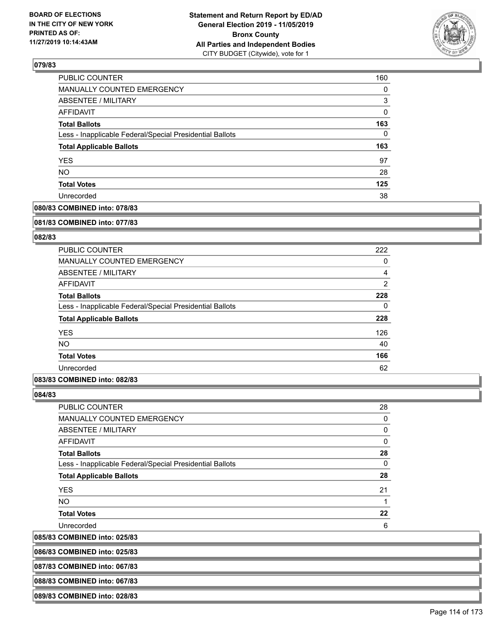

| PUBLIC COUNTER                                           | 160      |
|----------------------------------------------------------|----------|
| <b>MANUALLY COUNTED EMERGENCY</b>                        | $\Omega$ |
| <b>ABSENTEE / MILITARY</b>                               | 3        |
| AFFIDAVIT                                                | 0        |
| <b>Total Ballots</b>                                     | 163      |
| Less - Inapplicable Federal/Special Presidential Ballots | 0        |
| <b>Total Applicable Ballots</b>                          | 163      |
| <b>YES</b>                                               | 97       |
| <b>NO</b>                                                | 28       |
| <b>Total Votes</b>                                       | 125      |
| Unrecorded                                               | 38       |

## **080/83 COMBINED into: 078/83**

#### **081/83 COMBINED into: 077/83**

### **082/83**

| PUBLIC COUNTER                                           | 222            |
|----------------------------------------------------------|----------------|
| <b>MANUALLY COUNTED EMERGENCY</b>                        | 0              |
| ABSENTEE / MILITARY                                      | 4              |
| <b>AFFIDAVIT</b>                                         | $\overline{2}$ |
| <b>Total Ballots</b>                                     | 228            |
| Less - Inapplicable Federal/Special Presidential Ballots | 0              |
| <b>Total Applicable Ballots</b>                          | 228            |
| <b>YES</b>                                               | 126            |
| <b>NO</b>                                                | 40             |
| <b>Total Votes</b>                                       | 166            |
| Unrecorded                                               | 62             |

### **083/83 COMBINED into: 082/83**

**084/83** 

 $|085/83$ 

| <b>PUBLIC COUNTER</b>                                    | 28 |
|----------------------------------------------------------|----|
| <b>MANUALLY COUNTED EMERGENCY</b>                        | 0  |
| <b>ABSENTEE / MILITARY</b>                               | 0  |
| <b>AFFIDAVIT</b>                                         | 0  |
| <b>Total Ballots</b>                                     | 28 |
| Less - Inapplicable Federal/Special Presidential Ballots | 0  |
| <b>Total Applicable Ballots</b>                          | 28 |
| <b>YES</b>                                               | 21 |
| <b>NO</b>                                                |    |
| <b>Total Votes</b>                                       | 22 |
| Unrecorded                                               | 6  |
| <b>COMBINED into: 025/83</b>                             |    |

**086/83 COMBINED into: 025/83**

**087/83 COMBINED into: 067/83**

**088/83 COMBINED into: 067/83**

**089/83 COMBINED into: 028/83**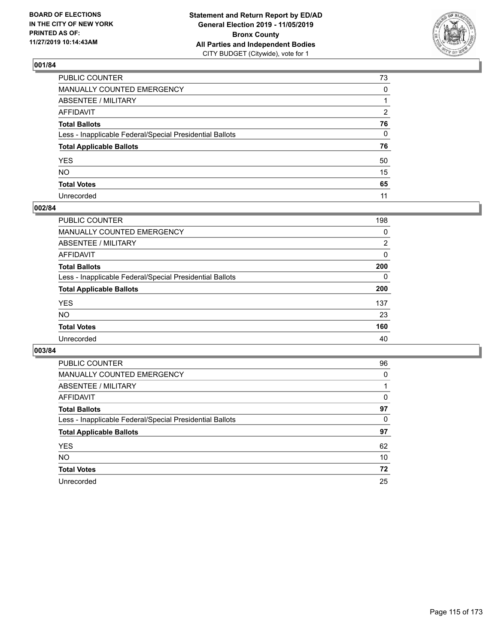

| PUBLIC COUNTER                                           | 73           |
|----------------------------------------------------------|--------------|
| MANUALLY COUNTED EMERGENCY                               | $\mathbf{0}$ |
| ABSENTEE / MILITARY                                      |              |
| AFFIDAVIT                                                | 2            |
| Total Ballots                                            | 76           |
| Less - Inapplicable Federal/Special Presidential Ballots | 0            |
| <b>Total Applicable Ballots</b>                          | 76           |
| YES                                                      | 50           |
| NO.                                                      | 15           |
| <b>Total Votes</b>                                       | 65           |
| Unrecorded                                               | 11           |

## **002/84**

| <b>PUBLIC COUNTER</b>                                    | 198      |
|----------------------------------------------------------|----------|
| <b>MANUALLY COUNTED EMERGENCY</b>                        | 0        |
| ABSENTEE / MILITARY                                      | 2        |
| AFFIDAVIT                                                | 0        |
| <b>Total Ballots</b>                                     | 200      |
| Less - Inapplicable Federal/Special Presidential Ballots | $\Omega$ |
| <b>Total Applicable Ballots</b>                          | 200      |
| <b>YES</b>                                               | 137      |
| <b>NO</b>                                                | 23       |
| <b>Total Votes</b>                                       | 160      |
| Unrecorded                                               | 40       |

| PUBLIC COUNTER                                           | 96       |
|----------------------------------------------------------|----------|
| <b>MANUALLY COUNTED EMERGENCY</b>                        | $\Omega$ |
| ABSENTEE / MILITARY                                      |          |
| AFFIDAVIT                                                | 0        |
| <b>Total Ballots</b>                                     | 97       |
| Less - Inapplicable Federal/Special Presidential Ballots | 0        |
| <b>Total Applicable Ballots</b>                          | 97       |
| <b>YES</b>                                               | 62       |
| NO.                                                      | 10       |
| <b>Total Votes</b>                                       | 72       |
| Unrecorded                                               | 25       |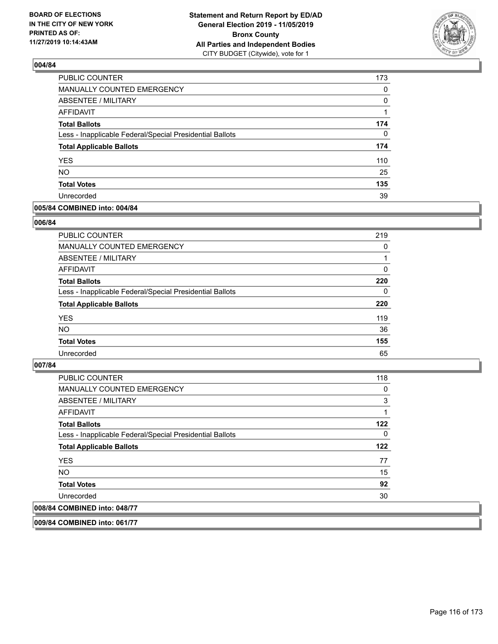

| <b>PUBLIC COUNTER</b>                                    | 173 |
|----------------------------------------------------------|-----|
| MANUALLY COUNTED EMERGENCY                               | 0   |
| <b>ABSENTEE / MILITARY</b>                               | 0   |
| <b>AFFIDAVIT</b>                                         |     |
| <b>Total Ballots</b>                                     | 174 |
| Less - Inapplicable Federal/Special Presidential Ballots | 0   |
| <b>Total Applicable Ballots</b>                          | 174 |
| <b>YES</b>                                               | 110 |
| <b>NO</b>                                                | 25  |
| <b>Total Votes</b>                                       | 135 |
| Unrecorded                                               | 39  |

### **005/84 COMBINED into: 004/84**

### **006/84**

| PUBLIC COUNTER                                           | 219      |
|----------------------------------------------------------|----------|
| <b>MANUALLY COUNTED EMERGENCY</b>                        | $\Omega$ |
| ABSENTEE / MILITARY                                      |          |
| AFFIDAVIT                                                | 0        |
| <b>Total Ballots</b>                                     | 220      |
| Less - Inapplicable Federal/Special Presidential Ballots | $\Omega$ |
| <b>Total Applicable Ballots</b>                          | 220      |
| <b>YES</b>                                               | 119      |
| <b>NO</b>                                                | 36       |
| <b>Total Votes</b>                                       | 155      |
| Unrecorded                                               | 65       |

### **007/84**

| <b>PUBLIC COUNTER</b>                                    | 118 |
|----------------------------------------------------------|-----|
| <b>MANUALLY COUNTED EMERGENCY</b>                        | 0   |
| ABSENTEE / MILITARY                                      | 3   |
| AFFIDAVIT                                                |     |
| <b>Total Ballots</b>                                     | 122 |
| Less - Inapplicable Federal/Special Presidential Ballots | 0   |
| <b>Total Applicable Ballots</b>                          | 122 |
| <b>YES</b>                                               | 77  |
| <b>NO</b>                                                | 15  |
| <b>Total Votes</b>                                       | 92  |
| Unrecorded                                               | 30  |
| 008/84 COMBINED into: 048/77                             |     |

**009/84 COMBINED into: 061/77**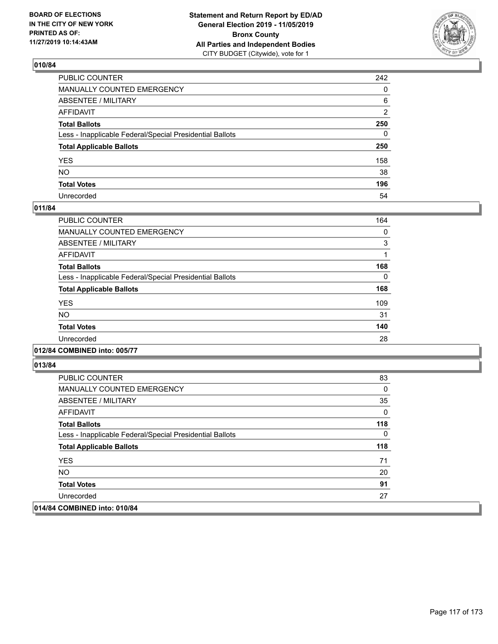

| PUBLIC COUNTER                                           | 242          |
|----------------------------------------------------------|--------------|
| MANUALLY COUNTED EMERGENCY                               | $\Omega$     |
| ABSENTEE / MILITARY                                      | 6            |
| AFFIDAVIT                                                | 2            |
| Total Ballots                                            | 250          |
| Less - Inapplicable Federal/Special Presidential Ballots | $\mathbf{0}$ |
| <b>Total Applicable Ballots</b>                          | 250          |
| YES                                                      | 158          |
| NO.                                                      | 38           |
| <b>Total Votes</b>                                       | 196          |
| Unrecorded                                               | 54           |

## **011/84**

| PUBLIC COUNTER                                           | 164 |
|----------------------------------------------------------|-----|
| <b>MANUALLY COUNTED EMERGENCY</b>                        | 0   |
| ABSENTEE / MILITARY                                      | 3   |
| <b>AFFIDAVIT</b>                                         |     |
| <b>Total Ballots</b>                                     | 168 |
| Less - Inapplicable Federal/Special Presidential Ballots | 0   |
| <b>Total Applicable Ballots</b>                          | 168 |
| <b>YES</b>                                               | 109 |
| NO.                                                      | 31  |
| <b>Total Votes</b>                                       | 140 |
| Unrecorded                                               | 28  |
|                                                          |     |

**012/84 COMBINED into: 005/77**

| PUBLIC COUNTER                                           | 83  |
|----------------------------------------------------------|-----|
| <b>MANUALLY COUNTED EMERGENCY</b>                        | 0   |
| ABSENTEE / MILITARY                                      | 35  |
| AFFIDAVIT                                                | 0   |
| <b>Total Ballots</b>                                     | 118 |
| Less - Inapplicable Federal/Special Presidential Ballots | 0   |
| <b>Total Applicable Ballots</b>                          | 118 |
| <b>YES</b>                                               | 71  |
| NO.                                                      | 20  |
| <b>Total Votes</b>                                       | 91  |
| Unrecorded                                               | 27  |
| 014/84 COMBINED into: 010/84                             |     |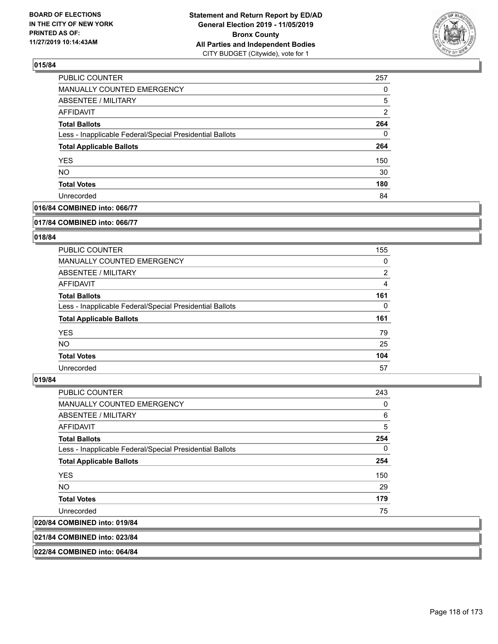

| PUBLIC COUNTER                                           | 257           |
|----------------------------------------------------------|---------------|
| <b>MANUALLY COUNTED EMERGENCY</b>                        | 0             |
| <b>ABSENTEE / MILITARY</b>                               | 5             |
| AFFIDAVIT                                                | $\mathcal{P}$ |
| <b>Total Ballots</b>                                     | 264           |
| Less - Inapplicable Federal/Special Presidential Ballots | 0             |
| <b>Total Applicable Ballots</b>                          | 264           |
| <b>YES</b>                                               | 150           |
| <b>NO</b>                                                | 30            |
| <b>Total Votes</b>                                       | 180           |
| Unrecorded                                               | 84            |

### **016/84 COMBINED into: 066/77**

#### **017/84 COMBINED into: 066/77**

## **018/84**

| PUBLIC COUNTER                                           | 155            |
|----------------------------------------------------------|----------------|
| <b>MANUALLY COUNTED EMERGENCY</b>                        | 0              |
| ABSENTEE / MILITARY                                      | $\overline{2}$ |
| AFFIDAVIT                                                | 4              |
| <b>Total Ballots</b>                                     | 161            |
| Less - Inapplicable Federal/Special Presidential Ballots | $\Omega$       |
| <b>Total Applicable Ballots</b>                          | 161            |
| <b>YES</b>                                               | 79             |
| NO.                                                      | 25             |
| <b>Total Votes</b>                                       | 104            |
| Unrecorded                                               | 57             |

#### **019/84**

| PUBLIC COUNTER                                           | 243      |
|----------------------------------------------------------|----------|
| <b>MANUALLY COUNTED EMERGENCY</b>                        | 0        |
| ABSENTEE / MILITARY                                      | 6        |
| <b>AFFIDAVIT</b>                                         | 5        |
| <b>Total Ballots</b>                                     | 254      |
| Less - Inapplicable Federal/Special Presidential Ballots | $\Omega$ |
| <b>Total Applicable Ballots</b>                          | 254      |
| <b>YES</b>                                               | 150      |
| <b>NO</b>                                                | 29       |
| <b>Total Votes</b>                                       | 179      |
| Unrecorded                                               | 75       |
| 020/84 COMBINED into: 019/84                             |          |
|                                                          |          |

**021/84 COMBINED into: 023/84**

**022/84 COMBINED into: 064/84**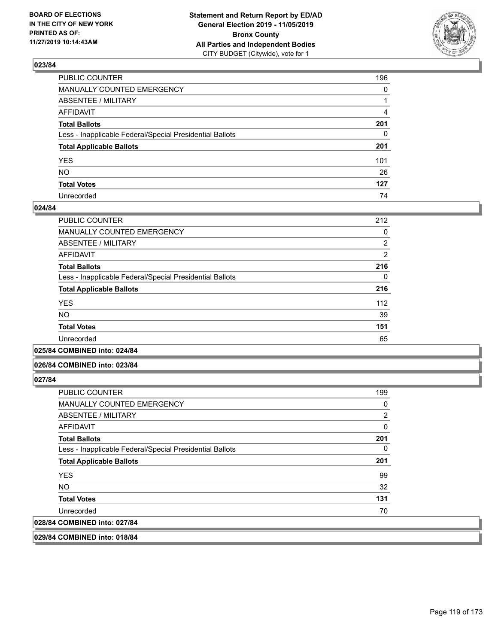

| PUBLIC COUNTER                                           | 196          |
|----------------------------------------------------------|--------------|
| MANUALLY COUNTED EMERGENCY                               | $\mathbf{0}$ |
| ABSENTEE / MILITARY                                      |              |
| AFFIDAVIT                                                | 4            |
| Total Ballots                                            | 201          |
| Less - Inapplicable Federal/Special Presidential Ballots | 0            |
| <b>Total Applicable Ballots</b>                          | 201          |
| YES                                                      | 101          |
| NO.                                                      | 26           |
| <b>Total Votes</b>                                       | 127          |
| Unrecorded                                               | 74           |

### **024/84**

| <b>PUBLIC COUNTER</b>                                    | 212            |
|----------------------------------------------------------|----------------|
| <b>MANUALLY COUNTED EMERGENCY</b>                        | 0              |
| ABSENTEE / MILITARY                                      | $\overline{2}$ |
| <b>AFFIDAVIT</b>                                         | $\overline{2}$ |
| <b>Total Ballots</b>                                     | 216            |
| Less - Inapplicable Federal/Special Presidential Ballots | 0              |
| <b>Total Applicable Ballots</b>                          | 216            |
| <b>YES</b>                                               | 112            |
| <b>NO</b>                                                | 39             |
| <b>Total Votes</b>                                       | 151            |
| Unrecorded                                               | 65             |
|                                                          |                |

**025/84 COMBINED into: 024/84**

### **026/84 COMBINED into: 023/84**

**027/84** 

| <b>PUBLIC COUNTER</b>                                    | 199      |
|----------------------------------------------------------|----------|
| <b>MANUALLY COUNTED EMERGENCY</b>                        | 0        |
| ABSENTEE / MILITARY                                      | 2        |
| AFFIDAVIT                                                | $\Omega$ |
| <b>Total Ballots</b>                                     | 201      |
| Less - Inapplicable Federal/Special Presidential Ballots | 0        |
| <b>Total Applicable Ballots</b>                          | 201      |
| <b>YES</b>                                               | 99       |
| NO.                                                      | 32       |
| <b>Total Votes</b>                                       | 131      |
| Unrecorded                                               | 70       |
| 028/84 COMBINED into: 027/84                             |          |

**029/84 COMBINED into: 018/84**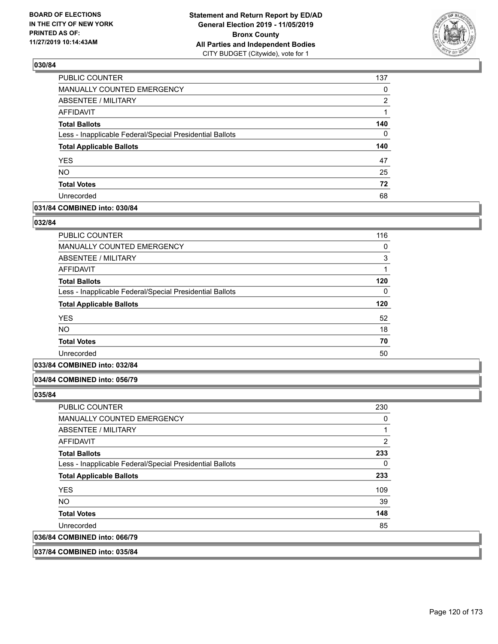

| PUBLIC COUNTER                                           | 137      |
|----------------------------------------------------------|----------|
| MANUALLY COUNTED EMERGENCY                               | 0        |
| <b>ABSENTEE / MILITARY</b>                               | 2        |
| <b>AFFIDAVIT</b>                                         | 1        |
| <b>Total Ballots</b>                                     | 140      |
| Less - Inapplicable Federal/Special Presidential Ballots | $\Omega$ |
| <b>Total Applicable Ballots</b>                          | 140      |
| <b>YES</b>                                               | 47       |
| <b>NO</b>                                                | 25       |
|                                                          |          |
| <b>Total Votes</b>                                       | 72       |

### **031/84 COMBINED into: 030/84**

#### **032/84**

| <b>PUBLIC COUNTER</b>                                    | 116 |
|----------------------------------------------------------|-----|
| <b>MANUALLY COUNTED EMERGENCY</b>                        | 0   |
| <b>ABSENTEE / MILITARY</b>                               | 3   |
| <b>AFFIDAVIT</b>                                         | 1   |
| <b>Total Ballots</b>                                     | 120 |
| Less - Inapplicable Federal/Special Presidential Ballots | 0   |
| <b>Total Applicable Ballots</b>                          | 120 |
| <b>YES</b>                                               | 52  |
| N <sub>O</sub>                                           | 18  |
| <b>Total Votes</b>                                       | 70  |
| Unrecorded                                               | 50  |
|                                                          |     |

## **033/84 COMBINED into: 032/84**

#### **034/84 COMBINED into: 056/79**

**035/84** 

| <b>PUBLIC COUNTER</b>                                    | 230 |
|----------------------------------------------------------|-----|
| <b>MANUALLY COUNTED EMERGENCY</b>                        | 0   |
| ABSENTEE / MILITARY                                      | 1   |
| AFFIDAVIT                                                | 2   |
| <b>Total Ballots</b>                                     | 233 |
| Less - Inapplicable Federal/Special Presidential Ballots | 0   |
| <b>Total Applicable Ballots</b>                          | 233 |
| <b>YES</b>                                               | 109 |
| NO.                                                      | 39  |
| <b>Total Votes</b>                                       | 148 |
| Unrecorded                                               | 85  |
| 036/84 COMBINED into: 066/79                             |     |
|                                                          |     |

### **037/84 COMBINED into: 035/84**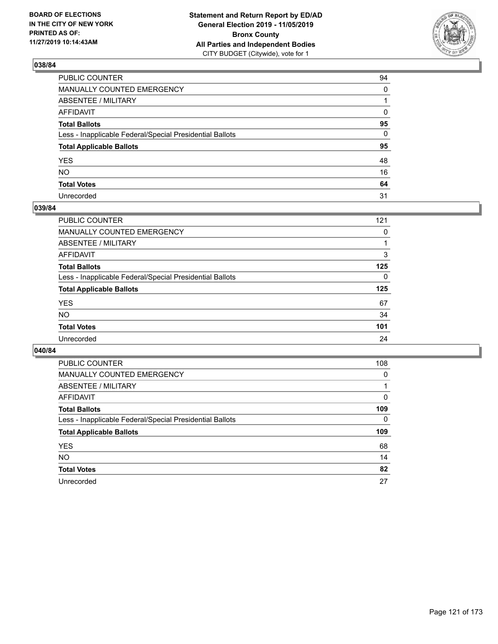

| PUBLIC COUNTER                                           | 94       |
|----------------------------------------------------------|----------|
| MANUALLY COUNTED EMERGENCY                               | $\Omega$ |
| ABSENTEE / MILITARY                                      |          |
| AFFIDAVIT                                                | 0        |
| Total Ballots                                            | 95       |
| Less - Inapplicable Federal/Special Presidential Ballots | 0        |
| <b>Total Applicable Ballots</b>                          | 95       |
| YES                                                      | 48       |
| NO.                                                      | 16       |
| <b>Total Votes</b>                                       | 64       |
| Unrecorded                                               | 31       |

## **039/84**

| <b>PUBLIC COUNTER</b>                                    | 121      |
|----------------------------------------------------------|----------|
| <b>MANUALLY COUNTED EMERGENCY</b>                        | 0        |
| ABSENTEE / MILITARY                                      |          |
| AFFIDAVIT                                                | 3        |
| <b>Total Ballots</b>                                     | 125      |
| Less - Inapplicable Federal/Special Presidential Ballots | $\Omega$ |
| <b>Total Applicable Ballots</b>                          | 125      |
| <b>YES</b>                                               | 67       |
| <b>NO</b>                                                | 34       |
| <b>Total Votes</b>                                       | 101      |
| Unrecorded                                               | 24       |

| PUBLIC COUNTER                                           | 108      |
|----------------------------------------------------------|----------|
| MANUALLY COUNTED EMERGENCY                               | $\Omega$ |
| ABSENTEE / MILITARY                                      |          |
| AFFIDAVIT                                                | 0        |
| <b>Total Ballots</b>                                     | 109      |
| Less - Inapplicable Federal/Special Presidential Ballots | 0        |
| <b>Total Applicable Ballots</b>                          | 109      |
| <b>YES</b>                                               | 68       |
|                                                          |          |
| NO.                                                      | 14       |
| <b>Total Votes</b>                                       | 82       |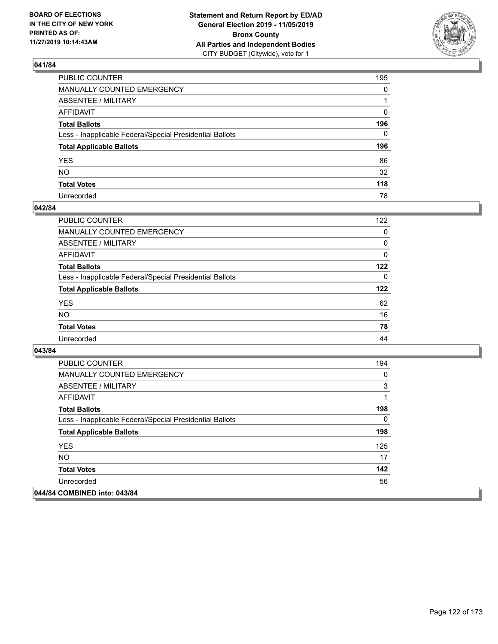

| PUBLIC COUNTER                                           | 195          |
|----------------------------------------------------------|--------------|
| MANUALLY COUNTED EMERGENCY                               | $\mathbf{0}$ |
| ABSENTEE / MILITARY                                      |              |
| AFFIDAVIT                                                | 0            |
| Total Ballots                                            | 196          |
| Less - Inapplicable Federal/Special Presidential Ballots | 0            |
| <b>Total Applicable Ballots</b>                          | 196          |
| YES                                                      | 86           |
| NO.                                                      | 32           |
| <b>Total Votes</b>                                       | 118          |
| Unrecorded                                               | 78           |

### **042/84**

| <b>PUBLIC COUNTER</b>                                    | 122      |
|----------------------------------------------------------|----------|
| MANUALLY COUNTED EMERGENCY                               | 0        |
| ABSENTEE / MILITARY                                      | 0        |
| AFFIDAVIT                                                | $\Omega$ |
| <b>Total Ballots</b>                                     | 122      |
| Less - Inapplicable Federal/Special Presidential Ballots | $\Omega$ |
| <b>Total Applicable Ballots</b>                          | 122      |
| <b>YES</b>                                               | 62       |
| <b>NO</b>                                                | 16       |
| <b>Total Votes</b>                                       | 78       |
| Unrecorded                                               | 44       |

| PUBLIC COUNTER                                           | 194 |
|----------------------------------------------------------|-----|
| <b>MANUALLY COUNTED EMERGENCY</b>                        | 0   |
| ABSENTEE / MILITARY                                      | 3   |
| AFFIDAVIT                                                | 1   |
| <b>Total Ballots</b>                                     | 198 |
| Less - Inapplicable Federal/Special Presidential Ballots | 0   |
| <b>Total Applicable Ballots</b>                          | 198 |
| <b>YES</b>                                               | 125 |
| NO.                                                      | 17  |
| <b>Total Votes</b>                                       | 142 |
| Unrecorded                                               | 56  |
| 044/84 COMBINED into: 043/84                             |     |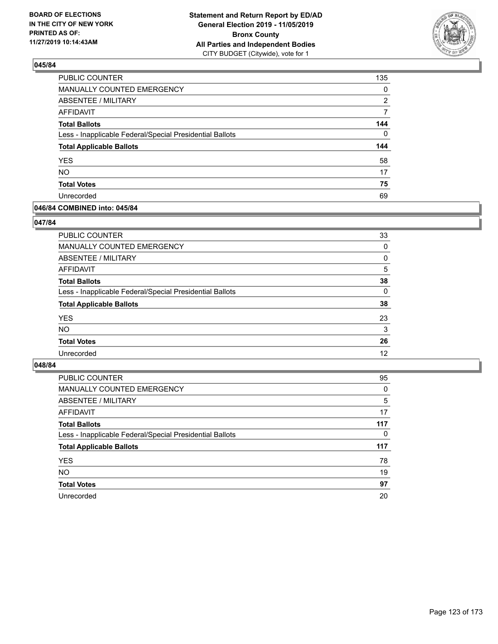

| PUBLIC COUNTER                                           | 135          |
|----------------------------------------------------------|--------------|
| MANUALLY COUNTED EMERGENCY                               | 0            |
| ABSENTEE / MILITARY                                      | 2            |
| <b>AFFIDAVIT</b>                                         | 7            |
| <b>Total Ballots</b>                                     | 144          |
| Less - Inapplicable Federal/Special Presidential Ballots | $\mathbf{0}$ |
| <b>Total Applicable Ballots</b>                          | 144          |
| <b>YES</b>                                               | 58           |
| <b>NO</b>                                                | 17           |
|                                                          |              |
| <b>Total Votes</b>                                       | 75           |

### **046/84 COMBINED into: 045/84**

### **047/84**

| PUBLIC COUNTER                                           | 33       |
|----------------------------------------------------------|----------|
| <b>MANUALLY COUNTED EMERGENCY</b>                        | $\Omega$ |
| ABSENTEE / MILITARY                                      | 0        |
| AFFIDAVIT                                                | 5        |
| <b>Total Ballots</b>                                     | 38       |
| Less - Inapplicable Federal/Special Presidential Ballots | $\Omega$ |
| <b>Total Applicable Ballots</b>                          | 38       |
| <b>YES</b>                                               | 23       |
| <b>NO</b>                                                | 3        |
| <b>Total Votes</b>                                       | 26       |
| Unrecorded                                               | 12       |
|                                                          |          |

| <b>PUBLIC COUNTER</b>                                    | 95  |
|----------------------------------------------------------|-----|
| MANUALLY COUNTED EMERGENCY                               | 0   |
| ABSENTEE / MILITARY                                      | 5   |
| AFFIDAVIT                                                | 17  |
| <b>Total Ballots</b>                                     | 117 |
| Less - Inapplicable Federal/Special Presidential Ballots | 0   |
| <b>Total Applicable Ballots</b>                          | 117 |
| <b>YES</b>                                               | 78  |
| <b>NO</b>                                                | 19  |
|                                                          |     |
| <b>Total Votes</b>                                       | 97  |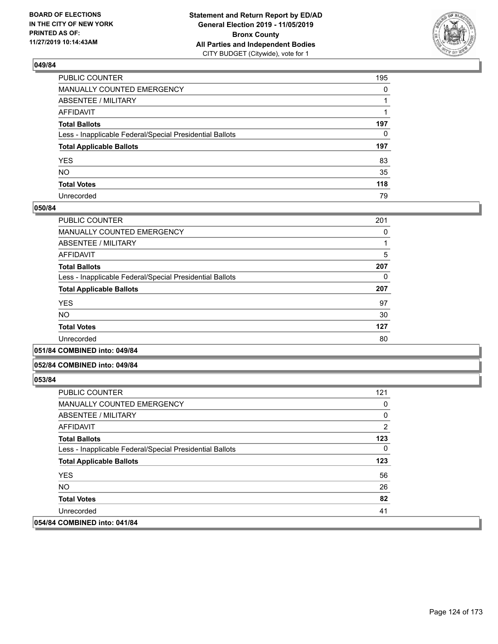

| PUBLIC COUNTER                                           | 195          |
|----------------------------------------------------------|--------------|
| MANUALLY COUNTED EMERGENCY                               | $\mathbf{0}$ |
| ABSENTEE / MILITARY                                      |              |
| AFFIDAVIT                                                |              |
| Total Ballots                                            | 197          |
| Less - Inapplicable Federal/Special Presidential Ballots | 0            |
| <b>Total Applicable Ballots</b>                          | 197          |
| YES                                                      | 83           |
| NO.                                                      | 35           |
| <b>Total Votes</b>                                       | 118          |
| Unrecorded                                               | 79           |

### **050/84**

| PUBLIC COUNTER                                           | 201 |
|----------------------------------------------------------|-----|
| <b>MANUALLY COUNTED EMERGENCY</b>                        | 0   |
| ABSENTEE / MILITARY                                      |     |
| AFFIDAVIT                                                | 5   |
| <b>Total Ballots</b>                                     | 207 |
| Less - Inapplicable Federal/Special Presidential Ballots | 0   |
| <b>Total Applicable Ballots</b>                          | 207 |
| <b>YES</b>                                               | 97  |
| <b>NO</b>                                                | 30  |
| <b>Total Votes</b>                                       | 127 |
| Unrecorded                                               | 80  |
|                                                          |     |

#### **051/84 COMBINED into: 049/84**

#### **052/84 COMBINED into: 049/84**

| <b>PUBLIC COUNTER</b>                                    | 121            |
|----------------------------------------------------------|----------------|
| MANUALLY COUNTED EMERGENCY                               | 0              |
| ABSENTEE / MILITARY                                      | 0              |
| AFFIDAVIT                                                | $\overline{2}$ |
| <b>Total Ballots</b>                                     | 123            |
| Less - Inapplicable Federal/Special Presidential Ballots | $\mathbf{0}$   |
| <b>Total Applicable Ballots</b>                          | 123            |
| <b>YES</b>                                               | 56             |
| NO.                                                      | 26             |
| <b>Total Votes</b>                                       | 82             |
| Unrecorded                                               | 41             |
| 054/84 COMBINED into: 041/84                             |                |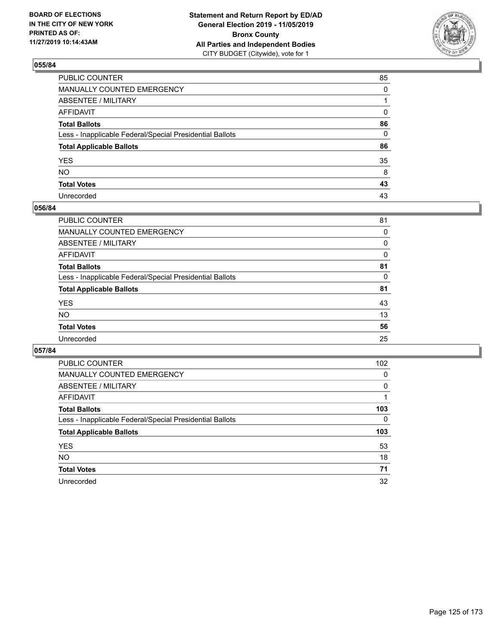

| PUBLIC COUNTER                                           | 85       |
|----------------------------------------------------------|----------|
| MANUALLY COUNTED EMERGENCY                               | $\Omega$ |
| ABSENTEE / MILITARY                                      |          |
| AFFIDAVIT                                                | 0        |
| Total Ballots                                            | 86       |
| Less - Inapplicable Federal/Special Presidential Ballots | 0        |
| <b>Total Applicable Ballots</b>                          | 86       |
| YES                                                      | 35       |
| NO.                                                      | 8        |
| <b>Total Votes</b>                                       | 43       |
| Unrecorded                                               | 43       |

### **056/84**

| 81 |
|----|
| 0  |
| 0  |
| 0  |
| 81 |
| 0  |
| 81 |
| 43 |
| 13 |
| 56 |
| 25 |
|    |

| PUBLIC COUNTER                                           | 102      |
|----------------------------------------------------------|----------|
| <b>MANUALLY COUNTED EMERGENCY</b>                        | 0        |
| ABSENTEE / MILITARY                                      | 0        |
| AFFIDAVIT                                                |          |
| <b>Total Ballots</b>                                     | 103      |
| Less - Inapplicable Federal/Special Presidential Ballots | $\Omega$ |
| <b>Total Applicable Ballots</b>                          | 103      |
| <b>YES</b>                                               | 53       |
| NO.                                                      | 18       |
| <b>Total Votes</b>                                       | 71       |
| Unrecorded                                               | 32       |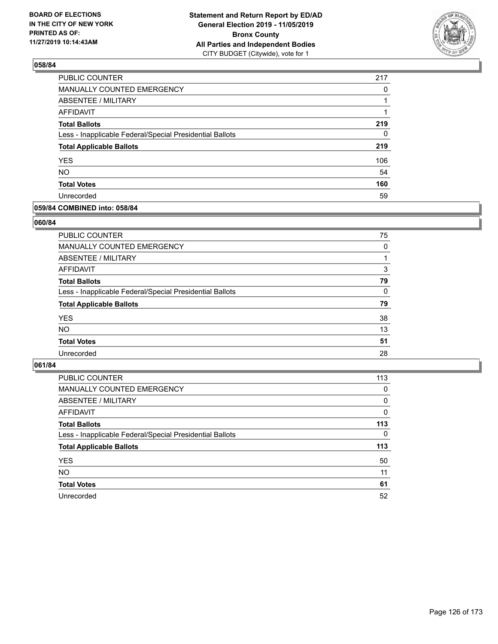

| PUBLIC COUNTER                                           | 217 |
|----------------------------------------------------------|-----|
| MANUALLY COUNTED EMERGENCY                               | 0   |
| <b>ABSENTEE / MILITARY</b>                               |     |
| <b>AFFIDAVIT</b>                                         | 1   |
| <b>Total Ballots</b>                                     | 219 |
| Less - Inapplicable Federal/Special Presidential Ballots | 0   |
| <b>Total Applicable Ballots</b>                          | 219 |
| <b>YES</b>                                               | 106 |
| <b>NO</b>                                                | 54  |
| <b>Total Votes</b>                                       | 160 |
| Unrecorded                                               | 59  |

### **059/84 COMBINED into: 058/84**

#### **060/84**

| PUBLIC COUNTER                                           | 75       |
|----------------------------------------------------------|----------|
| <b>MANUALLY COUNTED EMERGENCY</b>                        | $\Omega$ |
| ABSENTEE / MILITARY                                      |          |
| AFFIDAVIT                                                | 3        |
| <b>Total Ballots</b>                                     | 79       |
| Less - Inapplicable Federal/Special Presidential Ballots | $\Omega$ |
| <b>Total Applicable Ballots</b>                          | 79       |
| <b>YES</b>                                               | 38       |
| <b>NO</b>                                                | 13       |
| <b>Total Votes</b>                                       | 51       |
| Unrecorded                                               | 28       |
|                                                          |          |

| PUBLIC COUNTER                                           | 113      |
|----------------------------------------------------------|----------|
| MANUALLY COUNTED EMERGENCY                               | 0        |
| ABSENTEE / MILITARY                                      | $\Omega$ |
| AFFIDAVIT                                                | $\Omega$ |
| <b>Total Ballots</b>                                     | 113      |
| Less - Inapplicable Federal/Special Presidential Ballots | $\Omega$ |
| <b>Total Applicable Ballots</b>                          | 113      |
| <b>YES</b>                                               | 50       |
| <b>NO</b>                                                | 11       |
| <b>Total Votes</b>                                       | 61       |
| Unrecorded                                               | 52       |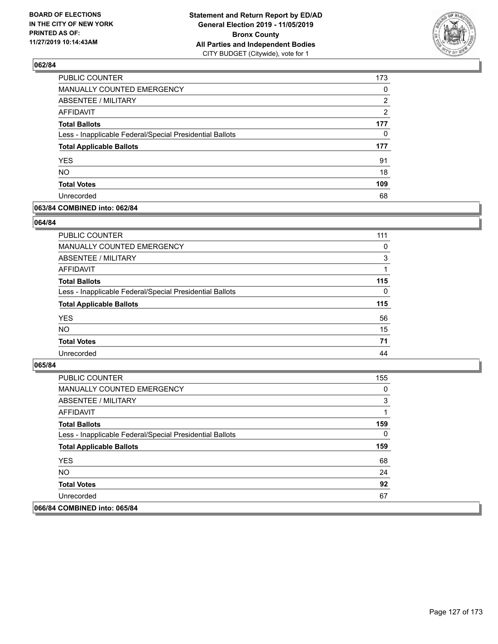

| <b>PUBLIC COUNTER</b>                                    | 173      |
|----------------------------------------------------------|----------|
| <b>MANUALLY COUNTED EMERGENCY</b>                        | $\Omega$ |
| <b>ABSENTEE / MILITARY</b>                               | 2        |
| <b>AFFIDAVIT</b>                                         | 2        |
| <b>Total Ballots</b>                                     | 177      |
| Less - Inapplicable Federal/Special Presidential Ballots | 0        |
| <b>Total Applicable Ballots</b>                          | 177      |
| <b>YES</b>                                               | 91       |
| <b>NO</b>                                                | 18       |
| <b>Total Votes</b>                                       | 109      |
| Unrecorded                                               | 68       |

### **063/84 COMBINED into: 062/84**

#### **064/84**

| PUBLIC COUNTER                                           | 111      |
|----------------------------------------------------------|----------|
| <b>MANUALLY COUNTED EMERGENCY</b>                        | $\Omega$ |
| ABSENTEE / MILITARY                                      | 3        |
| AFFIDAVIT                                                |          |
| <b>Total Ballots</b>                                     | 115      |
| Less - Inapplicable Federal/Special Presidential Ballots | $\Omega$ |
| <b>Total Applicable Ballots</b>                          | 115      |
| <b>YES</b>                                               | 56       |
| <b>NO</b>                                                | 15       |
| <b>Total Votes</b>                                       | 71       |
| Unrecorded                                               | 44       |
|                                                          |          |

| PUBLIC COUNTER                                           | 155 |
|----------------------------------------------------------|-----|
| <b>MANUALLY COUNTED EMERGENCY</b>                        | 0   |
| ABSENTEE / MILITARY                                      | 3   |
| AFFIDAVIT                                                |     |
| <b>Total Ballots</b>                                     | 159 |
| Less - Inapplicable Federal/Special Presidential Ballots | 0   |
| <b>Total Applicable Ballots</b>                          | 159 |
| <b>YES</b>                                               | 68  |
| NO.                                                      | 24  |
| <b>Total Votes</b>                                       | 92  |
| Unrecorded                                               | 67  |
| 066/84 COMBINED into: 065/84                             |     |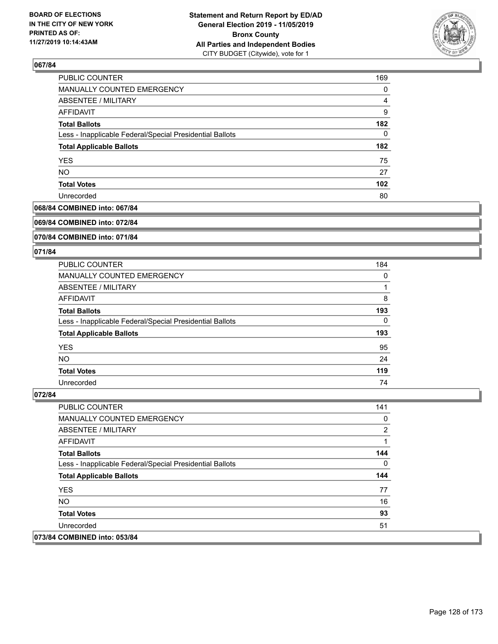

| PUBLIC COUNTER                                           | 169 |
|----------------------------------------------------------|-----|
| <b>MANUALLY COUNTED EMERGENCY</b>                        | 0   |
| ABSENTEE / MILITARY                                      | 4   |
| AFFIDAVIT                                                | 9   |
| <b>Total Ballots</b>                                     | 182 |
| Less - Inapplicable Federal/Special Presidential Ballots | 0   |
| <b>Total Applicable Ballots</b>                          | 182 |
| <b>YES</b>                                               | 75  |
| <b>NO</b>                                                | 27  |
| <b>Total Votes</b>                                       | 102 |
| Unrecorded                                               | 80  |

### **068/84 COMBINED into: 067/84**

#### **069/84 COMBINED into: 072/84**

### **070/84 COMBINED into: 071/84**

#### **071/84**

| <b>PUBLIC COUNTER</b>                                    | 184 |
|----------------------------------------------------------|-----|
| <b>MANUALLY COUNTED EMERGENCY</b>                        | 0   |
| ABSENTEE / MILITARY                                      |     |
| AFFIDAVIT                                                | 8   |
| <b>Total Ballots</b>                                     | 193 |
| Less - Inapplicable Federal/Special Presidential Ballots | 0   |
| <b>Total Applicable Ballots</b>                          | 193 |
| <b>YES</b>                                               | 95  |
| <b>NO</b>                                                | 24  |
| <b>Total Votes</b>                                       | 119 |
| Unrecorded                                               | 74  |

| PUBLIC COUNTER                                           | 141 |
|----------------------------------------------------------|-----|
| <b>MANUALLY COUNTED EMERGENCY</b>                        | 0   |
| ABSENTEE / MILITARY                                      | 2   |
| AFFIDAVIT                                                |     |
| <b>Total Ballots</b>                                     | 144 |
| Less - Inapplicable Federal/Special Presidential Ballots | 0   |
| <b>Total Applicable Ballots</b>                          | 144 |
| <b>YES</b>                                               | 77  |
| NO.                                                      | 16  |
| <b>Total Votes</b>                                       | 93  |
| Unrecorded                                               | 51  |
| 073/84 COMBINED into: 053/84                             |     |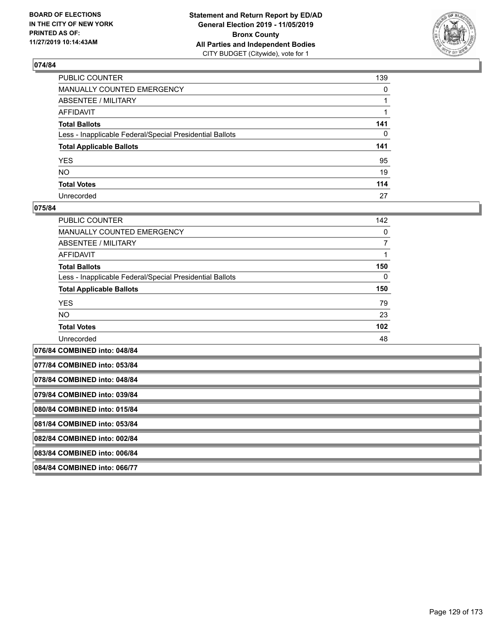

| PUBLIC COUNTER                                           | 139          |
|----------------------------------------------------------|--------------|
| MANUALLY COUNTED EMERGENCY                               | $\mathbf{0}$ |
| ABSENTEE / MILITARY                                      |              |
| AFFIDAVIT                                                |              |
| Total Ballots                                            | 141          |
| Less - Inapplicable Federal/Special Presidential Ballots | 0            |
| <b>Total Applicable Ballots</b>                          | 141          |
| YES                                                      | 95           |
| NO.                                                      | 19           |
| <b>Total Votes</b>                                       | 114          |
| Unrecorded                                               | 27           |

### **075/84**

| PUBLIC COUNTER                                           | 142      |
|----------------------------------------------------------|----------|
| <b>MANUALLY COUNTED EMERGENCY</b>                        | 0        |
| ABSENTEE / MILITARY                                      |          |
| AFFIDAVIT                                                |          |
| <b>Total Ballots</b>                                     | 150      |
| Less - Inapplicable Federal/Special Presidential Ballots | $\Omega$ |
| <b>Total Applicable Ballots</b>                          | 150      |
| <b>YES</b>                                               | 79       |
| <b>NO</b>                                                | 23       |
| <b>Total Votes</b>                                       | 102      |
| Unrecorded                                               | 48       |
|                                                          |          |

**076/84 COMBINED into: 048/84 077/84 COMBINED into: 053/84 078/84 COMBINED into: 048/84 079/84 COMBINED into: 039/84 080/84 COMBINED into: 015/84 081/84 COMBINED into: 053/84 082/84 COMBINED into: 002/84 083/84 COMBINED into: 006/84 084/84 COMBINED into: 066/77**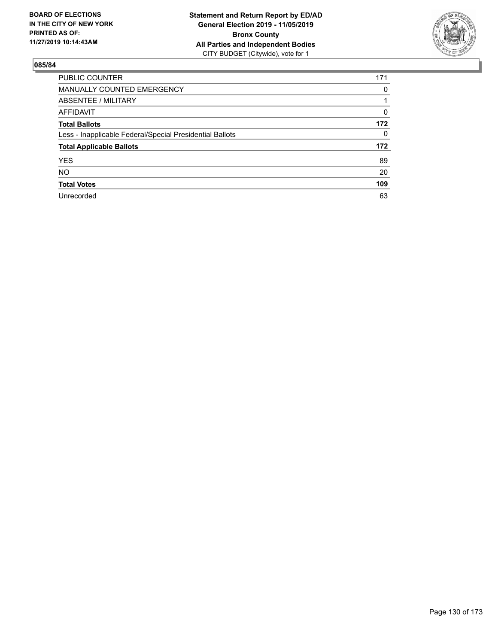

| <b>PUBLIC COUNTER</b>                                    | 171      |
|----------------------------------------------------------|----------|
| <b>MANUALLY COUNTED EMERGENCY</b>                        | 0        |
| ABSENTEE / MILITARY                                      |          |
| <b>AFFIDAVIT</b>                                         | $\Omega$ |
| <b>Total Ballots</b>                                     | 172      |
| Less - Inapplicable Federal/Special Presidential Ballots | 0        |
| <b>Total Applicable Ballots</b>                          | 172      |
| <b>YES</b>                                               | 89       |
| <b>NO</b>                                                | 20       |
| <b>Total Votes</b>                                       | 109      |
| Unrecorded                                               | 63       |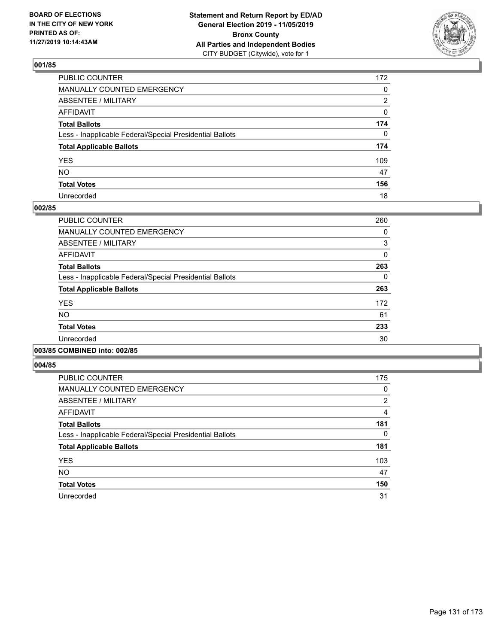

| PUBLIC COUNTER                                           | 172 |
|----------------------------------------------------------|-----|
| MANUALLY COUNTED EMERGENCY                               | 0   |
| ABSENTEE / MILITARY                                      | 2   |
| AFFIDAVIT                                                | 0   |
| Total Ballots                                            | 174 |
| Less - Inapplicable Federal/Special Presidential Ballots | 0   |
| <b>Total Applicable Ballots</b>                          | 174 |
| YES                                                      | 109 |
| NO.                                                      | 47  |
| <b>Total Votes</b>                                       | 156 |
| Unrecorded                                               | 18  |

## **002/85**

| <b>PUBLIC COUNTER</b>                                    | 260 |
|----------------------------------------------------------|-----|
| <b>MANUALLY COUNTED EMERGENCY</b>                        | 0   |
| ABSENTEE / MILITARY                                      | 3   |
| <b>AFFIDAVIT</b>                                         | 0   |
| <b>Total Ballots</b>                                     | 263 |
| Less - Inapplicable Federal/Special Presidential Ballots | 0   |
| <b>Total Applicable Ballots</b>                          | 263 |
| <b>YES</b>                                               | 172 |
| N <sub>O</sub>                                           | 61  |
| <b>Total Votes</b>                                       | 233 |
| Unrecorded                                               | 30  |
|                                                          |     |

## **003/85 COMBINED into: 002/85**

| <b>PUBLIC COUNTER</b>                                    | 175 |
|----------------------------------------------------------|-----|
| <b>MANUALLY COUNTED EMERGENCY</b>                        | 0   |
| ABSENTEE / MILITARY                                      | 2   |
| <b>AFFIDAVIT</b>                                         | 4   |
| <b>Total Ballots</b>                                     | 181 |
| Less - Inapplicable Federal/Special Presidential Ballots | 0   |
| <b>Total Applicable Ballots</b>                          | 181 |
| <b>YES</b>                                               | 103 |
| <b>NO</b>                                                | 47  |
| <b>Total Votes</b>                                       | 150 |
| Unrecorded                                               | 31  |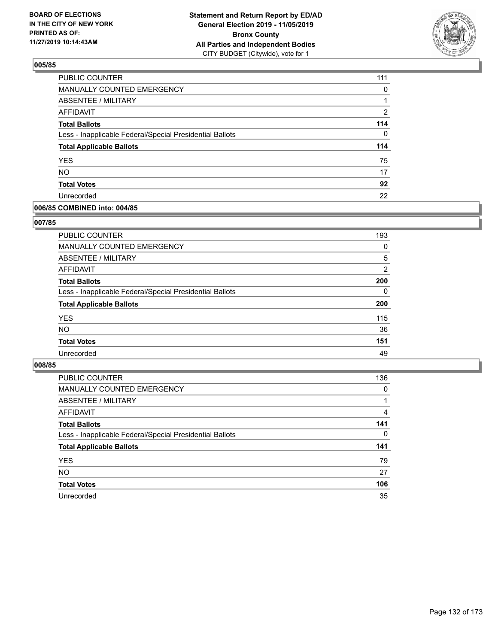

| PUBLIC COUNTER                                           | 111            |
|----------------------------------------------------------|----------------|
| <b>MANUALLY COUNTED EMERGENCY</b>                        | $\Omega$       |
| ABSENTEE / MILITARY                                      |                |
| <b>AFFIDAVIT</b>                                         | $\overline{2}$ |
| <b>Total Ballots</b>                                     | 114            |
| Less - Inapplicable Federal/Special Presidential Ballots | $\Omega$       |
| <b>Total Applicable Ballots</b>                          | 114            |
| <b>YES</b>                                               | 75             |
| <b>NO</b>                                                | 17             |
| <b>Total Votes</b>                                       | 92             |
| Unrecorded                                               | 22             |

### **006/85 COMBINED into: 004/85**

### **007/85**

| <b>PUBLIC COUNTER</b>                                    | 193      |
|----------------------------------------------------------|----------|
| <b>MANUALLY COUNTED EMERGENCY</b>                        | $\Omega$ |
| ABSENTEE / MILITARY                                      | 5        |
| AFFIDAVIT                                                | 2        |
| <b>Total Ballots</b>                                     | 200      |
| Less - Inapplicable Federal/Special Presidential Ballots | $\Omega$ |
| <b>Total Applicable Ballots</b>                          | 200      |
| <b>YES</b>                                               | 115      |
| <b>NO</b>                                                | 36       |
| <b>Total Votes</b>                                       | 151      |
| Unrecorded                                               | 49       |
|                                                          |          |

| <b>PUBLIC COUNTER</b>                                    | 136      |
|----------------------------------------------------------|----------|
| MANUALLY COUNTED EMERGENCY                               | $\Omega$ |
| ABSENTEE / MILITARY                                      |          |
| AFFIDAVIT                                                | 4        |
| <b>Total Ballots</b>                                     | 141      |
| Less - Inapplicable Federal/Special Presidential Ballots | $\Omega$ |
| <b>Total Applicable Ballots</b>                          | 141      |
| <b>YES</b>                                               | 79       |
| <b>NO</b>                                                | 27       |
| <b>Total Votes</b>                                       | 106      |
| Unrecorded                                               | 35       |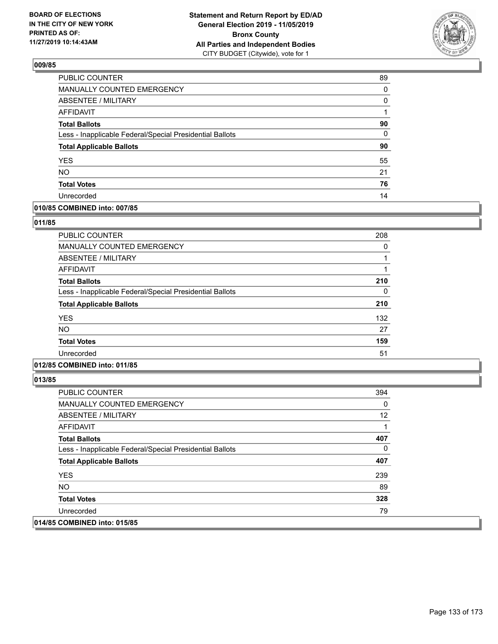

| 89 |
|----|
| 0  |
| 0  |
| 1  |
| 90 |
| 0  |
| 90 |
| 55 |
| 21 |
| 76 |
| 14 |
|    |

## **010/85 COMBINED into: 007/85**

#### **011/85**

| <b>PUBLIC COUNTER</b>                                    | 208 |
|----------------------------------------------------------|-----|
| <b>MANUALLY COUNTED EMERGENCY</b>                        | 0   |
| ABSENTEE / MILITARY                                      |     |
| AFFIDAVIT                                                |     |
| <b>Total Ballots</b>                                     | 210 |
| Less - Inapplicable Federal/Special Presidential Ballots | 0   |
| <b>Total Applicable Ballots</b>                          | 210 |
| <b>YES</b>                                               | 132 |
| <b>NO</b>                                                | 27  |
| <b>Total Votes</b>                                       | 159 |
| Unrecorded                                               | 51  |
|                                                          |     |

## **012/85 COMBINED into: 011/85**

| <b>PUBLIC COUNTER</b>                                    | 394 |
|----------------------------------------------------------|-----|
| <b>MANUALLY COUNTED EMERGENCY</b>                        | 0   |
| ABSENTEE / MILITARY                                      | 12  |
| AFFIDAVIT                                                |     |
| <b>Total Ballots</b>                                     | 407 |
| Less - Inapplicable Federal/Special Presidential Ballots | 0   |
| <b>Total Applicable Ballots</b>                          | 407 |
| <b>YES</b>                                               | 239 |
| NO.                                                      | 89  |
| <b>Total Votes</b>                                       | 328 |
| Unrecorded                                               | 79  |
| 014/85 COMBINED into: 015/85                             |     |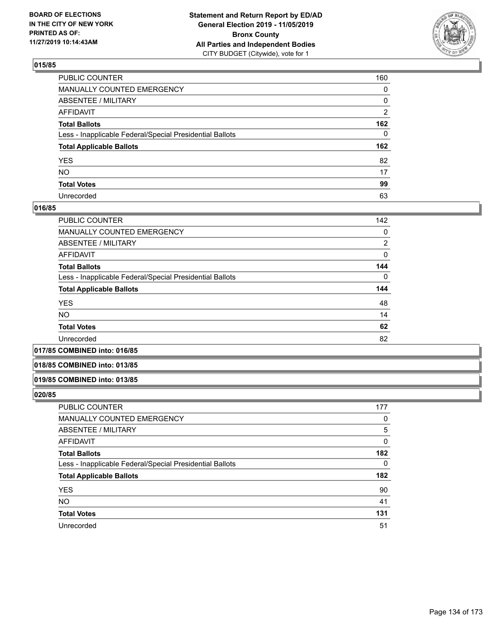

| PUBLIC COUNTER                                           | 160 |
|----------------------------------------------------------|-----|
| MANUALLY COUNTED EMERGENCY                               | 0   |
| ABSENTEE / MILITARY                                      | 0   |
| AFFIDAVIT                                                | 2   |
| Total Ballots                                            | 162 |
| Less - Inapplicable Federal/Special Presidential Ballots | 0   |
| <b>Total Applicable Ballots</b>                          | 162 |
| YES                                                      | 82  |
| NO.                                                      | 17  |
| <b>Total Votes</b>                                       | 99  |
| Unrecorded                                               | 63  |

### **016/85**

| <b>PUBLIC COUNTER</b>                                    | 142      |
|----------------------------------------------------------|----------|
| <b>MANUALLY COUNTED EMERGENCY</b>                        | 0        |
| ABSENTEE / MILITARY                                      | 2        |
| AFFIDAVIT                                                | 0        |
| <b>Total Ballots</b>                                     | 144      |
| Less - Inapplicable Federal/Special Presidential Ballots | $\Omega$ |
| <b>Total Applicable Ballots</b>                          | 144      |
| <b>YES</b>                                               | 48       |
| <b>NO</b>                                                | 14       |
| <b>Total Votes</b>                                       | 62       |
| Unrecorded                                               | 82       |
|                                                          |          |

#### **017/85 COMBINED into: 016/85**

### **018/85 COMBINED into: 013/85**

#### **019/85 COMBINED into: 013/85**

| <b>PUBLIC COUNTER</b>                                    | 177      |
|----------------------------------------------------------|----------|
| MANUALLY COUNTED EMERGENCY                               | 0        |
| <b>ABSENTEE / MILITARY</b>                               | 5        |
| AFFIDAVIT                                                | 0        |
| <b>Total Ballots</b>                                     | 182      |
| Less - Inapplicable Federal/Special Presidential Ballots | $\Omega$ |
| <b>Total Applicable Ballots</b>                          | 182      |
| <b>YES</b>                                               | 90       |
| <b>NO</b>                                                | 41       |
| <b>Total Votes</b>                                       | 131      |
| Unrecorded                                               | 51       |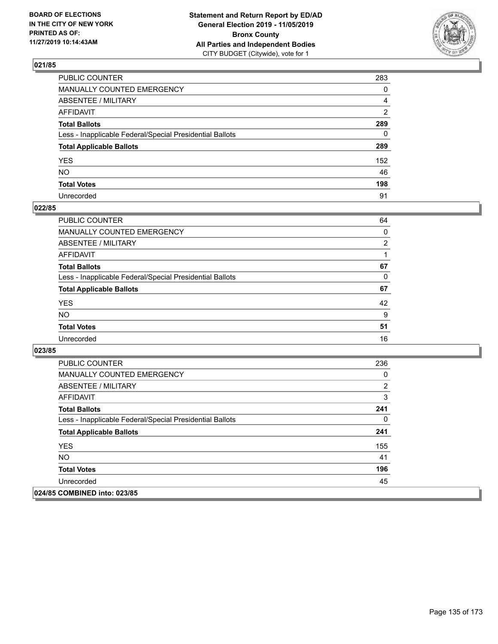

| PUBLIC COUNTER                                           | 283          |
|----------------------------------------------------------|--------------|
| MANUALLY COUNTED EMERGENCY                               | $\mathbf{0}$ |
| ABSENTEE / MILITARY                                      | 4            |
| AFFIDAVIT                                                | 2            |
| Total Ballots                                            | 289          |
| Less - Inapplicable Federal/Special Presidential Ballots | 0            |
| <b>Total Applicable Ballots</b>                          | 289          |
| YES                                                      | 152          |
| NO.                                                      | 46           |
| <b>Total Votes</b>                                       | 198          |
| Unrecorded                                               | 91           |

## **022/85**

| <b>PUBLIC COUNTER</b>                                    | 64             |
|----------------------------------------------------------|----------------|
| MANUALLY COUNTED EMERGENCY                               | 0              |
| ABSENTEE / MILITARY                                      | $\overline{2}$ |
| AFFIDAVIT                                                |                |
| <b>Total Ballots</b>                                     | 67             |
| Less - Inapplicable Federal/Special Presidential Ballots | 0              |
| <b>Total Applicable Ballots</b>                          | 67             |
| <b>YES</b>                                               | 42             |
| <b>NO</b>                                                | 9              |
| <b>Total Votes</b>                                       | 51             |
| Unrecorded                                               | 16             |

| <b>PUBLIC COUNTER</b>                                    | 236 |
|----------------------------------------------------------|-----|
| <b>MANUALLY COUNTED EMERGENCY</b>                        | 0   |
| ABSENTEE / MILITARY                                      | 2   |
| AFFIDAVIT                                                | 3   |
| <b>Total Ballots</b>                                     | 241 |
| Less - Inapplicable Federal/Special Presidential Ballots | 0   |
| <b>Total Applicable Ballots</b>                          | 241 |
| <b>YES</b>                                               | 155 |
| <b>NO</b>                                                | 41  |
| <b>Total Votes</b>                                       | 196 |
| Unrecorded                                               | 45  |
| 024/85 COMBINED into: 023/85                             |     |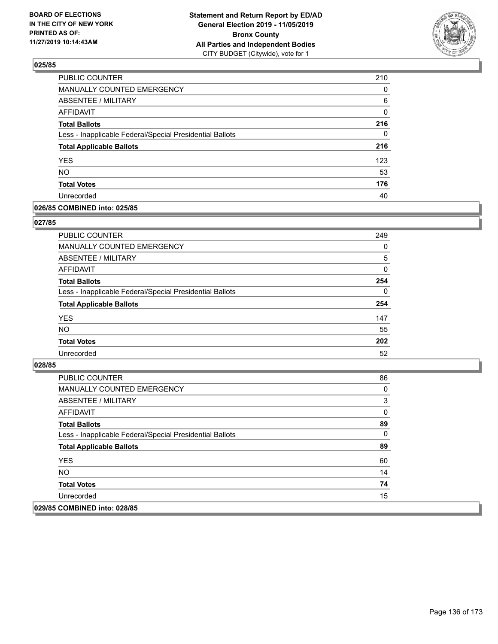

| PUBLIC COUNTER                                           | 210      |
|----------------------------------------------------------|----------|
| <b>MANUALLY COUNTED EMERGENCY</b>                        | $\Omega$ |
| <b>ABSENTEE / MILITARY</b>                               | 6        |
| <b>AFFIDAVIT</b>                                         | 0        |
| <b>Total Ballots</b>                                     | 216      |
| Less - Inapplicable Federal/Special Presidential Ballots | 0        |
| <b>Total Applicable Ballots</b>                          | 216      |
| <b>YES</b>                                               | 123      |
| <b>NO</b>                                                | 53       |
| <b>Total Votes</b>                                       | 176      |
| Unrecorded                                               | 40       |

### **026/85 COMBINED into: 025/85**

### **027/85**

| PUBLIC COUNTER                                           | 249      |
|----------------------------------------------------------|----------|
| <b>MANUALLY COUNTED EMERGENCY</b>                        | $\Omega$ |
| ABSENTEE / MILITARY                                      | 5        |
| AFFIDAVIT                                                | $\Omega$ |
| <b>Total Ballots</b>                                     | 254      |
| Less - Inapplicable Federal/Special Presidential Ballots | $\Omega$ |
| <b>Total Applicable Ballots</b>                          | 254      |
| <b>YES</b>                                               | 147      |
| <b>NO</b>                                                | 55       |
| <b>Total Votes</b>                                       | 202      |
| Unrecorded                                               | 52       |
|                                                          |          |

| <b>PUBLIC COUNTER</b>                                    | 86 |
|----------------------------------------------------------|----|
| <b>MANUALLY COUNTED EMERGENCY</b>                        | 0  |
| <b>ABSENTEE / MILITARY</b>                               | 3  |
| AFFIDAVIT                                                | 0  |
| <b>Total Ballots</b>                                     | 89 |
| Less - Inapplicable Federal/Special Presidential Ballots | 0  |
| <b>Total Applicable Ballots</b>                          | 89 |
| <b>YES</b>                                               | 60 |
| NO.                                                      | 14 |
| <b>Total Votes</b>                                       | 74 |
| Unrecorded                                               | 15 |
| 029/85 COMBINED into: 028/85                             |    |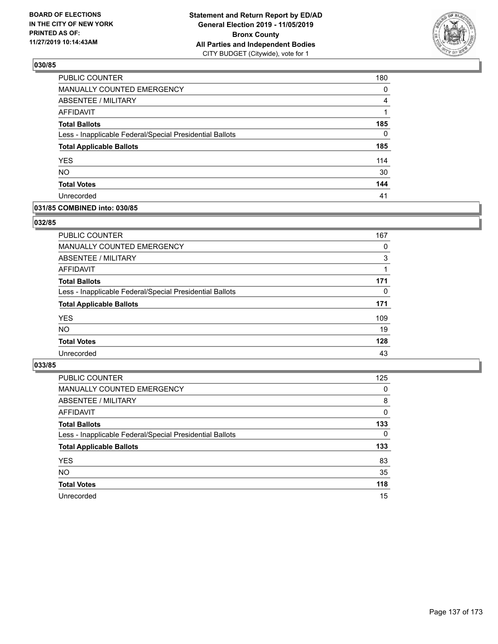

| PUBLIC COUNTER                                           | 180          |
|----------------------------------------------------------|--------------|
| MANUALLY COUNTED EMERGENCY                               | 0            |
| <b>ABSENTEE / MILITARY</b>                               | 4            |
| <b>AFFIDAVIT</b>                                         | 1            |
| <b>Total Ballots</b>                                     | 185          |
| Less - Inapplicable Federal/Special Presidential Ballots | $\mathbf{0}$ |
| <b>Total Applicable Ballots</b>                          | 185          |
| <b>YES</b>                                               | 114          |
| NO.                                                      | 30           |
| <b>Total Votes</b>                                       | 144          |
| Unrecorded                                               | 41           |

## **031/85 COMBINED into: 030/85**

### **032/85**

| PUBLIC COUNTER                                           | 167 |
|----------------------------------------------------------|-----|
| <b>MANUALLY COUNTED EMERGENCY</b>                        | 0   |
| ABSENTEE / MILITARY                                      | 3   |
| AFFIDAVIT                                                |     |
| <b>Total Ballots</b>                                     | 171 |
| Less - Inapplicable Federal/Special Presidential Ballots | 0   |
| <b>Total Applicable Ballots</b>                          | 171 |
| <b>YES</b>                                               | 109 |
| <b>NO</b>                                                | 19  |
| <b>Total Votes</b>                                       | 128 |
| Unrecorded                                               | 43  |
|                                                          |     |

| <b>PUBLIC COUNTER</b>                                    | 125      |
|----------------------------------------------------------|----------|
| MANUALLY COUNTED EMERGENCY                               | 0        |
| ABSENTEE / MILITARY                                      | 8        |
| AFFIDAVIT                                                | $\Omega$ |
| <b>Total Ballots</b>                                     | 133      |
| Less - Inapplicable Federal/Special Presidential Ballots | $\Omega$ |
| <b>Total Applicable Ballots</b>                          | 133      |
| <b>YES</b>                                               | 83       |
| <b>NO</b>                                                | 35       |
| <b>Total Votes</b>                                       | 118      |
| Unrecorded                                               | 15       |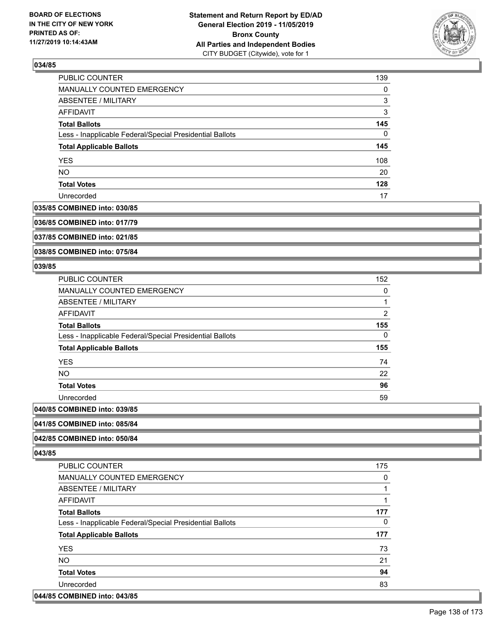

| PUBLIC COUNTER                                           | 139      |
|----------------------------------------------------------|----------|
| MANUALLY COUNTED EMERGENCY                               | $\Omega$ |
| ABSENTEE / MILITARY                                      | 3        |
| AFFIDAVIT                                                | 3        |
| <b>Total Ballots</b>                                     | 145      |
| Less - Inapplicable Federal/Special Presidential Ballots | 0        |
| <b>Total Applicable Ballots</b>                          | 145      |
| <b>YES</b>                                               | 108      |
| <b>NO</b>                                                | 20       |
| <b>Total Votes</b>                                       | 128      |
| Unrecorded                                               | 17       |

#### **035/85 COMBINED into: 030/85**

**036/85 COMBINED into: 017/79**

**037/85 COMBINED into: 021/85**

**038/85 COMBINED into: 075/84**

### **039/85**

| <b>PUBLIC COUNTER</b>                                    | 152            |
|----------------------------------------------------------|----------------|
| <b>MANUALLY COUNTED EMERGENCY</b>                        | 0              |
| <b>ABSENTEE / MILITARY</b>                               | 1              |
| AFFIDAVIT                                                | $\overline{2}$ |
| <b>Total Ballots</b>                                     | 155            |
| Less - Inapplicable Federal/Special Presidential Ballots | 0              |
| <b>Total Applicable Ballots</b>                          | 155            |
| <b>YES</b>                                               | 74             |
| <b>NO</b>                                                | 22             |
| <b>Total Votes</b>                                       | 96             |
| Unrecorded                                               | 59             |
| $A$ $A$                                                  |                |

# **040/85 COMBINED into: 039/85**

### **041/85 COMBINED into: 085/84**

### **042/85 COMBINED into: 050/84**

**043/85** 

| <b>PUBLIC COUNTER</b>                                    | 175 |
|----------------------------------------------------------|-----|
| <b>MANUALLY COUNTED EMERGENCY</b>                        | 0   |
| ABSENTEE / MILITARY                                      |     |
| AFFIDAVIT                                                |     |
| <b>Total Ballots</b>                                     | 177 |
| Less - Inapplicable Federal/Special Presidential Ballots | 0   |
|                                                          |     |
| <b>Total Applicable Ballots</b>                          | 177 |
| <b>YES</b>                                               | 73  |
| <b>NO</b>                                                | 21  |
| <b>Total Votes</b>                                       | 94  |
| Unrecorded                                               | 83  |

#### **044/85 COMBINED into: 043/85**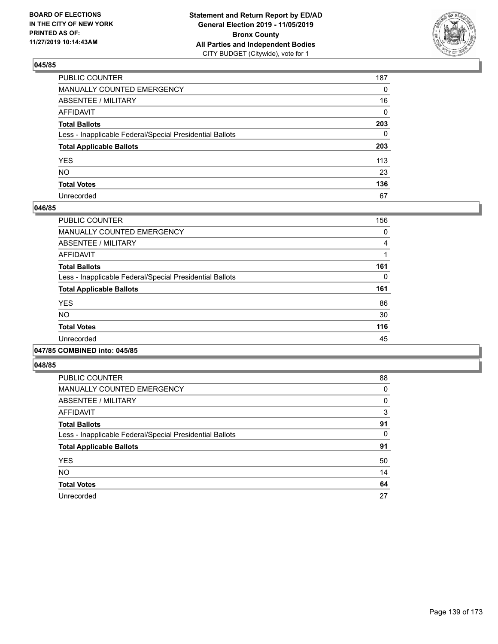

| PUBLIC COUNTER                                           | 187 |
|----------------------------------------------------------|-----|
| MANUALLY COUNTED EMERGENCY                               | 0   |
| ABSENTEE / MILITARY                                      | 16  |
| AFFIDAVIT                                                | 0   |
| Total Ballots                                            | 203 |
| Less - Inapplicable Federal/Special Presidential Ballots | 0   |
| <b>Total Applicable Ballots</b>                          | 203 |
| YES                                                      | 113 |
| NΟ                                                       | 23  |
| <b>Total Votes</b>                                       | 136 |
| Unrecorded                                               | 67  |

### **046/85**

| <b>PUBLIC COUNTER</b>                                    | 156 |
|----------------------------------------------------------|-----|
| <b>MANUALLY COUNTED EMERGENCY</b>                        | 0   |
| ABSENTEE / MILITARY                                      | 4   |
| <b>AFFIDAVIT</b>                                         |     |
| <b>Total Ballots</b>                                     | 161 |
| Less - Inapplicable Federal/Special Presidential Ballots | 0   |
| <b>Total Applicable Ballots</b>                          | 161 |
| <b>YES</b>                                               | 86  |
| <b>NO</b>                                                | 30  |
| <b>Total Votes</b>                                       | 116 |
| Unrecorded                                               | 45  |
|                                                          |     |

#### **047/85 COMBINED into: 045/85**

| <b>PUBLIC COUNTER</b>                                    | 88 |
|----------------------------------------------------------|----|
| <b>MANUALLY COUNTED EMERGENCY</b>                        | 0  |
| <b>ABSENTEE / MILITARY</b>                               | 0  |
| <b>AFFIDAVIT</b>                                         | 3  |
| <b>Total Ballots</b>                                     | 91 |
| Less - Inapplicable Federal/Special Presidential Ballots | 0  |
| <b>Total Applicable Ballots</b>                          | 91 |
| <b>YES</b>                                               | 50 |
| <b>NO</b>                                                | 14 |
| <b>Total Votes</b>                                       | 64 |
| Unrecorded                                               | 27 |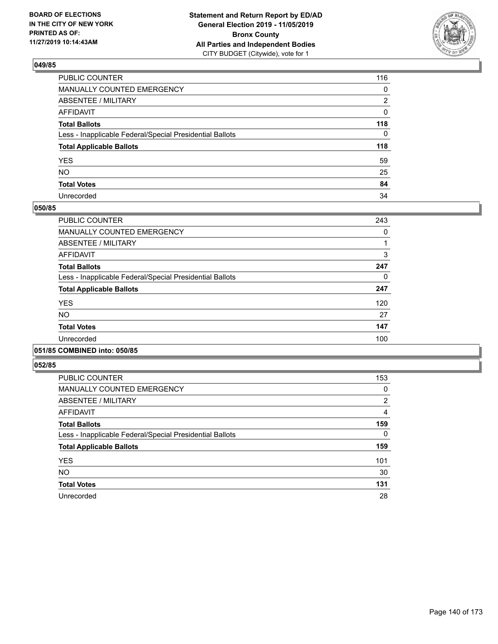

| PUBLIC COUNTER                                           | 116 |
|----------------------------------------------------------|-----|
| MANUALLY COUNTED EMERGENCY                               | 0   |
| ABSENTEE / MILITARY                                      | 2   |
| AFFIDAVIT                                                | 0   |
| Total Ballots                                            | 118 |
| Less - Inapplicable Federal/Special Presidential Ballots | 0   |
| <b>Total Applicable Ballots</b>                          | 118 |
| YES                                                      | 59  |
| NO.                                                      | 25  |
| <b>Total Votes</b>                                       | 84  |
| Unrecorded                                               | 34  |

## **050/85**

| <b>PUBLIC COUNTER</b>                                    | 243 |
|----------------------------------------------------------|-----|
| MANUALLY COUNTED EMERGENCY                               | 0   |
| ABSENTEE / MILITARY                                      |     |
| <b>AFFIDAVIT</b>                                         | 3   |
| <b>Total Ballots</b>                                     | 247 |
| Less - Inapplicable Federal/Special Presidential Ballots | 0   |
| <b>Total Applicable Ballots</b>                          | 247 |
| <b>YES</b>                                               | 120 |
| <b>NO</b>                                                | 27  |
| <b>Total Votes</b>                                       | 147 |
| Unrecorded                                               | 100 |
|                                                          |     |

## **051/85 COMBINED into: 050/85**

| <b>PUBLIC COUNTER</b>                                    | 153 |
|----------------------------------------------------------|-----|
| <b>MANUALLY COUNTED EMERGENCY</b>                        | 0   |
| ABSENTEE / MILITARY                                      | 2   |
| <b>AFFIDAVIT</b>                                         | 4   |
| <b>Total Ballots</b>                                     | 159 |
| Less - Inapplicable Federal/Special Presidential Ballots | 0   |
| <b>Total Applicable Ballots</b>                          | 159 |
| <b>YES</b>                                               | 101 |
| <b>NO</b>                                                | 30  |
| <b>Total Votes</b>                                       | 131 |
| Unrecorded                                               | 28  |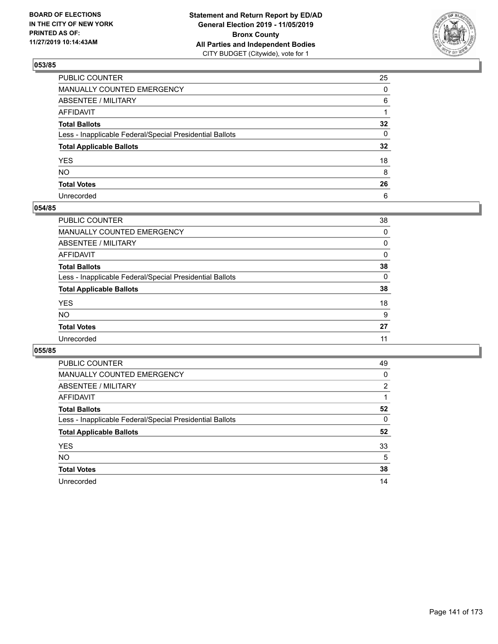

| PUBLIC COUNTER                                           | 25              |
|----------------------------------------------------------|-----------------|
| MANUALLY COUNTED EMERGENCY                               | 0               |
| ABSENTEE / MILITARY                                      | 6               |
| AFFIDAVIT                                                |                 |
| Total Ballots                                            | $32\phantom{a}$ |
| Less - Inapplicable Federal/Special Presidential Ballots | 0               |
| <b>Total Applicable Ballots</b>                          | $32\phantom{a}$ |
| YES                                                      | 18              |
| NO.                                                      | 8               |
| <b>Total Votes</b>                                       | 26              |
| Unrecorded                                               | 6               |

### **054/85**

| <b>PUBLIC COUNTER</b>                                    | 38 |
|----------------------------------------------------------|----|
| <b>MANUALLY COUNTED EMERGENCY</b>                        | 0  |
| ABSENTEE / MILITARY                                      | 0  |
| AFFIDAVIT                                                | 0  |
| <b>Total Ballots</b>                                     | 38 |
| Less - Inapplicable Federal/Special Presidential Ballots | 0  |
| <b>Total Applicable Ballots</b>                          | 38 |
| <b>YES</b>                                               | 18 |
| <b>NO</b>                                                | 9  |
| <b>Total Votes</b>                                       | 27 |
| Unrecorded                                               | 11 |
|                                                          |    |

| <b>PUBLIC COUNTER</b>                                    | 49 |
|----------------------------------------------------------|----|
| <b>MANUALLY COUNTED EMERGENCY</b>                        | 0  |
| ABSENTEE / MILITARY                                      | 2  |
| AFFIDAVIT                                                |    |
| <b>Total Ballots</b>                                     | 52 |
| Less - Inapplicable Federal/Special Presidential Ballots | 0  |
| <b>Total Applicable Ballots</b>                          | 52 |
| <b>YES</b>                                               | 33 |
| <b>NO</b>                                                | 5  |
| <b>Total Votes</b>                                       | 38 |
| Unrecorded                                               | 14 |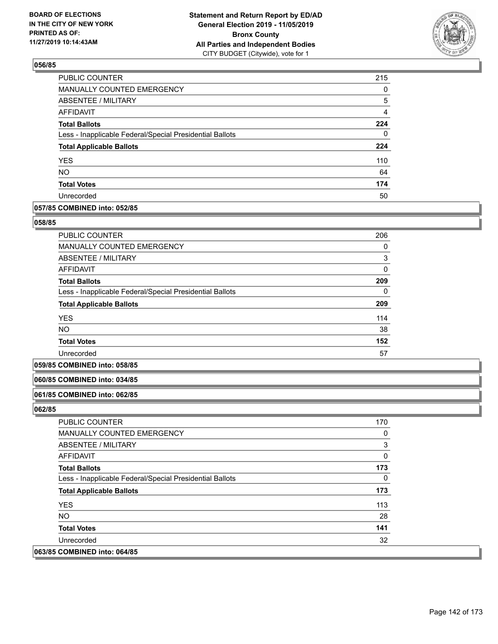

| <b>PUBLIC COUNTER</b>                                    | 215      |
|----------------------------------------------------------|----------|
| <b>MANUALLY COUNTED EMERGENCY</b>                        | $\Omega$ |
| <b>ABSENTEE / MILITARY</b>                               | 5        |
| AFFIDAVIT                                                | 4        |
| <b>Total Ballots</b>                                     | 224      |
| Less - Inapplicable Federal/Special Presidential Ballots | 0        |
| <b>Total Applicable Ballots</b>                          | 224      |
| <b>YES</b>                                               | 110      |
| <b>NO</b>                                                | 64       |
| <b>Total Votes</b>                                       | 174      |
| Unrecorded                                               | 50       |

### **057/85 COMBINED into: 052/85**

#### **058/85**

| <b>PUBLIC COUNTER</b>                                    | 206      |
|----------------------------------------------------------|----------|
| <b>MANUALLY COUNTED EMERGENCY</b>                        | 0        |
| ABSENTEE / MILITARY                                      | 3        |
| <b>AFFIDAVIT</b>                                         | $\Omega$ |
| <b>Total Ballots</b>                                     | 209      |
| Less - Inapplicable Federal/Special Presidential Ballots | 0        |
| <b>Total Applicable Ballots</b>                          | 209      |
| <b>YES</b>                                               | 114      |
| NO                                                       | 38       |
| <b>Total Votes</b>                                       | 152      |
| Unrecorded                                               | 57       |

#### **059/85 COMBINED into: 058/85**

### **060/85 COMBINED into: 034/85**

#### **061/85 COMBINED into: 062/85**

| <b>PUBLIC COUNTER</b>                                    | 170 |
|----------------------------------------------------------|-----|
| <b>MANUALLY COUNTED EMERGENCY</b>                        | 0   |
| ABSENTEE / MILITARY                                      | 3   |
| AFFIDAVIT                                                | 0   |
| <b>Total Ballots</b>                                     | 173 |
| Less - Inapplicable Federal/Special Presidential Ballots | 0   |
| <b>Total Applicable Ballots</b>                          | 173 |
| <b>YES</b>                                               | 113 |
| NO.                                                      | 28  |
| <b>Total Votes</b>                                       | 141 |
| Unrecorded                                               | 32  |
| 063/85 COMBINED into: 064/85                             |     |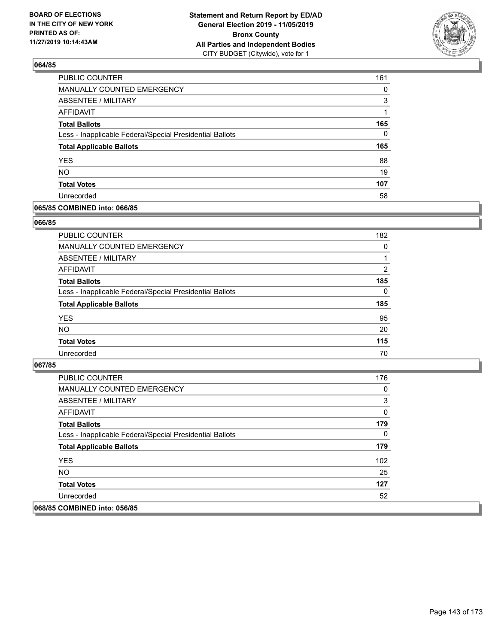

| PUBLIC COUNTER                                           | 161 |
|----------------------------------------------------------|-----|
| MANUALLY COUNTED EMERGENCY                               | 0   |
| ABSENTEE / MILITARY                                      | 3   |
| AFFIDAVIT                                                |     |
| <b>Total Ballots</b>                                     | 165 |
| Less - Inapplicable Federal/Special Presidential Ballots | 0   |
| <b>Total Applicable Ballots</b>                          | 165 |
| <b>YES</b>                                               | 88  |
| <b>NO</b>                                                | 19  |
| <b>Total Votes</b>                                       | 107 |
| Unrecorded                                               | 58  |

### **065/85 COMBINED into: 066/85**

#### **066/85**

| PUBLIC COUNTER                                           | 182      |
|----------------------------------------------------------|----------|
| <b>MANUALLY COUNTED EMERGENCY</b>                        | $\Omega$ |
| ABSENTEE / MILITARY                                      |          |
| AFFIDAVIT                                                | 2        |
| <b>Total Ballots</b>                                     | 185      |
| Less - Inapplicable Federal/Special Presidential Ballots | $\Omega$ |
| <b>Total Applicable Ballots</b>                          | 185      |
| <b>YES</b>                                               | 95       |
| <b>NO</b>                                                | 20       |
| <b>Total Votes</b>                                       | 115      |
| Unrecorded                                               | 70       |
|                                                          |          |

| <b>PUBLIC COUNTER</b>                                    | 176 |
|----------------------------------------------------------|-----|
| <b>MANUALLY COUNTED EMERGENCY</b>                        | 0   |
| ABSENTEE / MILITARY                                      | 3   |
| AFFIDAVIT                                                | 0   |
| <b>Total Ballots</b>                                     | 179 |
| Less - Inapplicable Federal/Special Presidential Ballots | 0   |
| <b>Total Applicable Ballots</b>                          | 179 |
| <b>YES</b>                                               | 102 |
| NO.                                                      | 25  |
| <b>Total Votes</b>                                       | 127 |
| Unrecorded                                               | 52  |
| 068/85 COMBINED into: 056/85                             |     |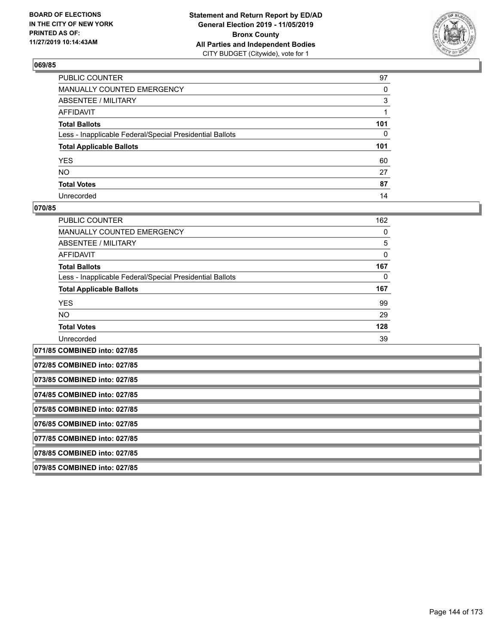

| PUBLIC COUNTER                                           | 97  |
|----------------------------------------------------------|-----|
| MANUALLY COUNTED EMERGENCY                               | 0   |
| ABSENTEE / MILITARY                                      | 3   |
| AFFIDAVIT                                                |     |
| Total Ballots                                            | 101 |
| Less - Inapplicable Federal/Special Presidential Ballots | 0   |
| <b>Total Applicable Ballots</b>                          | 101 |
| YES                                                      | 60  |
| NO.                                                      | 27  |
| <b>Total Votes</b>                                       | 87  |
| Unrecorded                                               | 14  |

### **070/85**

| PUBLIC COUNTER                                           | 162 |
|----------------------------------------------------------|-----|
| <b>MANUALLY COUNTED EMERGENCY</b>                        | 0   |
| ABSENTEE / MILITARY                                      | 5   |
| AFFIDAVIT                                                | 0   |
| <b>Total Ballots</b>                                     | 167 |
| Less - Inapplicable Federal/Special Presidential Ballots | 0   |
| <b>Total Applicable Ballots</b>                          | 167 |
| <b>YES</b>                                               | 99  |
| <b>NO</b>                                                | 29  |
| <b>Total Votes</b>                                       | 128 |
| Unrecorded                                               | 39  |
|                                                          |     |

**071/85 COMBINED into: 027/85 072/85 COMBINED into: 027/85 073/85 COMBINED into: 027/85 074/85 COMBINED into: 027/85 075/85 COMBINED into: 027/85 076/85 COMBINED into: 027/85 077/85 COMBINED into: 027/85 078/85 COMBINED into: 027/85 079/85 COMBINED into: 027/85**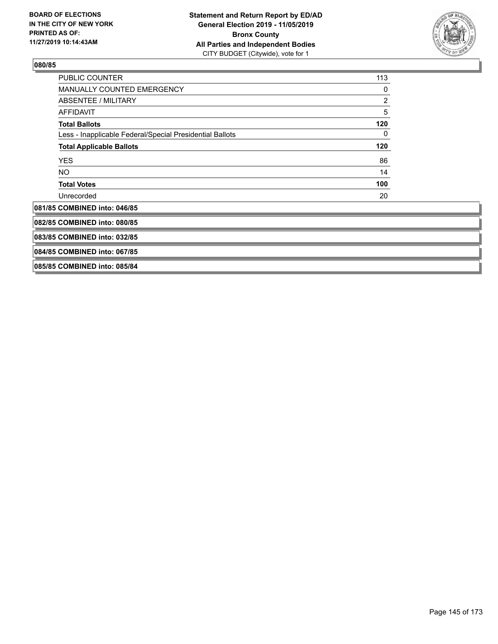

| <b>PUBLIC COUNTER</b>                                    | 113 |
|----------------------------------------------------------|-----|
| MANUALLY COUNTED EMERGENCY                               | 0   |
| ABSENTEE / MILITARY                                      | 2   |
| <b>AFFIDAVIT</b>                                         | 5   |
| <b>Total Ballots</b>                                     | 120 |
| Less - Inapplicable Federal/Special Presidential Ballots | 0   |
| <b>Total Applicable Ballots</b>                          | 120 |
| <b>YES</b>                                               | 86  |
| NO.                                                      | 14  |
| <b>Total Votes</b>                                       | 100 |
| Unrecorded                                               | 20  |
| 081/85 COMBINED into: 046/85                             |     |
| 082/85 COMBINED into: 080/85                             |     |
| 083/85 COMBINED into: 032/85                             |     |
| 084/85 COMBINED into: 067/85                             |     |
| 085/85 COMBINED into: 085/84                             |     |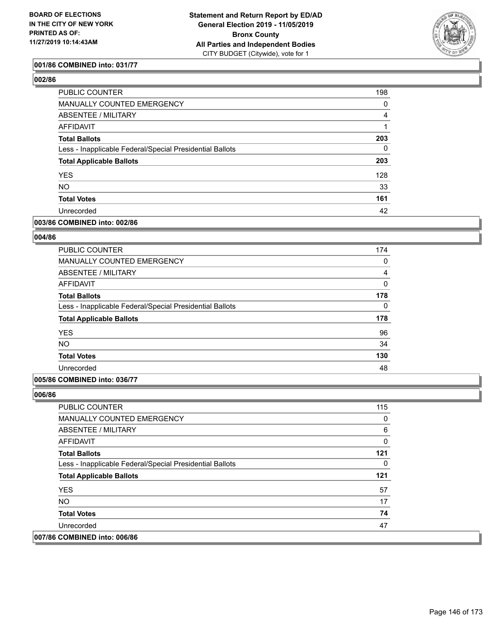

## **001/86 COMBINED into: 031/77**

# **002/86**

| PUBLIC COUNTER                                           | 198      |
|----------------------------------------------------------|----------|
| <b>MANUALLY COUNTED EMERGENCY</b>                        | 0        |
| ABSENTEE / MILITARY                                      | 4        |
| AFFIDAVIT                                                |          |
| <b>Total Ballots</b>                                     | 203      |
| Less - Inapplicable Federal/Special Presidential Ballots | $\Omega$ |
| <b>Total Applicable Ballots</b>                          | 203      |
| <b>YES</b>                                               | 128      |
| <b>NO</b>                                                | 33       |
| <b>Total Votes</b>                                       | 161      |
| Unrecorded                                               | 42       |
|                                                          |          |

## **003/86 COMBINED into: 002/86**

# **004/86**

| <b>PUBLIC COUNTER</b>                                    | 174          |
|----------------------------------------------------------|--------------|
| <b>MANUALLY COUNTED EMERGENCY</b>                        | 0            |
| ABSENTEE / MILITARY                                      | 4            |
| AFFIDAVIT                                                | $\mathbf{0}$ |
| <b>Total Ballots</b>                                     | 178          |
| Less - Inapplicable Federal/Special Presidential Ballots | 0            |
| <b>Total Applicable Ballots</b>                          | 178          |
| <b>YES</b>                                               | 96           |
| <b>NO</b>                                                | 34           |
| <b>Total Votes</b>                                       | 130          |
| Unrecorded                                               | 48           |

### **005/86 COMBINED into: 036/77**

**006/86** 

 $\overline{007/86}$ 

| <b>PUBLIC COUNTER</b>                                    | 115 |
|----------------------------------------------------------|-----|
| MANUALLY COUNTED EMERGENCY                               | 0   |
| <b>ABSENTEE / MILITARY</b>                               | 6   |
| AFFIDAVIT                                                | 0   |
| <b>Total Ballots</b>                                     | 121 |
| Less - Inapplicable Federal/Special Presidential Ballots | 0   |
| <b>Total Applicable Ballots</b>                          | 121 |
| <b>YES</b>                                               | 57  |
| <b>NO</b>                                                | 17  |
| <b>Total Votes</b>                                       | 74  |
| Unrecorded                                               | 47  |
| <b>COMBINED into: 006/86</b>                             |     |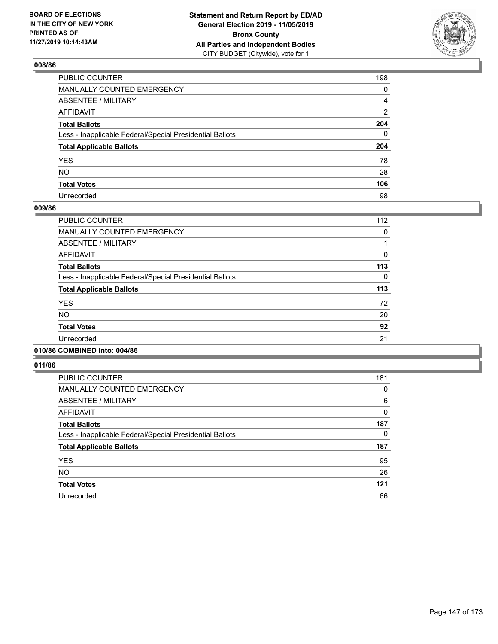

| PUBLIC COUNTER                                           | 198 |
|----------------------------------------------------------|-----|
| MANUALLY COUNTED EMERGENCY                               | 0   |
| ABSENTEE / MILITARY                                      | 4   |
| AFFIDAVIT                                                | 2   |
| Total Ballots                                            | 204 |
| Less - Inapplicable Federal/Special Presidential Ballots | 0   |
| <b>Total Applicable Ballots</b>                          | 204 |
| YES                                                      | 78  |
| NO.                                                      | 28  |
| <b>Total Votes</b>                                       | 106 |
| Unrecorded                                               | 98  |

### **009/86**

| <b>PUBLIC COUNTER</b>                                    | 112 |
|----------------------------------------------------------|-----|
| <b>MANUALLY COUNTED EMERGENCY</b>                        | 0   |
| ABSENTEE / MILITARY                                      |     |
| <b>AFFIDAVIT</b>                                         | 0   |
| <b>Total Ballots</b>                                     | 113 |
| Less - Inapplicable Federal/Special Presidential Ballots | 0   |
| <b>Total Applicable Ballots</b>                          | 113 |
| <b>YES</b>                                               | 72  |
| <b>NO</b>                                                | 20  |
| <b>Total Votes</b>                                       | 92  |
| Unrecorded                                               | 21  |
|                                                          |     |

# **010/86 COMBINED into: 004/86**

| <b>PUBLIC COUNTER</b>                                    | 181 |
|----------------------------------------------------------|-----|
| <b>MANUALLY COUNTED EMERGENCY</b>                        | 0   |
| ABSENTEE / MILITARY                                      | 6   |
| AFFIDAVIT                                                | 0   |
| <b>Total Ballots</b>                                     | 187 |
| Less - Inapplicable Federal/Special Presidential Ballots | 0   |
| <b>Total Applicable Ballots</b>                          | 187 |
| <b>YES</b>                                               | 95  |
| <b>NO</b>                                                | 26  |
| <b>Total Votes</b>                                       | 121 |
| Unrecorded                                               | 66  |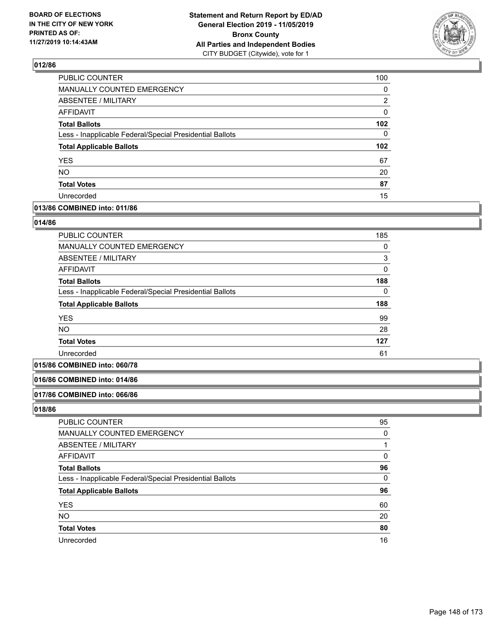

| PUBLIC COUNTER                                           | 100              |
|----------------------------------------------------------|------------------|
| MANUALLY COUNTED EMERGENCY                               | 0                |
| <b>ABSENTEE / MILITARY</b>                               | 2                |
| <b>AFFIDAVIT</b>                                         | 0                |
| <b>Total Ballots</b>                                     | 102 <sub>2</sub> |
| Less - Inapplicable Federal/Special Presidential Ballots | $\Omega$         |
| <b>Total Applicable Ballots</b>                          | 102 <sub>2</sub> |
| <b>YES</b>                                               | 67               |
| <b>NO</b>                                                | 20               |
| <b>Total Votes</b>                                       | 87               |
| Unrecorded                                               | 15               |

### **013/86 COMBINED into: 011/86**

### **014/86**

| <b>PUBLIC COUNTER</b>                                    | 185 |
|----------------------------------------------------------|-----|
| MANUALLY COUNTED EMERGENCY                               | 0   |
| ABSENTEE / MILITARY                                      | 3   |
| AFFIDAVIT                                                | 0   |
| <b>Total Ballots</b>                                     | 188 |
| Less - Inapplicable Federal/Special Presidential Ballots | 0   |
| <b>Total Applicable Ballots</b>                          | 188 |
| <b>YES</b>                                               | 99  |
| <b>NO</b>                                                | 28  |
| <b>Total Votes</b>                                       | 127 |
| Unrecorded                                               | 61  |

# **015/86 COMBINED into: 060/78**

#### **016/86 COMBINED into: 014/86**

#### **017/86 COMBINED into: 066/86**

| PUBLIC COUNTER                                           | 95       |
|----------------------------------------------------------|----------|
| MANUALLY COUNTED EMERGENCY                               | 0        |
| ABSENTEE / MILITARY                                      |          |
| AFFIDAVIT                                                | 0        |
| <b>Total Ballots</b>                                     | 96       |
| Less - Inapplicable Federal/Special Presidential Ballots | $\Omega$ |
| <b>Total Applicable Ballots</b>                          | 96       |
| <b>YES</b>                                               | 60       |
| <b>NO</b>                                                | 20       |
| <b>Total Votes</b>                                       | 80       |
| Unrecorded                                               | 16       |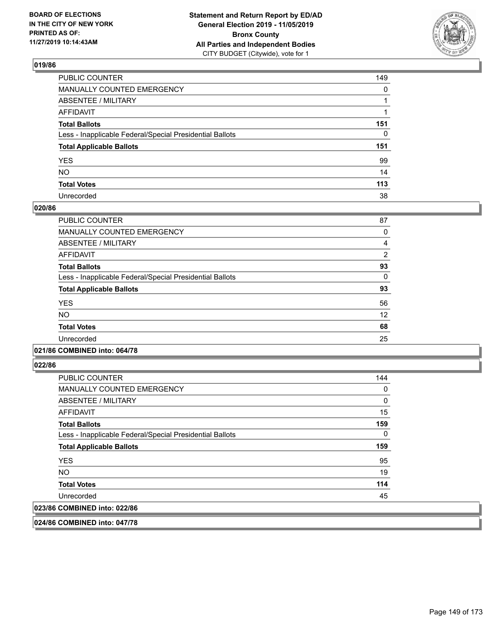

| PUBLIC COUNTER                                           | 149          |
|----------------------------------------------------------|--------------|
| MANUALLY COUNTED EMERGENCY                               | $\mathbf{0}$ |
| ABSENTEE / MILITARY                                      |              |
| AFFIDAVIT                                                |              |
| Total Ballots                                            | 151          |
| Less - Inapplicable Federal/Special Presidential Ballots | 0            |
| <b>Total Applicable Ballots</b>                          | 151          |
| YES                                                      | 99           |
| NO.                                                      | 14           |
| <b>Total Votes</b>                                       | 113          |
| Unrecorded                                               | 38           |

### **020/86**

| <b>PUBLIC COUNTER</b>                                    | 87             |
|----------------------------------------------------------|----------------|
| <b>MANUALLY COUNTED EMERGENCY</b>                        | 0              |
| <b>ABSENTEE / MILITARY</b>                               | 4              |
| <b>AFFIDAVIT</b>                                         | $\overline{2}$ |
| <b>Total Ballots</b>                                     | 93             |
| Less - Inapplicable Federal/Special Presidential Ballots | $\Omega$       |
| <b>Total Applicable Ballots</b>                          | 93             |
| <b>YES</b>                                               | 56             |
| <b>NO</b>                                                | 12             |
| <b>Total Votes</b>                                       | 68             |
| Unrecorded                                               | 25             |
|                                                          |                |

### **021/86 COMBINED into: 064/78**

**022/86** 

| <b>PUBLIC COUNTER</b>                                    | 144 |
|----------------------------------------------------------|-----|
| <b>MANUALLY COUNTED EMERGENCY</b>                        | 0   |
| ABSENTEE / MILITARY                                      | 0   |
| AFFIDAVIT                                                | 15  |
| <b>Total Ballots</b>                                     | 159 |
| Less - Inapplicable Federal/Special Presidential Ballots | 0   |
| <b>Total Applicable Ballots</b>                          | 159 |
| <b>YES</b>                                               | 95  |
| NO.                                                      | 19  |
| <b>Total Votes</b>                                       | 114 |
| Unrecorded                                               | 45  |
| 023/86 COMBINED into: 022/86                             |     |

**024/86 COMBINED into: 047/78**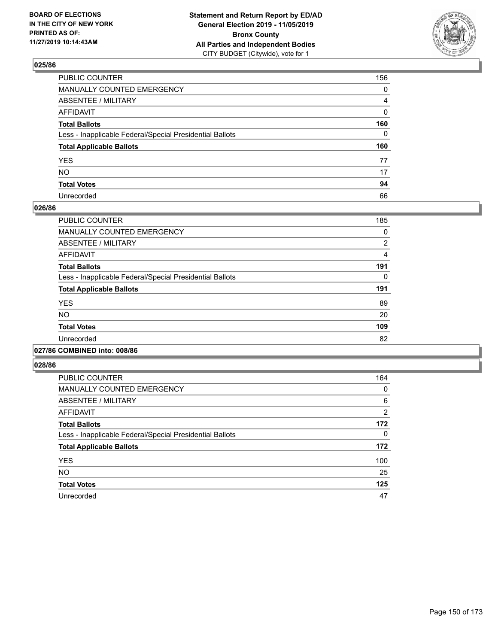

| PUBLIC COUNTER                                           | 156 |
|----------------------------------------------------------|-----|
| MANUALLY COUNTED EMERGENCY                               | 0   |
| ABSENTEE / MILITARY                                      | 4   |
| AFFIDAVIT                                                | 0   |
| Total Ballots                                            | 160 |
| Less - Inapplicable Federal/Special Presidential Ballots | 0   |
| <b>Total Applicable Ballots</b>                          | 160 |
| YES                                                      | 77  |
| NO.                                                      | 17  |
| <b>Total Votes</b>                                       | 94  |
| Unrecorded                                               | 66  |

### **026/86**

| PUBLIC COUNTER                                           | 185 |
|----------------------------------------------------------|-----|
| <b>MANUALLY COUNTED EMERGENCY</b>                        | 0   |
| <b>ABSENTEE / MILITARY</b>                               | 2   |
| <b>AFFIDAVIT</b>                                         | 4   |
| <b>Total Ballots</b>                                     | 191 |
| Less - Inapplicable Federal/Special Presidential Ballots | 0   |
| <b>Total Applicable Ballots</b>                          | 191 |
| <b>YES</b>                                               | 89  |
| NO.                                                      | 20  |
| <b>Total Votes</b>                                       | 109 |
| Unrecorded                                               | 82  |
|                                                          |     |

### **027/86 COMBINED into: 008/86**

| PUBLIC COUNTER                                           | 164            |
|----------------------------------------------------------|----------------|
| <b>MANUALLY COUNTED EMERGENCY</b>                        | 0              |
| ABSENTEE / MILITARY                                      | 6              |
| <b>AFFIDAVIT</b>                                         | $\overline{2}$ |
| <b>Total Ballots</b>                                     | 172            |
| Less - Inapplicable Federal/Special Presidential Ballots | 0              |
| <b>Total Applicable Ballots</b>                          | 172            |
| <b>YES</b>                                               | 100            |
| <b>NO</b>                                                | 25             |
| <b>Total Votes</b>                                       | 125            |
| Unrecorded                                               | 47             |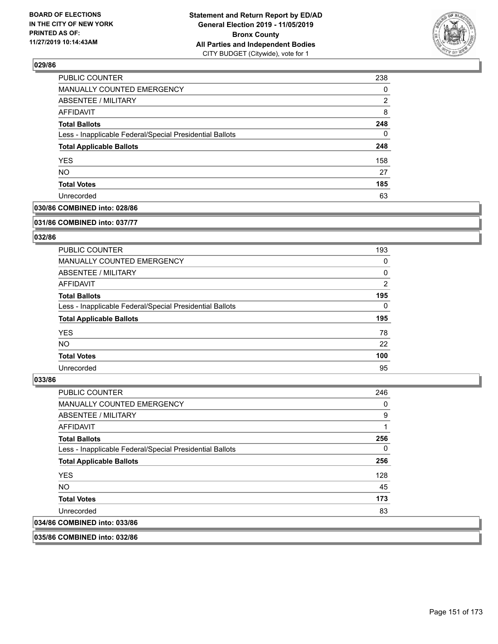

| <b>PUBLIC COUNTER</b>                                    | 238      |
|----------------------------------------------------------|----------|
| MANUALLY COUNTED EMERGENCY                               | 0        |
| ABSENTEE / MILITARY                                      | 2        |
| <b>AFFIDAVIT</b>                                         | 8        |
| <b>Total Ballots</b>                                     | 248      |
| Less - Inapplicable Federal/Special Presidential Ballots | $\Omega$ |
| <b>Total Applicable Ballots</b>                          | 248      |
| <b>YES</b>                                               | 158      |
| <b>NO</b>                                                | 27       |
| <b>Total Votes</b>                                       | 185      |
| Unrecorded                                               | 63       |

## **030/86 COMBINED into: 028/86**

#### **031/86 COMBINED into: 037/77**

# **032/86**

| <b>PUBLIC COUNTER</b>                                    | 193            |
|----------------------------------------------------------|----------------|
| <b>MANUALLY COUNTED EMERGENCY</b>                        | 0              |
| ABSENTEE / MILITARY                                      | 0              |
| AFFIDAVIT                                                | $\overline{2}$ |
| <b>Total Ballots</b>                                     | 195            |
| Less - Inapplicable Federal/Special Presidential Ballots | $\Omega$       |
| <b>Total Applicable Ballots</b>                          | 195            |
| <b>YES</b>                                               | 78             |
| NO.                                                      | 22             |
| <b>Total Votes</b>                                       | 100            |
| Unrecorded                                               | 95             |

#### **033/86**

| <b>PUBLIC COUNTER</b>                                    | 246 |
|----------------------------------------------------------|-----|
| <b>MANUALLY COUNTED EMERGENCY</b>                        | 0   |
| ABSENTEE / MILITARY                                      | 9   |
| <b>AFFIDAVIT</b>                                         |     |
| <b>Total Ballots</b>                                     | 256 |
| Less - Inapplicable Federal/Special Presidential Ballots | 0   |
| <b>Total Applicable Ballots</b>                          | 256 |
| <b>YES</b>                                               | 128 |
| NO.                                                      | 45  |
| <b>Total Votes</b>                                       | 173 |
| Unrecorded                                               | 83  |
| 034/86 COMBINED into: 033/86                             |     |
|                                                          |     |

**035/86 COMBINED into: 032/86**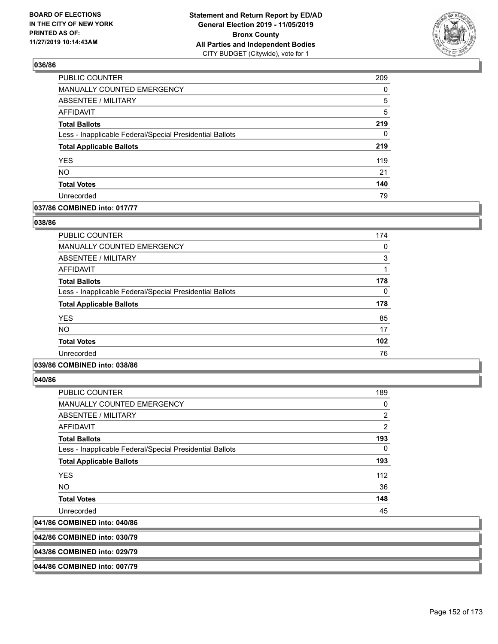

| PUBLIC COUNTER                                           | 209 |
|----------------------------------------------------------|-----|
| MANUALLY COUNTED EMERGENCY                               | 0   |
| <b>ABSENTEE / MILITARY</b>                               | 5   |
| <b>AFFIDAVIT</b>                                         | 5   |
| <b>Total Ballots</b>                                     | 219 |
| Less - Inapplicable Federal/Special Presidential Ballots | 0   |
| <b>Total Applicable Ballots</b>                          | 219 |
| YES                                                      | 119 |
| NO.                                                      | 21  |
| <b>Total Votes</b>                                       | 140 |
| Unrecorded                                               | 79  |

## **037/86 COMBINED into: 017/77**

### **038/86**

| <b>PUBLIC COUNTER</b>                                    | 174 |
|----------------------------------------------------------|-----|
| <b>MANUALLY COUNTED EMERGENCY</b>                        | 0   |
| <b>ABSENTEE / MILITARY</b>                               | 3   |
| AFFIDAVIT                                                |     |
| <b>Total Ballots</b>                                     | 178 |
| Less - Inapplicable Federal/Special Presidential Ballots | 0   |
| <b>Total Applicable Ballots</b>                          | 178 |
| <b>YES</b>                                               | 85  |
| <b>NO</b>                                                | 17  |
| <b>Total Votes</b>                                       | 102 |
| Unrecorded                                               | 76  |
|                                                          |     |

## **039/86 COMBINED into: 038/86**

**040/86** 

| <b>PUBLIC COUNTER</b>                                    | 189 |
|----------------------------------------------------------|-----|
| <b>MANUALLY COUNTED EMERGENCY</b>                        | 0   |
| ABSENTEE / MILITARY                                      | 2   |
| <b>AFFIDAVIT</b>                                         | 2   |
| <b>Total Ballots</b>                                     | 193 |
| Less - Inapplicable Federal/Special Presidential Ballots | 0   |
| <b>Total Applicable Ballots</b>                          | 193 |
| <b>YES</b>                                               | 112 |
| NO.                                                      | 36  |
| <b>Total Votes</b>                                       | 148 |
| Unrecorded                                               | 45  |
| 041/86 COMBINED into: 040/86                             |     |
|                                                          |     |

# **042/86 COMBINED into: 030/79**

**043/86 COMBINED into: 029/79**

#### **044/86 COMBINED into: 007/79**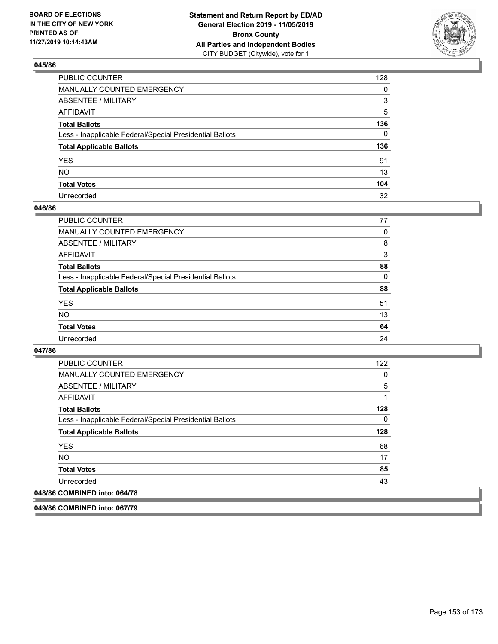

| PUBLIC COUNTER                                           | 128          |
|----------------------------------------------------------|--------------|
| MANUALLY COUNTED EMERGENCY                               | 0            |
| ABSENTEE / MILITARY                                      | 3            |
| AFFIDAVIT                                                | 5            |
| Total Ballots                                            | 136          |
| Less - Inapplicable Federal/Special Presidential Ballots | $\mathbf{0}$ |
| <b>Total Applicable Ballots</b>                          | 136          |
| YES                                                      | 91           |
| NO.                                                      | 13           |
| <b>Total Votes</b>                                       | 104          |
| Unrecorded                                               | 32           |

### **046/86**

| <b>PUBLIC COUNTER</b>                                    | 77 |
|----------------------------------------------------------|----|
| MANUALLY COUNTED EMERGENCY                               | 0  |
| ABSENTEE / MILITARY                                      | 8  |
| AFFIDAVIT                                                | 3  |
| <b>Total Ballots</b>                                     | 88 |
| Less - Inapplicable Federal/Special Presidential Ballots | 0  |
| <b>Total Applicable Ballots</b>                          | 88 |
| <b>YES</b>                                               | 51 |
| <b>NO</b>                                                | 13 |
| <b>Total Votes</b>                                       | 64 |
| Unrecorded                                               | 24 |

### **047/86**

| <b>PUBLIC COUNTER</b>                                    | 122 |
|----------------------------------------------------------|-----|
| <b>MANUALLY COUNTED EMERGENCY</b>                        | 0   |
| ABSENTEE / MILITARY                                      | 5   |
| <b>AFFIDAVIT</b>                                         | 1   |
| <b>Total Ballots</b>                                     | 128 |
| Less - Inapplicable Federal/Special Presidential Ballots | 0   |
| <b>Total Applicable Ballots</b>                          | 128 |
| <b>YES</b>                                               | 68  |
| NO.                                                      | 17  |
| <b>Total Votes</b>                                       | 85  |
| Unrecorded                                               | 43  |
| 048/86 COMBINED into: 064/78                             |     |

**049/86 COMBINED into: 067/79**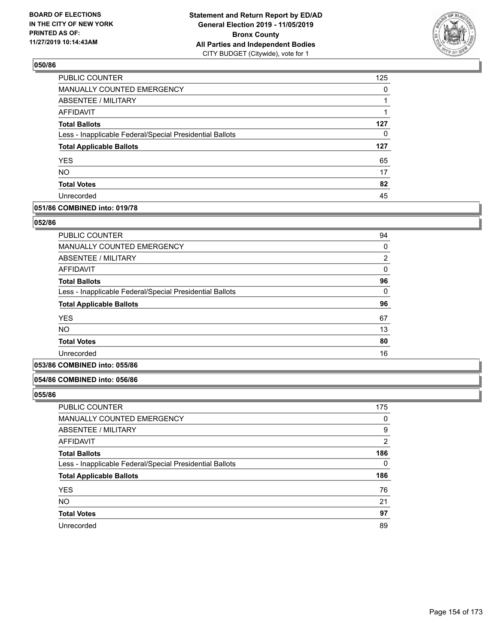

| PUBLIC COUNTER                                           | 125      |
|----------------------------------------------------------|----------|
| MANUALLY COUNTED EMERGENCY                               | $\Omega$ |
| ABSENTEE / MILITARY                                      |          |
| AFFIDAVIT                                                | 1        |
| <b>Total Ballots</b>                                     | 127      |
| Less - Inapplicable Federal/Special Presidential Ballots | 0        |
| <b>Total Applicable Ballots</b>                          | 127      |
| <b>YES</b>                                               | 65       |
| <b>NO</b>                                                | 17       |
| <b>Total Votes</b>                                       | 82       |
| Unrecorded                                               | 45       |

## **051/86 COMBINED into: 019/78**

### **052/86**

| <b>PUBLIC COUNTER</b>                                    | 94       |
|----------------------------------------------------------|----------|
| <b>MANUALLY COUNTED EMERGENCY</b>                        | 0        |
| ABSENTEE / MILITARY                                      | 2        |
| AFFIDAVIT                                                | 0        |
| <b>Total Ballots</b>                                     | 96       |
| Less - Inapplicable Federal/Special Presidential Ballots | $\Omega$ |
| <b>Total Applicable Ballots</b>                          | 96       |
| <b>YES</b>                                               | 67       |
| <b>NO</b>                                                | 13       |
| <b>Total Votes</b>                                       | 80       |
| Unrecorded                                               | 16       |
|                                                          |          |

# **053/86 COMBINED into: 055/86**

#### **054/86 COMBINED into: 056/86**

| <b>PUBLIC COUNTER</b>                                    | 175 |
|----------------------------------------------------------|-----|
| MANUALLY COUNTED EMERGENCY                               | 0   |
| <b>ABSENTEE / MILITARY</b>                               | 9   |
| AFFIDAVIT                                                | 2   |
| <b>Total Ballots</b>                                     | 186 |
| Less - Inapplicable Federal/Special Presidential Ballots | 0   |
| <b>Total Applicable Ballots</b>                          | 186 |
| <b>YES</b>                                               | 76  |
| <b>NO</b>                                                | 21  |
| <b>Total Votes</b>                                       | 97  |
| Unrecorded                                               | 89  |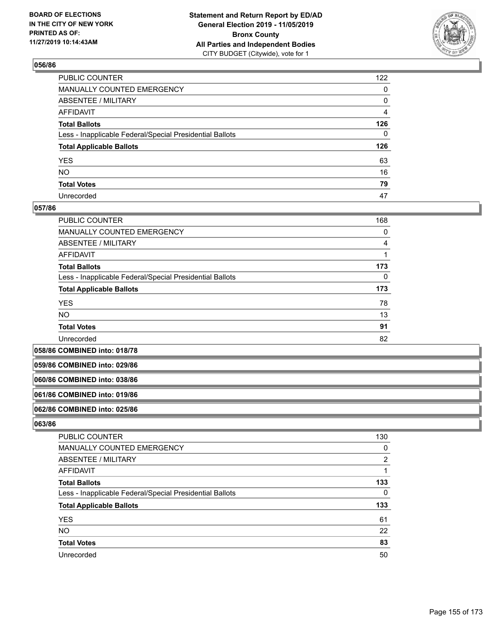

| PUBLIC COUNTER                                           | 122            |
|----------------------------------------------------------|----------------|
| MANUALLY COUNTED EMERGENCY                               | 0              |
| ABSENTEE / MILITARY                                      | 0              |
| AFFIDAVIT                                                | $\overline{4}$ |
| Total Ballots                                            | 126            |
| Less - Inapplicable Federal/Special Presidential Ballots | 0              |
| <b>Total Applicable Ballots</b>                          | 126            |
| YES                                                      | 63             |
| NO.                                                      | 16             |
| <b>Total Votes</b>                                       | 79             |
| Unrecorded                                               | 47             |

### **057/86**

| <b>PUBLIC COUNTER</b>                                    | 168      |
|----------------------------------------------------------|----------|
| <b>MANUALLY COUNTED EMERGENCY</b>                        | 0        |
| ABSENTEE / MILITARY                                      | 4        |
| AFFIDAVIT                                                |          |
| <b>Total Ballots</b>                                     | 173      |
| Less - Inapplicable Federal/Special Presidential Ballots | $\Omega$ |
| <b>Total Applicable Ballots</b>                          | 173      |
| <b>YES</b>                                               | 78       |
| <b>NO</b>                                                | 13       |
| <b>Total Votes</b>                                       | 91       |
| Unrecorded                                               | 82       |

**058/86 COMBINED into: 018/78**

**059/86 COMBINED into: 029/86**

#### **060/86 COMBINED into: 038/86**

#### **061/86 COMBINED into: 019/86**

#### **062/86 COMBINED into: 025/86**

| <b>PUBLIC COUNTER</b>                                    | 130 |
|----------------------------------------------------------|-----|
| MANUALLY COUNTED EMERGENCY                               | 0   |
| ABSENTEE / MILITARY                                      | 2   |
| AFFIDAVIT                                                |     |
| <b>Total Ballots</b>                                     | 133 |
| Less - Inapplicable Federal/Special Presidential Ballots | 0   |
| <b>Total Applicable Ballots</b>                          | 133 |
| <b>YES</b>                                               | 61  |
| <b>NO</b>                                                | 22  |
| <b>Total Votes</b>                                       | 83  |
| Unrecorded                                               | 50  |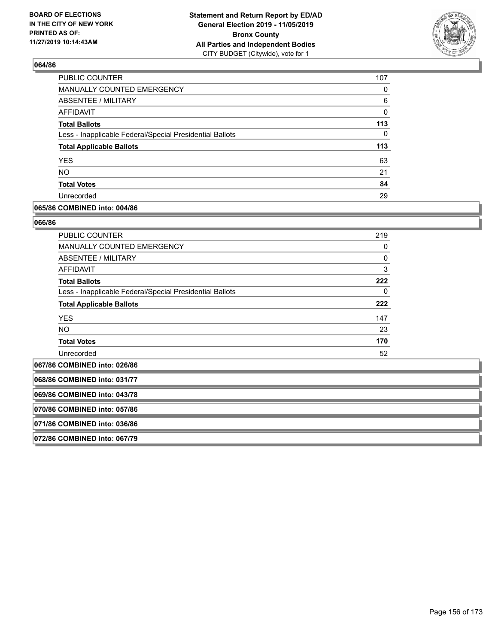

| PUBLIC COUNTER                                           | 107      |
|----------------------------------------------------------|----------|
| MANUALLY COUNTED EMERGENCY                               | 0        |
| ABSENTEE / MILITARY                                      | 6        |
| AFFIDAVIT                                                | 0        |
| <b>Total Ballots</b>                                     | 113      |
| Less - Inapplicable Federal/Special Presidential Ballots | $\Omega$ |
| <b>Total Applicable Ballots</b>                          | 113      |
| <b>YES</b>                                               | 63       |
| <b>NO</b>                                                | 21       |
| <b>Total Votes</b>                                       | 84       |
| Unrecorded                                               | 29       |

### **065/86 COMBINED into: 004/86**

#### **066/86**

| <b>PUBLIC COUNTER</b>                                    | 219      |
|----------------------------------------------------------|----------|
| <b>MANUALLY COUNTED EMERGENCY</b>                        | 0        |
| ABSENTEE / MILITARY                                      | $\Omega$ |
| AFFIDAVIT                                                | 3        |
| <b>Total Ballots</b>                                     | 222      |
| Less - Inapplicable Federal/Special Presidential Ballots | 0        |
| <b>Total Applicable Ballots</b>                          | 222      |
| <b>YES</b>                                               | 147      |
| <b>NO</b>                                                | 23       |
| <b>Total Votes</b>                                       | 170      |
| Unrecorded                                               | 52       |

**067/86 COMBINED into: 026/86**

**068/86 COMBINED into: 031/77**

**069/86 COMBINED into: 043/78**

**070/86 COMBINED into: 057/86**

**071/86 COMBINED into: 036/86**

**072/86 COMBINED into: 067/79**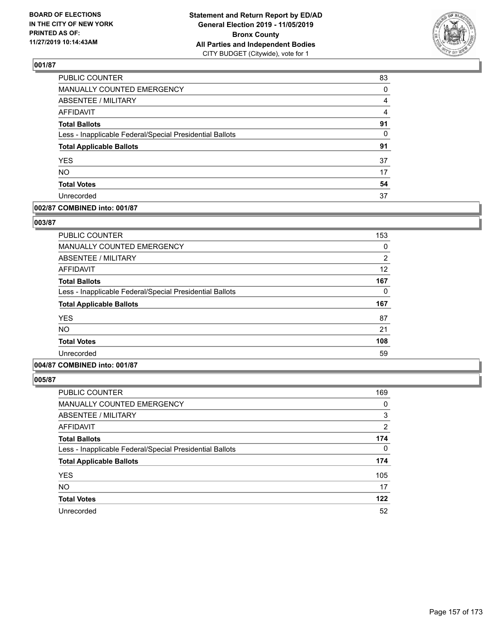

| PUBLIC COUNTER                                           | 83             |
|----------------------------------------------------------|----------------|
| MANUALLY COUNTED EMERGENCY                               | 0              |
| <b>ABSENTEE / MILITARY</b>                               | 4              |
| <b>AFFIDAVIT</b>                                         | $\overline{4}$ |
| <b>Total Ballots</b>                                     | 91             |
| Less - Inapplicable Federal/Special Presidential Ballots | 0              |
| <b>Total Applicable Ballots</b>                          | 91             |
| <b>YES</b>                                               | 37             |
| <b>NO</b>                                                | 17             |
| <b>Total Votes</b>                                       | 54             |
| Unrecorded                                               | 37             |

### **002/87 COMBINED into: 001/87**

### **003/87**

| <b>PUBLIC COUNTER</b>                                    | 153            |
|----------------------------------------------------------|----------------|
| <b>MANUALLY COUNTED EMERGENCY</b>                        | 0              |
| <b>ABSENTEE / MILITARY</b>                               | $\overline{2}$ |
| <b>AFFIDAVIT</b>                                         | 12             |
| <b>Total Ballots</b>                                     | 167            |
| Less - Inapplicable Federal/Special Presidential Ballots | 0              |
| <b>Total Applicable Ballots</b>                          | 167            |
| <b>YES</b>                                               | 87             |
| <b>NO</b>                                                | 21             |
| <b>Total Votes</b>                                       | 108            |
| Unrecorded                                               | 59             |
|                                                          |                |

# **004/87 COMBINED into: 001/87**

| PUBLIC COUNTER                                           | 169            |
|----------------------------------------------------------|----------------|
| <b>MANUALLY COUNTED EMERGENCY</b>                        | 0              |
| ABSENTEE / MILITARY                                      | 3              |
| <b>AFFIDAVIT</b>                                         | $\overline{2}$ |
| <b>Total Ballots</b>                                     | 174            |
| Less - Inapplicable Federal/Special Presidential Ballots | 0              |
| <b>Total Applicable Ballots</b>                          | 174            |
| <b>YES</b>                                               | 105            |
| <b>NO</b>                                                | 17             |
| <b>Total Votes</b>                                       | 122            |
| Unrecorded                                               | 52             |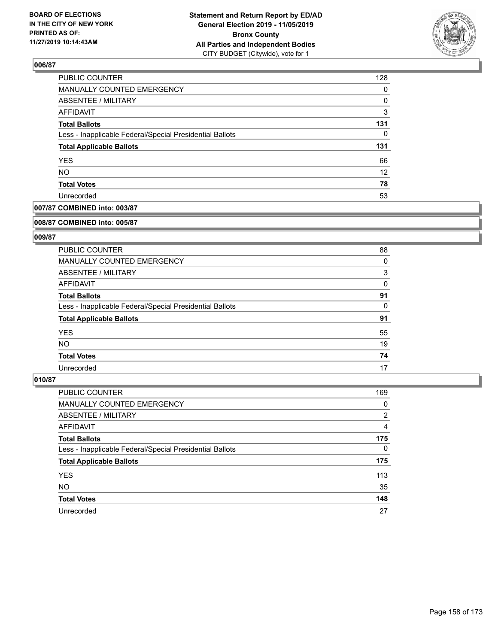

| 128               |
|-------------------|
| $\Omega$          |
| 0                 |
| 3                 |
| 131               |
| 0                 |
| 131               |
| 66                |
| $12 \overline{ }$ |
| 78                |
| 53                |
|                   |

# **007/87 COMBINED into: 003/87**

#### **008/87 COMBINED into: 005/87**

# **009/87**

| <b>PUBLIC COUNTER</b>                                    | 88 |
|----------------------------------------------------------|----|
| <b>MANUALLY COUNTED EMERGENCY</b>                        | 0  |
| ABSENTEE / MILITARY                                      | 3  |
| AFFIDAVIT                                                | 0  |
| <b>Total Ballots</b>                                     | 91 |
| Less - Inapplicable Federal/Special Presidential Ballots | 0  |
| <b>Total Applicable Ballots</b>                          | 91 |
| <b>YES</b>                                               | 55 |
| NO.                                                      | 19 |
| <b>Total Votes</b>                                       | 74 |
| Unrecorded                                               | 17 |

| PUBLIC COUNTER                                           | 169            |
|----------------------------------------------------------|----------------|
| <b>MANUALLY COUNTED EMERGENCY</b>                        | 0              |
| ABSENTEE / MILITARY                                      | $\overline{2}$ |
| AFFIDAVIT                                                | 4              |
| <b>Total Ballots</b>                                     | 175            |
| Less - Inapplicable Federal/Special Presidential Ballots | $\Omega$       |
| <b>Total Applicable Ballots</b>                          | 175            |
| <b>YES</b>                                               | 113            |
| <b>NO</b>                                                | 35             |
| <b>Total Votes</b>                                       | 148            |
| Unrecorded                                               | 27             |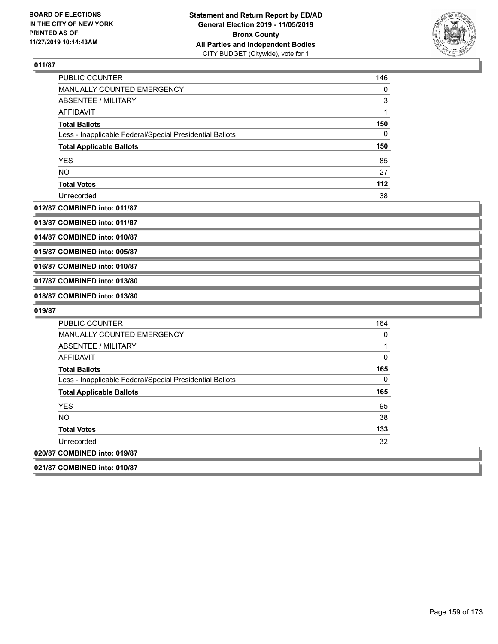

| <b>PUBLIC COUNTER</b>                                    | 146 |
|----------------------------------------------------------|-----|
| <b>MANUALLY COUNTED EMERGENCY</b>                        | 0   |
| ABSENTEE / MILITARY                                      | 3   |
| AFFIDAVIT                                                |     |
| <b>Total Ballots</b>                                     | 150 |
| Less - Inapplicable Federal/Special Presidential Ballots | 0   |
| <b>Total Applicable Ballots</b>                          | 150 |
| <b>YES</b>                                               | 85  |
| <b>NO</b>                                                | 27  |
| <b>Total Votes</b>                                       | 112 |
| Unrecorded                                               | 38  |

#### **012/87 COMBINED into: 011/87**

**013/87 COMBINED into: 011/87**

**014/87 COMBINED into: 010/87**

**015/87 COMBINED into: 005/87**

**016/87 COMBINED into: 010/87**

**017/87 COMBINED into: 013/80**

**018/87 COMBINED into: 013/80**

| <b>PUBLIC COUNTER</b>                                    | 164 |
|----------------------------------------------------------|-----|
| MANUALLY COUNTED EMERGENCY                               | 0   |
| ABSENTEE / MILITARY                                      |     |
| AFFIDAVIT                                                | 0   |
| <b>Total Ballots</b>                                     | 165 |
| Less - Inapplicable Federal/Special Presidential Ballots | 0   |
| <b>Total Applicable Ballots</b>                          | 165 |
| <b>YES</b>                                               | 95  |
| <b>NO</b>                                                | 38  |
| <b>Total Votes</b>                                       | 133 |
| Unrecorded                                               | 32  |
| 020/87 COMBINED into: 019/87                             |     |
| 021/87 COMBINED into: 010/87                             |     |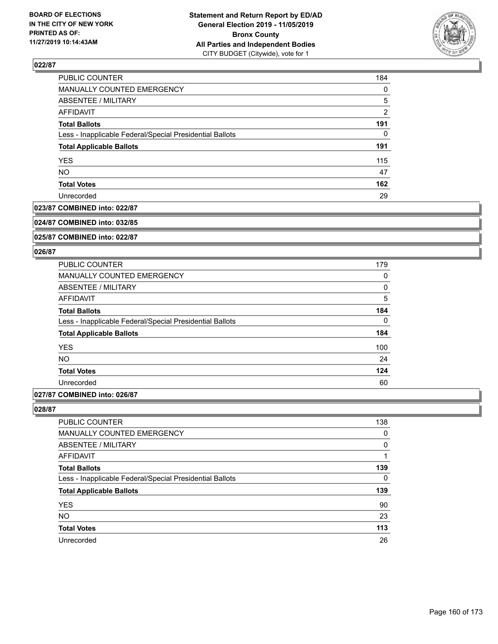

| PUBLIC COUNTER                                           | 184            |
|----------------------------------------------------------|----------------|
| MANUALLY COUNTED EMERGENCY                               | 0              |
| <b>ABSENTEE / MILITARY</b>                               | 5              |
| <b>AFFIDAVIT</b>                                         | $\overline{2}$ |
| <b>Total Ballots</b>                                     | 191            |
| Less - Inapplicable Federal/Special Presidential Ballots | 0              |
| <b>Total Applicable Ballots</b>                          | 191            |
| <b>YES</b>                                               | 115            |
| <b>NO</b>                                                | 47             |
| <b>Total Votes</b>                                       | 162            |
| Unrecorded                                               | 29             |

## **023/87 COMBINED into: 022/87**

#### **024/87 COMBINED into: 032/85**

**025/87 COMBINED into: 022/87**

#### **026/87**

| <b>PUBLIC COUNTER</b>                                    | 179 |
|----------------------------------------------------------|-----|
| <b>MANUALLY COUNTED EMERGENCY</b>                        | 0   |
| ABSENTEE / MILITARY                                      | 0   |
| <b>AFFIDAVIT</b>                                         | 5   |
| <b>Total Ballots</b>                                     | 184 |
| Less - Inapplicable Federal/Special Presidential Ballots | 0   |
| <b>Total Applicable Ballots</b>                          | 184 |
| <b>YES</b>                                               | 100 |
| <b>NO</b>                                                | 24  |
| <b>Total Votes</b>                                       | 124 |
| Unrecorded                                               | 60  |
|                                                          |     |

# **027/87 COMBINED into: 026/87**

| <b>PUBLIC COUNTER</b>                                    | 138      |
|----------------------------------------------------------|----------|
| <b>MANUALLY COUNTED EMERGENCY</b>                        | $\Omega$ |
| ABSENTEE / MILITARY                                      | $\Omega$ |
| AFFIDAVIT                                                |          |
| <b>Total Ballots</b>                                     | 139      |
| Less - Inapplicable Federal/Special Presidential Ballots | 0        |
| <b>Total Applicable Ballots</b>                          | 139      |
| <b>YES</b>                                               | 90       |
| <b>NO</b>                                                | 23       |
| <b>Total Votes</b>                                       | 113      |
| Unrecorded                                               | 26       |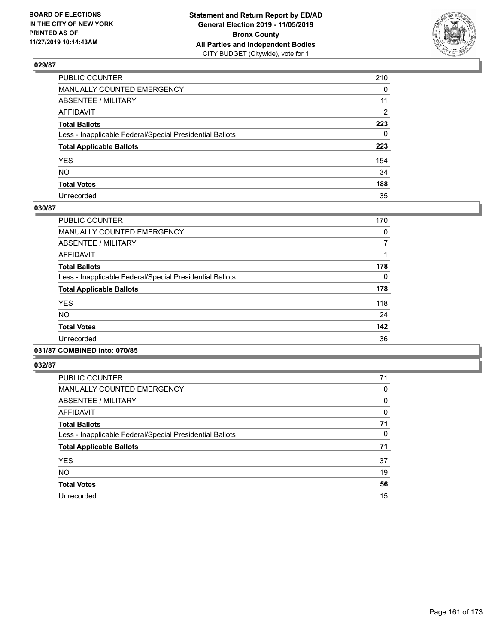

| PUBLIC COUNTER                                           | 210          |
|----------------------------------------------------------|--------------|
| MANUALLY COUNTED EMERGENCY                               | $\mathbf{0}$ |
| ABSENTEE / MILITARY                                      | 11           |
| AFFIDAVIT                                                | 2            |
| Total Ballots                                            | 223          |
| Less - Inapplicable Federal/Special Presidential Ballots | $\mathbf{0}$ |
| <b>Total Applicable Ballots</b>                          | 223          |
| YES                                                      | 154          |
| NO.                                                      | 34           |
| <b>Total Votes</b>                                       | 188          |
| Unrecorded                                               | 35           |

# **030/87**

| PUBLIC COUNTER                                           | 170      |
|----------------------------------------------------------|----------|
| <b>MANUALLY COUNTED EMERGENCY</b>                        | 0        |
| ABSENTEE / MILITARY                                      | 7        |
| <b>AFFIDAVIT</b>                                         |          |
| <b>Total Ballots</b>                                     | 178      |
| Less - Inapplicable Federal/Special Presidential Ballots | $\Omega$ |
| <b>Total Applicable Ballots</b>                          | 178      |
| <b>YES</b>                                               | 118      |
| <b>NO</b>                                                | 24       |
| <b>Total Votes</b>                                       | 142      |
| Unrecorded                                               | 36       |
|                                                          |          |

## **031/87 COMBINED into: 070/85**

| <b>PUBLIC COUNTER</b>                                    | 71 |
|----------------------------------------------------------|----|
| MANUALLY COUNTED EMERGENCY                               | 0  |
| ABSENTEE / MILITARY                                      | 0  |
| AFFIDAVIT                                                | 0  |
| <b>Total Ballots</b>                                     | 71 |
| Less - Inapplicable Federal/Special Presidential Ballots | 0  |
| <b>Total Applicable Ballots</b>                          | 71 |
| <b>YES</b>                                               | 37 |
| <b>NO</b>                                                | 19 |
| <b>Total Votes</b>                                       | 56 |
| Unrecorded                                               | 15 |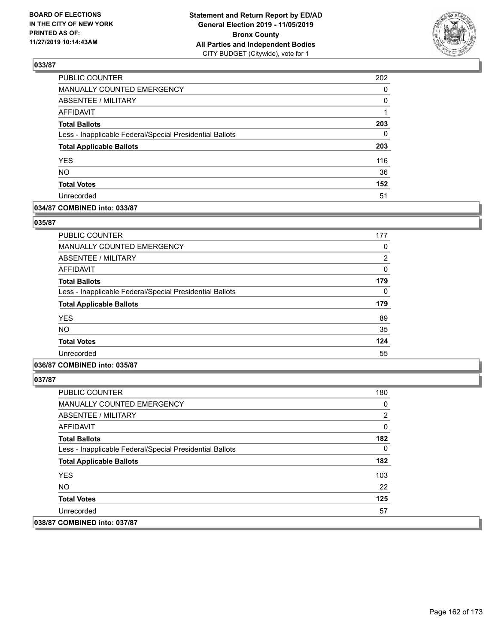

| PUBLIC COUNTER                                           | 202      |
|----------------------------------------------------------|----------|
| MANUALLY COUNTED EMERGENCY                               | 0        |
| ABSENTEE / MILITARY                                      | 0        |
| <b>AFFIDAVIT</b>                                         | 1        |
| <b>Total Ballots</b>                                     | 203      |
| Less - Inapplicable Federal/Special Presidential Ballots | $\Omega$ |
| <b>Total Applicable Ballots</b>                          | 203      |
| <b>YES</b>                                               | 116      |
| <b>NO</b>                                                | 36       |
| <b>Total Votes</b>                                       | 152      |
| Unrecorded                                               | 51       |

### **034/87 COMBINED into: 033/87**

### **035/87**

| <b>PUBLIC COUNTER</b>                                    | 177 |
|----------------------------------------------------------|-----|
| <b>MANUALLY COUNTED EMERGENCY</b>                        | 0   |
| ABSENTEE / MILITARY                                      | 2   |
| AFFIDAVIT                                                | 0   |
| <b>Total Ballots</b>                                     | 179 |
| Less - Inapplicable Federal/Special Presidential Ballots | 0   |
| <b>Total Applicable Ballots</b>                          | 179 |
| <b>YES</b>                                               | 89  |
| <b>NO</b>                                                | 35  |
| <b>Total Votes</b>                                       | 124 |
| Unrecorded                                               | 55  |

# **036/87 COMBINED into: 035/87**

| <b>PUBLIC COUNTER</b>                                    | 180 |
|----------------------------------------------------------|-----|
| <b>MANUALLY COUNTED EMERGENCY</b>                        | 0   |
| ABSENTEE / MILITARY                                      | 2   |
| AFFIDAVIT                                                | 0   |
| <b>Total Ballots</b>                                     | 182 |
| Less - Inapplicable Federal/Special Presidential Ballots | 0   |
| <b>Total Applicable Ballots</b>                          | 182 |
| <b>YES</b>                                               | 103 |
| NO.                                                      | 22  |
| <b>Total Votes</b>                                       | 125 |
| Unrecorded                                               | 57  |
| 038/87 COMBINED into: 037/87                             |     |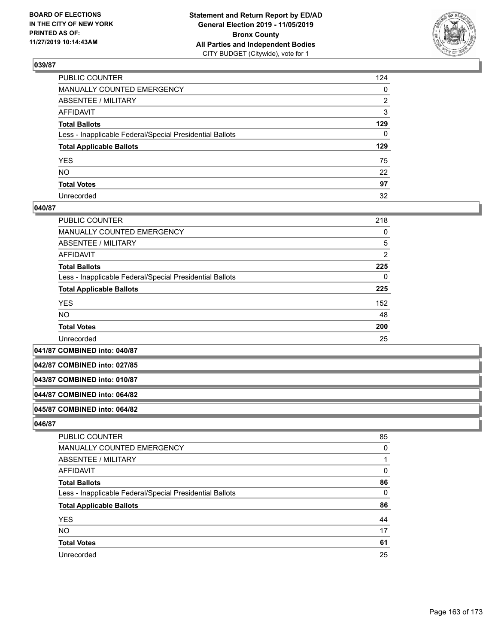

| PUBLIC COUNTER                                           | 124 |
|----------------------------------------------------------|-----|
| MANUALLY COUNTED EMERGENCY                               | 0   |
| ABSENTEE / MILITARY                                      | 2   |
| AFFIDAVIT                                                | 3   |
| Total Ballots                                            | 129 |
| Less - Inapplicable Federal/Special Presidential Ballots | 0   |
| <b>Total Applicable Ballots</b>                          | 129 |
| YES                                                      | 75  |
| NO.                                                      | 22  |
| <b>Total Votes</b>                                       | 97  |
| Unrecorded                                               | 32  |

### **040/87**

| PUBLIC COUNTER                                           | 218            |
|----------------------------------------------------------|----------------|
| <b>MANUALLY COUNTED EMERGENCY</b>                        | 0              |
| ABSENTEE / MILITARY                                      | 5              |
| <b>AFFIDAVIT</b>                                         | $\overline{2}$ |
| <b>Total Ballots</b>                                     | 225            |
| Less - Inapplicable Federal/Special Presidential Ballots | 0              |
| <b>Total Applicable Ballots</b>                          | 225            |
| <b>YES</b>                                               | 152            |
| NO.                                                      | 48             |
| <b>Total Votes</b>                                       | 200            |
| Unrecorded                                               | 25             |

**041/87 COMBINED into: 040/87**

**042/87 COMBINED into: 027/85**

#### **043/87 COMBINED into: 010/87**

#### **044/87 COMBINED into: 064/82**

### **045/87 COMBINED into: 064/82**

| PUBLIC COUNTER                                           | 85 |
|----------------------------------------------------------|----|
| MANUALLY COUNTED EMERGENCY                               | 0  |
| ABSENTEE / MILITARY                                      |    |
| AFFIDAVIT                                                | 0  |
| <b>Total Ballots</b>                                     | 86 |
| Less - Inapplicable Federal/Special Presidential Ballots | 0  |
| <b>Total Applicable Ballots</b>                          | 86 |
| <b>YES</b>                                               | 44 |
| <b>NO</b>                                                | 17 |
| <b>Total Votes</b>                                       | 61 |
| Unrecorded                                               | 25 |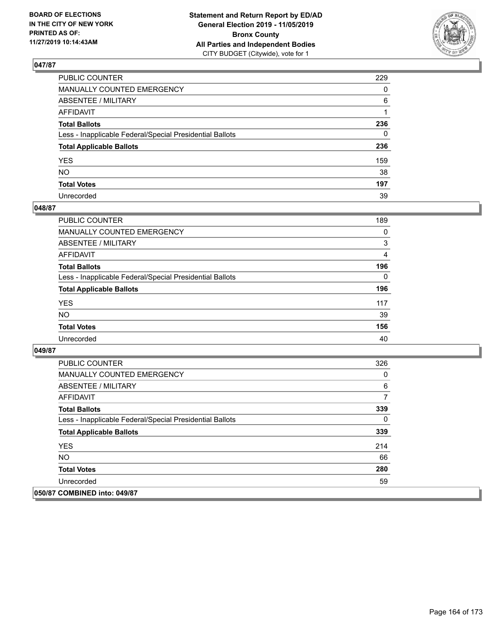

| PUBLIC COUNTER                                           | 229          |
|----------------------------------------------------------|--------------|
| MANUALLY COUNTED EMERGENCY                               | $\mathbf{0}$ |
| ABSENTEE / MILITARY                                      | 6            |
| AFFIDAVIT                                                |              |
| Total Ballots                                            | 236          |
| Less - Inapplicable Federal/Special Presidential Ballots | 0            |
| <b>Total Applicable Ballots</b>                          | 236          |
| YES                                                      | 159          |
| NO.                                                      | 38           |
| <b>Total Votes</b>                                       | 197          |
| Unrecorded                                               | 39           |

### **048/87**

| <b>PUBLIC COUNTER</b>                                    | 189      |
|----------------------------------------------------------|----------|
| MANUALLY COUNTED EMERGENCY                               | $\Omega$ |
| ABSENTEE / MILITARY                                      | 3        |
| AFFIDAVIT                                                | 4        |
| <b>Total Ballots</b>                                     | 196      |
| Less - Inapplicable Federal/Special Presidential Ballots | $\Omega$ |
| <b>Total Applicable Ballots</b>                          | 196      |
| <b>YES</b>                                               | 117      |
| <b>NO</b>                                                | 39       |
| <b>Total Votes</b>                                       | 156      |
| Unrecorded                                               | 40       |

| <b>PUBLIC COUNTER</b>                                    | 326 |
|----------------------------------------------------------|-----|
| <b>MANUALLY COUNTED EMERGENCY</b>                        | 0   |
| ABSENTEE / MILITARY                                      | 6   |
| AFFIDAVIT                                                | 7   |
| <b>Total Ballots</b>                                     | 339 |
| Less - Inapplicable Federal/Special Presidential Ballots | 0   |
| <b>Total Applicable Ballots</b>                          | 339 |
| <b>YES</b>                                               | 214 |
| <b>NO</b>                                                | 66  |
| <b>Total Votes</b>                                       | 280 |
| Unrecorded                                               | 59  |
| 050/87 COMBINED into: 049/87                             |     |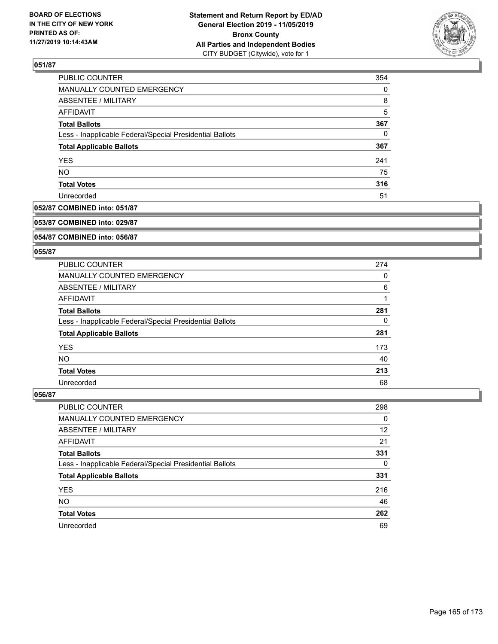

| PUBLIC COUNTER                                           | 354      |
|----------------------------------------------------------|----------|
| MANUALLY COUNTED EMERGENCY                               | $\Omega$ |
| <b>ABSENTEE / MILITARY</b>                               | 8        |
| AFFIDAVIT                                                | 5        |
| <b>Total Ballots</b>                                     | 367      |
| Less - Inapplicable Federal/Special Presidential Ballots | 0        |
| <b>Total Applicable Ballots</b>                          | 367      |
| <b>YES</b>                                               | 241      |
| <b>NO</b>                                                | 75       |
| <b>Total Votes</b>                                       | 316      |
| Unrecorded                                               | 51       |

# **052/87 COMBINED into: 051/87**

#### **053/87 COMBINED into: 029/87**

# **054/87 COMBINED into: 056/87**

#### **055/87**

| <b>PUBLIC COUNTER</b>                                    | 274 |
|----------------------------------------------------------|-----|
| MANUALLY COUNTED EMERGENCY                               | 0   |
| ABSENTEE / MILITARY                                      | 6   |
| AFFIDAVIT                                                |     |
| <b>Total Ballots</b>                                     | 281 |
| Less - Inapplicable Federal/Special Presidential Ballots | 0   |
| <b>Total Applicable Ballots</b>                          | 281 |
| <b>YES</b>                                               | 173 |
| NO.                                                      | 40  |
| <b>Total Votes</b>                                       | 213 |
| Unrecorded                                               | 68  |

| <b>PUBLIC COUNTER</b>                                    | 298      |
|----------------------------------------------------------|----------|
| MANUALLY COUNTED EMERGENCY                               | $\Omega$ |
| ABSENTEE / MILITARY                                      | 12       |
| AFFIDAVIT                                                | 21       |
| <b>Total Ballots</b>                                     | 331      |
| Less - Inapplicable Federal/Special Presidential Ballots | $\Omega$ |
| <b>Total Applicable Ballots</b>                          | 331      |
| <b>YES</b>                                               | 216      |
| <b>NO</b>                                                | 46       |
| <b>Total Votes</b>                                       | 262      |
| Unrecorded                                               | 69       |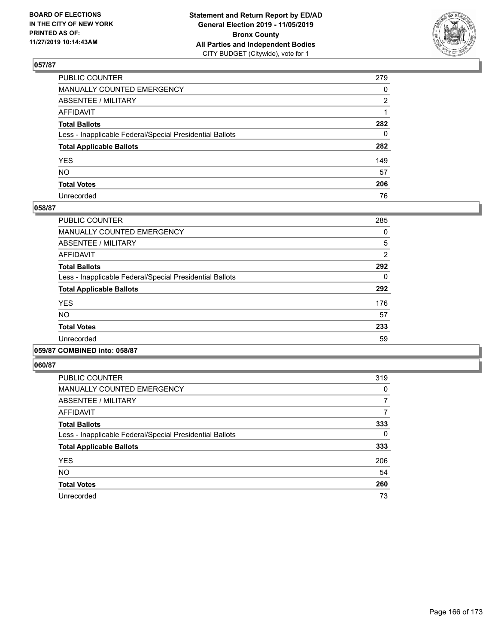

| PUBLIC COUNTER                                           | 279          |
|----------------------------------------------------------|--------------|
| MANUALLY COUNTED EMERGENCY                               | $\mathbf{0}$ |
| ABSENTEE / MILITARY                                      | 2            |
| AFFIDAVIT                                                |              |
| Total Ballots                                            | 282          |
| Less - Inapplicable Federal/Special Presidential Ballots | $\mathbf{0}$ |
| <b>Total Applicable Ballots</b>                          | 282          |
| YES                                                      | 149          |
| NO.                                                      | 57           |
| <b>Total Votes</b>                                       | 206          |
| Unrecorded                                               | 76           |

### **058/87**

| PUBLIC COUNTER                                           | 285            |
|----------------------------------------------------------|----------------|
| <b>MANUALLY COUNTED EMERGENCY</b>                        | 0              |
| ABSENTEE / MILITARY                                      | 5              |
| <b>AFFIDAVIT</b>                                         | $\overline{2}$ |
| <b>Total Ballots</b>                                     | 292            |
| Less - Inapplicable Federal/Special Presidential Ballots | 0              |
| <b>Total Applicable Ballots</b>                          | 292            |
| <b>YES</b>                                               | 176            |
| <b>NO</b>                                                | 57             |
| <b>Total Votes</b>                                       | 233            |
| Unrecorded                                               | 59             |
|                                                          |                |

### **059/87 COMBINED into: 058/87**

| PUBLIC COUNTER                                           | 319 |
|----------------------------------------------------------|-----|
| <b>MANUALLY COUNTED EMERGENCY</b>                        | 0   |
| ABSENTEE / MILITARY                                      | 7   |
| <b>AFFIDAVIT</b>                                         | 7   |
| <b>Total Ballots</b>                                     | 333 |
| Less - Inapplicable Federal/Special Presidential Ballots | 0   |
| <b>Total Applicable Ballots</b>                          | 333 |
| <b>YES</b>                                               | 206 |
| <b>NO</b>                                                | 54  |
| <b>Total Votes</b>                                       | 260 |
| Unrecorded                                               | 73  |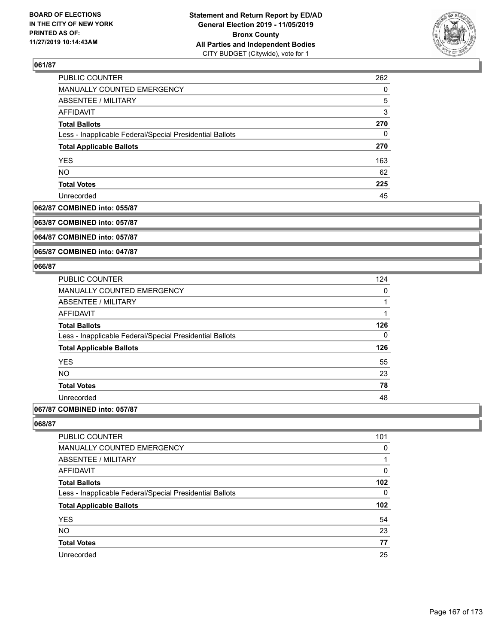

| PUBLIC COUNTER                                           | 262 |
|----------------------------------------------------------|-----|
| MANUALLY COUNTED EMERGENCY                               | 0   |
| ABSENTEE / MILITARY                                      | 5   |
| AFFIDAVIT                                                | 3   |
| <b>Total Ballots</b>                                     | 270 |
| Less - Inapplicable Federal/Special Presidential Ballots | 0   |
| <b>Total Applicable Ballots</b>                          | 270 |
| <b>YES</b>                                               | 163 |
| <b>NO</b>                                                | 62  |
| <b>Total Votes</b>                                       | 225 |
| Unrecorded                                               | 45  |

#### **062/87 COMBINED into: 055/87**

**063/87 COMBINED into: 057/87**

**064/87 COMBINED into: 057/87**

**065/87 COMBINED into: 047/87**

### **066/87**

| <b>PUBLIC COUNTER</b>                                    | 124 |
|----------------------------------------------------------|-----|
| <b>MANUALLY COUNTED EMERGENCY</b>                        | 0   |
| ABSENTEE / MILITARY                                      |     |
| <b>AFFIDAVIT</b>                                         | 1   |
| <b>Total Ballots</b>                                     | 126 |
| Less - Inapplicable Federal/Special Presidential Ballots | 0   |
| <b>Total Applicable Ballots</b>                          | 126 |
| <b>YES</b>                                               | 55  |
| <b>NO</b>                                                | 23  |
| <b>Total Votes</b>                                       | 78  |
| Unrecorded                                               | 48  |
|                                                          |     |

# **067/87 COMBINED into: 057/87**

| 101 |
|-----|
| 0   |
|     |
| 0   |
| 102 |
| 0   |
| 102 |
| 54  |
| 23  |
| 77  |
| 25  |
|     |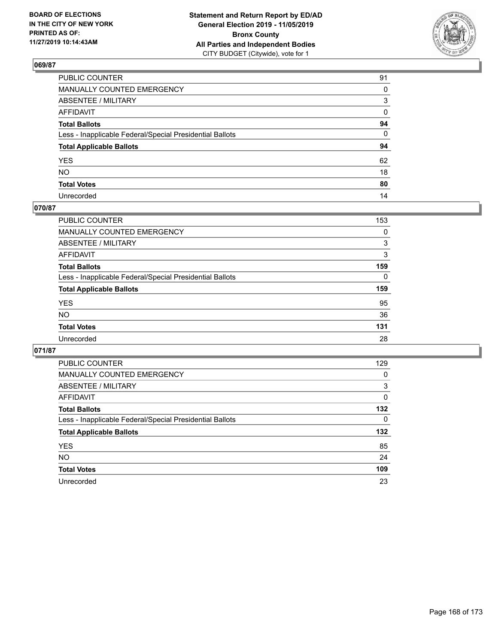

| PUBLIC COUNTER                                           | 91 |
|----------------------------------------------------------|----|
| MANUALLY COUNTED EMERGENCY                               | 0  |
| ABSENTEE / MILITARY                                      | 3  |
| AFFIDAVIT                                                | 0  |
| Total Ballots                                            | 94 |
| Less - Inapplicable Federal/Special Presidential Ballots | 0  |
| <b>Total Applicable Ballots</b>                          | 94 |
| YES                                                      | 62 |
| NO.                                                      | 18 |
| <b>Total Votes</b>                                       | 80 |
| Unrecorded                                               | 14 |

# **070/87**

| <b>PUBLIC COUNTER</b>                                    | 153      |
|----------------------------------------------------------|----------|
| <b>MANUALLY COUNTED EMERGENCY</b>                        | 0        |
| ABSENTEE / MILITARY                                      | 3        |
| AFFIDAVIT                                                | 3        |
| <b>Total Ballots</b>                                     | 159      |
| Less - Inapplicable Federal/Special Presidential Ballots | $\Omega$ |
| <b>Total Applicable Ballots</b>                          | 159      |
| <b>YES</b>                                               | 95       |
| <b>NO</b>                                                | 36       |
| <b>Total Votes</b>                                       | 131      |
| Unrecorded                                               | 28       |

| <b>PUBLIC COUNTER</b>                                    | 129 |
|----------------------------------------------------------|-----|
| <b>MANUALLY COUNTED EMERGENCY</b>                        | 0   |
| ABSENTEE / MILITARY                                      | 3   |
| AFFIDAVIT                                                | 0   |
| <b>Total Ballots</b>                                     | 132 |
| Less - Inapplicable Federal/Special Presidential Ballots | 0   |
| <b>Total Applicable Ballots</b>                          | 132 |
| <b>YES</b>                                               | 85  |
| NO.                                                      | 24  |
|                                                          |     |
| <b>Total Votes</b>                                       | 109 |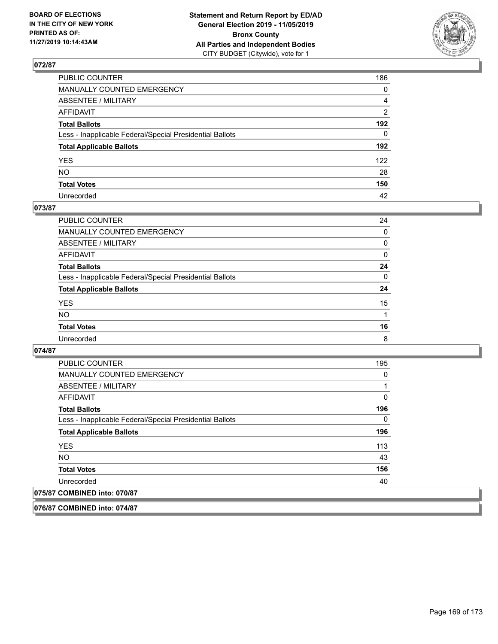

| PUBLIC COUNTER                                           | 186            |
|----------------------------------------------------------|----------------|
| MANUALLY COUNTED EMERGENCY                               | $\mathbf{0}$   |
| ABSENTEE / MILITARY                                      | 4              |
| AFFIDAVIT                                                | $\overline{2}$ |
| Total Ballots                                            | 192            |
| Less - Inapplicable Federal/Special Presidential Ballots | $\Omega$       |
| <b>Total Applicable Ballots</b>                          | 192            |
| YES                                                      | 122            |
| NO.                                                      | 28             |
| <b>Total Votes</b>                                       | 150            |
| Unrecorded                                               | 42             |

### **073/87**

| <b>PUBLIC COUNTER</b>                                    | 24       |
|----------------------------------------------------------|----------|
| MANUALLY COUNTED EMERGENCY                               | $\Omega$ |
| <b>ABSENTEE / MILITARY</b>                               | 0        |
| AFFIDAVIT                                                | $\Omega$ |
| <b>Total Ballots</b>                                     | 24       |
| Less - Inapplicable Federal/Special Presidential Ballots | $\Omega$ |
| <b>Total Applicable Ballots</b>                          | 24       |
| <b>YES</b>                                               | 15       |
| <b>NO</b>                                                |          |
| <b>Total Votes</b>                                       | 16       |
| Unrecorded                                               | 8        |

### **074/87**

**076/87 COMBINED into: 074/87**

| <b>PUBLIC COUNTER</b>                                    | 195 |
|----------------------------------------------------------|-----|
| <b>MANUALLY COUNTED EMERGENCY</b>                        | 0   |
| ABSENTEE / MILITARY                                      | 1   |
| <b>AFFIDAVIT</b>                                         | 0   |
| <b>Total Ballots</b>                                     | 196 |
| Less - Inapplicable Federal/Special Presidential Ballots | 0   |
| <b>Total Applicable Ballots</b>                          | 196 |
| <b>YES</b>                                               | 113 |
| NO.                                                      | 43  |
| <b>Total Votes</b>                                       | 156 |
| Unrecorded                                               | 40  |
| 075/87 COMBINED into: 070/87                             |     |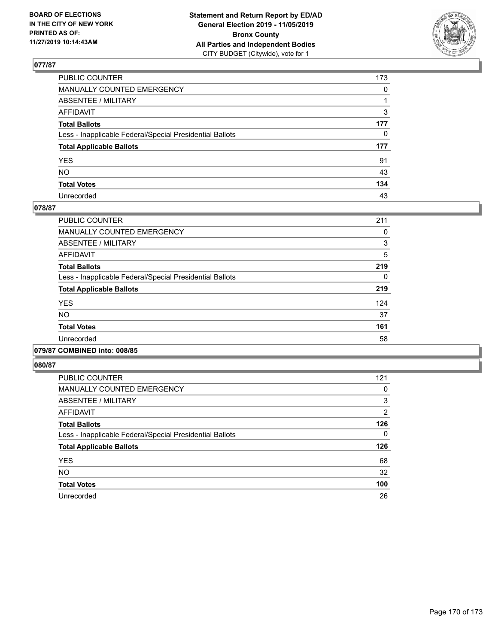

| PUBLIC COUNTER                                           | 173          |
|----------------------------------------------------------|--------------|
| MANUALLY COUNTED EMERGENCY                               | $\mathbf{0}$ |
| ABSENTEE / MILITARY                                      |              |
| AFFIDAVIT                                                | 3            |
| Total Ballots                                            | 177          |
| Less - Inapplicable Federal/Special Presidential Ballots | 0            |
| <b>Total Applicable Ballots</b>                          | 177          |
| YES                                                      | 91           |
| NO.                                                      | 43           |
| <b>Total Votes</b>                                       | 134          |
| Unrecorded                                               | 43           |

### **078/87**

| <b>PUBLIC COUNTER</b>                                    | 211 |
|----------------------------------------------------------|-----|
| <b>MANUALLY COUNTED EMERGENCY</b>                        | 0   |
| ABSENTEE / MILITARY                                      | 3   |
| <b>AFFIDAVIT</b>                                         | 5   |
| <b>Total Ballots</b>                                     | 219 |
| Less - Inapplicable Federal/Special Presidential Ballots | 0   |
| <b>Total Applicable Ballots</b>                          | 219 |
| <b>YES</b>                                               | 124 |
| <b>NO</b>                                                | 37  |
| <b>Total Votes</b>                                       | 161 |
| Unrecorded                                               | 58  |
|                                                          |     |

### **079/87 COMBINED into: 008/85**

| PUBLIC COUNTER                                           | 121            |
|----------------------------------------------------------|----------------|
| <b>MANUALLY COUNTED EMERGENCY</b>                        | 0              |
| ABSENTEE / MILITARY                                      | 3              |
| <b>AFFIDAVIT</b>                                         | $\overline{2}$ |
| <b>Total Ballots</b>                                     | 126            |
| Less - Inapplicable Federal/Special Presidential Ballots | 0              |
| <b>Total Applicable Ballots</b>                          | 126            |
| <b>YES</b>                                               | 68             |
| <b>NO</b>                                                | 32             |
| <b>Total Votes</b>                                       | 100            |
| Unrecorded                                               | 26             |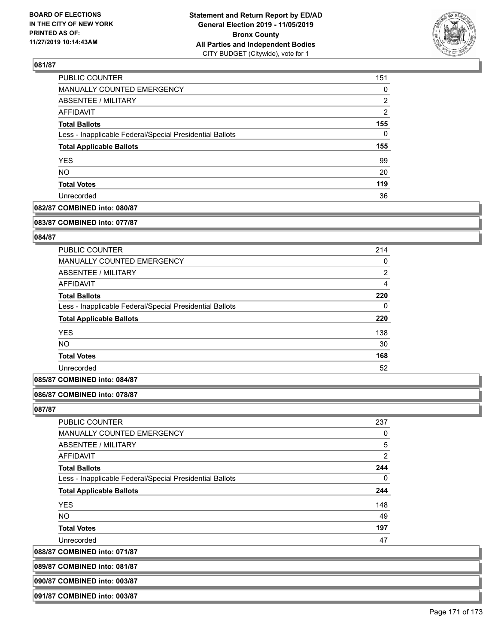

| PUBLIC COUNTER                                           | 151      |
|----------------------------------------------------------|----------|
| MANUALLY COUNTED EMERGENCY                               | $\Omega$ |
| <b>ABSENTEE / MILITARY</b>                               | 2        |
| AFFIDAVIT                                                | 2        |
| <b>Total Ballots</b>                                     | 155      |
| Less - Inapplicable Federal/Special Presidential Ballots | 0        |
| <b>Total Applicable Ballots</b>                          | 155      |
| <b>YES</b>                                               | 99       |
| <b>NO</b>                                                | 20       |
| <b>Total Votes</b>                                       | 119      |
| Unrecorded                                               | 36       |

# **082/87 COMBINED into: 080/87**

#### **083/87 COMBINED into: 077/87**

## **084/87**

| <b>PUBLIC COUNTER</b>                                    | 214            |
|----------------------------------------------------------|----------------|
| <b>MANUALLY COUNTED EMERGENCY</b>                        | 0              |
| ABSENTEE / MILITARY                                      | $\overline{2}$ |
| AFFIDAVIT                                                | 4              |
| <b>Total Ballots</b>                                     | 220            |
| Less - Inapplicable Federal/Special Presidential Ballots | 0              |
| <b>Total Applicable Ballots</b>                          | 220            |
| <b>YES</b>                                               | 138            |
| <b>NO</b>                                                | 30             |
| <b>Total Votes</b>                                       | 168            |
| Unrecorded                                               | 52             |
|                                                          |                |

## **085/87 COMBINED into: 084/87**

#### **086/87 COMBINED into: 078/87**

**087/87** 

| PUBLIC COUNTER                                           | 237 |
|----------------------------------------------------------|-----|
| MANUALLY COUNTED EMERGENCY                               | 0   |
| ABSENTEE / MILITARY                                      | 5   |
| AFFIDAVIT                                                | 2   |
| <b>Total Ballots</b>                                     | 244 |
| Less - Inapplicable Federal/Special Presidential Ballots | 0   |
| <b>Total Applicable Ballots</b>                          | 244 |
| <b>YES</b>                                               | 148 |
| <b>NO</b>                                                | 49  |
| <b>Total Votes</b>                                       | 197 |
| Unrecorded                                               | 47  |
|                                                          |     |

**088/87 COMBINED into: 071/87**

| 089/87 COMBINED into: 081/87 |  |
|------------------------------|--|
|                              |  |
|                              |  |

**090/87 COMBINED into: 003/87**

**091/87 COMBINED into: 003/87**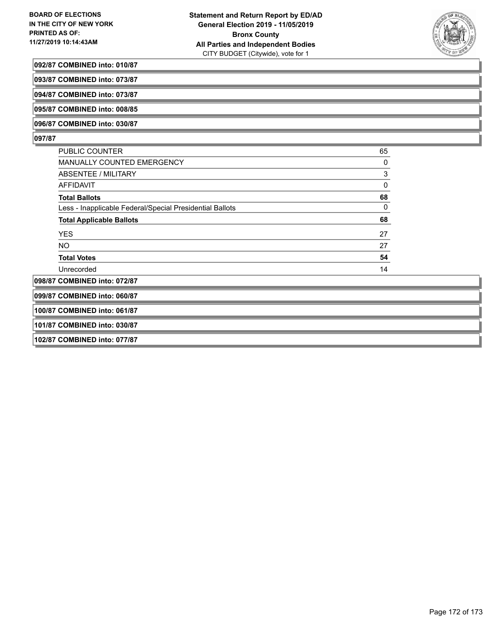

#### **092/87 COMBINED into: 010/87**

**093/87 COMBINED into: 073/87**

**094/87 COMBINED into: 073/87**

**095/87 COMBINED into: 008/85**

**096/87 COMBINED into: 030/87**

### **097/87**

| <b>PUBLIC COUNTER</b>                                    | 65 |
|----------------------------------------------------------|----|
| MANUALLY COUNTED EMERGENCY                               | 0  |
| ABSENTEE / MILITARY                                      | 3  |
| AFFIDAVIT                                                | 0  |
| <b>Total Ballots</b>                                     | 68 |
| Less - Inapplicable Federal/Special Presidential Ballots | 0  |
| <b>Total Applicable Ballots</b>                          | 68 |
| <b>YES</b>                                               | 27 |
| NO.                                                      | 27 |
| <b>Total Votes</b>                                       | 54 |
| Unrecorded                                               | 14 |
| 098/87 COMBINED into: 072/87                             |    |

**099/87 COMBINED into: 060/87**

**100/87 COMBINED into: 061/87**

**101/87 COMBINED into: 030/87**

**102/87 COMBINED into: 077/87**